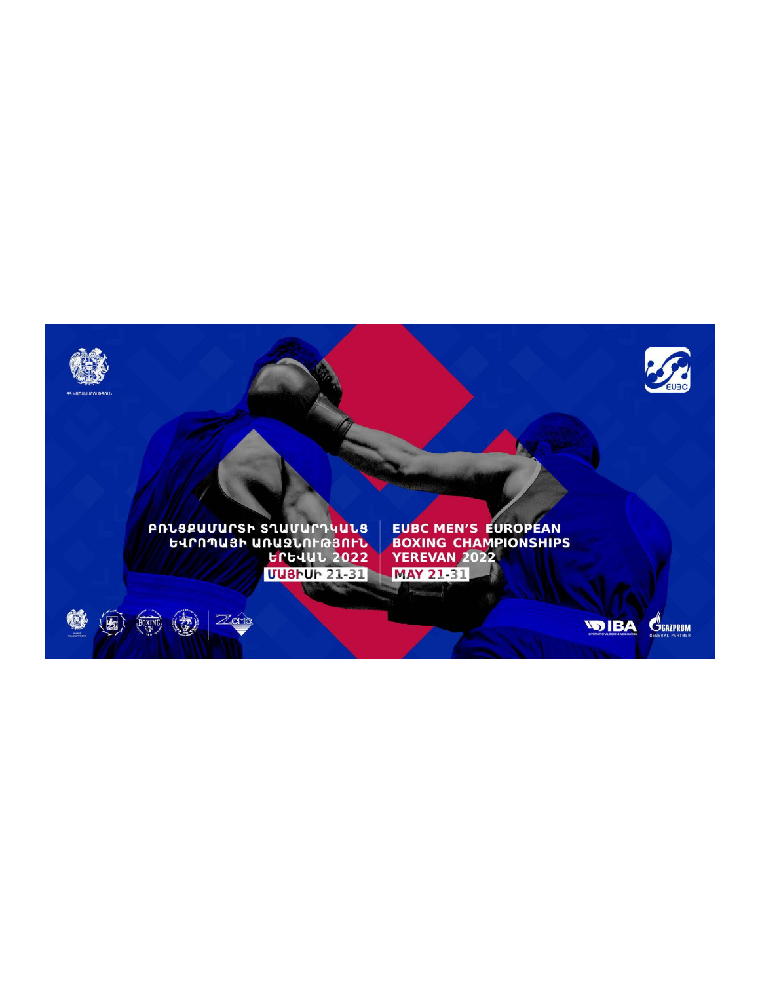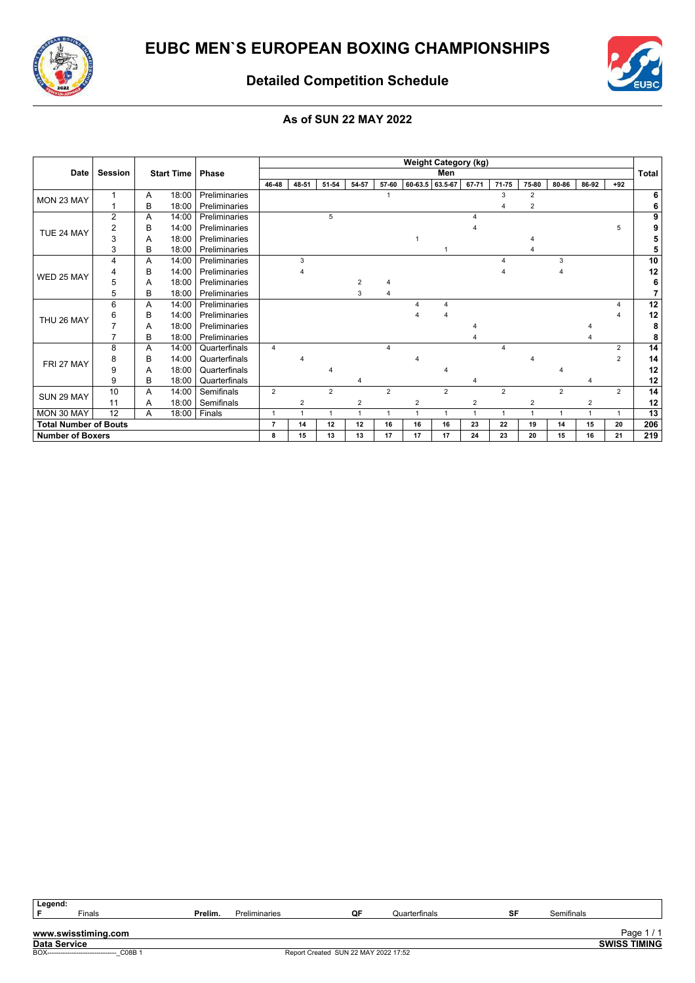



### **Detailed Competition Schedule**

### **As of SUN 22 MAY 2022**

|                              |                |   |                   |               |                           |                |       |             |                |    | <b>Weight Category (kg)</b> |                |                |                |                |                |                |              |
|------------------------------|----------------|---|-------------------|---------------|---------------------------|----------------|-------|-------------|----------------|----|-----------------------------|----------------|----------------|----------------|----------------|----------------|----------------|--------------|
| <b>Date</b>                  | <b>Session</b> |   | <b>Start Time</b> | <b>Phase</b>  |                           |                |       |             |                |    | Men                         |                |                |                |                |                |                | <b>Total</b> |
|                              |                |   |                   |               | 46-48                     | 48-51          | 51-54 | 54-57       | 57-60          |    | 60-63.5 63.5-67             | 67-71          | 71-75          | 75-80          | 80-86          | 86-92          | $+92$          |              |
| MON 23 MAY                   | 1              | Α | 18:00             | Preliminaries |                           |                |       |             |                |    |                             |                | 3              | $\overline{2}$ |                |                |                | 6            |
|                              |                | в | 18:00             | Preliminaries |                           |                |       |             |                |    |                             |                |                | 2              |                |                |                | 6            |
|                              | 2              | A | 14:00             | Preliminaries |                           |                | 5     |             |                |    |                             | Λ              |                |                |                |                |                | 9            |
| TUE 24 MAY                   | 2              | в | 14:00             | Preliminaries |                           |                |       |             |                |    |                             |                |                |                |                |                | 5              | 9            |
|                              | 3              | A | 18:00             | Preliminaries |                           |                |       |             |                |    |                             |                |                |                |                |                |                | 5            |
|                              | 3              | В | 18:00             | Preliminaries |                           |                |       |             |                |    |                             |                |                |                |                |                |                | 5            |
|                              | 4              | A | 14:00             | Preliminaries |                           | 3              |       |             |                |    |                             |                |                |                | 3              |                |                | 10           |
| WED 25 MAY                   |                | в | 14:00             | Preliminaries |                           |                |       |             |                |    |                             |                |                |                |                |                |                | 12           |
|                              | 5              | A | 18:00             | Preliminaries |                           |                |       |             |                |    |                             |                |                |                |                |                |                | 6            |
|                              | 5              | в | 18:00             | Preliminaries |                           |                |       | 3           | 4              |    |                             |                |                |                |                |                |                | 7            |
|                              | 6              | A | 14:00             | Preliminaries |                           |                |       |             |                |    |                             |                |                |                |                |                | 4              | 12           |
| THU 26 MAY                   | 6              | в | 14:00             | Preliminaries |                           |                |       |             |                |    |                             |                |                |                |                |                |                | 12           |
|                              | 7              | A | 18:00             | Preliminaries |                           |                |       |             |                |    |                             |                |                |                |                |                |                | 8            |
|                              | 7              | в | 18:00             | Preliminaries |                           |                |       |             |                |    |                             |                |                |                |                |                |                | 8            |
|                              | 8              | A | 14:00             | Quarterfinals | $\overline{4}$            |                |       |             | 4              |    |                             |                | Δ              |                |                |                | 2              | 14           |
| FRI 27 MAY                   | 8              | B | 14:00             | Quarterfinals |                           |                |       |             |                |    |                             |                |                |                |                |                | $\overline{2}$ | 14           |
|                              | 9              | A | 18:00             | Quarterfinals |                           |                |       |             |                |    |                             |                |                |                |                |                |                | 12           |
|                              | 9              | В | 18:00             | Quarterfinals |                           |                |       |             |                |    |                             |                |                |                |                |                |                | 12           |
| SUN 29 MAY                   | 10             | A | 14:00             | Semifinals    | $\overline{2}$            |                | 2     |             | $\overline{2}$ |    | $\overline{2}$              |                | $\overline{2}$ |                | $\overline{2}$ |                | $\overline{2}$ | 14           |
|                              | 11             | A | 18:00             | Semifinals    |                           | $\overline{2}$ |       | 2           |                | 2  |                             | $\overline{2}$ |                | 2              |                | $\overline{2}$ |                | 12           |
| MON 30 MAY                   | 12             | A | 18:00             | Finals        | $\mathbf 1$               | 1              |       | $\mathbf 1$ | $\mathbf{1}$   |    | $\mathbf 1$                 | $\mathbf{1}$   | 1              |                | 1              | $\overline{1}$ | $\mathbf{1}$   | 13           |
| <b>Total Number of Bouts</b> |                |   |                   |               | 7                         | 14             | 12    | 12          | 16             | 16 | 16                          | 23             | 22             | 19             | 14             | 15             | 20             | 206          |
| <b>Number of Boxers</b>      |                |   |                   |               | 8<br>15<br>13<br>13<br>17 |                |       |             |                | 17 | 17                          | 24             | 23             | 20             | 15             | 16             | 21             | 219          |

| Legend: |                                          |         |               |                                      |               |    |            |                     |
|---------|------------------------------------------|---------|---------------|--------------------------------------|---------------|----|------------|---------------------|
|         | Finals                                   | Prelim. | Preliminaries | QF                                   | Quarterfinals | SF | Semifinals |                     |
|         |                                          |         |               |                                      |               |    |            |                     |
|         | www.swisstiming.com                      |         |               |                                      |               |    |            | Page.               |
|         | <b>Data Service</b>                      |         |               |                                      |               |    |            | <b>SWISS TIMING</b> |
|         | BOX------------------------------ C08B 1 |         |               | Report Created SUN 22 MAY 2022 17:52 |               |    |            |                     |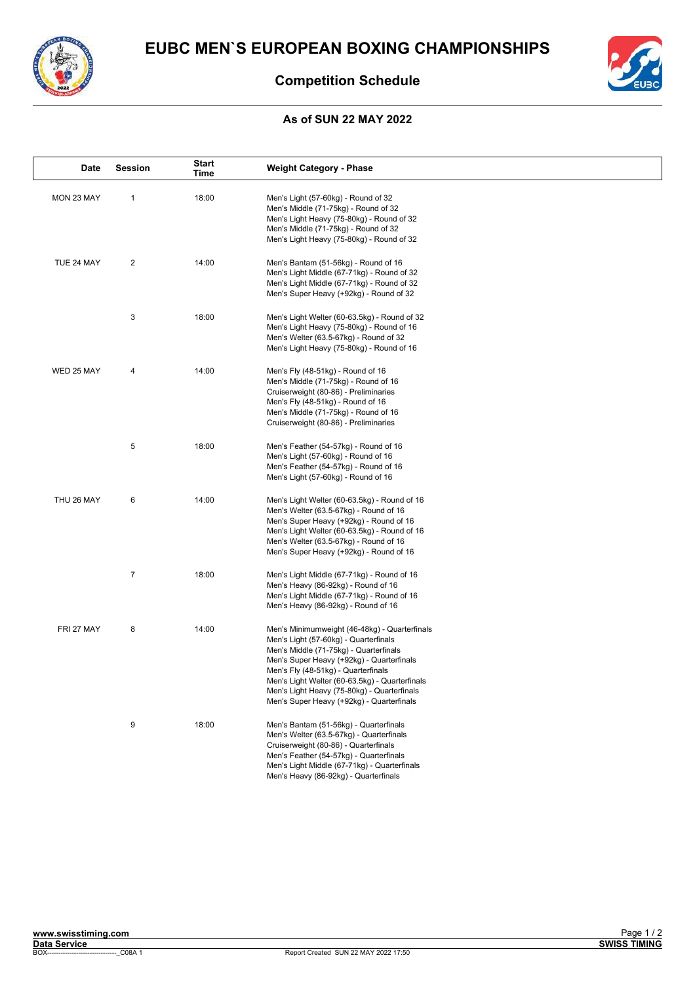



### **Competition Schedule**

#### **As of SUN 22 MAY 2022**

| Date       | <b>Session</b> | <b>Start</b><br>Time | <b>Weight Category - Phase</b>                                                                                                                                                                                                                                                                                                                                     |
|------------|----------------|----------------------|--------------------------------------------------------------------------------------------------------------------------------------------------------------------------------------------------------------------------------------------------------------------------------------------------------------------------------------------------------------------|
| MON 23 MAY | 1              | 18:00                | Men's Light (57-60kg) - Round of 32<br>Men's Middle (71-75kg) - Round of 32<br>Men's Light Heavy (75-80kg) - Round of 32<br>Men's Middle (71-75kg) - Round of 32<br>Men's Light Heavy (75-80kg) - Round of 32                                                                                                                                                      |
| TUE 24 MAY | 2              | 14:00                | Men's Bantam (51-56kg) - Round of 16<br>Men's Light Middle (67-71kg) - Round of 32<br>Men's Light Middle (67-71kg) - Round of 32<br>Men's Super Heavy (+92kg) - Round of 32                                                                                                                                                                                        |
|            | 3              | 18:00                | Men's Light Welter (60-63.5kg) - Round of 32<br>Men's Light Heavy (75-80kg) - Round of 16<br>Men's Welter (63.5-67kg) - Round of 32<br>Men's Light Heavy (75-80kg) - Round of 16                                                                                                                                                                                   |
| WED 25 MAY | 4              | 14:00                | Men's Fly (48-51kg) - Round of 16<br>Men's Middle (71-75kg) - Round of 16<br>Cruiserweight (80-86) - Preliminaries<br>Men's Fly (48-51kg) - Round of 16<br>Men's Middle (71-75kg) - Round of 16<br>Cruiserweight (80-86) - Preliminaries                                                                                                                           |
|            | 5              | 18:00                | Men's Feather (54-57kg) - Round of 16<br>Men's Light (57-60kg) - Round of 16<br>Men's Feather (54-57kg) - Round of 16<br>Men's Light (57-60kg) - Round of 16                                                                                                                                                                                                       |
| THU 26 MAY | 6              | 14:00                | Men's Light Welter (60-63.5kg) - Round of 16<br>Men's Welter (63.5-67kg) - Round of 16<br>Men's Super Heavy (+92kg) - Round of 16<br>Men's Light Welter (60-63.5kg) - Round of 16<br>Men's Welter (63.5-67kg) - Round of 16<br>Men's Super Heavy (+92kg) - Round of 16                                                                                             |
|            | $\overline{7}$ | 18:00                | Men's Light Middle (67-71kg) - Round of 16<br>Men's Heavy (86-92kg) - Round of 16<br>Men's Light Middle (67-71kg) - Round of 16<br>Men's Heavy (86-92kg) - Round of 16                                                                                                                                                                                             |
| FRI 27 MAY | 8              | 14:00                | Men's Minimumweight (46-48kg) - Quarterfinals<br>Men's Light (57-60kg) - Quarterfinals<br>Men's Middle (71-75kg) - Quarterfinals<br>Men's Super Heavy (+92kg) - Quarterfinals<br>Men's Fly (48-51kg) - Quarterfinals<br>Men's Light Welter (60-63.5kg) - Quarterfinals<br>Men's Light Heavy (75-80kg) - Quarterfinals<br>Men's Super Heavy (+92kg) - Quarterfinals |
|            | 9              | 18:00                | Men's Bantam (51-56kg) - Quarterfinals<br>Men's Welter (63.5-67kg) - Quarterfinals<br>Cruiserweight (80-86) - Quarterfinals<br>Men's Feather (54-57kg) - Quarterfinals<br>Men's Light Middle (67-71kg) - Quarterfinals<br>Men's Heavy (86-92kg) - Quarterfinals                                                                                                    |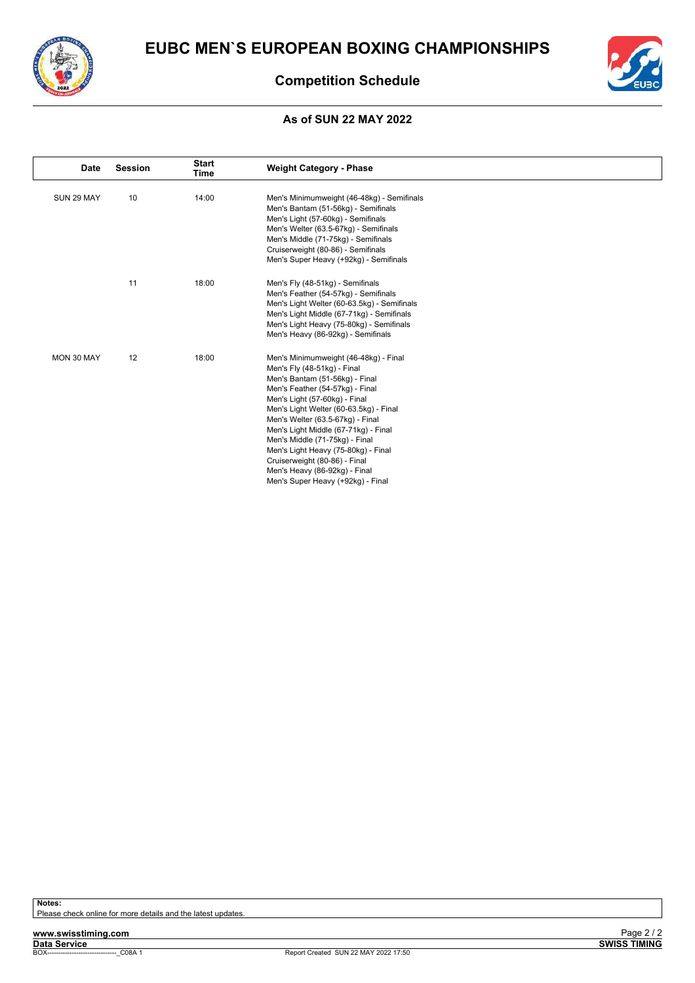



### **Competition Schedule**

#### **As of SUN 22 MAY 2022**

| Date       | <b>Session</b> | <b>Start</b><br>Time | <b>Weight Category - Phase</b>                                                                                                                                                                                                                                                                                                                                                                                                                                                   |
|------------|----------------|----------------------|----------------------------------------------------------------------------------------------------------------------------------------------------------------------------------------------------------------------------------------------------------------------------------------------------------------------------------------------------------------------------------------------------------------------------------------------------------------------------------|
| SUN 29 MAY | 10             | 14:00                | Men's Minimumweight (46-48kg) - Semifinals<br>Men's Bantam (51-56kg) - Semifinals<br>Men's Light (57-60kg) - Semifinals<br>Men's Welter (63.5-67kg) - Semifinals<br>Men's Middle (71-75kg) - Semifinals<br>Cruiserweight (80-86) - Semifinals<br>Men's Super Heavy (+92kg) - Semifinals                                                                                                                                                                                          |
|            | 11             | 18:00                | Men's Fly (48-51kg) - Semifinals<br>Men's Feather (54-57kg) - Semifinals<br>Men's Light Welter (60-63.5kg) - Semifinals<br>Men's Light Middle (67-71kg) - Semifinals<br>Men's Light Heavy (75-80kg) - Semifinals<br>Men's Heavy (86-92kg) - Semifinals                                                                                                                                                                                                                           |
| MON 30 MAY | 12             | 18:00                | Men's Minimumweight (46-48kg) - Final<br>Men's Fly (48-51kg) - Final<br>Men's Bantam (51-56kg) - Final<br>Men's Feather (54-57kg) - Final<br>Men's Light (57-60kg) - Final<br>Men's Light Welter (60-63.5kg) - Final<br>Men's Welter (63.5-67kg) - Final<br>Men's Light Middle (67-71kg) - Final<br>Men's Middle (71-75kg) - Final<br>Men's Light Heavy (75-80kg) - Final<br>Cruiserweight (80-86) - Final<br>Men's Heavy (86-92kg) - Final<br>Men's Super Heavy (+92kg) - Final |

**Notes:**

Please check online for more details and the latest updates.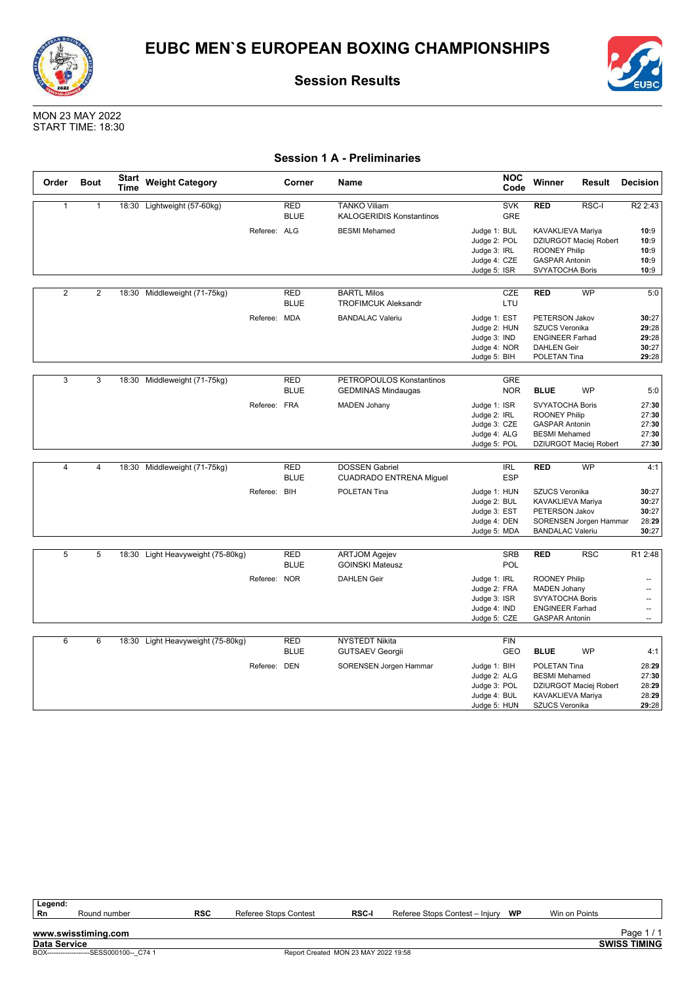



MON 23 MAY 2022 START TIME: 18:30

### **Session 1 A - Preliminaries**

| Order          | <b>Bout</b>    | <b>Start</b><br>Time | <b>Weight Category</b>            |              | Corner                    | Name                                                    |                                                                              | <b>NOC</b><br>Code       | Winner                                                                                                                   | Result                 | <b>Decision</b>                                  |
|----------------|----------------|----------------------|-----------------------------------|--------------|---------------------------|---------------------------------------------------------|------------------------------------------------------------------------------|--------------------------|--------------------------------------------------------------------------------------------------------------------------|------------------------|--------------------------------------------------|
| $\mathbf{1}$   | $\mathbf{1}$   |                      | 18:30 Lightweight (57-60kg)       |              | <b>RED</b><br><b>BLUE</b> | <b>TANKO Viliam</b><br><b>KALOGERIDIS Konstantinos</b>  |                                                                              | <b>SVK</b><br><b>GRE</b> | <b>RED</b>                                                                                                               | RSC-I                  | R <sub>2</sub> 2:43                              |
|                |                |                      |                                   | Referee: ALG |                           | <b>BESMI</b> Mehamed                                    | Judge 1: BUL<br>Judge 2: POL<br>Judge 3: IRL<br>Judge 4: CZE<br>Judge 5: ISR |                          | KAVAKLIEVA Mariya<br><b>ROONEY Philip</b><br><b>GASPAR Antonin</b><br>SVYATOCHA Boris                                    | DZIURGOT Maciej Robert | 10:9<br>10:9<br>10:9<br>10:9<br>10:9             |
|                |                |                      |                                   |              |                           |                                                         |                                                                              |                          |                                                                                                                          |                        |                                                  |
| $\overline{2}$ | $\overline{2}$ | 18:30                | Middleweight (71-75kg)            |              | <b>RED</b><br><b>BLUE</b> | <b>BARTL Milos</b><br><b>TROFIMCUK Aleksandr</b>        |                                                                              | <b>CZE</b><br>LTU        | <b>RED</b>                                                                                                               | <b>WP</b>              | 5:0                                              |
|                |                |                      |                                   | Referee: MDA |                           | <b>BANDALAC Valeriu</b>                                 | Judge 1: EST<br>Judge 2: HUN<br>Judge 3: IND<br>Judge 4: NOR<br>Judge 5: BIH |                          | PETERSON Jakov<br>SZUCS Veronika<br><b>ENGINEER Farhad</b><br><b>DAHLEN Geir</b><br>POLETAN Tina                         |                        | 30:27<br>29:28<br>29:28<br>30:27<br>29:28        |
|                |                |                      |                                   |              |                           |                                                         |                                                                              |                          |                                                                                                                          |                        |                                                  |
| $\overline{3}$ | 3              |                      | 18:30 Middleweight (71-75kg)      |              | <b>RED</b><br><b>BLUE</b> | PETROPOULOS Konstantinos<br><b>GEDMINAS Mindaugas</b>   |                                                                              | <b>GRE</b><br><b>NOR</b> | <b>BLUE</b>                                                                                                              | <b>WP</b>              | 5:0                                              |
|                |                |                      |                                   | Referee: FRA |                           | <b>MADEN Johany</b>                                     | Judge 1: ISR<br>Judge 2: IRL<br>Judge 3: CZE<br>Judge 4: ALG<br>Judge 5: POL |                          | <b>SVYATOCHA Boris</b><br><b>ROONEY Philip</b><br><b>GASPAR Antonin</b><br><b>BESMI</b> Mehamed                          | DZIURGOT Maciej Robert | 27:30<br>27:30<br>27:30<br>27:30<br>27:30        |
|                |                |                      |                                   |              |                           |                                                         |                                                                              |                          |                                                                                                                          |                        |                                                  |
| $\overline{4}$ | $\overline{4}$ |                      | 18:30 Middleweight (71-75kg)      |              | <b>RED</b><br><b>BLUE</b> | <b>DOSSEN Gabriel</b><br><b>CUADRADO ENTRENA Miguel</b> |                                                                              | <b>IRL</b><br><b>ESP</b> | <b>RED</b>                                                                                                               | <b>WP</b>              | 4:1                                              |
|                |                |                      |                                   | Referee: BIH |                           | POLETAN Tina                                            | Judge 1: HUN<br>Judge 2: BUL<br>Judge 3: EST<br>Judge 4: DEN<br>Judge 5: MDA |                          | <b>SZUCS Veronika</b><br>KAVAKLIEVA Mariya<br>PETERSON Jakov<br><b>BANDALAC Valeriu</b>                                  | SORENSEN Jorgen Hammar | 30:27<br>30:27<br>30:27<br>28:29<br>30:27        |
|                |                |                      |                                   |              |                           |                                                         |                                                                              |                          |                                                                                                                          |                        |                                                  |
| 5              | 5              |                      | 18:30 Light Heavyweight (75-80kg) |              | <b>RED</b><br><b>BLUE</b> | <b>ARTJOM Agejev</b><br><b>GOINSKI Mateusz</b>          |                                                                              | <b>SRB</b><br>POL        | <b>RED</b>                                                                                                               | <b>RSC</b>             | R1 2:48                                          |
|                |                |                      |                                   | Referee: NOR |                           | <b>DAHLEN Geir</b>                                      | Judge 1: IRL<br>Judge 2: FRA<br>Judge 3: ISR<br>Judge 4: IND<br>Judge 5: CZE |                          | <b>ROONEY Philip</b><br><b>MADEN Johany</b><br><b>SVYATOCHA Boris</b><br><b>ENGINEER Farhad</b><br><b>GASPAR Antonin</b> |                        | --<br>--<br>$\overline{\phantom{a}}$<br>--<br>÷. |
|                |                |                      |                                   |              |                           |                                                         |                                                                              |                          |                                                                                                                          |                        |                                                  |
| 6              | 6              |                      | 18:30 Light Heavyweight (75-80kg) |              | <b>RED</b><br><b>BLUE</b> | <b>NYSTEDT Nikita</b><br><b>GUTSAEV Georgii</b>         |                                                                              | <b>FIN</b><br>GEO        | <b>BLUE</b>                                                                                                              | <b>WP</b>              | 4:1                                              |
|                |                |                      |                                   | Referee: DEN |                           | SORENSEN Jorgen Hammar                                  | Judge 1: BIH<br>Judge 2: ALG<br>Judge 3: POL<br>Judge 4: BUL<br>Judge 5: HUN |                          | POLETAN Tina<br><b>BESMI Mehamed</b><br>KAVAKLIEVA Mariya<br>SZUCS Veronika                                              | DZIURGOT Maciej Robert | 28:29<br>27:30<br>28:29<br>28:29<br>29:28        |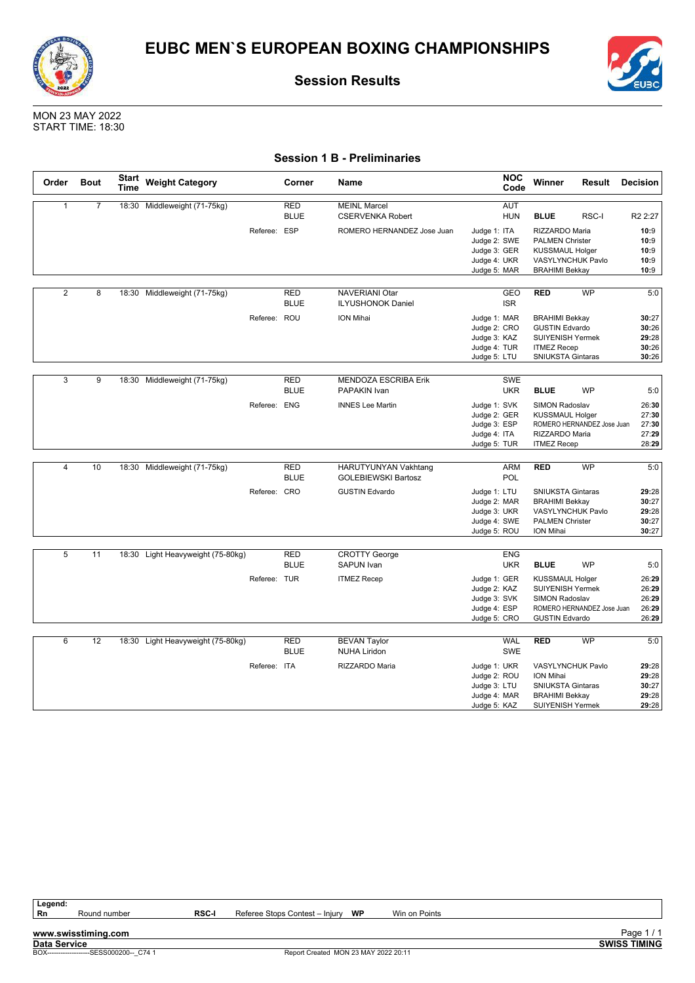



MON 23 MAY 2022 START TIME: 18:30

### **Session 1 B - Preliminaries**

| Order          | <b>Bout</b>    | <b>Start</b><br>Time | <b>Weight Category</b>            |              | Corner                    | Name                                               | <b>NOC</b><br>Code                                                                         | Winner                                                                                                                      | Result                     | <b>Decision</b>                           |
|----------------|----------------|----------------------|-----------------------------------|--------------|---------------------------|----------------------------------------------------|--------------------------------------------------------------------------------------------|-----------------------------------------------------------------------------------------------------------------------------|----------------------------|-------------------------------------------|
| $\mathbf{1}$   | $\overline{7}$ |                      | 18:30 Middleweight (71-75kg)      |              | <b>RED</b><br><b>BLUE</b> | <b>MEINL Marcel</b><br><b>CSERVENKA Robert</b>     | AUT<br><b>HUN</b>                                                                          | <b>BLUE</b>                                                                                                                 | RSC-I                      | R <sub>2</sub> 2:27                       |
|                |                |                      |                                   | Referee: ESP |                           | ROMERO HERNANDEZ Jose Juan                         | Judge 1: ITA<br>Judge 2: SWE<br>Judge 3: GER<br>Judge 4: UKR<br>Judge 5: MAR               | RIZZARDO Maria<br><b>PALMEN Christer</b><br><b>KUSSMAUL Holger</b><br>VASYLYNCHUK Pavlo<br><b>BRAHIMI Bekkay</b>            |                            | 10:9<br>10:9<br>10:9<br>10:9<br>10:9      |
| $\overline{2}$ | $\overline{8}$ | 18:30                | Middleweight (71-75kg)            |              | <b>RED</b><br><b>BLUE</b> | <b>NAVERIANI Otar</b><br><b>ILYUSHONOK Daniel</b>  | GEO<br><b>ISR</b>                                                                          | <b>RED</b>                                                                                                                  | <b>WP</b>                  | 5:0                                       |
|                |                |                      |                                   | Referee: ROU |                           | ION Mihai                                          | Judge 1: MAR<br>Judge 2: CRO<br>Judge 3: KAZ<br>Judge 4: TUR<br>Judge 5: LTU               | <b>BRAHIMI Bekkay</b><br><b>GUSTIN Edvardo</b><br><b>SUIYENISH Yermek</b><br><b>ITMEZ Recep</b><br><b>SNIUKSTA Gintaras</b> |                            | 30:27<br>30:26<br>29:28<br>30:26<br>30:26 |
| 3              | 9              | 18:30                | Middleweight (71-75kg)            |              | <b>RED</b><br><b>BLUE</b> | <b>MENDOZA ESCRIBA Erik</b><br>PAPAKIN Ivan        | SWE<br><b>UKR</b>                                                                          | <b>BLUE</b>                                                                                                                 | <b>WP</b>                  | 5:0                                       |
|                |                |                      |                                   | Referee: ENG |                           | <b>INNES Lee Martin</b>                            | Judge 1: SVK<br>Judge 2: GER<br>Judge 3: ESP<br>Judge 4: ITA<br>Judge 5: TUR               | <b>SIMON Radoslav</b><br><b>KUSSMAUL Holger</b><br>RIZZARDO Maria<br><b>ITMEZ Recep</b>                                     | ROMERO HERNANDEZ Jose Juan | 26:30<br>27:30<br>27:30<br>27:29<br>28:29 |
| $\overline{4}$ | 10             |                      | 18:30 Middleweight (71-75kg)      |              | <b>RED</b><br><b>BLUE</b> | HARUTYUNYAN Vakhtang<br><b>GOLEBIEWSKI Bartosz</b> | <b>ARM</b><br><b>POL</b>                                                                   | <b>RED</b>                                                                                                                  | <b>WP</b>                  | 5:0                                       |
|                |                |                      |                                   | Referee: CRO |                           | <b>GUSTIN Edvardo</b>                              | Judge 1: LTU<br>Judge 2: MAR<br>Judge 3: UKR<br>Judge 4: SWE<br>Judge 5: ROU               | <b>SNIUKSTA Gintaras</b><br><b>BRAHIMI Bekkay</b><br>VASYLYNCHUK Pavlo<br><b>PALMEN Christer</b><br>ION Mihai               |                            | 29:28<br>30:27<br>29:28<br>30:27<br>30:27 |
| 5              | 11             |                      | 18:30 Light Heavyweight (75-80kg) |              | <b>RED</b>                | <b>CROTTY George</b>                               | <b>ENG</b>                                                                                 |                                                                                                                             |                            |                                           |
|                |                |                      |                                   |              | <b>BLUE</b>               | <b>SAPUN Ivan</b>                                  | <b>UKR</b>                                                                                 | <b>BLUE</b>                                                                                                                 | <b>WP</b>                  | 5:0                                       |
|                |                |                      |                                   | Referee: TUR |                           | <b>ITMEZ Recep</b>                                 | Judge 1: GER<br>Judge 2: KAZ<br>Judge 3: SVK<br>Judge 4: ESP<br>Judge 5: CRO               | <b>KUSSMAUL Holger</b><br><b>SUIYENISH Yermek</b><br>SIMON Radoslav<br><b>GUSTIN Edvardo</b>                                | ROMERO HERNANDEZ Jose Juan | 26:29<br>26:29<br>26:29<br>26:29<br>26:29 |
| 6              | 12             |                      | 18:30 Light Heavyweight (75-80kg) |              | <b>RED</b>                | <b>BEVAN Taylor</b>                                | <b>WAL</b>                                                                                 | <b>RED</b>                                                                                                                  | <b>WP</b>                  | 5:0                                       |
|                |                |                      |                                   | Referee: ITA | <b>BLUE</b>               | <b>NUHA Liridon</b><br>RIZZARDO Maria              | <b>SWE</b><br>Judge 1: UKR<br>Judge 2: ROU<br>Judge 3: LTU<br>Judge 4: MAR<br>Judge 5: KAZ | VASYLYNCHUK Pavlo<br>ION Mihai<br>SNIUKSTA Gintaras<br><b>BRAHIMI Bekkay</b><br><b>SUIYENISH Yermek</b>                     |                            | 29:28<br>29:28<br>30:27<br>29:28<br>29:28 |

Round number **RSC-I** Referee Stops Contest – Injury **WP** Win on Points

**www.swisstiming.com Data Service SWISS TIMING** Page 1/1<br>SWISS TIMING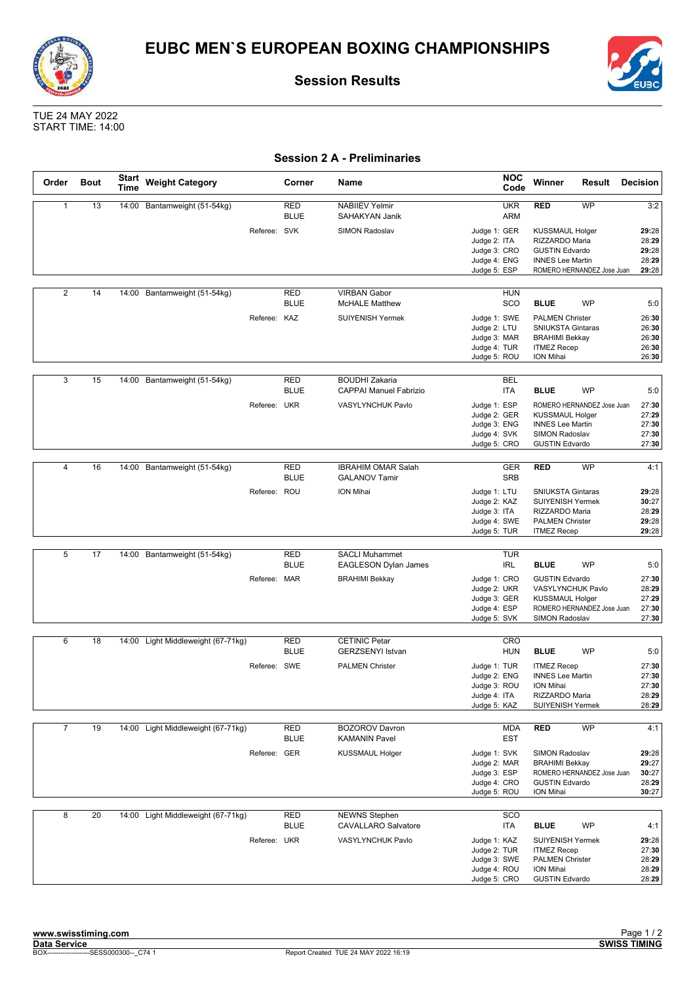





TUE 24 MAY 2022 START TIME: 14:00

### **Session 2 A - Preliminaries**

| Order          | <b>Bout</b> | <b>Start</b><br><b>Time</b> | <b>Weight Category</b>             |              | Corner                    | Name                                                   | <b>NOC</b><br>Code                                                           | Winner                                                                                                                | Result                     | <b>Decision</b>                           |
|----------------|-------------|-----------------------------|------------------------------------|--------------|---------------------------|--------------------------------------------------------|------------------------------------------------------------------------------|-----------------------------------------------------------------------------------------------------------------------|----------------------------|-------------------------------------------|
| $\mathbf{1}$   | 13          | 14:00                       | Bantamweight (51-54kg)             |              | <b>RED</b><br><b>BLUE</b> | <b>NABIIEV Yelmir</b><br>SAHAKYAN Janik                | <b>UKR</b><br>ARM                                                            | <b>RED</b>                                                                                                            | WP                         | 3:2                                       |
|                |             |                             |                                    | Referee: SVK |                           | <b>SIMON Radoslav</b>                                  | Judge 1: GER<br>Judge 2: ITA<br>Judge 3: CRO<br>Judge 4: ENG<br>Judge 5: ESP | <b>KUSSMAUL Holger</b><br>RIZZARDO Maria<br><b>GUSTIN Edvardo</b><br><b>INNES Lee Martin</b>                          | ROMERO HERNANDEZ Jose Juan | 29:28<br>28:29<br>29:28<br>28:29<br>29:28 |
| $\overline{2}$ | 14          |                             | 14:00 Bantamweight (51-54kg)       |              | <b>RED</b>                | <b>VIRBAN Gabor</b>                                    | <b>HUN</b>                                                                   |                                                                                                                       |                            |                                           |
|                |             |                             |                                    |              | <b>BLUE</b>               | <b>McHALE Matthew</b>                                  | SCO                                                                          | <b>BLUE</b>                                                                                                           | <b>WP</b>                  | 5:0                                       |
|                |             |                             |                                    | Referee: KAZ |                           | SUIYENISH Yermek                                       | Judge 1: SWE<br>Judge 2: LTU<br>Judge 3: MAR<br>Judge 4: TUR<br>Judge 5: ROU | <b>PALMEN Christer</b><br><b>SNIUKSTA Gintaras</b><br><b>BRAHIMI Bekkay</b><br><b>ITMEZ Recep</b><br>ION Mihai        |                            | 26:30<br>26:30<br>26:30<br>26:30<br>26:30 |
| 3              | 15          |                             | 14:00 Bantamweight (51-54kg)       |              | <b>RED</b><br><b>BLUE</b> | <b>BOUDHI Zakaria</b><br><b>CAPPAI Manuel Fabrizio</b> | <b>BEL</b><br><b>ITA</b>                                                     | <b>BLUE</b>                                                                                                           | <b>WP</b>                  | 5:0                                       |
|                |             |                             |                                    | Referee: UKR |                           | VASYLYNCHUK Pavlo                                      | Judge 1: ESP<br>Judge 2: GER<br>Judge 3: ENG<br>Judge 4: SVK<br>Judge 5: CRO | <b>KUSSMAUL Holger</b><br><b>INNES Lee Martin</b><br>SIMON Radoslav<br><b>GUSTIN Edvardo</b>                          | ROMERO HERNANDEZ Jose Juan | 27:30<br>27:29<br>27:30<br>27:30<br>27:30 |
| $\overline{4}$ |             |                             |                                    |              |                           | <b>IBRAHIM OMAR Salah</b>                              |                                                                              |                                                                                                                       | <b>WP</b>                  |                                           |
|                | 16          | 14:00                       | Bantamweight (51-54kg)             |              | <b>RED</b><br><b>BLUE</b> | <b>GALANOV Tamir</b>                                   | <b>GER</b><br><b>SRB</b>                                                     | <b>RED</b>                                                                                                            |                            | 4:1                                       |
|                |             |                             |                                    | Referee: ROU |                           | ION Mihai                                              | Judge 1: LTU<br>Judge 2: KAZ<br>Judge 3: ITA<br>Judge 4: SWE<br>Judge 5: TUR | <b>SNIUKSTA Gintaras</b><br><b>SUIYENISH Yermek</b><br>RIZZARDO Maria<br><b>PALMEN Christer</b><br><b>ITMEZ Recep</b> |                            | 29:28<br>30:27<br>28:29<br>29:28<br>29:28 |
|                |             |                             |                                    |              |                           |                                                        |                                                                              |                                                                                                                       |                            |                                           |
| 5              | 17          |                             | 14:00 Bantamweight (51-54kg)       |              | <b>RED</b><br><b>BLUE</b> | <b>SACLI Muhammet</b><br>EAGLESON Dylan James          | <b>TUR</b><br>IRL                                                            | <b>BLUE</b>                                                                                                           | WP                         | 5:0                                       |
|                |             |                             |                                    | Referee: MAR |                           | <b>BRAHIMI Bekkay</b>                                  | Judge 1: CRO<br>Judge 2: UKR<br>Judge 3: GER<br>Judge 4: ESP<br>Judge 5: SVK | <b>GUSTIN Edvardo</b><br>VASYLYNCHUK Pavlo<br><b>KUSSMAUL Holger</b><br><b>SIMON Radoslav</b>                         | ROMERO HERNANDEZ Jose Juan | 27:30<br>28:29<br>27:29<br>27:30<br>27:30 |
| 6              | 18          |                             | Light Middleweight (67-71kg)       |              | <b>RED</b>                | <b>CETINIC Petar</b>                                   | <b>CRO</b>                                                                   |                                                                                                                       |                            |                                           |
|                |             | 14:00                       |                                    |              | <b>BLUE</b>               | <b>GERZSENYI Istvan</b>                                | <b>HUN</b>                                                                   | <b>BLUE</b>                                                                                                           | WP                         | 5:0                                       |
|                |             |                             |                                    | Referee: SWE |                           | <b>PALMEN Christer</b>                                 | Judge 1: TUR<br>Judge 2: ENG<br>Judge 3: ROU<br>Judge 4: ITA<br>Judge 5: KAZ | <b>ITMEZ Recep</b><br><b>INNES Lee Martin</b><br>ION Mihai<br>RIZZARDO Maria<br><b>SUIYENISH Yermek</b>               |                            | 27:30<br>27:30<br>27:30<br>28:29<br>28:29 |
| $\overline{7}$ | 19          |                             | 14:00 Light Middleweight (67-71kg) |              | RED<br><b>BLUE</b>        | <b>BOZOROV Davron</b><br><b>KAMANIN Pavel</b>          | <b>MDA</b><br><b>EST</b>                                                     | <b>RED</b>                                                                                                            | WP                         | 4:1                                       |
|                |             |                             |                                    | Referee: GER |                           | <b>KUSSMAUL Holger</b>                                 | Judge 1: SVK<br>Judge 2: MAR<br>Judge 3: ESP<br>Judge 4: CRO<br>Judge 5: ROU | SIMON Radoslav<br><b>BRAHIMI Bekkay</b><br><b>GUSTIN Edvardo</b><br>ION Mihai                                         | ROMERO HERNANDEZ Jose Juan | 29:28<br>29:27<br>30:27<br>28:29<br>30:27 |
| 8              | 20          |                             | 14:00 Light Middleweight (67-71kg) |              | <b>RED</b><br><b>BLUE</b> | <b>NEWNS Stephen</b><br><b>CAVALLARO Salvatore</b>     | SCO<br>ITA                                                                   | <b>BLUE</b>                                                                                                           | WP                         | 4:1                                       |
|                |             |                             |                                    | Referee: UKR |                           | VASYLYNCHUK Pavlo                                      | Judge 1: KAZ<br>Judge 2: TUR<br>Judge 3: SWE<br>Judge 4: ROU<br>Judge 5: CRO | SUIYENISH Yermek<br><b>ITMEZ Recep</b><br><b>PALMEN Christer</b><br>ION Mihai<br><b>GUSTIN Edvardo</b>                |                            | 29:28<br>27:30<br>28:29<br>28:29<br>28:29 |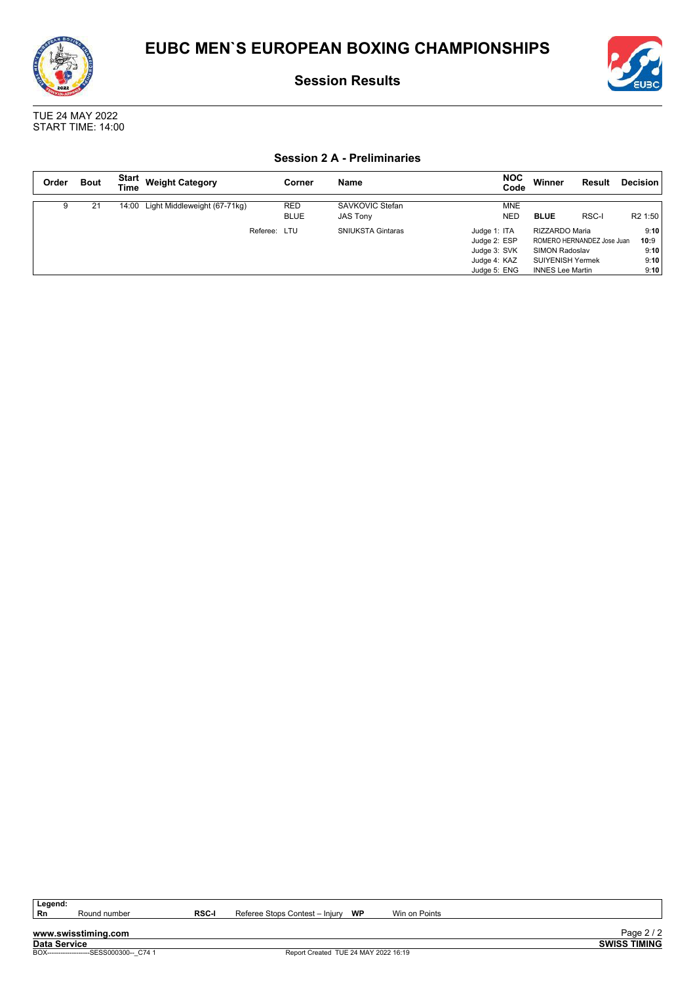

TUE 24 MAY 2022 START TIME: 14:00

### **Session 2 A - Preliminaries**

| Order | <b>Bout</b> | Start<br><b>Time</b> | <b>Weight Category</b>             | Corner                    | Name                               | <b>NOC</b><br>Code                                                           | Winner                                                                                        | Result                     | Decision                             |
|-------|-------------|----------------------|------------------------------------|---------------------------|------------------------------------|------------------------------------------------------------------------------|-----------------------------------------------------------------------------------------------|----------------------------|--------------------------------------|
|       | 21          |                      | 14:00 Light Middleweight (67-71kg) | <b>RED</b><br><b>BLUE</b> | SAVKOVIC Stefan<br><b>JAS Tony</b> | <b>MNE</b><br><b>NED</b>                                                     | <b>BLUE</b>                                                                                   | RSC-I                      | R <sub>2</sub> 1:50                  |
|       |             |                      | Referee:                           | LTU                       | <b>SNIUKSTA Gintaras</b>           | Judge 1: ITA<br>Judge 2: ESP<br>Judge 3: SVK<br>Judge 4: KAZ<br>Judge 5: ENG | RIZZARDO Maria<br><b>SIMON Radoslav</b><br><b>SUIYENISH Yermek</b><br><b>INNES Lee Martin</b> | ROMERO HERNANDEZ Jose Juan | 9:10<br>10:9<br>9:10<br>9:10<br>9:10 |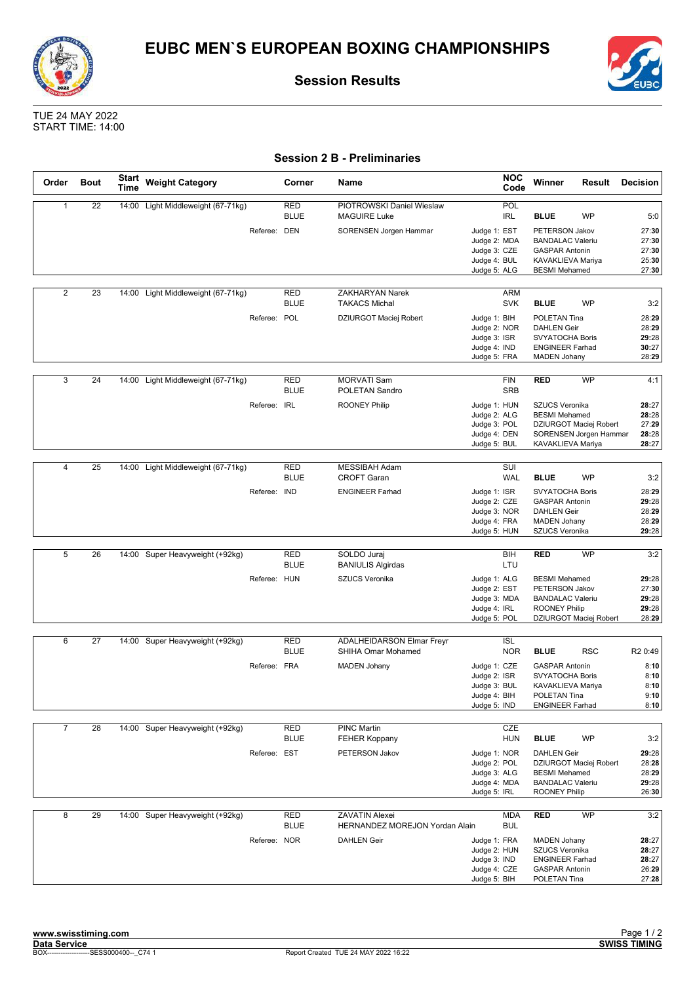



TUE 24 MAY 2022 START TIME: 14:00

### **Session 2 B - Preliminaries**

| Order          | <b>Bout</b> | <b>Start</b><br>Time | <b>Weight Category</b>             |              | Corner                    | Name                                                    | <b>NOC</b><br>Code                                                           | Winner                                                                                                          | Result                                           | <b>Decision</b>                           |
|----------------|-------------|----------------------|------------------------------------|--------------|---------------------------|---------------------------------------------------------|------------------------------------------------------------------------------|-----------------------------------------------------------------------------------------------------------------|--------------------------------------------------|-------------------------------------------|
| $\mathbf{1}$   | 22          |                      | 14:00 Light Middleweight (67-71kg) |              | <b>RED</b><br><b>BLUE</b> | PIOTROWSKI Daniel Wieslaw<br><b>MAGUIRE Luke</b>        | POL<br>IRL                                                                   | <b>BLUE</b>                                                                                                     | WP                                               | 5:0                                       |
|                |             |                      |                                    | Referee: DEN |                           | SORENSEN Jorgen Hammar                                  | Judge 1: EST<br>Judge 2: MDA<br>Judge 3: CZE<br>Judge 4: BUL<br>Judge 5: ALG | PETERSON Jakov<br><b>BANDALAC Valeriu</b><br><b>GASPAR Antonin</b><br>KAVAKLIEVA Mariya<br><b>BESMI</b> Mehamed |                                                  | 27:30<br>27:30<br>27:30<br>25:30<br>27:30 |
| $\overline{2}$ | 23          |                      | 14:00 Light Middleweight (67-71kg) |              | RED                       | ZAKHARYAN Narek                                         | <b>ARM</b>                                                                   |                                                                                                                 |                                                  |                                           |
|                |             |                      |                                    |              | <b>BLUE</b>               | <b>TAKACS Michal</b>                                    | <b>SVK</b>                                                                   | <b>BLUE</b>                                                                                                     | <b>WP</b>                                        | 3:2                                       |
|                |             |                      |                                    | Referee: POL |                           | DZIURGOT Maciej Robert                                  | Judge 1: BIH<br>Judge 2: NOR<br>Judge 3: ISR<br>Judge 4: IND<br>Judge 5: FRA | POLETAN Tina<br><b>DAHLEN Geir</b><br>SVYATOCHA Boris<br><b>ENGINEER Farhad</b><br><b>MADEN Johany</b>          |                                                  | 28:29<br>28:29<br>29:28<br>30:27<br>28:29 |
| 3              | 24          |                      | 14:00 Light Middleweight (67-71kg) |              | <b>RED</b><br><b>BLUE</b> | <b>MORVATI Sam</b><br>POLETAN Sandro                    | <b>FIN</b><br><b>SRB</b>                                                     | <b>RED</b>                                                                                                      | <b>WP</b>                                        | 4:1                                       |
|                |             |                      |                                    | Referee: IRL |                           | <b>ROONEY Philip</b>                                    | Judge 1: HUN<br>Judge 2: ALG<br>Judge 3: POL<br>Judge 4: DEN<br>Judge 5: BUL | SZUCS Veronika<br><b>BESMI</b> Mehamed<br>KAVAKLIEVA Mariya                                                     | DZIURGOT Maciej Robert<br>SORENSEN Jorgen Hammar | 28:27<br>28:28<br>27:29<br>28:28<br>28:27 |
| $\overline{4}$ | 25          |                      | 14:00 Light Middleweight (67-71kg) |              | <b>RED</b>                | <b>MESSIBAH Adam</b>                                    | SUI                                                                          |                                                                                                                 |                                                  |                                           |
|                |             |                      |                                    |              | <b>BLUE</b>               | <b>CROFT Garan</b>                                      | <b>WAL</b>                                                                   | <b>BLUE</b>                                                                                                     | WP                                               | 3:2                                       |
|                |             |                      |                                    | Referee: IND |                           | <b>ENGINEER Farhad</b>                                  | Judge 1: ISR<br>Judge 2: CZE<br>Judge 3: NOR<br>Judge 4: FRA<br>Judge 5: HUN | <b>SVYATOCHA Boris</b><br><b>GASPAR Antonin</b><br><b>DAHLEN Geir</b><br><b>MADEN Johany</b><br>SZUCS Veronika  |                                                  | 28:29<br>29:28<br>28:29<br>28:29<br>29:28 |
| 5              |             |                      |                                    |              |                           |                                                         |                                                                              |                                                                                                                 |                                                  |                                           |
|                | 26          |                      | 14:00 Super Heavyweight (+92kg)    |              | RED<br><b>BLUE</b>        | SOLDO Juraj<br><b>BANIULIS Algirdas</b>                 | BIH<br>LTU                                                                   | RED                                                                                                             | WP                                               | 3:2                                       |
|                |             |                      |                                    | Referee: HUN |                           | SZUCS Veronika                                          | Judge 1: ALG<br>Judge 2: EST                                                 | <b>BESMI</b> Mehamed<br>PETERSON Jakov                                                                          |                                                  | 29:28<br>27:30                            |
|                |             |                      |                                    |              |                           |                                                         | Judge 3: MDA<br>Judge 4: IRL<br>Judge 5: POL                                 | <b>BANDALAC Valeriu</b><br><b>ROONEY Philip</b>                                                                 | DZIURGOT Maciej Robert                           | 29:28<br>29:28<br>28:29                   |
|                |             |                      |                                    |              |                           |                                                         |                                                                              |                                                                                                                 |                                                  |                                           |
| 6              | 27          | 14:00                | Super Heavyweight (+92kg)          |              | <b>RED</b><br><b>BLUE</b> | <b>ADALHEIDARSON Elmar Freyr</b><br>SHIHA Omar Mohamed  | <b>ISL</b><br><b>NOR</b>                                                     | <b>BLUE</b>                                                                                                     | <b>RSC</b>                                       | R <sub>2</sub> 0:49                       |
|                |             |                      |                                    | Referee: FRA |                           | <b>MADEN Johany</b>                                     | Judge 1: CZE<br>Judge 2: ISR<br>Judge 3: BUL<br>Judge 4: BIH<br>Judge 5: IND | <b>GASPAR Antonin</b><br><b>SVYATOCHA Boris</b><br>KAVAKLIEVA Mariya<br>POLETAN Tina<br><b>ENGINEER Farhad</b>  |                                                  | 8:10<br>8:10<br>8:10<br>9:10<br>8:10      |
| $\overline{7}$ | 28          |                      | 14:00 Super Heavyweight (+92kg)    |              | RED                       | <b>PINC Martin</b>                                      | CZE                                                                          |                                                                                                                 |                                                  |                                           |
|                |             |                      |                                    |              | <b>BLUE</b>               | <b>FEHER Koppany</b>                                    | <b>HUN</b>                                                                   | <b>BLUE</b>                                                                                                     | WP                                               | 3:2                                       |
|                |             |                      |                                    | Referee: EST |                           | PETERSON Jakov                                          | Judge 1: NOR<br>Judge 2: POL<br>Judge 3: ALG<br>Judge 4: MDA<br>Judge 5: IRL | <b>DAHLEN Geir</b><br><b>BESMI</b> Mehamed<br><b>BANDALAC Valeriu</b><br><b>ROONEY Philip</b>                   | DZIURGOT Maciej Robert                           | 29:28<br>28:28<br>28:29<br>29:28<br>26:30 |
| 8              | 29          |                      | 14:00 Super Heavyweight (+92kg)    |              | <b>RED</b><br><b>BLUE</b> | <b>ZAVATIN Alexei</b><br>HERNANDEZ MOREJON Yordan Alain | <b>MDA</b><br><b>BUL</b>                                                     | <b>RED</b>                                                                                                      | <b>WP</b>                                        | 3:2                                       |
|                |             |                      |                                    | Referee: NOR |                           | <b>DAHLEN Geir</b>                                      | Judge 1: FRA<br>Judge 2: HUN<br>Judge 3: IND<br>Judge 4: CZE<br>Judge 5: BIH | <b>MADEN Johany</b><br>SZUCS Veronika<br><b>ENGINEER Farhad</b><br><b>GASPAR Antonin</b><br>POLETAN Tina        |                                                  | 28:27<br>28:27<br>28:27<br>26:29<br>27:28 |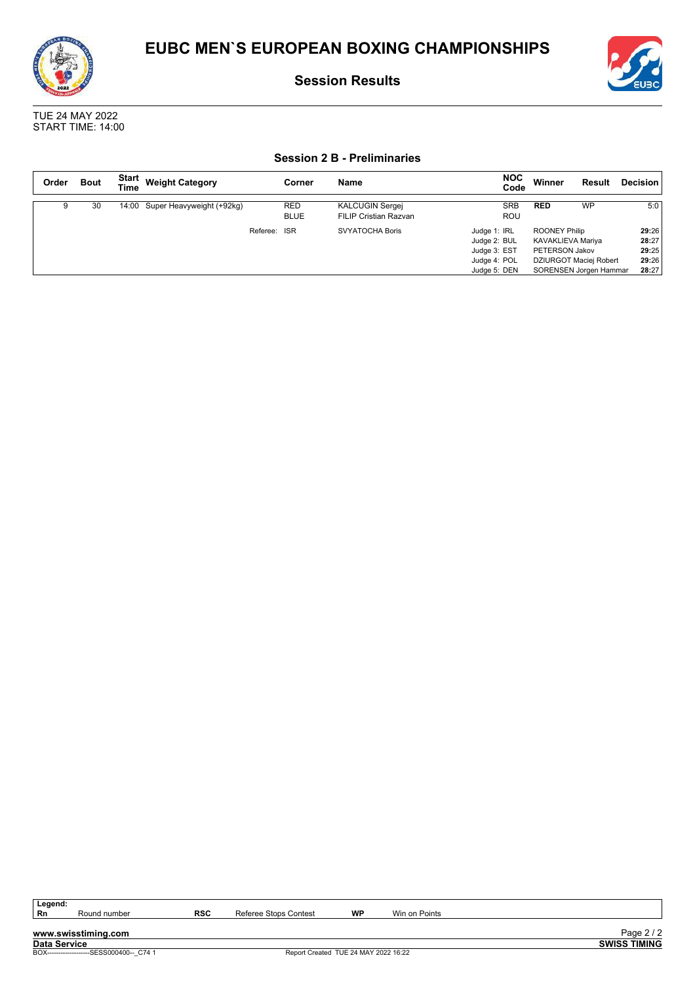



#### **Session 2 B - Preliminaries**

| Order | <b>Bout</b> | Start<br><b>Time</b> | <b>Weight Category</b>          | Corner                    | Name                                                   | <b>NOC</b><br>Code                                                           | Winner                                               | Result                                           | <b>Decision</b>                           |
|-------|-------------|----------------------|---------------------------------|---------------------------|--------------------------------------------------------|------------------------------------------------------------------------------|------------------------------------------------------|--------------------------------------------------|-------------------------------------------|
|       | 30          |                      | 14:00 Super Heavyweight (+92kg) | <b>RED</b><br><b>BLUE</b> | <b>KALCUGIN Sergei</b><br><b>FILIP Cristian Razvan</b> | <b>SRB</b><br><b>ROU</b>                                                     | <b>RED</b>                                           | <b>WP</b>                                        | 5:0                                       |
|       |             |                      | Referee:                        | <b>ISR</b>                | <b>SVYATOCHA Boris</b>                                 | Judge 1: IRL<br>Judge 2: BUL<br>Judge 3: EST<br>Judge 4: POL<br>Judge 5: DEN | ROONEY Philip<br>KAVAKLIEVA Mariya<br>PETERSON Jakov | DZIURGOT Maciej Robert<br>SORENSEN Jorgen Hammar | 29:26<br>28:27<br>29:25<br>29:26<br>28:27 |

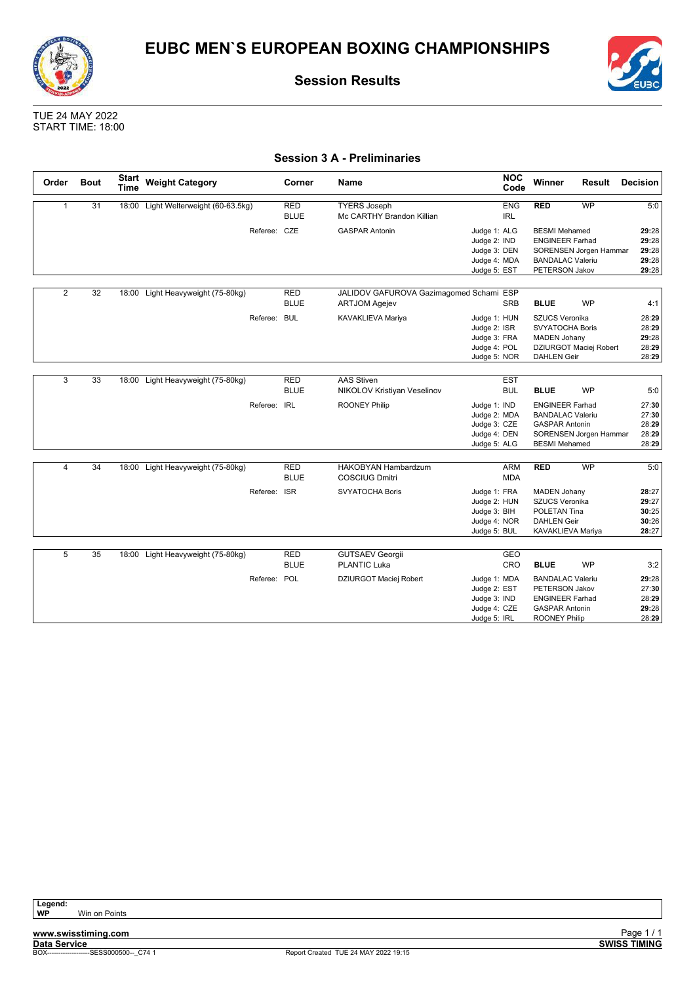



TUE 24 MAY 2022 START TIME: 18:00

### **Session 3 A - Preliminaries**

| Order          | <b>Bout</b> | <b>Start</b><br><b>Time</b> | <b>Weight Category</b>               |              | Corner                    | <b>Name</b>                                                     |                                                                              | <b>NOC</b><br>Code       | Winner                                                                                                               | Result                 | <b>Decision</b>                           |
|----------------|-------------|-----------------------------|--------------------------------------|--------------|---------------------------|-----------------------------------------------------------------|------------------------------------------------------------------------------|--------------------------|----------------------------------------------------------------------------------------------------------------------|------------------------|-------------------------------------------|
| $\mathbf{1}$   | 31          |                             | 18:00 Light Welterweight (60-63.5kg) |              | <b>RED</b><br><b>BLUE</b> | <b>TYERS Joseph</b><br>Mc CARTHY Brandon Killian                |                                                                              | <b>ENG</b><br><b>IRL</b> | <b>RED</b>                                                                                                           | <b>WP</b>              | 5:0                                       |
|                |             |                             |                                      | Referee: CZE |                           | <b>GASPAR Antonin</b>                                           | Judge 1: ALG<br>Judge 2: IND<br>Judge 3: DEN<br>Judge 4: MDA<br>Judge 5: EST |                          | <b>BESMI</b> Mehamed<br><b>ENGINEER Farhad</b><br><b>BANDALAC Valeriu</b><br>PETERSON Jakov                          | SORENSEN Jorgen Hammar | 29:28<br>29:28<br>29:28<br>29:28<br>29:28 |
| $\overline{2}$ | 32          | 18:00                       | Light Heavyweight (75-80kg)          |              | <b>RED</b><br><b>BLUE</b> | JALIDOV GAFUROVA Gazimagomed Schami ESP<br><b>ARTJOM Agejev</b> |                                                                              | <b>SRB</b>               | <b>BLUE</b>                                                                                                          | <b>WP</b>              | 4:1                                       |
|                |             |                             |                                      | Referee: BUL |                           | KAVAKLIEVA Mariya                                               | Judge 1: HUN<br>Judge 2: ISR<br>Judge 3: FRA<br>Judge 4: POL<br>Judge 5: NOR |                          | <b>SZUCS Veronika</b><br><b>SVYATOCHA Boris</b><br><b>MADEN Johany</b><br><b>DAHLEN Geir</b>                         | DZIURGOT Maciej Robert | 28:29<br>28:29<br>29:28<br>28:29<br>28:29 |
| 3              | 33          | 18:00                       | Light Heavyweight (75-80kg)          |              | <b>RED</b><br><b>BLUE</b> | <b>AAS Stiven</b><br>NIKOLOV Kristiyan Veselinov                |                                                                              | <b>EST</b><br><b>BUL</b> | <b>BLUE</b>                                                                                                          | <b>WP</b>              | 5:0                                       |
|                |             |                             |                                      | Referee: IRL |                           | <b>ROONEY Philip</b>                                            | Judge 1: IND<br>Judge 2: MDA<br>Judge 3: CZE<br>Judge 4: DEN<br>Judge 5: ALG |                          | <b>ENGINEER Farhad</b><br><b>BANDALAC Valeriu</b><br><b>GASPAR Antonin</b><br><b>BESMI</b> Mehamed                   | SORENSEN Jorgen Hammar | 27:30<br>27:30<br>28:29<br>28:29<br>28:29 |
| 4              | 34          |                             | 18:00 Light Heavyweight (75-80kg)    |              | <b>RED</b><br><b>BLUE</b> | <b>HAKOBYAN Hambardzum</b><br><b>COSCIUG Dmitri</b>             |                                                                              | <b>ARM</b><br><b>MDA</b> | <b>RED</b>                                                                                                           | <b>WP</b>              | 5:0                                       |
|                |             |                             |                                      | Referee: ISR |                           | <b>SVYATOCHA Boris</b>                                          | Judge 1: FRA<br>Judge 2: HUN<br>Judge 3: BIH<br>Judge 4: NOR<br>Judge 5: BUL |                          | <b>MADEN Johany</b><br>SZUCS Veronika<br>POLETAN Tina<br><b>DAHLEN Geir</b><br>KAVAKLIEVA Mariya                     |                        | 28:27<br>29:27<br>30:25<br>30:26<br>28:27 |
| 5              | 35          |                             | 18:00 Light Heavyweight (75-80kg)    |              | <b>RED</b><br><b>BLUE</b> | <b>GUTSAEV Georgii</b><br><b>PLANTIC Luka</b>                   |                                                                              | GEO<br>CRO               | <b>BLUE</b>                                                                                                          | <b>WP</b>              | 3:2                                       |
|                |             |                             |                                      | Referee: POL |                           | DZIURGOT Maciej Robert                                          | Judge 1: MDA<br>Judge 2: EST<br>Judge 3: IND<br>Judge 4: CZE<br>Judge 5: IRL |                          | <b>BANDALAC Valeriu</b><br>PETERSON Jakov<br><b>ENGINEER Farhad</b><br><b>GASPAR Antonin</b><br><b>ROONEY Philip</b> |                        | 29:28<br>27:30<br>28:29<br>29:28<br>28:29 |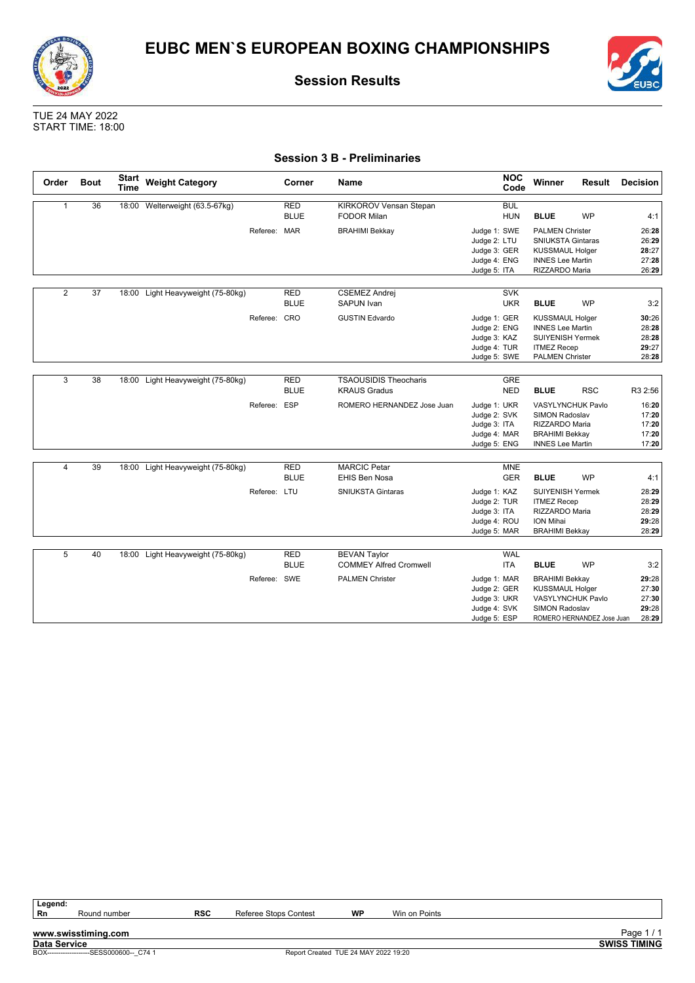



TUE 24 MAY 2022 START TIME: 18:00

### **Session 3 B - Preliminaries**

| Order          | <b>Bout</b>     | <b>Start</b><br><b>Time</b> | <b>Weight Category</b>            |              | Corner                    | <b>Name</b>                                          | <b>NOC</b><br>Code                                                           | Winner                                                                                                                       | Result                     | <b>Decision</b>                           |
|----------------|-----------------|-----------------------------|-----------------------------------|--------------|---------------------------|------------------------------------------------------|------------------------------------------------------------------------------|------------------------------------------------------------------------------------------------------------------------------|----------------------------|-------------------------------------------|
| $\mathbf{1}$   | 36              |                             | 18:00 Welterweight (63.5-67kg)    |              | <b>RED</b><br><b>BLUE</b> | <b>KIRKOROV Vensan Stepan</b><br><b>FODOR Milan</b>  | <b>BUL</b><br><b>HUN</b>                                                     | <b>BLUE</b>                                                                                                                  | <b>WP</b>                  | 4:1                                       |
|                |                 |                             |                                   | Referee: MAR |                           | <b>BRAHIMI Bekkay</b>                                | Judge 1: SWE<br>Judge 2: LTU<br>Judge 3: GER<br>Judge 4: ENG<br>Judge 5: ITA | <b>PALMEN Christer</b><br><b>SNIUKSTA Gintaras</b><br><b>KUSSMAUL Holger</b><br><b>INNES Lee Martin</b><br>RIZZARDO Maria    |                            | 26:28<br>26:29<br>28:27<br>27:28<br>26:29 |
| $\overline{2}$ | $\overline{37}$ | 18:00                       | Light Heavyweight (75-80kg)       |              | <b>RED</b><br><b>BLUE</b> | <b>CSEMEZ Andrei</b><br>SAPUN Ivan                   | <b>SVK</b><br><b>UKR</b>                                                     | <b>BLUE</b>                                                                                                                  | <b>WP</b>                  | 3:2                                       |
|                |                 |                             |                                   | Referee: CRO |                           | <b>GUSTIN Edvardo</b>                                | Judge 1: GER<br>Judge 2: ENG<br>Judge 3: KAZ<br>Judge 4: TUR<br>Judge 5: SWE | <b>KUSSMAUL Holger</b><br><b>INNES Lee Martin</b><br><b>SUIYENISH Yermek</b><br><b>ITMEZ Recep</b><br><b>PALMEN Christer</b> |                            | 30:26<br>28:28<br>28:28<br>29:27<br>28:28 |
| 3              | 38              | 18:00                       | Light Heavyweight (75-80kg)       |              | <b>RED</b><br><b>BLUE</b> | <b>TSAOUSIDIS Theocharis</b><br><b>KRAUS Gradus</b>  | <b>GRE</b><br><b>NED</b>                                                     | <b>BLUE</b>                                                                                                                  | <b>RSC</b>                 | R3 2:56                                   |
|                |                 |                             |                                   | Referee: ESP |                           | ROMERO HERNANDEZ Jose Juan                           | Judge 1: UKR<br>Judge 2: SVK<br>Judge 3: ITA<br>Judge 4: MAR<br>Judge 5: ENG | <b>VASYLYNCHUK Pavlo</b><br><b>SIMON Radoslav</b><br>RIZZARDO Maria<br><b>BRAHIMI Bekkay</b><br><b>INNES Lee Martin</b>      |                            | 16:20<br>17:20<br>17:20<br>17:20<br>17:20 |
| 4              | 39              |                             | 18:00 Light Heavyweight (75-80kg) |              | <b>RED</b><br><b>BLUE</b> | <b>MARCIC Petar</b><br><b>EHIS Ben Nosa</b>          | <b>MNE</b><br><b>GER</b>                                                     | <b>BLUE</b>                                                                                                                  | <b>WP</b>                  | 4:1                                       |
|                |                 |                             |                                   | Referee: LTU |                           | <b>SNIUKSTA Gintaras</b>                             | Judge 1: KAZ<br>Judge 2: TUR<br>Judge 3: ITA<br>Judge 4: ROU<br>Judge 5: MAR | <b>SUIYENISH Yermek</b><br><b>ITMEZ Recep</b><br>RIZZARDO Maria<br>ION Mihai<br><b>BRAHIMI Bekkay</b>                        |                            | 28:29<br>28:29<br>28:29<br>29:28<br>28:29 |
| 5              | 40              |                             | 18:00 Light Heavyweight (75-80kg) |              | <b>RED</b><br><b>BLUE</b> | <b>BEVAN Taylor</b><br><b>COMMEY Alfred Cromwell</b> | <b>WAL</b><br><b>ITA</b>                                                     | <b>BLUE</b>                                                                                                                  | <b>WP</b>                  | 3:2                                       |
|                |                 |                             |                                   | Referee: SWE |                           | <b>PALMEN Christer</b>                               | Judge 1: MAR<br>Judge 2: GER<br>Judge 3: UKR<br>Judge 4: SVK<br>Judge 5: ESP | <b>BRAHIMI Bekkay</b><br><b>KUSSMAUL Holger</b><br>VASYLYNCHUK Pavlo<br><b>SIMON Radoslav</b>                                | ROMERO HERNANDEZ Jose Juan | 29:28<br>27:30<br>27:30<br>29:28<br>28:29 |

Legend:<br>Rn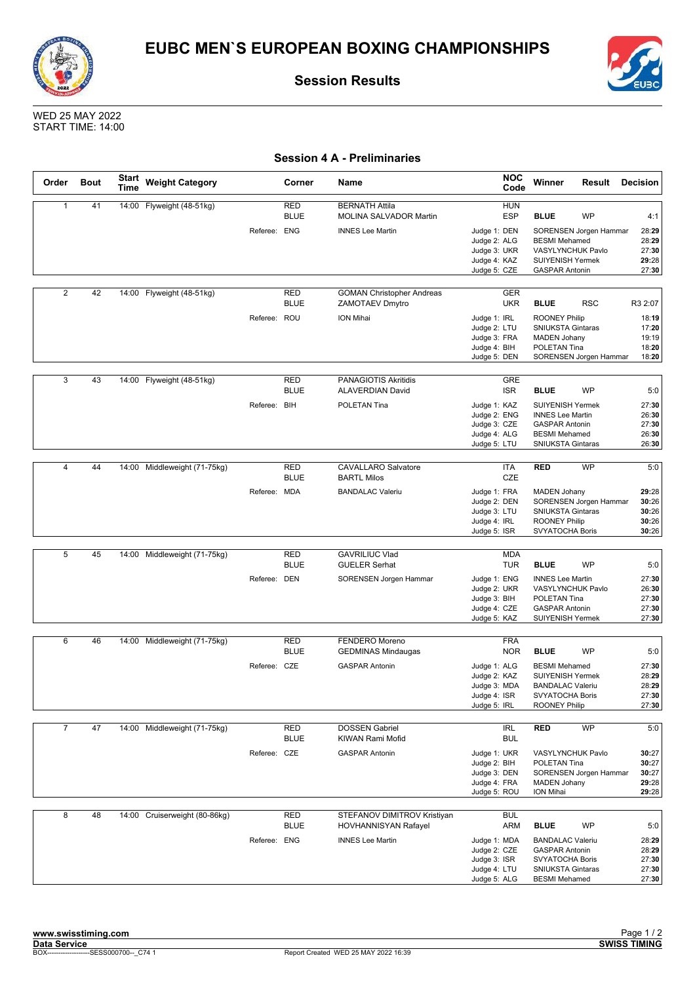



WED 25 MAY 2022 START TIME: 14:00

### **Session 4 A - Preliminaries**

| Order          | <b>Bout</b> | <b>Start</b><br>Time | <b>Weight Category</b>        |              | Corner                    | <b>Name</b>                                                | <b>NOC</b><br>Code                                                           | Winner<br>Result                                                                                                         | <b>Decision</b>                           |
|----------------|-------------|----------------------|-------------------------------|--------------|---------------------------|------------------------------------------------------------|------------------------------------------------------------------------------|--------------------------------------------------------------------------------------------------------------------------|-------------------------------------------|
| $\mathbf{1}$   | 41          |                      | 14:00 Flyweight (48-51kg)     |              | <b>RED</b><br><b>BLUE</b> | <b>BERNATH Attila</b><br><b>MOLINA SALVADOR Martin</b>     | <b>HUN</b><br><b>ESP</b>                                                     | <b>BLUE</b><br><b>WP</b>                                                                                                 | 4:1                                       |
|                |             |                      |                               | Referee: ENG |                           | <b>INNES Lee Martin</b>                                    | Judge 1: DEN<br>Judge 2: ALG<br>Judge 3: UKR<br>Judge 4: KAZ<br>Judge 5: CZE | SORENSEN Jorgen Hammar<br><b>BESMI</b> Mehamed<br>VASYLYNCHUK Pavlo<br><b>SUIYENISH Yermek</b><br><b>GASPAR Antonin</b>  | 28:29<br>28:29<br>27:30<br>29:28<br>27:30 |
|                |             |                      |                               |              |                           |                                                            |                                                                              |                                                                                                                          |                                           |
| $\overline{2}$ | 42          |                      | 14:00 Flyweight (48-51kg)     |              | <b>RED</b><br><b>BLUE</b> | <b>GOMAN Christopher Andreas</b><br>ZAMOTAEV Dmytro        | <b>GER</b><br><b>UKR</b>                                                     | <b>BLUE</b><br><b>RSC</b>                                                                                                | R3 2:07                                   |
|                |             |                      |                               | Referee: ROU |                           | ION Mihai                                                  | Judge 1: IRL<br>Judge 2: LTU<br>Judge 3: FRA<br>Judge 4: BIH<br>Judge 5: DEN | <b>ROONEY Philip</b><br>SNIUKSTA Gintaras<br><b>MADEN Johany</b><br>POLETAN Tina<br>SORENSEN Jorgen Hammar               | 18:19<br>17:20<br>19:19<br>18:20<br>18:20 |
| 3              | 43          |                      | 14:00 Flyweight (48-51kg)     |              | <b>RED</b><br><b>BLUE</b> | <b>PANAGIOTIS Akritidis</b><br><b>ALAVERDIAN David</b>     | GRE<br><b>ISR</b>                                                            | <b>BLUE</b><br><b>WP</b>                                                                                                 | 5:0                                       |
|                |             |                      |                               | Referee: BIH |                           | POLETAN Tina                                               | Judge 1: KAZ<br>Judge 2: ENG<br>Judge 3: CZE<br>Judge 4: ALG<br>Judge 5: LTU | <b>SUIYENISH Yermek</b><br><b>INNES Lee Martin</b><br><b>GASPAR Antonin</b><br><b>BESMI</b> Mehamed<br>SNIUKSTA Gintaras | 27:30<br>26:30<br>27:30<br>26:30<br>26:30 |
| $\overline{4}$ | 44          | 14:00                | Middleweight (71-75kg)        |              | <b>RED</b>                | <b>CAVALLARO Salvatore</b>                                 | ITA                                                                          | <b>WP</b><br><b>RED</b>                                                                                                  | 5:0                                       |
|                |             |                      |                               |              | <b>BLUE</b>               | <b>BARTL Milos</b>                                         | CZE                                                                          |                                                                                                                          |                                           |
|                |             |                      |                               | Referee: MDA |                           | <b>BANDALAC Valeriu</b>                                    | Judge 1: FRA<br>Judge 2: DEN<br>Judge 3: LTU<br>Judge 4: IRL<br>Judge 5: ISR | <b>MADEN Johany</b><br>SORENSEN Jorgen Hammar<br><b>SNIUKSTA Gintaras</b><br><b>ROONEY Philip</b><br>SVYATOCHA Boris     | 29:28<br>30:26<br>30:26<br>30:26<br>30:26 |
|                |             |                      |                               |              |                           |                                                            |                                                                              |                                                                                                                          |                                           |
| 5              | 45          |                      | 14:00 Middleweight (71-75kg)  |              | <b>RED</b><br><b>BLUE</b> | <b>GAVRILIUC Vlad</b><br><b>GUELER Serhat</b>              | <b>MDA</b><br><b>TUR</b>                                                     | <b>BLUE</b><br><b>WP</b>                                                                                                 | 5:0                                       |
|                |             |                      |                               | Referee: DEN |                           | SORENSEN Jorgen Hammar                                     | Judge 1: ENG<br>Judge 2: UKR<br>Judge 3: BIH<br>Judge 4: CZE<br>Judge 5: KAZ | <b>INNES Lee Martin</b><br>VASYLYNCHUK Pavlo<br>POLETAN Tina<br><b>GASPAR Antonin</b><br>SUIYENISH Yermek                | 27:30<br>26:30<br>27:30<br>27:30<br>27:30 |
|                |             |                      |                               |              |                           |                                                            |                                                                              |                                                                                                                          |                                           |
| 6              | 46          | 14:00                | Middleweight (71-75kg)        |              | <b>RED</b><br><b>BLUE</b> | FENDERO Moreno<br><b>GEDMINAS Mindaugas</b>                | <b>FRA</b><br><b>NOR</b>                                                     | <b>WP</b><br><b>BLUE</b>                                                                                                 | 5:0                                       |
|                |             |                      |                               | Referee: CZE |                           | <b>GASPAR Antonin</b>                                      | Judge 1: ALG<br>Judge 2: KAZ<br>Judge 3: MDA<br>Judge 4: ISR<br>Judge 5: IRL | <b>BESMI</b> Mehamed<br><b>SUIYENISH Yermek</b><br><b>BANDALAC Valeriu</b><br>SVYATOCHA Boris<br><b>ROONEY Philip</b>    | 27:30<br>28:29<br>28:29<br>27:30<br>27:30 |
| $\overline{7}$ | 47          |                      | 14:00 Middleweight (71-75kg)  |              | RED                       | <b>DOSSEN Gabriel</b>                                      | IRL                                                                          | <b>RED</b><br>WP                                                                                                         | 5:0                                       |
|                |             |                      |                               |              | <b>BLUE</b>               | KIWAN Rami Mofid                                           | <b>BUL</b>                                                                   |                                                                                                                          |                                           |
|                |             |                      |                               | Referee: CZE |                           | <b>GASPAR Antonin</b>                                      | Judge 1: UKR<br>Judge 2: BIH<br>Judge 3: DEN<br>Judge 4: FRA<br>Judge 5: ROU | VASYLYNCHUK Pavlo<br>POLETAN Tina<br>SORENSEN Jorgen Hammar<br><b>MADEN Johany</b><br>ION Mihai                          | 30:27<br>30:27<br>30:27<br>29:28<br>29:28 |
| 8              | 48          |                      | 14:00 Cruiserweight (80-86kg) |              | RED<br><b>BLUE</b>        | STEFANOV DIMITROV Kristiyan<br><b>HOVHANNISYAN Rafayel</b> | <b>BUL</b><br>ARM                                                            | <b>BLUE</b><br>WP                                                                                                        | 5:0                                       |
|                |             |                      |                               | Referee: ENG |                           | <b>INNES Lee Martin</b>                                    | Judge 1: MDA<br>Judge 2: CZE<br>Judge 3: ISR<br>Judge 4: LTU<br>Judge 5: ALG | <b>BANDALAC Valeriu</b><br><b>GASPAR Antonin</b><br>SVYATOCHA Boris<br>SNIUKSTA Gintaras<br><b>BESMI</b> Mehamed         | 28:29<br>28:29<br>27:30<br>27:30<br>27:30 |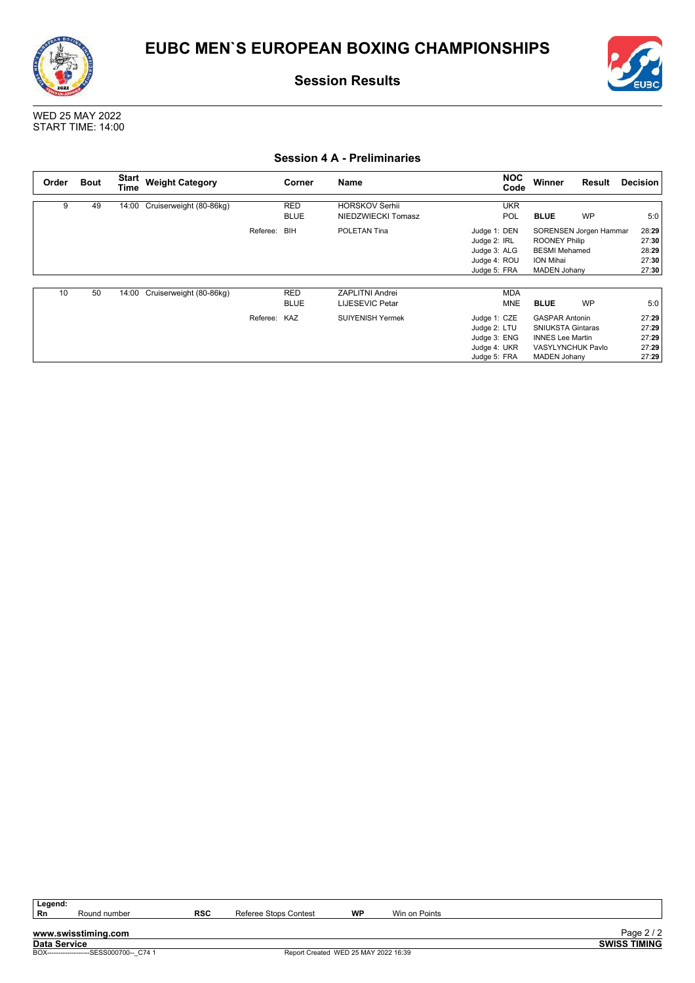



WED 25 MAY 2022 START TIME: 14:00

### **Session 4 A - Preliminaries**

| Order | <b>Bout</b> | Start<br><b>Time</b> | <b>Weight Category</b>        |              | Corner                    | <b>Name</b>                                 |                                                                              | <b>NOC</b><br>Code       | Winner                                                                                                                          | <b>Result</b>          | Decision                                  |
|-------|-------------|----------------------|-------------------------------|--------------|---------------------------|---------------------------------------------|------------------------------------------------------------------------------|--------------------------|---------------------------------------------------------------------------------------------------------------------------------|------------------------|-------------------------------------------|
| 9     | 49          |                      | 14:00 Cruiserweight (80-86kg) |              | <b>RED</b><br><b>BLUE</b> | <b>HORSKOV Serhii</b><br>NIEDZWIECKI Tomasz |                                                                              | <b>UKR</b><br>POL        | <b>BLUE</b>                                                                                                                     | <b>WP</b>              | 5:0                                       |
|       |             |                      |                               | Referee:     | BIH                       | POLETAN Tina                                | Judge 1: DEN<br>Judge 2: IRL<br>Judge 3: ALG<br>Judge 4: ROU<br>Judge 5: FRA |                          | <b>ROONEY Philip</b><br><b>BESMI</b> Mehamed<br>ION Mihai<br><b>MADEN Johany</b>                                                | SORENSEN Jorgen Hammar | 28:29<br>27:30<br>28:29<br>27:30<br>27:30 |
| 10    | 50          | 14:00                | Cruiserweight (80-86kg)       |              | RED<br><b>BLUE</b>        | <b>ZAPLITNI Andrei</b><br>LIJESEVIC Petar   |                                                                              | <b>MDA</b><br><b>MNE</b> | <b>BLUE</b>                                                                                                                     | <b>WP</b>              | 5:0                                       |
|       |             |                      |                               | Referee: KAZ |                           | <b>SUIYENISH Yermek</b>                     | Judge 1: CZE<br>Judge 2: LTU<br>Judge 3: ENG<br>Judge 4: UKR<br>Judge 5: FRA |                          | <b>GASPAR Antonin</b><br><b>SNIUKSTA Gintaras</b><br><b>INNES Lee Martin</b><br><b>VASYLYNCHUK Pavlo</b><br><b>MADEN Johany</b> |                        | 27:29<br>27:29<br>27:29<br>27:29<br>27:29 |

Legend:<br>Rn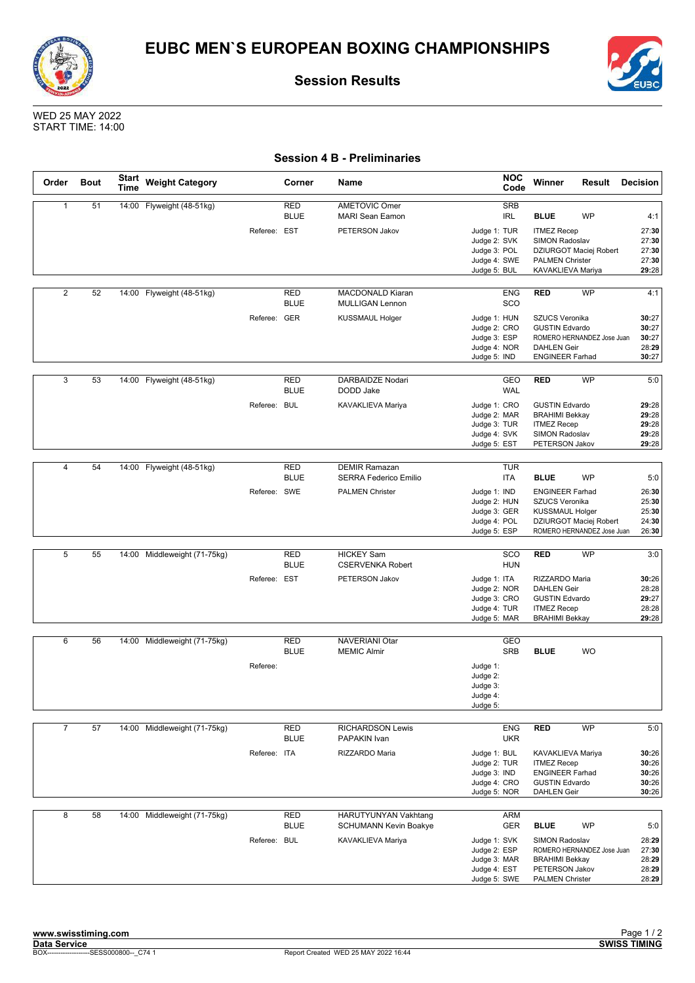



WED 25 MAY 2022 START TIME: 14:00

### **Session 4 B - Preliminaries**

| Order          | <b>Bout</b> | <b>Start</b><br><b>Time</b> | <b>Weight Category</b>       |              | Corner                    | Name                                                 | <b>NOC</b><br>Code                                                           | Winner                                                                                                            | Result    | <b>Decision</b>                           |
|----------------|-------------|-----------------------------|------------------------------|--------------|---------------------------|------------------------------------------------------|------------------------------------------------------------------------------|-------------------------------------------------------------------------------------------------------------------|-----------|-------------------------------------------|
| $\mathbf{1}$   | 51          |                             | 14:00 Flyweight (48-51kg)    |              | <b>RED</b><br><b>BLUE</b> | <b>AMETOVIC Omer</b><br><b>MARI Sean Eamon</b>       | <b>SRB</b><br>IRL                                                            | <b>BLUE</b>                                                                                                       | <b>WP</b> | 4:1                                       |
|                |             |                             |                              | Referee: EST |                           | PETERSON Jakov                                       | Judge 1: TUR<br>Judge 2: SVK<br>Judge 3: POL                                 | <b>ITMEZ Recep</b><br><b>SIMON Radoslav</b><br><b>DZIURGOT Maciej Robert</b>                                      |           | 27:30<br>27:30<br>27:30                   |
|                |             |                             |                              |              |                           |                                                      | Judge 4: SWE<br>Judge 5: BUL                                                 | <b>PALMEN Christer</b><br>KAVAKLIEVA Mariya                                                                       |           | 27:30<br>29:28                            |
| $\overline{2}$ | 52          | 14:00                       | Flyweight (48-51kg)          |              | <b>RED</b>                | MACDONALD Kiaran                                     | <b>ENG</b>                                                                   | <b>RED</b>                                                                                                        | <b>WP</b> | 4:1                                       |
|                |             |                             |                              | Referee: GER | <b>BLUE</b>               | <b>MULLIGAN Lennon</b><br><b>KUSSMAUL Holger</b>     | SCO<br>Judge 1: HUN                                                          | <b>SZUCS Veronika</b>                                                                                             |           | 30:27                                     |
|                |             |                             |                              |              |                           |                                                      | Judge 2: CRO<br>Judge 3: ESP<br>Judge 4: NOR<br>Judge 5: IND                 | <b>GUSTIN Edvardo</b><br>ROMERO HERNANDEZ Jose Juan<br><b>DAHLEN Geir</b><br><b>ENGINEER Farhad</b>               |           | 30:27<br>30:27<br>28:29<br>30:27          |
| $\overline{3}$ | 53          |                             | 14:00 Flyweight (48-51kg)    |              | <b>RED</b><br><b>BLUE</b> | DARBAIDZE Nodari<br>DODD Jake                        | GEO<br><b>WAL</b>                                                            | <b>RED</b>                                                                                                        | WP        | 5:0                                       |
|                |             |                             |                              | Referee: BUL |                           | KAVAKLIEVA Mariya                                    | Judge 1: CRO<br>Judge 2: MAR<br>Judge 3: TUR<br>Judge 4: SVK<br>Judge 5: EST | <b>GUSTIN Edvardo</b><br><b>BRAHIMI Bekkay</b><br><b>ITMEZ Recep</b><br><b>SIMON Radoslav</b><br>PETERSON Jakov   |           | 29:28<br>29:28<br>29:28<br>29:28<br>29:28 |
| $\overline{4}$ | 54          |                             | 14:00 Flyweight (48-51kg)    |              | <b>RED</b><br><b>BLUE</b> | <b>DEMIR Ramazan</b><br>SERRA Federico Emilio        | <b>TUR</b><br><b>ITA</b>                                                     | <b>BLUE</b>                                                                                                       | <b>WP</b> | 5:0                                       |
|                |             |                             |                              | Referee: SWE |                           | <b>PALMEN Christer</b>                               | Judge 1: IND<br>Judge 2: HUN<br>Judge 3: GER<br>Judge 4: POL                 | <b>ENGINEER Farhad</b><br><b>SZUCS Veronika</b><br><b>KUSSMAUL Holger</b><br>DZIURGOT Maciej Robert               |           | 26:30<br>25:30<br>25:30<br>24:30          |
|                |             |                             |                              |              |                           |                                                      | Judge 5: ESP                                                                 | ROMERO HERNANDEZ Jose Juan                                                                                        |           | 26:30                                     |
| 5              | 55          |                             | 14:00 Middleweight (71-75kg) |              | <b>RED</b><br><b>BLUE</b> | <b>HICKEY Sam</b><br><b>CSERVENKA Robert</b>         | SCO<br><b>HUN</b>                                                            | <b>RED</b>                                                                                                        | <b>WP</b> | 3:0                                       |
|                |             |                             |                              | Referee: EST |                           | PETERSON Jakov                                       | Judge 1: ITA<br>Judge 2: NOR<br>Judge 3: CRO<br>Judge 4: TUR<br>Judge 5: MAR | RIZZARDO Maria<br><b>DAHLEN Geir</b><br><b>GUSTIN Edvardo</b><br><b>ITMEZ Recep</b><br><b>BRAHIMI Bekkay</b>      |           | 30:26<br>28:28<br>29:27<br>28:28<br>29:28 |
| 6              | 56          | 14:00                       | Middleweight (71-75kg)       |              | <b>RED</b>                | NAVERIANI Otar                                       | GEO                                                                          |                                                                                                                   |           |                                           |
|                |             |                             |                              | Referee:     | <b>BLUE</b>               | <b>MEMIC Almir</b>                                   | <b>SRB</b><br>Judge 1:<br>Judge 2:<br>Judge 3:<br>Judge 4:<br>Judge 5:       | <b>BLUE</b>                                                                                                       | <b>WO</b> |                                           |
| $\overline{7}$ | 57          |                             | 14:00 Middleweight (71-75kg) |              | RED<br><b>BLUE</b>        | <b>RICHARDSON Lewis</b><br>PAPAKIN Ivan              | <b>ENG</b><br><b>UKR</b>                                                     | <b>RED</b>                                                                                                        | WP        | 5:0                                       |
|                |             |                             |                              | Referee: ITA |                           | RIZZARDO Maria                                       | Judge 1: BUL<br>Judge 2: TUR<br>Judge 3: IND<br>Judge 4: CRO<br>Judge 5: NOR | KAVAKLIEVA Mariya<br><b>ITMEZ Recep</b><br><b>ENGINEER Farhad</b><br><b>GUSTIN Edvardo</b><br><b>DAHLEN Geir</b>  |           | 30:26<br>30:26<br>30:26<br>30:26<br>30:26 |
| 8              | 58          | 14:00                       | Middleweight (71-75kg)       |              | <b>RED</b><br><b>BLUE</b> | HARUTYUNYAN Vakhtang<br><b>SCHUMANN Kevin Boakye</b> | ARM<br>GER                                                                   | <b>BLUE</b>                                                                                                       | <b>WP</b> | 5:0                                       |
|                |             |                             |                              | Referee: BUL |                           | KAVAKLIEVA Mariya                                    | Judge 1: SVK<br>Judge 2: ESP<br>Judge 3: MAR<br>Judge 4: EST<br>Judge 5: SWE | SIMON Radoslav<br>ROMERO HERNANDEZ Jose Juan<br><b>BRAHIMI Bekkay</b><br>PETERSON Jakov<br><b>PALMEN Christer</b> |           | 28:29<br>27:30<br>28:29<br>28:29<br>28:29 |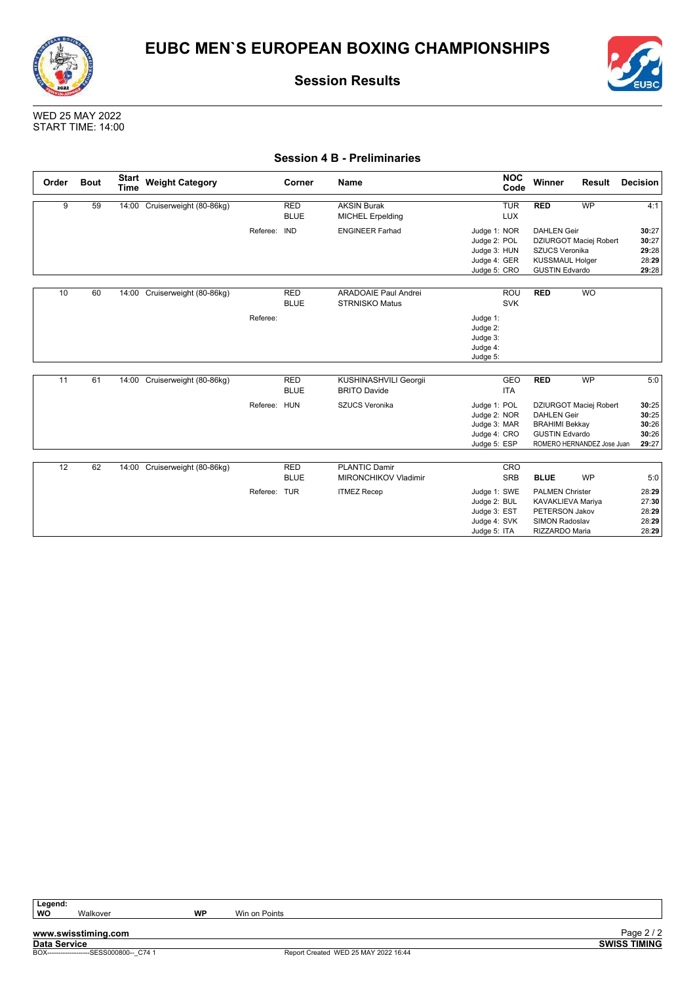



WED 25 MAY 2022 START TIME: 14:00

#### **Session 4 B - Preliminaries**

| Order           | <b>Bout</b> | <b>Start</b><br><b>Time</b> | <b>Weight Category</b>        |              | Corner                    | Name                                                               | <b>NOC</b><br>Code                                                                                       | Winner                                                                                                                  | Result                                                            | <b>Decision</b>                                  |
|-----------------|-------------|-----------------------------|-------------------------------|--------------|---------------------------|--------------------------------------------------------------------|----------------------------------------------------------------------------------------------------------|-------------------------------------------------------------------------------------------------------------------------|-------------------------------------------------------------------|--------------------------------------------------|
| 9               | 59          |                             | 14:00 Cruiserweight (80-86kg) |              | <b>RED</b><br><b>BLUE</b> | <b>AKSIN Burak</b><br><b>MICHEL Erpelding</b>                      | <b>TUR</b><br><b>LUX</b>                                                                                 | <b>RED</b>                                                                                                              | <b>WP</b>                                                         | 4:1                                              |
|                 |             |                             |                               | Referee:     | <b>IND</b>                | <b>ENGINEER Farhad</b>                                             | Judge 1: NOR<br>Judge 2: POL<br>Judge 3: HUN<br>Judge 4: GER<br>Judge 5: CRO                             | <b>DAHLEN Geir</b><br><b>SZUCS Veronika</b><br><b>KUSSMAUL Holger</b><br><b>GUSTIN Edvardo</b>                          | DZIURGOT Maciej Robert                                            | 30:27<br>30:27<br>29:28<br>28:29<br>29:28        |
| 10              | 60          |                             | 14:00 Cruiserweight (80-86kg) | Referee:     | <b>RED</b><br><b>BLUE</b> | <b>ARADOAIE Paul Andrei</b><br><b>STRNISKO Matus</b>               | ROU<br><b>SVK</b><br>Judge 1:<br>Judge 2:<br>Judge 3:<br>Judge 4:<br>Judge 5:                            | <b>RED</b>                                                                                                              | <b>WO</b>                                                         |                                                  |
| 11              | 61          |                             | 14:00 Cruiserweight (80-86kg) | Referee: HUN | <b>RED</b><br><b>BLUE</b> | KUSHINASHVILI Georgii<br><b>BRITO Davide</b><br>SZUCS Veronika     | <b>GEO</b><br><b>ITA</b><br>Judge 1: POL<br>Judge 2: NOR<br>Judge 3: MAR<br>Judge 4: CRO<br>Judge 5: ESP | <b>RED</b><br><b>DAHLEN Geir</b><br><b>BRAHIMI Bekkay</b><br><b>GUSTIN Edvardo</b>                                      | <b>WP</b><br>DZIURGOT Maciej Robert<br>ROMERO HERNANDEZ Jose Juan | 5:0<br>30:25<br>30:25<br>30:26<br>30:26<br>29:27 |
| $\overline{12}$ | 62          |                             | 14:00 Cruiserweight (80-86kg) | Referee: TUR | <b>RED</b><br><b>BLUE</b> | <b>PLANTIC Damir</b><br>MIRONCHIKOV Vladimir<br><b>ITMEZ Recep</b> | CRO<br><b>SRB</b><br>Judge 1: SWE<br>Judge 2: BUL<br>Judge 3: EST<br>Judge 4: SVK<br>Judge 5: ITA        | <b>BLUE</b><br><b>PALMEN Christer</b><br>KAVAKLIEVA Mariya<br><b>PETERSON Jakov</b><br>SIMON Radoslav<br>RIZZARDO Maria | <b>WP</b>                                                         | 5:0<br>28:29<br>27:30<br>28:29<br>28:29<br>28:29 |

Legend:<br>WO

Report Created WED 25 MAY 2022 16:44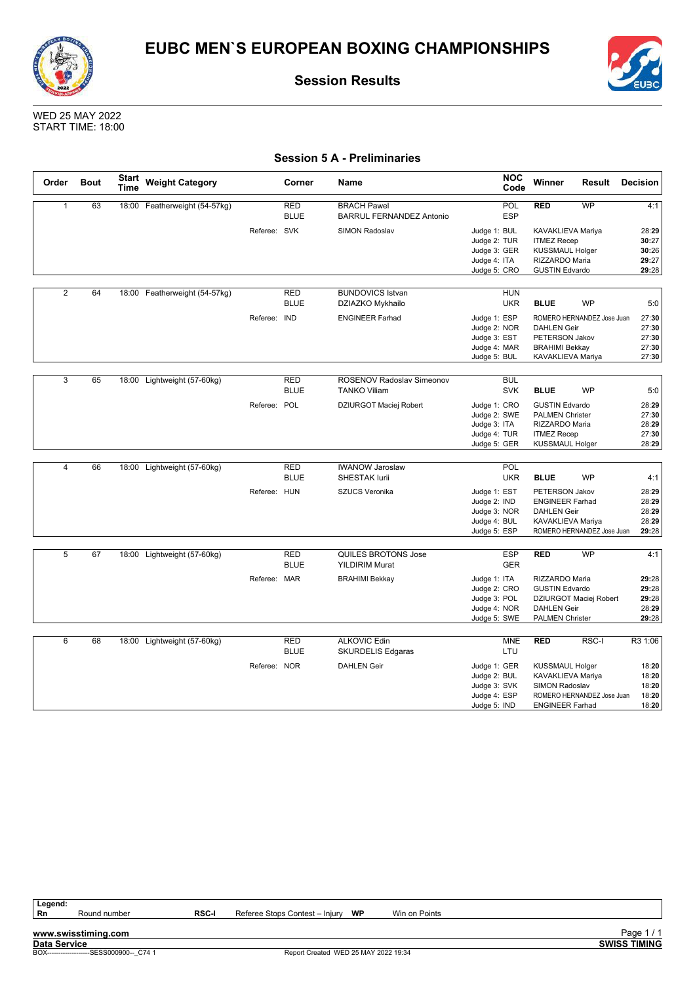



WED 25 MAY 2022 START TIME: 18:00

### **Session 5 A - Preliminaries**

| Order          | <b>Bout</b> | Start<br>Time | <b>Weight Category</b>        |              | Corner                    | Name                                                  |              | <b>NOC</b><br>Code | Winner                   | Result                     | <b>Decision</b> |
|----------------|-------------|---------------|-------------------------------|--------------|---------------------------|-------------------------------------------------------|--------------|--------------------|--------------------------|----------------------------|-----------------|
| $\mathbf{1}$   | 63          |               | 18:00 Featherweight (54-57kg) |              | <b>RED</b><br><b>BLUE</b> | <b>BRACH Pawel</b><br><b>BARRUL FERNANDEZ Antonio</b> |              | POL<br><b>ESP</b>  | <b>RED</b>               | <b>WP</b>                  | 4:1             |
|                |             |               |                               | Referee: SVK |                           | SIMON Radoslav                                        | Judge 1: BUL |                    | KAVAKLIEVA Mariya        |                            | 28:29           |
|                |             |               |                               |              |                           |                                                       | Judge 2: TUR |                    | <b>ITMEZ Recep</b>       |                            | 30:27           |
|                |             |               |                               |              |                           |                                                       | Judge 3: GER |                    | <b>KUSSMAUL Holger</b>   |                            | 30:26           |
|                |             |               |                               |              |                           |                                                       | Judge 4: ITA |                    | RIZZARDO Maria           |                            | 29:27           |
|                |             |               |                               |              |                           |                                                       | Judge 5: CRO |                    | <b>GUSTIN Edvardo</b>    |                            | 29:28           |
|                |             |               |                               |              |                           |                                                       |              |                    |                          |                            |                 |
| $\overline{2}$ | 64          |               | 18:00 Featherweight (54-57kg) |              | <b>RED</b>                | <b>BUNDOVICS Istvan</b>                               |              | <b>HUN</b>         |                          |                            |                 |
|                |             |               |                               |              | <b>BLUE</b>               | DZIAZKO Mykhailo                                      |              | <b>UKR</b>         | <b>BLUE</b>              | <b>WP</b>                  | 5:0             |
|                |             |               |                               | Referee: IND |                           | <b>ENGINEER Farhad</b>                                | Judge 1: ESP |                    |                          | ROMERO HERNANDEZ Jose Juan | 27:30           |
|                |             |               |                               |              |                           |                                                       | Judge 2: NOR |                    | <b>DAHLEN Geir</b>       |                            | 27:30           |
|                |             |               |                               |              |                           |                                                       | Judge 3: EST |                    | PETERSON Jakov           |                            | 27:30           |
|                |             |               |                               |              |                           |                                                       | Judge 4: MAR |                    | <b>BRAHIMI Bekkay</b>    |                            | 27:30           |
|                |             |               |                               |              |                           |                                                       | Judge 5: BUL |                    | KAVAKLIEVA Mariya        |                            | 27:30           |
|                |             |               |                               |              |                           |                                                       |              |                    |                          |                            |                 |
| $\overline{3}$ | 65          |               | 18:00 Lightweight (57-60kg)   |              | <b>RED</b>                | ROSENOV Radoslav Simeonov                             |              | <b>BUL</b>         |                          |                            |                 |
|                |             |               |                               |              | <b>BLUE</b>               | <b>TANKO Viliam</b>                                   |              | <b>SVK</b>         | <b>BLUE</b>              | <b>WP</b>                  | 5:0             |
|                |             |               |                               | Referee: POL |                           | DZIURGOT Maciej Robert                                | Judge 1: CRO |                    | <b>GUSTIN Edvardo</b>    |                            | 28:29           |
|                |             |               |                               |              |                           |                                                       | Judge 2: SWE |                    | <b>PALMEN Christer</b>   |                            | 27:30           |
|                |             |               |                               |              |                           |                                                       | Judge 3: ITA |                    | RIZZARDO Maria           |                            | 28:29           |
|                |             |               |                               |              |                           |                                                       | Judge 4: TUR |                    | <b>ITMEZ Recep</b>       |                            | 27:30           |
|                |             |               |                               |              |                           |                                                       | Judge 5: GER |                    | <b>KUSSMAUL Holger</b>   |                            | 28:29           |
|                |             |               |                               |              |                           |                                                       |              |                    |                          |                            |                 |
| $\overline{4}$ | 66          |               | 18:00 Lightweight (57-60kg)   |              | <b>RED</b>                | <b>IWANOW Jaroslaw</b>                                |              | <b>POL</b>         |                          |                            |                 |
|                |             |               |                               |              | <b>BLUE</b>               | <b>SHESTAK lurii</b>                                  |              | <b>UKR</b>         | <b>BLUE</b>              | <b>WP</b>                  | 4:1             |
|                |             |               |                               | Referee: HUN |                           | <b>SZUCS Veronika</b>                                 | Judge 1: EST |                    | PETERSON Jakov           |                            | 28:29           |
|                |             |               |                               |              |                           |                                                       | Judge 2: IND |                    | <b>ENGINEER Farhad</b>   |                            | 28:29           |
|                |             |               |                               |              |                           |                                                       | Judge 3: NOR |                    | <b>DAHLEN Geir</b>       |                            | 28:29           |
|                |             |               |                               |              |                           |                                                       | Judge 4: BUL |                    | <b>KAVAKLIEVA Mariya</b> |                            | 28:29           |
|                |             |               |                               |              |                           |                                                       | Judge 5: ESP |                    |                          | ROMERO HERNANDEZ Jose Juan | 29:28           |
|                |             |               |                               |              |                           |                                                       |              |                    |                          |                            |                 |
| 5              | 67          |               | 18:00 Lightweight (57-60kg)   |              | <b>RED</b>                | QUILES BROTONS Jose                                   |              | <b>ESP</b>         | <b>RED</b>               | <b>WP</b>                  | 4:1             |
|                |             |               |                               |              | <b>BLUE</b>               | <b>YILDIRIM Murat</b>                                 |              | <b>GER</b>         |                          |                            |                 |
|                |             |               |                               | Referee: MAR |                           | <b>BRAHIMI Bekkay</b>                                 | Judge 1: ITA |                    | RIZZARDO Maria           |                            | 29:28           |
|                |             |               |                               |              |                           |                                                       | Judge 2: CRO |                    | <b>GUSTIN Edvardo</b>    |                            | 29:28           |
|                |             |               |                               |              |                           |                                                       | Judge 3: POL |                    |                          | DZIURGOT Maciej Robert     | 29:28           |
|                |             |               |                               |              |                           |                                                       | Judge 4: NOR |                    | <b>DAHLEN Geir</b>       |                            | 28:29           |
|                |             |               |                               |              |                           |                                                       | Judge 5: SWE |                    | <b>PALMEN Christer</b>   |                            | 29:28           |
|                |             |               |                               |              |                           |                                                       |              |                    |                          |                            |                 |
| 6              | 68          |               | 18:00 Lightweight (57-60kg)   |              | <b>RED</b>                | <b>ALKOVIC Edin</b>                                   |              | <b>MNE</b>         | <b>RED</b>               | RSC-I                      | R3 1:06         |
|                |             |               |                               |              | <b>BLUE</b>               | <b>SKURDELIS Edgaras</b>                              |              | LTU                |                          |                            |                 |
|                |             |               |                               | Referee: NOR |                           | <b>DAHLEN Geir</b>                                    | Judge 1: GER |                    | <b>KUSSMAUL Holger</b>   |                            | 18:20           |
|                |             |               |                               |              |                           |                                                       | Judge 2: BUL |                    | KAVAKLIEVA Mariya        |                            | 18:20           |
|                |             |               |                               |              |                           |                                                       | Judge 3: SVK |                    | SIMON Radoslav           |                            | 18:20           |
|                |             |               |                               |              |                           |                                                       | Judge 4: ESP |                    |                          | ROMERO HERNANDEZ Jose Juan | 18:20           |
|                |             |               |                               |              |                           |                                                       | Judge 5: IND |                    | <b>ENGINEER Farhad</b>   |                            | 18:20           |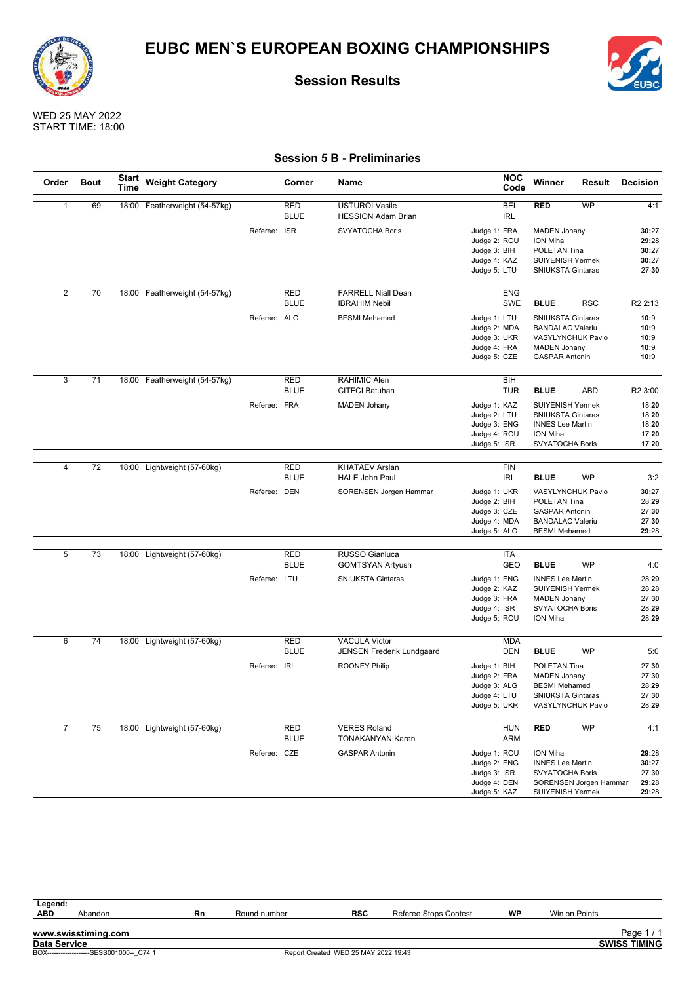



WED 25 MAY 2022 START TIME: 18:00

### **Session 5 B - Preliminaries**

| Order          | <b>Bout</b> | Start<br>Time | <b>Weight Category</b>        |              | Corner                    | Name                                               | <b>NOC</b><br>Code           | Winner                                        | Result                 | <b>Decision</b>     |
|----------------|-------------|---------------|-------------------------------|--------------|---------------------------|----------------------------------------------------|------------------------------|-----------------------------------------------|------------------------|---------------------|
| $\mathbf{1}$   | 69          |               | 18:00 Featherweight (54-57kg) |              | <b>RED</b><br><b>BLUE</b> | <b>USTUROI Vasile</b><br><b>HESSION Adam Brian</b> | BEL<br><b>IRL</b>            | <b>RED</b>                                    | WP                     | 4:1                 |
|                |             |               |                               | Referee: ISR |                           | <b>SVYATOCHA Boris</b>                             | Judge 1: FRA                 | <b>MADEN Johany</b>                           |                        | 30:27               |
|                |             |               |                               |              |                           |                                                    | Judge 2: ROU                 | ION Mihai                                     |                        | 29:28               |
|                |             |               |                               |              |                           |                                                    | Judge 3: BIH                 | POLETAN Tina                                  |                        | 30:27               |
|                |             |               |                               |              |                           |                                                    | Judge 4: KAZ                 | <b>SUIYENISH Yermek</b>                       |                        | 30:27               |
|                |             |               |                               |              |                           |                                                    | Judge 5: LTU                 | <b>SNIUKSTA Gintaras</b>                      |                        | 27:30               |
| $\overline{2}$ | 70          |               | 18:00 Featherweight (54-57kg) |              | <b>RED</b>                | <b>FARRELL Niall Dean</b>                          | <b>ENG</b>                   |                                               |                        |                     |
|                |             |               |                               |              | <b>BLUE</b>               | <b>IBRAHIM Nebil</b>                               | <b>SWE</b>                   | <b>BLUE</b>                                   | <b>RSC</b>             | R <sub>2</sub> 2:13 |
|                |             |               |                               | Referee: ALG |                           | <b>BESMI</b> Mehamed                               | Judge 1: LTU                 | <b>SNIUKSTA Gintaras</b>                      |                        | 10:9                |
|                |             |               |                               |              |                           |                                                    | Judge 2: MDA                 | <b>BANDALAC Valeriu</b>                       |                        | 10:9                |
|                |             |               |                               |              |                           |                                                    | Judge 3: UKR                 | VASYLYNCHUK Pavlo                             |                        | 10:9                |
|                |             |               |                               |              |                           |                                                    | Judge 4: FRA                 | <b>MADEN Johany</b>                           |                        | 10:9                |
|                |             |               |                               |              |                           |                                                    | Judge 5: CZE                 | <b>GASPAR Antonin</b>                         |                        | 10:9                |
| 3              | 71          |               | 18:00 Featherweight (54-57kg) |              | RED                       | RAHIMIC Alen                                       | BIH                          |                                               |                        |                     |
|                |             |               |                               |              | <b>BLUE</b>               | <b>CITFCI Batuhan</b>                              | <b>TUR</b>                   | <b>BLUE</b>                                   | <b>ABD</b>             | R <sub>2</sub> 3:00 |
|                |             |               |                               | Referee: FRA |                           | <b>MADEN Johany</b>                                | Judge 1: KAZ                 | <b>SUIYENISH Yermek</b>                       |                        | 18:20               |
|                |             |               |                               |              |                           |                                                    | Judge 2: LTU                 | SNIUKSTA Gintaras                             |                        | 18:20               |
|                |             |               |                               |              |                           |                                                    | Judge 3: ENG                 | <b>INNES Lee Martin</b>                       |                        | 18:20               |
|                |             |               |                               |              |                           |                                                    | Judge 4: ROU                 | ION Mihai                                     |                        | 17:20               |
|                |             |               |                               |              |                           |                                                    | Judge 5: ISR                 | SVYATOCHA Boris                               |                        | 17:20               |
| $\overline{4}$ | 72          | 18:00         | Lightweight (57-60kg)         |              | <b>RED</b>                | <b>KHATAEV Arslan</b>                              | <b>FIN</b>                   |                                               |                        |                     |
|                |             |               |                               |              | <b>BLUE</b>               | <b>HALE John Paul</b>                              | <b>IRL</b>                   | <b>BLUE</b>                                   | WP                     | 3:2                 |
|                |             |               |                               | Referee: DEN |                           | SORENSEN Jorgen Hammar                             | Judge 1: UKR                 | VASYLYNCHUK Pavlo                             |                        | 30:27               |
|                |             |               |                               |              |                           |                                                    | Judge 2: BIH                 | POLETAN Tina                                  |                        | 28:29               |
|                |             |               |                               |              |                           |                                                    | Judge 3: CZE                 | <b>GASPAR Antonin</b>                         |                        | 27:30               |
|                |             |               |                               |              |                           |                                                    | Judge 4: MDA                 | <b>BANDALAC Valeriu</b>                       |                        | 27:30               |
|                |             |               |                               |              |                           |                                                    | Judge 5: ALG                 | <b>BESMI</b> Mehamed                          |                        | 29:28               |
| 5              | 73          |               | 18:00 Lightweight (57-60kg)   |              | <b>RED</b>                | <b>RUSSO Gianluca</b>                              | ITA                          |                                               |                        |                     |
|                |             |               |                               |              | <b>BLUE</b>               | <b>GOMTSYAN Artyush</b>                            | GEO                          | <b>BLUE</b>                                   | <b>WP</b>              | 4:0                 |
|                |             |               |                               | Referee: LTU |                           | <b>SNIUKSTA Gintaras</b>                           | Judge 1: ENG                 | <b>INNES Lee Martin</b>                       |                        | 28:29               |
|                |             |               |                               |              |                           |                                                    | Judge 2: KAZ                 | <b>SUIYENISH Yermek</b>                       |                        | 28:28               |
|                |             |               |                               |              |                           |                                                    | Judge 3: FRA                 | <b>MADEN Johany</b>                           |                        | 27:30               |
|                |             |               |                               |              |                           |                                                    | Judge 4: ISR<br>Judge 5: ROU | SVYATOCHA Boris<br>ION Mihai                  |                        | 28:29<br>28:29      |
|                |             |               |                               |              |                           |                                                    |                              |                                               |                        |                     |
| 6              | 74          |               | 18:00 Lightweight (57-60kg)   |              | <b>RED</b>                | <b>VACULA Victor</b>                               | <b>MDA</b>                   |                                               |                        |                     |
|                |             |               |                               |              | <b>BLUE</b>               | JENSEN Frederik Lundgaard                          | <b>DEN</b>                   | <b>BLUE</b>                                   | <b>WP</b>              | 5:0                 |
|                |             |               |                               | Referee: IRL |                           | <b>ROONEY Philip</b>                               | Judge 1: BIH                 | POLETAN Tina                                  |                        | 27:30               |
|                |             |               |                               |              |                           |                                                    | Judge 2: FRA                 | <b>MADEN Johany</b>                           |                        | 27:30               |
|                |             |               |                               |              |                           |                                                    | Judge 3: ALG                 | <b>BESMI</b> Mehamed                          |                        | 28:29               |
|                |             |               |                               |              |                           |                                                    | Judge 4: LTU<br>Judge 5: UKR | <b>SNIUKSTA Gintaras</b><br>VASYLYNCHUK Pavlo |                        | 27:30<br>28:29      |
|                |             |               |                               |              |                           |                                                    |                              |                                               |                        |                     |
| $\overline{7}$ | 75          |               | 18:00 Lightweight (57-60kg)   |              | RED                       | <b>VERES Roland</b>                                | <b>HUN</b>                   | <b>RED</b>                                    | <b>WP</b>              | 4:1                 |
|                |             |               |                               |              | <b>BLUE</b>               | <b>TONAKANYAN Karen</b>                            | ARM                          |                                               |                        |                     |
|                |             |               |                               | Referee: CZE |                           | <b>GASPAR Antonin</b>                              | Judge 1: ROU                 | ION Mihai                                     |                        | 29:28               |
|                |             |               |                               |              |                           |                                                    | Judge 2: ENG                 | <b>INNES Lee Martin</b>                       |                        | 30:27               |
|                |             |               |                               |              |                           |                                                    | Judge 3: ISR                 | <b>SVYATOCHA Boris</b>                        |                        | 27:30               |
|                |             |               |                               |              |                           |                                                    | Judge 4: DEN                 | SUIYENISH Yermek                              | SORENSEN Jorgen Hammar | 29:28<br>29:28      |
|                |             |               |                               |              |                           |                                                    | Judge 5: KAZ                 |                                               |                        |                     |

Legend:<br>ABD **ABD** Abandon **Rn** Round number **RSC** Referee Stops Contest **WP** Win on Points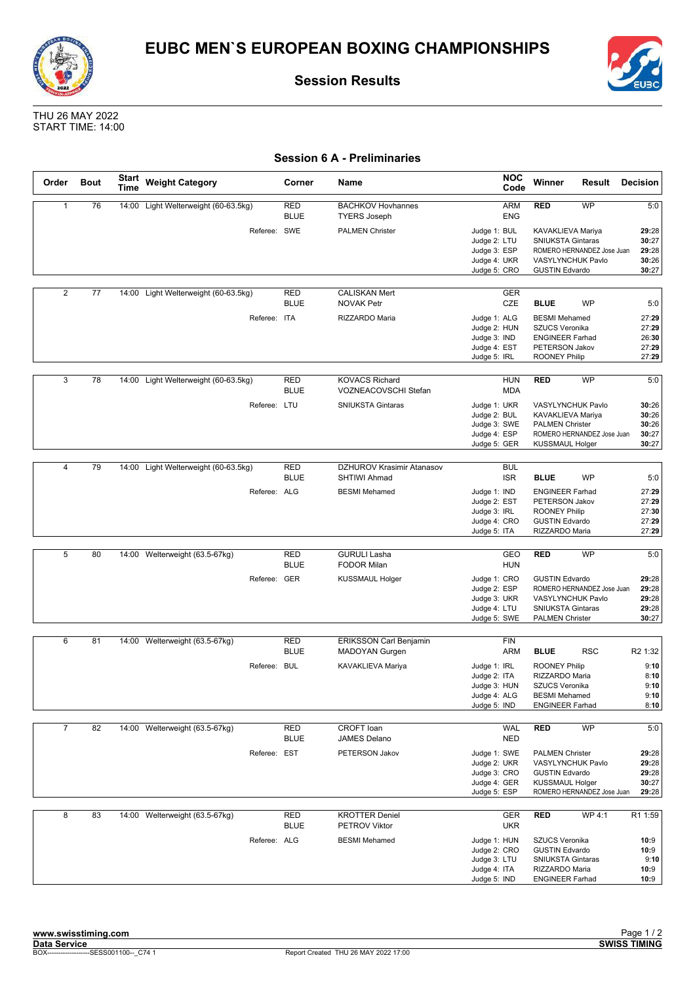



THU 26 MAY 2022 START TIME: 14:00

### **Session 6 A - Preliminaries**

| Order          | <b>Bout</b> | Start<br>Time | <b>Weight Category</b>               | Corner                    | Name                                             | <b>NOC</b><br>Code                                                           | Winner                                                                                                            | Result                     | <b>Decision</b>                           |
|----------------|-------------|---------------|--------------------------------------|---------------------------|--------------------------------------------------|------------------------------------------------------------------------------|-------------------------------------------------------------------------------------------------------------------|----------------------------|-------------------------------------------|
| $\mathbf{1}$   | 76          |               | 14:00 Light Welterweight (60-63.5kg) | <b>RED</b><br><b>BLUE</b> | <b>BACHKOV Hovhannes</b><br><b>TYERS Joseph</b>  | ARM<br><b>ENG</b>                                                            | <b>RED</b>                                                                                                        | WP                         | 5:0                                       |
|                |             |               | Referee: SWE                         |                           | <b>PALMEN Christer</b>                           | Judge 1: BUL<br>Judge 2: LTU<br>Judge 3: ESP<br>Judge 4: UKR<br>Judge 5: CRO | KAVAKLIEVA Mariya<br><b>SNIUKSTA Gintaras</b><br>VASYLYNCHUK Pavlo<br><b>GUSTIN Edvardo</b>                       | ROMERO HERNANDEZ Jose Juan | 29:28<br>30:27<br>29:28<br>30:26<br>30:27 |
| $\overline{2}$ | 77          |               | 14:00 Light Welterweight (60-63.5kg) | <b>RED</b><br><b>BLUE</b> | <b>CALISKAN Mert</b><br><b>NOVAK Petr</b>        | <b>GER</b><br><b>CZE</b>                                                     | <b>BLUE</b>                                                                                                       | <b>WP</b>                  | 5:0                                       |
|                |             |               | Referee: ITA                         |                           | RIZZARDO Maria                                   | Judge 1: ALG<br>Judge 2: HUN<br>Judge 3: IND<br>Judge 4: EST<br>Judge 5: IRL | <b>BESMI</b> Mehamed<br>SZUCS Veronika<br><b>ENGINEER Farhad</b><br>PETERSON Jakov<br><b>ROONEY Philip</b>        |                            | 27:29<br>27:29<br>26:30<br>27:29<br>27:29 |
| 3              | 78          | 14:00         | Light Welterweight (60-63.5kg)       | RED<br><b>BLUE</b>        | <b>KOVACS Richard</b><br>VOZNEACOVSCHI Stefan    | <b>HUN</b><br><b>MDA</b>                                                     | <b>RED</b>                                                                                                        | WP                         | 5:0                                       |
|                |             |               | Referee: LTU                         |                           | <b>SNIUKSTA Gintaras</b>                         | Judge 1: UKR<br>Judge 2: BUL<br>Judge 3: SWE<br>Judge 4: ESP<br>Judge 5: GER | <b>VASYLYNCHUK Pavlo</b><br>KAVAKLIEVA Mariya<br><b>PALMEN Christer</b><br><b>KUSSMAUL Holger</b>                 | ROMERO HERNANDEZ Jose Juan | 30:26<br>30:26<br>30:26<br>30:27<br>30:27 |
|                |             |               |                                      |                           |                                                  |                                                                              |                                                                                                                   |                            |                                           |
| 4              | 79          | 14:00         | Light Welterweight (60-63.5kg)       | <b>RED</b><br><b>BLUE</b> | <b>DZHUROV Krasimir Atanasov</b><br>SHTIWI Ahmad | <b>BUL</b><br><b>ISR</b>                                                     | <b>BLUE</b>                                                                                                       | <b>WP</b>                  | 5:0                                       |
|                |             |               | Referee: ALG                         |                           | <b>BESMI</b> Mehamed                             | Judge 1: IND<br>Judge 2: EST<br>Judge 3: IRL<br>Judge 4: CRO<br>Judge 5: ITA | <b>ENGINEER Farhad</b><br>PETERSON Jakov<br><b>ROONEY Philip</b><br><b>GUSTIN Edvardo</b><br>RIZZARDO Maria       |                            | 27:29<br>27:29<br>27:30<br>27:29<br>27:29 |
|                |             |               |                                      |                           |                                                  |                                                                              |                                                                                                                   |                            |                                           |
| 5              | 80          |               | 14:00 Welterweight (63.5-67kg)       | RED<br><b>BLUE</b>        | <b>GURULI Lasha</b><br><b>FODOR Milan</b>        | GEO<br><b>HUN</b>                                                            | <b>RED</b>                                                                                                        | <b>WP</b>                  | 5:0                                       |
|                |             |               | Referee: GER                         |                           | <b>KUSSMAUL Holger</b>                           | Judge 1: CRO<br>Judge 2: ESP<br>Judge 3: UKR<br>Judge 4: LTU<br>Judge 5: SWE | <b>GUSTIN Edvardo</b><br>VASYLYNCHUK Pavlo<br><b>SNIUKSTA Gintaras</b><br><b>PALMEN Christer</b>                  | ROMERO HERNANDEZ Jose Juan | 29:28<br>29:28<br>29:28<br>29:28<br>30:27 |
| 6              | 81          |               |                                      | <b>RED</b>                |                                                  |                                                                              |                                                                                                                   |                            |                                           |
|                |             | 14:00         | Welterweight (63.5-67kg)             | <b>BLUE</b>               | <b>ERIKSSON Carl Benjamin</b><br>MADOYAN Gurgen  | <b>FIN</b><br>ARM                                                            | <b>BLUE</b>                                                                                                       | <b>RSC</b>                 | R <sub>2</sub> 1:32                       |
|                |             |               | Referee: BUL                         |                           | KAVAKLIEVA Mariya                                | Judge 1: IRL<br>Judge 2: ITA<br>Judge 3: HUN<br>Judge 4: ALG<br>Judge 5: IND | <b>ROONEY Philip</b><br>RIZZARDO Maria<br><b>SZUCS Veronika</b><br><b>BESMI</b> Mehamed<br><b>ENGINEER Farhad</b> |                            | 9:10<br>8:10<br>9:10<br>9:10<br>8:10      |
| $\overline{7}$ | 82          |               | 14:00 Welterweight (63.5-67kg)       | RED<br><b>BLUE</b>        | CROFT loan<br>JAMES Delano                       | <b>WAL</b><br><b>NED</b>                                                     | <b>RED</b>                                                                                                        | <b>WP</b>                  | 5:0                                       |
|                |             |               | Referee: EST                         |                           | PETERSON Jakov                                   | Judge 1: SWE<br>Judge 2: UKR<br>Judge 3: CRO<br>Judge 4: GER<br>Judge 5: ESP | <b>PALMEN Christer</b><br>VASYLYNCHUK Pavlo<br><b>GUSTIN Edvardo</b><br><b>KUSSMAUL Holger</b>                    | ROMERO HERNANDEZ Jose Juan | 29:28<br>29:28<br>29:28<br>30:27<br>29:28 |
| 8              | 83          |               | 14:00 Welterweight (63.5-67kg)       | RED<br><b>BLUE</b>        | <b>KROTTER Deniel</b><br>PETROV Viktor           | GER<br><b>UKR</b>                                                            | <b>RED</b>                                                                                                        | WP 4:1                     | R1 1:59                                   |
|                |             |               | Referee: ALG                         |                           | <b>BESMI</b> Mehamed                             | Judge 1: HUN<br>Judge 2: CRO<br>Judge 3: LTU<br>Judge 4: ITA<br>Judge 5: IND | SZUCS Veronika<br><b>GUSTIN Edvardo</b><br><b>SNIUKSTA Gintaras</b><br>RIZZARDO Maria<br><b>ENGINEER Farhad</b>   |                            | 10:9<br>10:9<br>9:10<br>10:9<br>10:9      |

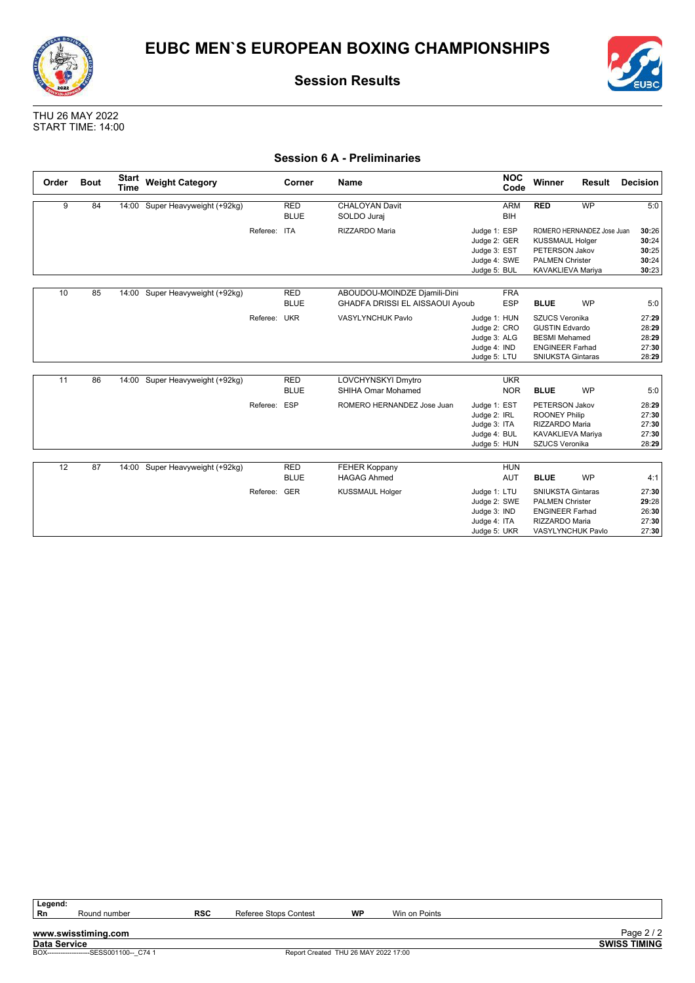





#### **Session 6 A - Preliminaries**

| Order | <b>Bout</b> | <b>Start</b><br><b>Time</b> | <b>Weight Category</b>    |              | Corner      | <b>Name</b>                     | <b>NOC</b><br>Code | Winner                   | Result                     | <b>Decision</b> |
|-------|-------------|-----------------------------|---------------------------|--------------|-------------|---------------------------------|--------------------|--------------------------|----------------------------|-----------------|
| 9     | 84          | 14:00                       | Super Heavyweight (+92kg) |              | <b>RED</b>  | <b>CHALOYAN Davit</b>           | <b>ARM</b>         | <b>RED</b>               | <b>WP</b>                  | 5:0             |
|       |             |                             |                           |              | <b>BLUE</b> | SOLDO Juraj                     | <b>BIH</b>         |                          |                            |                 |
|       |             |                             |                           | Referee: ITA |             | RIZZARDO Maria                  | Judge 1: ESP       |                          | ROMERO HERNANDEZ Jose Juan | 30:26           |
|       |             |                             |                           |              |             |                                 | Judge 2: GER       | <b>KUSSMAUL Holger</b>   |                            | 30:24           |
|       |             |                             |                           |              |             |                                 | Judge 3: EST       | <b>PETERSON Jakov</b>    |                            | 30:25           |
|       |             |                             |                           |              |             |                                 | Judge 4: SWE       | <b>PALMEN Christer</b>   |                            | 30:24           |
|       |             |                             |                           |              |             |                                 | Judge 5: BUL       | KAVAKLIEVA Mariya        |                            | 30:23           |
|       |             |                             |                           |              |             |                                 |                    |                          |                            |                 |
| 10    | 85          | 14:00                       | Super Heavyweight (+92kg) |              | <b>RED</b>  | ABOUDOU-MOINDZE Djamili-Dini    | <b>FRA</b>         |                          |                            |                 |
|       |             |                             |                           |              | <b>BLUE</b> | GHADFA DRISSI EL AISSAOUI Ayoub | <b>ESP</b>         | <b>BLUE</b>              | <b>WP</b>                  | 5:0             |
|       |             |                             |                           | Referee: UKR |             | <b>VASYLYNCHUK Pavlo</b>        | Judge 1: HUN       | SZUCS Veronika           |                            | 27:29           |
|       |             |                             |                           |              |             |                                 | Judge 2: CRO       | <b>GUSTIN Edvardo</b>    |                            | 28:29           |
|       |             |                             |                           |              |             |                                 | Judge 3: ALG       | <b>BESMI</b> Mehamed     |                            | 28:29           |
|       |             |                             |                           |              |             |                                 | Judge 4: IND       | <b>ENGINEER Farhad</b>   |                            | 27:30           |
|       |             |                             |                           |              |             |                                 | Judge 5: LTU       | <b>SNIUKSTA Gintaras</b> |                            | 28:29           |
|       |             |                             |                           |              |             |                                 |                    |                          |                            |                 |
| 11    | 86          | 14:00                       | Super Heavyweight (+92kg) |              | <b>RED</b>  | LOVCHYNSKYI Dmytro              | <b>UKR</b>         |                          |                            |                 |
|       |             |                             |                           |              | <b>BLUE</b> | <b>SHIHA Omar Mohamed</b>       | <b>NOR</b>         | <b>BLUE</b>              | <b>WP</b>                  | 5:0             |
|       |             |                             |                           | Referee: ESP |             | ROMERO HERNANDEZ Jose Juan      | Judge 1: EST       | <b>PETERSON Jakov</b>    |                            | 28:29           |
|       |             |                             |                           |              |             |                                 | Judge 2: IRL       | <b>ROONEY Philip</b>     |                            | 27:30           |
|       |             |                             |                           |              |             |                                 | Judge 3: ITA       | RIZZARDO Maria           |                            | 27:30           |
|       |             |                             |                           |              |             |                                 | Judge 4: BUL       | KAVAKLIEVA Mariya        |                            | 27:30           |
|       |             |                             |                           |              |             |                                 | Judge 5: HUN       | SZUCS Veronika           |                            | 28:29           |
|       |             |                             |                           |              |             |                                 |                    |                          |                            |                 |
| 12    | 87          | 14:00                       | Super Heavyweight (+92kg) |              | <b>RED</b>  | <b>FEHER Koppany</b>            | <b>HUN</b>         |                          |                            |                 |
|       |             |                             |                           |              | <b>BLUE</b> | <b>HAGAG Ahmed</b>              | <b>AUT</b>         | <b>BLUE</b>              | <b>WP</b>                  | 4:1             |
|       |             |                             |                           | Referee: GER |             | <b>KUSSMAUL Holger</b>          | Judge 1: LTU       | <b>SNIUKSTA Gintaras</b> |                            | 27:30           |
|       |             |                             |                           |              |             |                                 | Judge 2: SWE       | <b>PALMEN Christer</b>   |                            | 29:28           |
|       |             |                             |                           |              |             |                                 | Judge 3: IND       | <b>ENGINEER Farhad</b>   |                            | 26:30           |
|       |             |                             |                           |              |             |                                 | Judge 4: ITA       | RIZZARDO Maria           |                            | 27:30           |
|       |             |                             |                           |              |             |                                 | Judge 5: UKR       | VASYLYNCHUK Pavlo        |                            | 27:30           |

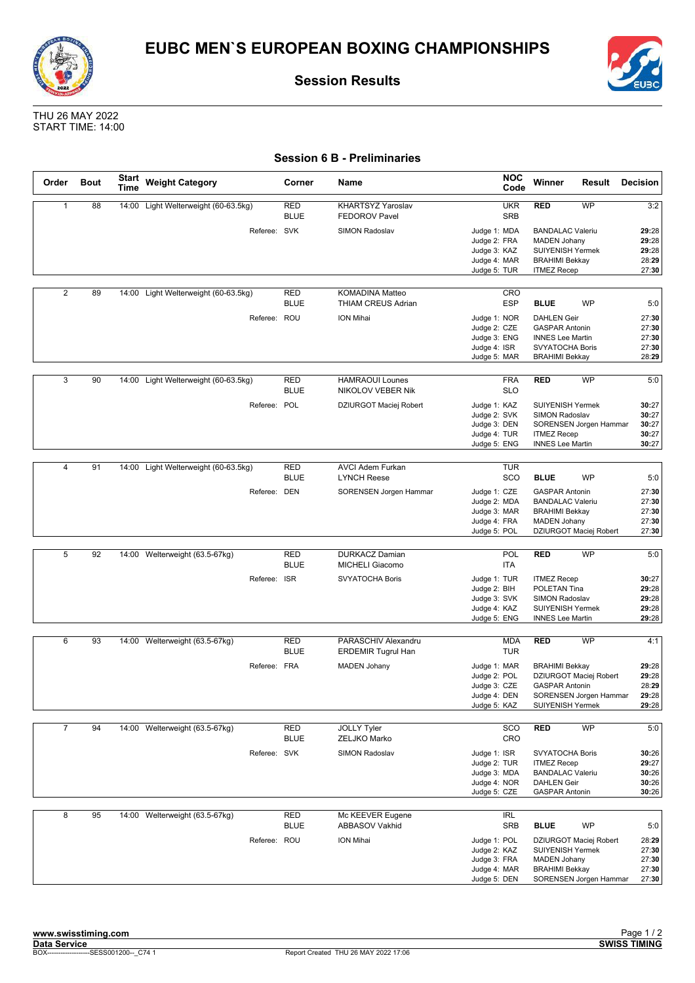





### **Session 6 B - Preliminaries**

| Order          | <b>Bout</b> | Start<br>Time | <b>Weight Category</b>               | Corner                    | Name                                         | <b>NOC</b><br>Code                                                           | Winner                                                                                                                    | Result                                           | <b>Decision</b>                           |
|----------------|-------------|---------------|--------------------------------------|---------------------------|----------------------------------------------|------------------------------------------------------------------------------|---------------------------------------------------------------------------------------------------------------------------|--------------------------------------------------|-------------------------------------------|
| $\mathbf{1}$   | 88          |               | 14:00 Light Welterweight (60-63.5kg) | <b>RED</b><br><b>BLUE</b> | KHARTSYZ Yaroslav<br><b>FEDOROV Pavel</b>    | <b>UKR</b><br><b>SRB</b>                                                     | <b>RED</b>                                                                                                                | <b>WP</b>                                        | 3:2                                       |
|                |             |               | Referee: SVK                         |                           | <b>SIMON Radoslav</b>                        | Judge 1: MDA<br>Judge 2: FRA<br>Judge 3: KAZ<br>Judge 4: MAR                 | <b>BANDALAC Valeriu</b><br><b>MADEN Johany</b><br><b>SUIYENISH Yermek</b><br><b>BRAHIMI Bekkay</b>                        |                                                  | 29:28<br>29:28<br>29:28<br>28:29          |
|                |             |               |                                      |                           |                                              | Judge 5: TUR                                                                 | <b>ITMEZ Recep</b>                                                                                                        |                                                  | 27:30                                     |
| $\overline{2}$ | 89          | 14:00         | Light Welterweight (60-63.5kg)       | <b>RED</b><br><b>BLUE</b> | KOMADINA Matteo<br><b>THIAM CREUS Adrian</b> | <b>CRO</b><br><b>ESP</b>                                                     | <b>BLUE</b>                                                                                                               | <b>WP</b>                                        | 5:0                                       |
|                |             |               | Referee: ROU                         |                           | <b>ION Mihai</b>                             | Judge 1: NOR<br>Judge 2: CZE<br>Judge 3: ENG<br>Judge 4: ISR<br>Judge 5: MAR | <b>DAHLEN Geir</b><br><b>GASPAR Antonin</b><br><b>INNES Lee Martin</b><br><b>SVYATOCHA Boris</b><br><b>BRAHIMI Bekkay</b> |                                                  | 27:30<br>27:30<br>27:30<br>27:30<br>28:29 |
| 3              | 90          | 14:00         | Light Welterweight (60-63.5kg)       | <b>RED</b><br><b>BLUE</b> | <b>HAMRAOUI Lounes</b><br>NIKOLOV VEBER Nik  | <b>FRA</b><br><b>SLO</b>                                                     | RED                                                                                                                       | WP                                               | 5:0                                       |
|                |             |               | Referee: POL                         |                           | DZIURGOT Maciej Robert                       | Judge 1: KAZ<br>Judge 2: SVK<br>Judge 3: DEN<br>Judge 4: TUR<br>Judge 5: ENG | SUIYENISH Yermek<br>SIMON Radoslav<br><b>ITMEZ Recep</b><br><b>INNES Lee Martin</b>                                       | SORENSEN Jorgen Hammar                           | 30:27<br>30:27<br>30:27<br>30:27<br>30:27 |
| $\overline{4}$ | 91          | 14:00         | Light Welterweight (60-63.5kg)       | <b>RED</b>                | <b>AVCI Adem Furkan</b>                      | <b>TUR</b>                                                                   |                                                                                                                           |                                                  |                                           |
|                |             |               |                                      | <b>BLUE</b>               | <b>LYNCH Reese</b>                           | SCO                                                                          | <b>BLUE</b>                                                                                                               | <b>WP</b>                                        | 5:0                                       |
|                |             |               | Referee: DEN                         |                           | SORENSEN Jorgen Hammar                       | Judge 1: CZE<br>Judge 2: MDA<br>Judge 3: MAR<br>Judge 4: FRA<br>Judge 5: POL | <b>GASPAR Antonin</b><br><b>BANDALAC Valeriu</b><br><b>BRAHIMI Bekkay</b><br><b>MADEN Johany</b>                          | DZIURGOT Maciej Robert                           | 27:30<br>27:30<br>27:30<br>27:30<br>27:30 |
|                |             |               |                                      |                           |                                              |                                                                              |                                                                                                                           |                                                  |                                           |
| 5              | 92          |               | 14:00 Welterweight (63.5-67kg)       | <b>RED</b><br><b>BLUE</b> | <b>DURKACZ Damian</b><br>MICHELI Giacomo     | POL<br><b>ITA</b>                                                            | <b>RED</b>                                                                                                                | <b>WP</b>                                        | 5:0                                       |
|                |             |               | Referee: ISR                         |                           | <b>SVYATOCHA Boris</b>                       | Judge 1: TUR<br>Judge 2: BIH<br>Judge 3: SVK<br>Judge 4: KAZ<br>Judge 5: ENG | <b>ITMEZ Recep</b><br>POLETAN Tina<br>SIMON Radoslav<br>SUIYENISH Yermek<br><b>INNES Lee Martin</b>                       |                                                  | 30:27<br>29:28<br>29:28<br>29:28<br>29:28 |
| 6              | 93          | 14:00         | Welterweight (63.5-67kg)             | <b>RED</b>                | PARASCHIV Alexandru                          | <b>MDA</b>                                                                   | <b>RED</b>                                                                                                                | WP                                               | 4:1                                       |
|                |             |               |                                      | <b>BLUE</b>               | <b>ERDEMIR Tugrul Han</b>                    | <b>TUR</b>                                                                   |                                                                                                                           |                                                  |                                           |
|                |             |               | Referee: FRA                         |                           | <b>MADEN Johany</b>                          | Judge 1: MAR<br>Judge 2: POL<br>Judge 3: CZE<br>Judge 4: DEN<br>Judge 5: KAZ | <b>BRAHIMI Bekkay</b><br><b>GASPAR Antonin</b><br>SUIYENISH Yermek                                                        | DZIURGOT Maciej Robert<br>SORENSEN Jorgen Hammar | 29:28<br>29:28<br>28:29<br>29:28<br>29:28 |
| $\overline{7}$ | 94          |               | 14:00 Welterweight (63.5-67kg)       | RED<br><b>BLUE</b>        | <b>JOLLY Tyler</b><br>ZELJKO Marko           | SCO<br>CRO                                                                   | <b>RED</b>                                                                                                                | <b>WP</b>                                        | 5:0                                       |
|                |             |               | Referee: SVK                         |                           | SIMON Radoslav                               | Judge 1: ISR<br>Judge 2: TUR<br>Judge 3: MDA<br>Judge 4: NOR<br>Judge 5: CZE | <b>SVYATOCHA Boris</b><br><b>ITMEZ Recep</b><br><b>BANDALAC Valeriu</b><br><b>DAHLEN Geir</b><br><b>GASPAR Antonin</b>    |                                                  | 30:26<br>29:27<br>30:26<br>30:26<br>30:26 |
| 8              | 95          |               | 14:00 Welterweight (63.5-67kg)       | <b>RED</b><br><b>BLUE</b> | Mc KEEVER Eugene<br><b>ABBASOV Vakhid</b>    | IRL<br><b>SRB</b>                                                            | <b>BLUE</b>                                                                                                               | <b>WP</b>                                        | 5:0                                       |
|                |             |               | Referee: ROU                         |                           | ION Mihai                                    | Judge 1: POL<br>Judge 2: KAZ<br>Judge 3: FRA<br>Judge 4: MAR<br>Judge 5: DEN | <b>SUIYENISH Yermek</b><br><b>MADEN Johany</b><br><b>BRAHIMI Bekkay</b>                                                   | DZIURGOT Maciej Robert<br>SORENSEN Jorgen Hammar | 28:29<br>27:30<br>27:30<br>27:30<br>27:30 |

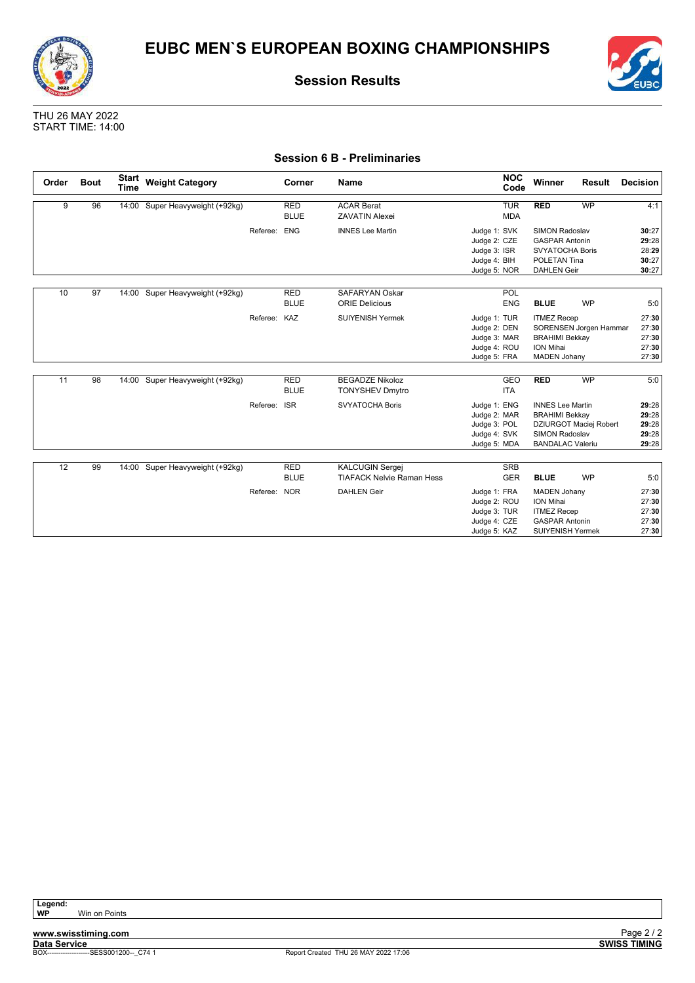![](_page_21_Picture_0.jpeg)

![](_page_21_Picture_1.jpeg)

THU 26 MAY 2022 START TIME: 14:00

### **Session 6 B - Preliminaries**

| Order | <b>Bout</b> | <b>Start</b><br><b>Time</b> | <b>Weight Category</b>          |              | Corner      | Name                             |              | <b>NOC</b><br>Code | Winner                  | Result    | Decision |
|-------|-------------|-----------------------------|---------------------------------|--------------|-------------|----------------------------------|--------------|--------------------|-------------------------|-----------|----------|
| 9     | 96          | 14:00                       | Super Heavyweight (+92kg)       |              | <b>RED</b>  | <b>ACAR Berat</b>                |              | <b>TUR</b>         | <b>RED</b>              | <b>WP</b> | 4:1      |
|       |             |                             |                                 |              | <b>BLUE</b> | <b>ZAVATIN Alexei</b>            |              | <b>MDA</b>         |                         |           |          |
|       |             |                             |                                 | Referee:     | <b>ENG</b>  | <b>INNES Lee Martin</b>          | Judge 1: SVK |                    | <b>SIMON Radoslav</b>   |           | 30:27    |
|       |             |                             |                                 |              |             |                                  | Judge 2: CZE |                    | <b>GASPAR Antonin</b>   |           | 29:28    |
|       |             |                             |                                 |              |             |                                  | Judge 3: ISR |                    | <b>SVYATOCHA Boris</b>  |           | 28:29    |
|       |             |                             |                                 |              |             |                                  | Judge 4: BIH |                    | POLETAN Tina            |           | 30:27    |
|       |             |                             |                                 |              |             |                                  | Judge 5: NOR |                    | <b>DAHLEN Geir</b>      |           | 30:27    |
|       | 97          |                             |                                 |              |             | <b>SAFARYAN Oskar</b>            |              |                    |                         |           |          |
| 10    |             | 14:00                       | Super Heavyweight (+92kg)       |              | <b>RED</b>  |                                  |              | POL                |                         |           |          |
|       |             |                             |                                 |              | <b>BLUE</b> | <b>ORIE Delicious</b>            |              | <b>ENG</b>         | <b>BLUE</b>             | <b>WP</b> | 5:0      |
|       |             |                             |                                 | Referee: KAZ |             | <b>SUIYENISH Yermek</b>          | Judge 1: TUR |                    | <b>ITMEZ Recep</b>      |           | 27:30    |
|       |             |                             |                                 |              |             |                                  | Judge 2: DEN |                    | SORENSEN Jorgen Hammar  |           | 27:30    |
|       |             |                             |                                 |              |             |                                  | Judge 3: MAR |                    | <b>BRAHIMI Bekkay</b>   |           | 27:30    |
|       |             |                             |                                 |              |             |                                  | Judge 4: ROU |                    | <b>ION Mihai</b>        |           | 27:30    |
|       |             |                             |                                 |              |             |                                  | Judge 5: FRA |                    | <b>MADEN Johany</b>     |           | 27:30    |
|       |             |                             |                                 |              |             |                                  |              |                    |                         |           |          |
| 11    | 98          |                             | 14:00 Super Heavyweight (+92kg) |              | <b>RED</b>  | <b>BEGADZE Nikoloz</b>           |              | GEO                | <b>RED</b>              | <b>WP</b> | 5:0      |
|       |             |                             |                                 |              | <b>BLUE</b> | <b>TONYSHEV Dmytro</b>           |              | <b>ITA</b>         |                         |           |          |
|       |             |                             |                                 | Referee:     | <b>ISR</b>  | <b>SVYATOCHA Boris</b>           | Judge 1: ENG |                    | <b>INNES Lee Martin</b> |           | 29:28    |
|       |             |                             |                                 |              |             |                                  | Judge 2: MAR |                    | <b>BRAHIMI Bekkay</b>   |           | 29:28    |
|       |             |                             |                                 |              |             |                                  | Judge 3: POL |                    | DZIURGOT Maciej Robert  |           | 29:28    |
|       |             |                             |                                 |              |             |                                  | Judge 4: SVK |                    | SIMON Radoslav          |           | 29:28    |
|       |             |                             |                                 |              |             |                                  | Judge 5: MDA |                    | <b>BANDALAC Valeriu</b> |           | 29:28    |
|       |             |                             |                                 |              |             |                                  |              |                    |                         |           |          |
| 12    | 99          |                             | 14:00 Super Heavyweight (+92kg) |              | <b>RED</b>  | <b>KALCUGIN Sergej</b>           |              | <b>SRB</b>         |                         |           |          |
|       |             |                             |                                 |              | <b>BLUE</b> | <b>TIAFACK Nelvie Raman Hess</b> |              | <b>GER</b>         | <b>BLUE</b>             | <b>WP</b> | 5:0      |
|       |             |                             |                                 | Referee: NOR |             | <b>DAHLEN Geir</b>               | Judge 1: FRA |                    | <b>MADEN Johany</b>     |           | 27:30    |
|       |             |                             |                                 |              |             |                                  | Judge 2: ROU |                    | <b>ION Mihai</b>        |           | 27:30    |
|       |             |                             |                                 |              |             |                                  | Judge 3: TUR |                    | <b>ITMEZ Recep</b>      |           | 27:30    |
|       |             |                             |                                 |              |             |                                  | Judge 4: CZE |                    | <b>GASPAR Antonin</b>   |           | 27:30    |
|       |             |                             |                                 |              |             |                                  | Judge 5: KAZ |                    | <b>SUIYENISH Yermek</b> |           | 27:30    |

**Win on Points** 

![](_page_21_Picture_11.jpeg)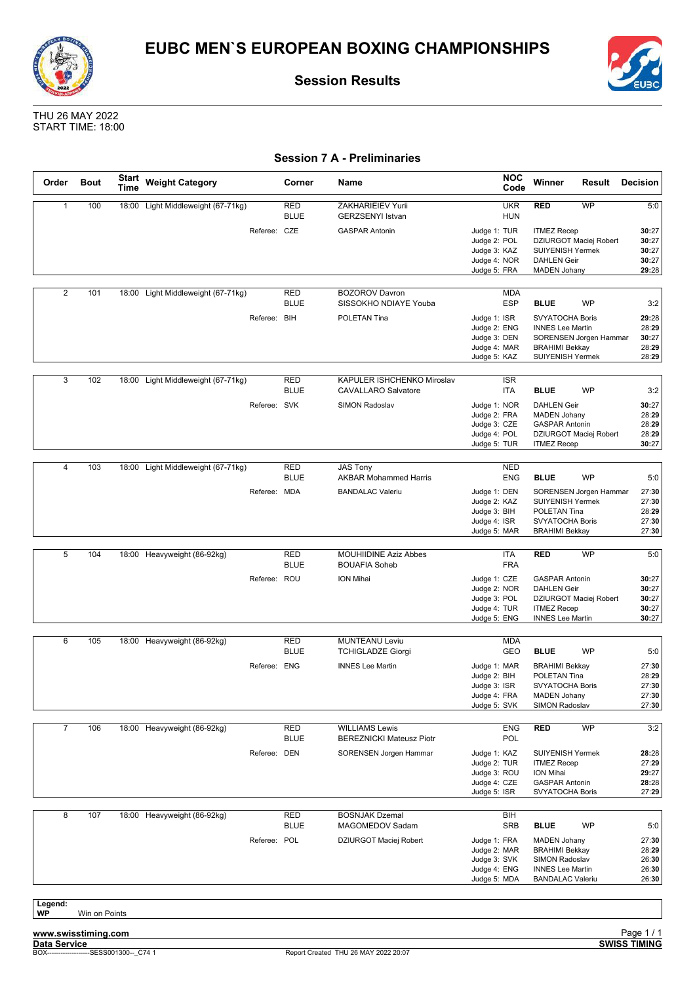![](_page_22_Picture_0.jpeg)

![](_page_22_Picture_1.jpeg)

![](_page_22_Picture_3.jpeg)

### **Session 7 A - Preliminaries**

| Order          | <b>Bout</b>   | <b>Start</b><br>Time | <b>Weight Category</b>       |                             | Corner | Name                                                     |                                                                              | <b>NOC</b><br>Code       | Winner                                                                                                               | Result                              | <b>Decision</b>                                  |
|----------------|---------------|----------------------|------------------------------|-----------------------------|--------|----------------------------------------------------------|------------------------------------------------------------------------------|--------------------------|----------------------------------------------------------------------------------------------------------------------|-------------------------------------|--------------------------------------------------|
| $\mathbf{1}$   | 100           | 18:00                | Light Middleweight (67-71kg) | <b>RED</b><br><b>BLUE</b>   |        | ZAKHARIEIEV Yurii<br><b>GERZSENYI Istvan</b>             |                                                                              | <b>UKR</b><br><b>HUN</b> | <b>RED</b>                                                                                                           | <b>WP</b>                           | 5:0                                              |
|                |               |                      |                              | Referee: CZE                |        | <b>GASPAR Antonin</b>                                    | Judge 1: TUR<br>Judge 2: POL<br>Judge 3: KAZ<br>Judge 4: NOR<br>Judge 5: FRA |                          | <b>ITMEZ Recep</b><br><b>SUIYENISH Yermek</b><br><b>DAHLEN Geir</b><br><b>MADEN Johany</b>                           | DZIURGOT Maciej Robert              | 30:27<br>30:27<br>30:27<br>30:27<br>29:28        |
| $\overline{2}$ | 101           | 18:00                | Light Middleweight (67-71kg) | <b>RED</b><br><b>BLUE</b>   |        | <b>BOZOROV Davron</b><br>SISSOKHO NDIAYE Youba           |                                                                              | MDA<br><b>ESP</b>        | <b>BLUE</b>                                                                                                          | <b>WP</b>                           | 3:2                                              |
|                |               |                      |                              | Referee: BIH                |        | POLETAN Tina                                             | Judge 1: ISR<br>Judge 2: ENG<br>Judge 3: DEN<br>Judge 4: MAR<br>Judge 5: KAZ |                          | <b>SVYATOCHA Boris</b><br><b>INNES Lee Martin</b><br><b>BRAHIMI Bekkay</b><br>SUIYENISH Yermek                       | SORENSEN Jorgen Hammar              | 29:28<br>28:29<br>30:27<br>28:29<br>28:29        |
|                |               |                      |                              |                             |        |                                                          |                                                                              |                          |                                                                                                                      |                                     |                                                  |
| 3              | 102           | 18:00                | Light Middleweight (67-71kg) | <b>RED</b><br><b>BLUE</b>   |        | KAPULER ISHCHENKO Miroslav<br><b>CAVALLARO Salvatore</b> |                                                                              | <b>ISR</b><br>ITA        | <b>BLUE</b>                                                                                                          | <b>WP</b>                           | 3:2                                              |
|                |               |                      |                              | Referee: SVK                |        | <b>SIMON Radoslav</b>                                    | Judge 1: NOR<br>Judge 2: FRA<br>Judge 3: CZE<br>Judge 4: POL<br>Judge 5: TUR |                          | <b>DAHLEN Geir</b><br><b>MADEN Johany</b><br><b>GASPAR Antonin</b><br><b>ITMEZ Recep</b>                             | DZIURGOT Maciej Robert              | 30:27<br>28:29<br>28:29<br>28:29<br>30:27        |
| 4              | 103           | 18:00                | Light Middleweight (67-71kg) | <b>RED</b>                  |        | <b>JAS Tony</b>                                          |                                                                              | <b>NED</b>               |                                                                                                                      |                                     |                                                  |
|                |               |                      |                              | <b>BLUE</b><br>Referee: MDA |        | <b>AKBAR Mohammed Harris</b><br><b>BANDALAC Valeriu</b>  | Judge 1: DEN<br>Judge 2: KAZ<br>Judge 3: BIH<br>Judge 4: ISR<br>Judge 5: MAR | <b>ENG</b>               | <b>BLUE</b><br>SUIYENISH Yermek<br><b>POLETAN Tina</b><br>SVYATOCHA Boris<br><b>BRAHIMI Bekkay</b>                   | <b>WP</b><br>SORENSEN Jorgen Hammar | 5:0<br>27:30<br>27:30<br>28:29<br>27:30<br>27:30 |
| 5              | 104           |                      | 18:00 Heavyweight (86-92kg)  | <b>RED</b>                  |        | <b>MOUHIIDINE Aziz Abbes</b>                             |                                                                              | ITA                      | <b>RED</b>                                                                                                           | <b>WP</b>                           | 5:0                                              |
|                |               |                      |                              | <b>BLUE</b>                 |        | <b>BOUAFIA Soheb</b>                                     |                                                                              | <b>FRA</b>               |                                                                                                                      |                                     |                                                  |
|                |               |                      |                              | Referee: ROU                |        | <b>ION Mihai</b>                                         | Judge 1: CZE<br>Judge 2: NOR<br>Judge 3: POL<br>Judge 4: TUR<br>Judge 5: ENG |                          | <b>GASPAR Antonin</b><br><b>DAHLEN Geir</b><br><b>ITMEZ Recep</b><br><b>INNES Lee Martin</b>                         | DZIURGOT Maciej Robert              | 30:27<br>30:27<br>30:27<br>30:27<br>30:27        |
| 6              | 105           | 18:00                | Heavyweight (86-92kg)        | <b>RED</b><br><b>BLUE</b>   |        | <b>MUNTEANU Leviu</b><br><b>TCHIGLADZE Giorgi</b>        |                                                                              | <b>MDA</b><br>GEO        | <b>BLUE</b>                                                                                                          | <b>WP</b>                           | 5:0                                              |
|                |               |                      |                              | Referee: ENG                |        | <b>INNES Lee Martin</b>                                  | Judge 1: MAR<br>Judge 2: BIH<br>Judge 3: ISR<br>Judge 4: FRA<br>Judge 5: SVK |                          | <b>BRAHIMI Bekkay</b><br>POLETAN Tina<br><b>SVYATOCHA Boris</b><br><b>MADEN Johany</b><br>SIMON Radoslav             |                                     | 27:30<br>28:29<br>27:30<br>27:30<br>27:30        |
|                |               |                      |                              |                             |        |                                                          |                                                                              |                          |                                                                                                                      |                                     |                                                  |
| $\overline{7}$ | 106           |                      | 18:00 Heavyweight (86-92kg)  | RED<br><b>BLUE</b>          |        | <b>WILLIAMS Lewis</b><br><b>BEREZNICKI Mateusz Piotr</b> |                                                                              | <b>ENG</b><br>POL        | <b>RED</b>                                                                                                           | <b>WP</b>                           | 3:2                                              |
|                |               |                      |                              | Referee: DEN                |        | SORENSEN Jorgen Hammar                                   | Judge 1: KAZ<br>Judge 2: TUR<br>Judge 3: ROU<br>Judge 4: CZE<br>Judge 5: ISR |                          | <b>SUIYENISH Yermek</b><br><b>ITMEZ Recep</b><br>ION Mihai<br><b>GASPAR Antonin</b><br>SVYATOCHA Boris               |                                     | 28:28<br>27:29<br>29:27<br>28:28<br>27:29        |
| 8              | 107           | 18:00                | Heavyweight (86-92kg)        | <b>RED</b><br><b>BLUE</b>   |        | <b>BOSNJAK Dzemal</b><br>MAGOMEDOV Sadam                 |                                                                              | BIH<br><b>SRB</b>        | <b>BLUE</b>                                                                                                          | WP                                  | 5:0                                              |
|                |               |                      |                              | Referee: POL                |        | DZIURGOT Maciej Robert                                   | Judge 1: FRA<br>Judge 2: MAR<br>Judge 3: SVK<br>Judge 4: ENG<br>Judge 5: MDA |                          | <b>MADEN Johany</b><br><b>BRAHIMI Bekkay</b><br>SIMON Radoslav<br><b>INNES Lee Martin</b><br><b>BANDALAC Valeriu</b> |                                     | 27:30<br>28:29<br>26:30<br>26:30<br>26:30        |
| Legend:<br>WP  | Win on Points |                      |                              |                             |        |                                                          |                                                                              |                          |                                                                                                                      |                                     |                                                  |

**www.swisstiming.com Data Service SWISS TIMING**

![](_page_22_Picture_10.jpeg)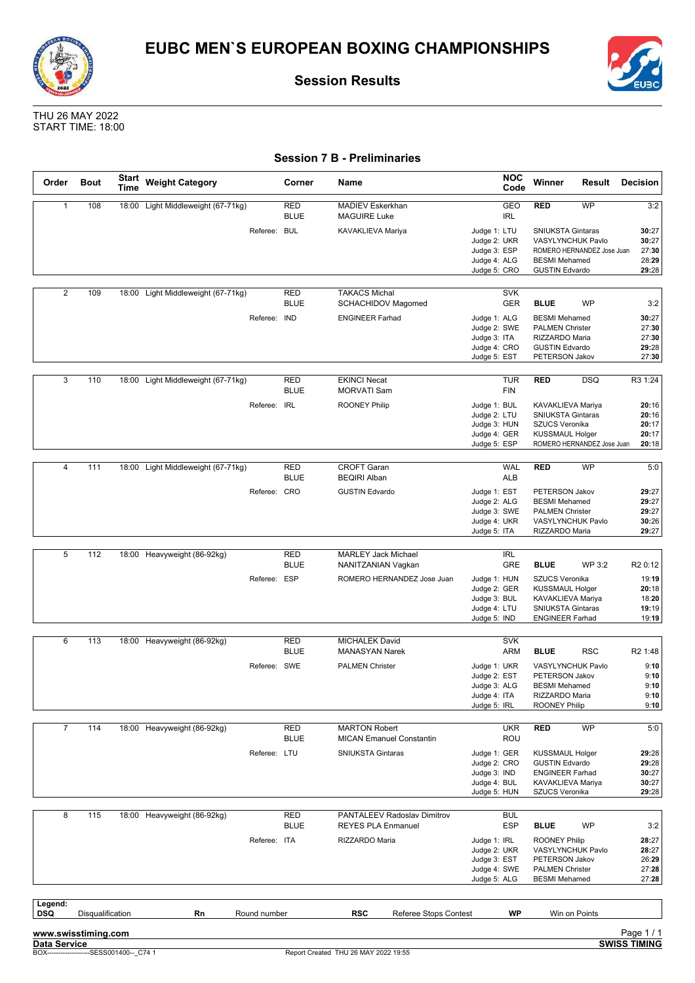![](_page_23_Picture_0.jpeg)

![](_page_23_Picture_1.jpeg)

![](_page_23_Picture_3.jpeg)

### **Session 7 B - Preliminaries**

| Order                 | <b>Bout</b>      | <b>Start</b><br>Time | <b>Weight Category</b>             |              | Corner                    | Name                                                     | <b>NOC</b><br>Code                           | Winner                                             | Result                                                 | <b>Decision</b>         |
|-----------------------|------------------|----------------------|------------------------------------|--------------|---------------------------|----------------------------------------------------------|----------------------------------------------|----------------------------------------------------|--------------------------------------------------------|-------------------------|
| $\mathbf{1}$          | 108              |                      | 18:00 Light Middleweight (67-71kg) |              | <b>RED</b><br><b>BLUE</b> | MADIEV Eskerkhan<br><b>MAGUIRE Luke</b>                  | GEO<br><b>IRL</b>                            | <b>RED</b>                                         | <b>WP</b>                                              | 3:2                     |
|                       |                  |                      |                                    | Referee: BUL |                           | KAVAKLIEVA Mariya                                        | Judge 1: LTU<br>Judge 2: UKR<br>Judge 3: ESP | <b>SNIUKSTA Gintaras</b>                           | <b>VASYLYNCHUK Pavlo</b><br>ROMERO HERNANDEZ Jose Juan | 30:27<br>30:27<br>27:30 |
|                       |                  |                      |                                    |              |                           |                                                          | Judge 4: ALG<br>Judge 5: CRO                 | <b>BESMI</b> Mehamed<br><b>GUSTIN Edvardo</b>      |                                                        | 28:29<br>29:28          |
| $\overline{2}$        | 109              | 18:00                | Light Middleweight (67-71kg)       |              | <b>RED</b>                | <b>TAKACS Michal</b>                                     | <b>SVK</b>                                   |                                                    |                                                        |                         |
|                       |                  |                      |                                    |              | <b>BLUE</b>               | <b>SCHACHIDOV Magomed</b>                                | <b>GER</b>                                   | <b>BLUE</b>                                        | <b>WP</b>                                              | 3:2                     |
|                       |                  |                      |                                    | Referee: IND |                           | <b>ENGINEER Farhad</b>                                   | Judge 1: ALG                                 | <b>BESMI</b> Mehamed                               |                                                        | 30:27                   |
|                       |                  |                      |                                    |              |                           |                                                          | Judge 2: SWE                                 | <b>PALMEN Christer</b>                             |                                                        | 27:30                   |
|                       |                  |                      |                                    |              |                           |                                                          | Judge 3: ITA<br>Judge 4: CRO                 | RIZZARDO Maria<br><b>GUSTIN Edvardo</b>            |                                                        | 27:30<br>29:28          |
|                       |                  |                      |                                    |              |                           |                                                          | Judge 5: EST                                 | PETERSON Jakov                                     |                                                        | 27:30                   |
| 3                     | 110              | 18:00                | Light Middleweight (67-71kg)       |              | <b>RED</b>                | <b>EKINCI Necat</b>                                      | <b>TUR</b>                                   | <b>RED</b>                                         | <b>DSQ</b>                                             | R3 1:24                 |
|                       |                  |                      |                                    |              | <b>BLUE</b>               | <b>MORVATI Sam</b>                                       | <b>FIN</b>                                   |                                                    |                                                        |                         |
|                       |                  |                      |                                    | Referee: IRL |                           | <b>ROONEY Philip</b>                                     | Judge 1: BUL<br>Judge 2: LTU                 | KAVAKLIEVA Mariya<br>SNIUKSTA Gintaras             |                                                        | 20:16<br>20:16          |
|                       |                  |                      |                                    |              |                           |                                                          | Judge 3: HUN                                 | <b>SZUCS Veronika</b>                              |                                                        | 20:17                   |
|                       |                  |                      |                                    |              |                           |                                                          | Judge 4: GER                                 | <b>KUSSMAUL Holger</b>                             |                                                        | 20:17                   |
|                       |                  |                      |                                    |              |                           |                                                          | Judge 5: ESP                                 |                                                    | ROMERO HERNANDEZ Jose Juan                             | 20:18                   |
| $\overline{4}$        | 111              | 18:00                | Light Middleweight (67-71kg)       |              | <b>RED</b>                | <b>CROFT Garan</b>                                       | <b>WAL</b>                                   | <b>RED</b>                                         | WP                                                     | 5:0                     |
|                       |                  |                      |                                    |              | <b>BLUE</b>               | <b>BEQIRI Alban</b>                                      | ALB                                          |                                                    |                                                        |                         |
|                       |                  |                      |                                    | Referee: CRO |                           | <b>GUSTIN Edvardo</b>                                    | Judge 1: EST                                 | PETERSON Jakov                                     |                                                        | 29:27                   |
|                       |                  |                      |                                    |              |                           |                                                          | Judge 2: ALG                                 | <b>BESMI</b> Mehamed                               |                                                        | 29:27                   |
|                       |                  |                      |                                    |              |                           |                                                          | Judge 3: SWE<br>Judge 4: UKR                 | <b>PALMEN Christer</b>                             | VASYLYNCHUK Pavlo                                      | 29:27<br>30:26          |
|                       |                  |                      |                                    |              |                           |                                                          | Judge 5: ITA                                 | RIZZARDO Maria                                     |                                                        | 29:27                   |
|                       |                  |                      |                                    |              |                           |                                                          |                                              |                                                    |                                                        |                         |
| 5                     | 112              |                      | 18:00 Heavyweight (86-92kg)        |              | <b>RED</b><br><b>BLUE</b> | <b>MARLEY Jack Michael</b><br>NANITZANIAN Vagkan         | IRL<br><b>GRE</b>                            | <b>BLUE</b>                                        | WP 3:2                                                 | R <sub>2</sub> 0:12     |
|                       |                  |                      |                                    | Referee: ESP |                           | ROMERO HERNANDEZ Jose Juan                               | Judge 1: HUN                                 | <b>SZUCS Veronika</b>                              |                                                        | 19:19                   |
|                       |                  |                      |                                    |              |                           |                                                          | Judge 2: GER                                 | <b>KUSSMAUL Holger</b>                             |                                                        | 20:18                   |
|                       |                  |                      |                                    |              |                           |                                                          | Judge 3: BUL                                 | KAVAKLIEVA Mariya                                  |                                                        | 18:20                   |
|                       |                  |                      |                                    |              |                           |                                                          | Judge 4: LTU<br>Judge 5: IND                 | <b>SNIUKSTA Gintaras</b><br><b>ENGINEER Farhad</b> |                                                        | 19:19<br>19:19          |
|                       |                  |                      |                                    |              |                           |                                                          |                                              |                                                    |                                                        |                         |
| 6                     | 113              | 18:00                | Heavyweight (86-92kg)              |              | <b>RED</b>                | <b>MICHALEK David</b>                                    | <b>SVK</b>                                   |                                                    |                                                        |                         |
|                       |                  |                      |                                    |              | <b>BLUE</b>               | <b>MANASYAN Narek</b>                                    | <b>ARM</b>                                   | <b>BLUE</b>                                        | <b>RSC</b>                                             | R <sub>2</sub> 1:48     |
|                       |                  |                      |                                    | Referee: SWE |                           | <b>PALMEN Christer</b>                                   | Judge 1: UKR<br>Judge 2: EST                 | PETERSON Jakov                                     | VASYLYNCHUK Pavlo                                      | 9:10<br>9:10            |
|                       |                  |                      |                                    |              |                           |                                                          | Judge 3: ALG                                 | <b>BESMI</b> Mehamed                               |                                                        | 9:10                    |
|                       |                  |                      |                                    |              |                           |                                                          | Judge 4: ITA                                 | RIZZARDO Maria                                     |                                                        | 9:10                    |
|                       |                  |                      |                                    |              |                           |                                                          | Judge 5: IRL                                 | <b>ROONEY Philip</b>                               |                                                        | 9:10                    |
| $\overline{7}$        | 114              |                      | 18:00 Heavyweight (86-92kg)        |              | <b>RED</b>                | <b>MARTON Robert</b>                                     | <b>UKR</b>                                   | <b>RED</b>                                         | WP                                                     | 5:0                     |
|                       |                  |                      |                                    |              | <b>BLUE</b>               | <b>MICAN Emanuel Constantin</b>                          | ROU                                          |                                                    |                                                        |                         |
|                       |                  |                      |                                    | Referee: LTU |                           | <b>SNIUKSTA Gintaras</b>                                 | Judge 1: GER                                 | <b>KUSSMAUL Holger</b>                             |                                                        | 29:28                   |
|                       |                  |                      |                                    |              |                           |                                                          | Judge 2: CRO                                 | <b>GUSTIN Edvardo</b>                              |                                                        | 29:28                   |
|                       |                  |                      |                                    |              |                           |                                                          | Judge 3: IND<br>Judge 4: BUL                 | <b>ENGINEER Farhad</b><br>KAVAKLIEVA Mariya        |                                                        | 30:27<br>30:27          |
|                       |                  |                      |                                    |              |                           |                                                          | Judge 5: HUN                                 | SZUCS Veronika                                     |                                                        | 29:28                   |
|                       |                  |                      |                                    |              |                           |                                                          |                                              |                                                    |                                                        |                         |
| 8                     | 115              |                      | 18:00 Heavyweight (86-92kg)        |              | <b>RED</b><br><b>BLUE</b> | PANTALEEV Radoslav Dimitrov<br><b>REYES PLA Enmanuel</b> | <b>BUL</b><br><b>ESP</b>                     | <b>BLUE</b>                                        | <b>WP</b>                                              | 3:2                     |
|                       |                  |                      |                                    | Referee: ITA |                           | RIZZARDO Maria                                           | Judge 1: IRL                                 | <b>ROONEY Philip</b>                               |                                                        | 28:27                   |
|                       |                  |                      |                                    |              |                           |                                                          | Judge 2: UKR                                 |                                                    | VASYLYNCHUK Pavlo                                      | 28:27                   |
|                       |                  |                      |                                    |              |                           |                                                          | Judge 3: EST<br>Judge 4: SWE                 | PETERSON Jakov<br><b>PALMEN Christer</b>           |                                                        | 26:29<br>27:28          |
|                       |                  |                      |                                    |              |                           |                                                          | Judge 5: ALG                                 | <b>BESMI</b> Mehamed                               |                                                        | 27:28                   |
|                       |                  |                      |                                    |              |                           |                                                          |                                              |                                                    |                                                        |                         |
| Legend:<br><b>DSQ</b> | Disqualification |                      | Rn                                 | Round number |                           | <b>RSC</b><br>Referee Stops Contest                      | <b>WP</b>                                    |                                                    | Win on Points                                          |                         |
| www.swisstiming.com   |                  |                      |                                    |              |                           |                                                          |                                              |                                                    |                                                        | Page 1/1                |
| Data Service          |                  |                      |                                    |              |                           |                                                          |                                              |                                                    |                                                        | <b>SWISS TIMING</b>     |

![](_page_23_Picture_9.jpeg)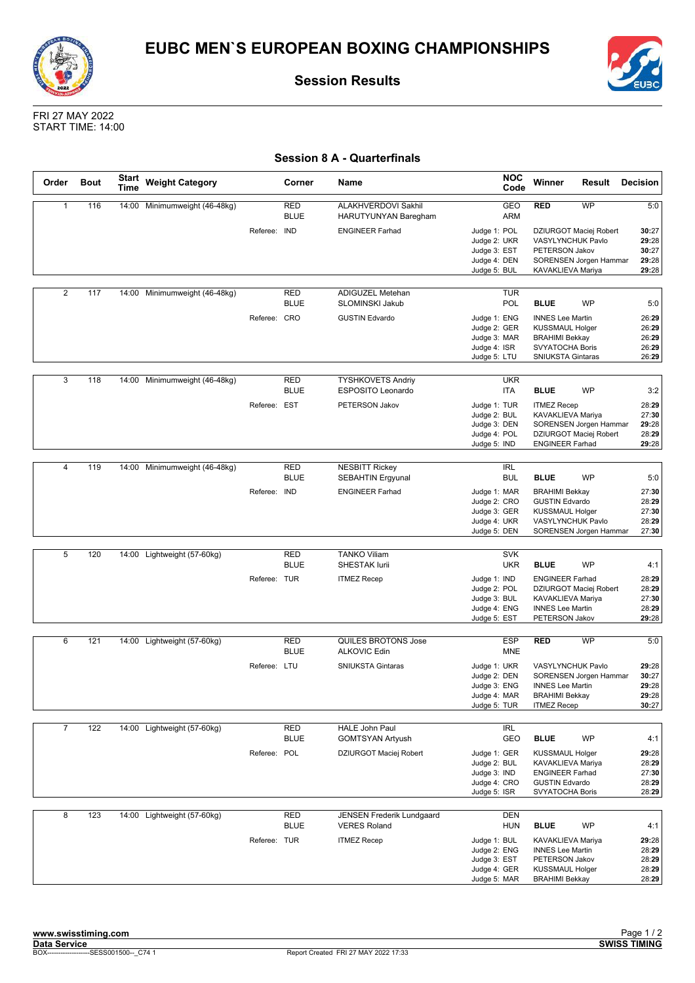![](_page_24_Picture_0.jpeg)

![](_page_24_Picture_2.jpeg)

FRI 27 MAY 2022 START TIME: 14:00

### **Session 8 A - Quarterfinals**

| Order          | <b>Bout</b> | <b>Start</b><br>Time | <b>Weight Category</b>        |              | Corner                    | Name                                               | <b>NOC</b><br>Code                           | Winner                                             | Result                                           | <b>Decision</b>         |
|----------------|-------------|----------------------|-------------------------------|--------------|---------------------------|----------------------------------------------------|----------------------------------------------|----------------------------------------------------|--------------------------------------------------|-------------------------|
| $\mathbf{1}$   | 116         | 14:00                | Minimumweight (46-48kg)       |              | <b>RED</b><br><b>BLUE</b> | ALAKHVERDOVI Sakhil<br>HARUTYUNYAN Baregham        | GEO<br><b>ARM</b>                            | <b>RED</b>                                         | <b>WP</b>                                        | 5:0                     |
|                |             |                      |                               | Referee: IND |                           | <b>ENGINEER Farhad</b>                             | Judge 1: POL<br>Judge 2: UKR<br>Judge 3: EST | VASYLYNCHUK Pavlo<br>PETERSON Jakov                | DZIURGOT Maciej Robert                           | 30:27<br>29:28<br>30:27 |
|                |             |                      |                               |              |                           |                                                    | Judge 4: DEN<br>Judge 5: BUL                 | KAVAKLIEVA Mariya                                  | SORENSEN Jorgen Hammar                           | 29:28<br>29:28          |
| $\overline{2}$ | 117         |                      | 14:00 Minimumweight (46-48kg) |              | <b>RED</b>                | ADIGUZEL Metehan                                   | <b>TUR</b>                                   |                                                    |                                                  |                         |
|                |             |                      |                               | Referee: CRO | <b>BLUE</b>               | SLOMINSKI Jakub<br><b>GUSTIN Edvardo</b>           | POL<br>Judge 1: ENG                          | <b>BLUE</b><br><b>INNES Lee Martin</b>             | <b>WP</b>                                        | 5:0<br>26:29            |
|                |             |                      |                               |              |                           |                                                    | Judge 2: GER<br>Judge 3: MAR                 | <b>KUSSMAUL Holger</b><br><b>BRAHIMI Bekkay</b>    |                                                  | 26:29<br>26:29          |
|                |             |                      |                               |              |                           |                                                    | Judge 4: ISR<br>Judge 5: LTU                 | SVYATOCHA Boris<br><b>SNIUKSTA Gintaras</b>        |                                                  | 26:29<br>26:29          |
| $\overline{3}$ | 118         | 14:00                | Minimumweight (46-48kg)       |              | <b>RED</b>                | <b>TYSHKOVETS Andriy</b>                           | <b>UKR</b>                                   |                                                    |                                                  |                         |
|                |             |                      |                               |              | <b>BLUE</b>               | ESPOSITO Leonardo                                  | ITA                                          | <b>BLUE</b>                                        | WP                                               | 3:2                     |
|                |             |                      |                               | Referee: EST |                           | PETERSON Jakov                                     | Judge 1: TUR<br>Judge 2: BUL                 | <b>ITMEZ Recep</b><br>KAVAKLIEVA Mariya            |                                                  | 28:29<br>27:30          |
|                |             |                      |                               |              |                           |                                                    | Judge 3: DEN<br>Judge 4: POL                 |                                                    | SORENSEN Jorgen Hammar<br>DZIURGOT Maciej Robert | 29:28<br>28:29          |
|                |             |                      |                               |              |                           |                                                    | Judge 5: IND                                 | <b>ENGINEER Farhad</b>                             |                                                  | 29:28                   |
| $\overline{4}$ | 119         |                      | 14:00 Minimumweight (46-48kg) |              | <b>RED</b>                | <b>NESBITT Rickey</b>                              | <b>IRL</b>                                   |                                                    |                                                  |                         |
|                |             |                      |                               | Referee: IND | <b>BLUE</b>               | <b>SEBAHTIN Ergyunal</b><br><b>ENGINEER Farhad</b> | <b>BUL</b><br>Judge 1: MAR                   | <b>BLUE</b><br><b>BRAHIMI Bekkay</b>               | <b>WP</b>                                        | 5:0<br>27:30            |
|                |             |                      |                               |              |                           |                                                    | Judge 2: CRO<br>Judge 3: GER                 | <b>GUSTIN Edvardo</b><br><b>KUSSMAUL Holger</b>    |                                                  | 28:29<br>27:30          |
|                |             |                      |                               |              |                           |                                                    | Judge 4: UKR<br>Judge 5: DEN                 | VASYLYNCHUK Pavlo                                  | SORENSEN Jorgen Hammar                           | 28:29<br>27:30          |
|                |             |                      |                               |              |                           |                                                    |                                              |                                                    |                                                  |                         |
| 5              | 120         |                      | 14:00 Lightweight (57-60kg)   |              | <b>RED</b><br><b>BLUE</b> | <b>TANKO Viliam</b><br><b>SHESTAK lurii</b>        | <b>SVK</b><br><b>UKR</b>                     | <b>BLUE</b>                                        | <b>WP</b>                                        | 4:1                     |
|                |             |                      |                               | Referee: TUR |                           | <b>ITMEZ Recep</b>                                 | Judge 1: IND<br>Judge 2: POL                 | <b>ENGINEER Farhad</b>                             | DZIURGOT Maciej Robert                           | 28:29<br>28:29          |
|                |             |                      |                               |              |                           |                                                    | Judge 3: BUL                                 | KAVAKLIEVA Mariya                                  |                                                  | 27:30                   |
|                |             |                      |                               |              |                           |                                                    | Judge 4: ENG<br>Judge 5: EST                 | <b>INNES Lee Martin</b><br>PETERSON Jakov          |                                                  | 28:29<br>29:28          |
| 6              | 121         | 14:00                | Lightweight (57-60kg)         |              | <b>RED</b>                | QUILES BROTONS Jose                                | <b>ESP</b>                                   | RED                                                | WP                                               | 5:0                     |
|                |             |                      |                               |              | <b>BLUE</b>               | <b>ALKOVIC Edin</b>                                | <b>MNE</b>                                   |                                                    |                                                  |                         |
|                |             |                      |                               | Referee: LTU |                           | <b>SNIUKSTA Gintaras</b>                           | Judge 1: UKR<br>Judge 2: DEN                 | VASYLYNCHUK Pavlo                                  | SORENSEN Jorgen Hammar                           | 29:28<br>30:27          |
|                |             |                      |                               |              |                           |                                                    | Judge 3: ENG<br>Judge 4: MAR                 | <b>INNES Lee Martin</b><br><b>BRAHIMI Bekkay</b>   |                                                  | 29:28<br>29:28          |
|                |             |                      |                               |              |                           |                                                    | Judge 5: TUR                                 | <b>ITMEZ Recep</b>                                 |                                                  | 30:27                   |
| $\overline{7}$ | 122         |                      | 14:00 Lightweight (57-60kg)   |              | RED<br><b>BLUE</b>        | HALE John Paul<br><b>GOMTSYAN Artyush</b>          | IRL<br>GEO                                   | <b>BLUE</b>                                        | WP                                               | 4:1                     |
|                |             |                      |                               | Referee: POL |                           | DZIURGOT Maciej Robert                             | Judge 1: GER                                 | <b>KUSSMAUL Holger</b>                             |                                                  | 29:28                   |
|                |             |                      |                               |              |                           |                                                    | Judge 2: BUL<br>Judge 3: IND                 | <b>KAVAKLIEVA Mariya</b><br><b>ENGINEER Farhad</b> |                                                  | 28:29<br>27:30          |
|                |             |                      |                               |              |                           |                                                    | Judge 4: CRO<br>Judge 5: ISR                 | <b>GUSTIN Edvardo</b><br>SVYATOCHA Boris           |                                                  | 28:29<br>28:29          |
| 8              | 123         |                      | 14:00 Lightweight (57-60kg)   |              | <b>RED</b>                | <b>JENSEN Frederik Lundgaard</b>                   | <b>DEN</b>                                   |                                                    |                                                  |                         |
|                |             |                      |                               | Referee: TUR | <b>BLUE</b>               | <b>VERES Roland</b><br><b>ITMEZ Recep</b>          | <b>HUN</b><br>Judge 1: BUL                   | <b>BLUE</b><br>KAVAKLIEVA Mariya                   | <b>WP</b>                                        | 4:1<br>29:28            |
|                |             |                      |                               |              |                           |                                                    | Judge 2: ENG<br>Judge 3: EST                 | <b>INNES Lee Martin</b><br>PETERSON Jakov          |                                                  | 28:29<br>28:29          |
|                |             |                      |                               |              |                           |                                                    | Judge 4: GER                                 | <b>KUSSMAUL Holger</b>                             |                                                  | 28:29                   |
|                |             |                      |                               |              |                           |                                                    | Judge 5: MAR                                 | <b>BRAHIMI Bekkay</b>                              |                                                  | 28:29                   |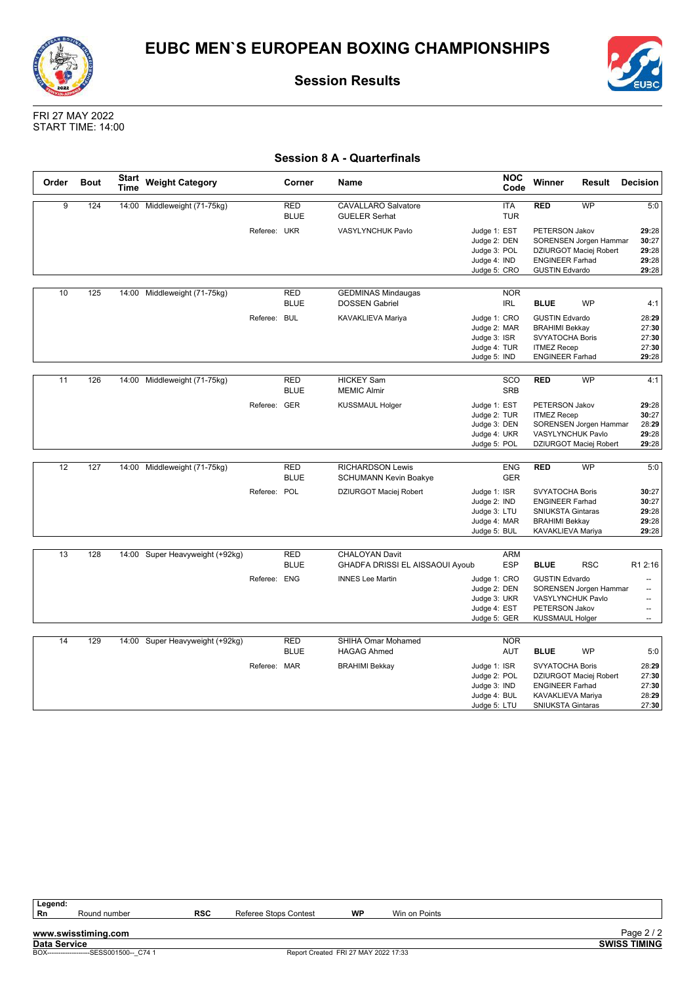![](_page_25_Picture_0.jpeg)

![](_page_25_Picture_3.jpeg)

#### **Session 8 A - Quarterfinals**

| Order | <b>Bout</b> | <b>Start</b><br><b>Time</b> | <b>Weight Category</b>          |              | Corner                    | Name                                               |                              | <b>NOC</b><br>Code       | Winner                   | Result                 | <b>Decision</b>          |
|-------|-------------|-----------------------------|---------------------------------|--------------|---------------------------|----------------------------------------------------|------------------------------|--------------------------|--------------------------|------------------------|--------------------------|
| 9     | 124         | 14:00                       | Middleweight (71-75kg)          |              | <b>RED</b><br><b>BLUE</b> | <b>CAVALLARO Salvatore</b><br><b>GUELER Serhat</b> |                              | <b>ITA</b><br><b>TUR</b> | <b>RED</b>               | <b>WP</b>              | 5:0                      |
|       |             |                             |                                 | Referee: UKR |                           | VASYLYNCHUK Pavlo                                  | Judge 1: EST<br>Judge 2: DEN |                          | PETERSON Jakov           | SORENSEN Jorgen Hammar | 29:28<br>30:27           |
|       |             |                             |                                 |              |                           |                                                    | Judge 3: POL                 |                          |                          | DZIURGOT Maciej Robert | 29:28                    |
|       |             |                             |                                 |              |                           |                                                    | Judge 4: IND                 |                          | <b>ENGINEER Farhad</b>   |                        | 29:28                    |
|       |             |                             |                                 |              |                           |                                                    | Judge 5: CRO                 |                          | <b>GUSTIN Edvardo</b>    |                        | 29:28                    |
| 10    | 125         | 14:00                       | Middleweight (71-75kg)          |              | <b>RED</b>                | <b>GEDMINAS Mindaugas</b>                          |                              | <b>NOR</b>               |                          |                        |                          |
|       |             |                             |                                 |              | <b>BLUE</b>               | <b>DOSSEN Gabriel</b>                              |                              | <b>IRL</b>               | <b>BLUE</b>              | <b>WP</b>              | 4:1                      |
|       |             |                             |                                 | Referee: BUL |                           | KAVAKLIEVA Mariya                                  | Judge 1: CRO                 |                          | <b>GUSTIN Edvardo</b>    |                        | 28:29                    |
|       |             |                             |                                 |              |                           |                                                    | Judge 2: MAR                 |                          | <b>BRAHIMI Bekkay</b>    |                        | 27:30                    |
|       |             |                             |                                 |              |                           |                                                    | Judge 3: ISR                 |                          | SVYATOCHA Boris          |                        | 27:30                    |
|       |             |                             |                                 |              |                           |                                                    | Judge 4: TUR                 |                          | <b>ITMEZ Recep</b>       |                        | 27:30<br>29:28           |
|       |             |                             |                                 |              |                           |                                                    | Judge 5: IND                 |                          | <b>ENGINEER Farhad</b>   |                        |                          |
| 11    | 126         | 14:00                       | Middleweight (71-75kg)          |              | <b>RED</b>                | <b>HICKEY Sam</b>                                  |                              | SCO                      | <b>RED</b>               | <b>WP</b>              | 4:1                      |
|       |             |                             |                                 |              | <b>BLUE</b>               | <b>MEMIC Almir</b>                                 |                              | <b>SRB</b>               |                          |                        |                          |
|       |             |                             |                                 |              |                           |                                                    |                              |                          |                          |                        |                          |
|       |             |                             |                                 | Referee: GER |                           | <b>KUSSMAUL Holger</b>                             | Judge 1: EST                 |                          | PETERSON Jakov           |                        | 29:28                    |
|       |             |                             |                                 |              |                           |                                                    | Judge 2: TUR<br>Judge 3: DEN |                          | <b>ITMEZ Recep</b>       | SORENSEN Jorgen Hammar | 30:27<br>28:29           |
|       |             |                             |                                 |              |                           |                                                    | Judge 4: UKR                 |                          | VASYLYNCHUK Pavlo        |                        | 29:28                    |
|       |             |                             |                                 |              |                           |                                                    | Judge 5: POL                 |                          |                          | DZIURGOT Maciej Robert | 29:28                    |
|       |             |                             |                                 |              |                           |                                                    |                              |                          |                          |                        |                          |
| 12    | 127         |                             | 14:00 Middleweight (71-75kg)    |              | <b>RED</b>                | <b>RICHARDSON Lewis</b>                            |                              | <b>ENG</b>               | <b>RED</b>               | <b>WP</b>              | 5:0                      |
|       |             |                             |                                 |              | <b>BLUE</b>               | <b>SCHUMANN Kevin Boakye</b>                       |                              | <b>GER</b>               |                          |                        |                          |
|       |             |                             |                                 | Referee: POL |                           | DZIURGOT Maciej Robert                             | Judge 1: ISR                 |                          | <b>SVYATOCHA Boris</b>   |                        | 30:27                    |
|       |             |                             |                                 |              |                           |                                                    | Judge 2: IND                 |                          | <b>ENGINEER Farhad</b>   |                        | 30:27                    |
|       |             |                             |                                 |              |                           |                                                    | Judge 3: LTU                 |                          | <b>SNIUKSTA Gintaras</b> |                        | 29:28                    |
|       |             |                             |                                 |              |                           |                                                    | Judge 4: MAR                 |                          | <b>BRAHIMI Bekkay</b>    |                        | 29:28                    |
|       |             |                             |                                 |              |                           |                                                    | Judge 5: BUL                 |                          | KAVAKLIEVA Mariya        |                        | 29:28                    |
|       |             |                             |                                 |              |                           |                                                    |                              |                          |                          |                        |                          |
| 13    | 128         |                             | 14:00 Super Heavyweight (+92kg) |              | <b>RED</b>                | <b>CHALOYAN Davit</b>                              |                              | <b>ARM</b>               |                          |                        |                          |
|       |             |                             |                                 |              | <b>BLUE</b>               | GHADFA DRISSI EL AISSAOUI Ayoub                    |                              | <b>ESP</b>               | <b>BLUE</b>              | <b>RSC</b>             | R1 2:16                  |
|       |             |                             |                                 | Referee: ENG |                           | <b>INNES Lee Martin</b>                            | Judge 1: CRO                 |                          | <b>GUSTIN Edvardo</b>    |                        | --                       |
|       |             |                             |                                 |              |                           |                                                    | Judge 2: DEN                 |                          |                          | SORENSEN Jorgen Hammar | ш,                       |
|       |             |                             |                                 |              |                           |                                                    | Judge 3: UKR                 |                          | VASYLYNCHUK Pavlo        |                        | --                       |
|       |             |                             |                                 |              |                           |                                                    | Judge 4: EST                 |                          | PETERSON Jakov           |                        | --                       |
|       |             |                             |                                 |              |                           |                                                    | Judge 5: GER                 |                          | <b>KUSSMAUL Holger</b>   |                        | $\overline{\phantom{a}}$ |
|       |             |                             |                                 |              |                           |                                                    |                              |                          |                          |                        |                          |
| 14    | 129         |                             | 14:00 Super Heavyweight (+92kg) |              | <b>RED</b><br><b>BLUE</b> | SHIHA Omar Mohamed<br><b>HAGAG Ahmed</b>           |                              | <b>NOR</b><br>AUT        | <b>BLUE</b>              | <b>WP</b>              | 5:0                      |
|       |             |                             |                                 |              |                           |                                                    |                              |                          |                          |                        |                          |
|       |             |                             |                                 | Referee: MAR |                           | <b>BRAHIMI Bekkay</b>                              | Judge 1: ISR                 |                          | <b>SVYATOCHA Boris</b>   |                        | 28:29                    |
|       |             |                             |                                 |              |                           |                                                    | Judge 2: POL<br>Judge 3: IND |                          | <b>ENGINEER Farhad</b>   | DZIURGOT Maciej Robert | 27:30<br>27:30           |
|       |             |                             |                                 |              |                           |                                                    | Judge 4: BUL                 |                          | KAVAKLIEVA Mariya        |                        | 28:29                    |
|       |             |                             |                                 |              |                           |                                                    | Judge 5: LTU                 |                          | <b>SNIUKSTA Gintaras</b> |                        | 27:30                    |

![](_page_25_Picture_10.jpeg)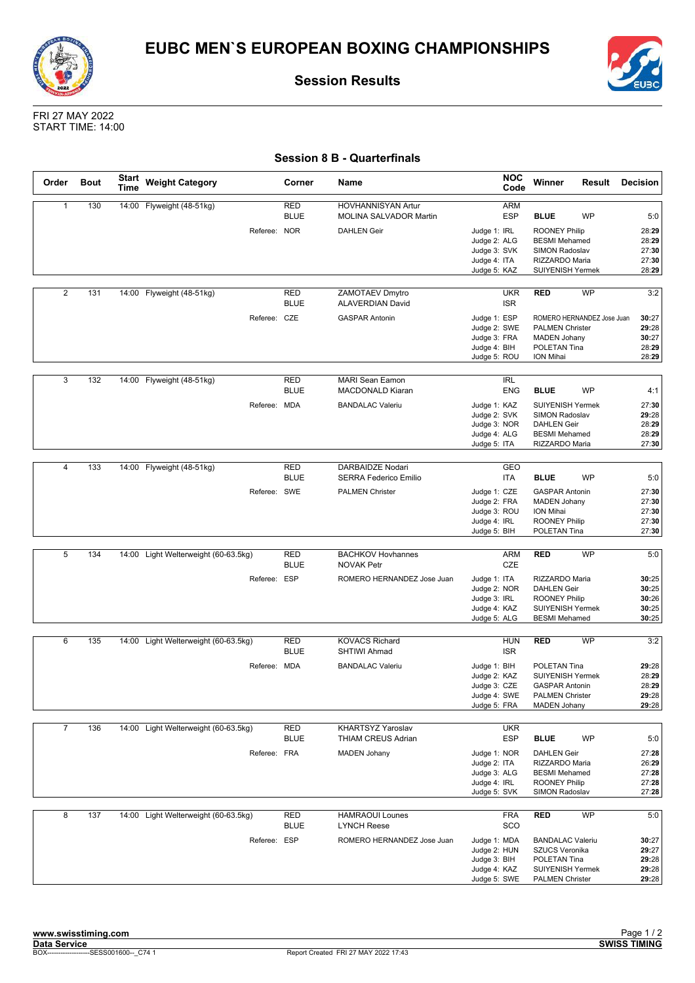![](_page_26_Picture_0.jpeg)

![](_page_26_Picture_3.jpeg)

FRI 27 MAY 2022 START TIME: 14:00

### **Session 8 B - Quarterfinals**

| Order          | <b>Bout</b> | <b>Start</b><br>Time | <b>Weight Category</b>               | Corner                    | Name                                              | <b>NOC</b><br>Code                                                           | Winner                                                                                                             | Result                     | <b>Decision</b>                           |
|----------------|-------------|----------------------|--------------------------------------|---------------------------|---------------------------------------------------|------------------------------------------------------------------------------|--------------------------------------------------------------------------------------------------------------------|----------------------------|-------------------------------------------|
| $\mathbf{1}$   | 130         |                      | 14:00 Flyweight (48-51kg)            | <b>RED</b><br><b>BLUE</b> | HOVHANNISYAN Artur<br>MOLINA SALVADOR Martin      | ARM<br><b>ESP</b>                                                            | <b>BLUE</b>                                                                                                        | WP                         | 5:0                                       |
|                |             |                      | Referee: NOR                         |                           | <b>DAHLEN Geir</b>                                | Judge 1: IRL<br>Judge 2: ALG<br>Judge 3: SVK<br>Judge 4: ITA<br>Judge 5: KAZ | <b>ROONEY Philip</b><br><b>BESMI</b> Mehamed<br><b>SIMON Radoslav</b><br>RIZZARDO Maria<br><b>SUIYENISH Yermek</b> |                            | 28:29<br>28:29<br>27:30<br>27:30<br>28:29 |
| $\overline{2}$ | 131         |                      | 14:00 Flyweight (48-51kg)            | <b>RED</b><br><b>BLUE</b> | <b>ZAMOTAEV Dmytro</b><br><b>ALAVERDIAN David</b> | <b>UKR</b><br><b>ISR</b>                                                     | <b>RED</b>                                                                                                         | <b>WP</b>                  | 3:2                                       |
|                |             |                      | Referee: CZE                         |                           | <b>GASPAR Antonin</b>                             | Judge 1: ESP<br>Judge 2: SWE<br>Judge 3: FRA<br>Judge 4: BIH<br>Judge 5: ROU | <b>PALMEN Christer</b><br><b>MADEN Johany</b><br>POLETAN Tina<br><b>ION Mihai</b>                                  | ROMERO HERNANDEZ Jose Juan | 30:27<br>29:28<br>30:27<br>28:29<br>28:29 |
| 3              | 132         | 14:00                | Flyweight (48-51kg)                  | <b>RED</b><br><b>BLUE</b> | <b>MARI Sean Eamon</b><br><b>MACDONALD Kiaran</b> | <b>IRL</b><br><b>ENG</b>                                                     | <b>BLUE</b>                                                                                                        | <b>WP</b>                  | 4:1                                       |
|                |             |                      | Referee: MDA                         |                           | <b>BANDALAC Valeriu</b>                           | Judge 1: KAZ<br>Judge 2: SVK<br>Judge 3: NOR<br>Judge 4: ALG<br>Judge 5: ITA | <b>SUIYENISH Yermek</b><br><b>SIMON Radoslav</b><br><b>DAHLEN Geir</b><br><b>BESMI</b> Mehamed<br>RIZZARDO Maria   |                            | 27:30<br>29:28<br>28:29<br>28:29<br>27:30 |
|                |             |                      |                                      |                           |                                                   |                                                                              |                                                                                                                    |                            |                                           |
| $\overline{4}$ | 133         | 14:00                | Flyweight (48-51kg)                  | <b>RED</b><br><b>BLUE</b> | DARBAIDZE Nodari<br><b>SERRA Federico Emilio</b>  | GEO<br>ITA                                                                   | <b>BLUE</b>                                                                                                        | <b>WP</b>                  | 5:0                                       |
|                |             |                      | Referee: SWE                         |                           | <b>PALMEN Christer</b>                            | Judge 1: CZE<br>Judge 2: FRA<br>Judge 3: ROU<br>Judge 4: IRL<br>Judge 5: BIH | <b>GASPAR Antonin</b><br><b>MADEN Johany</b><br>ION Mihai<br><b>ROONEY Philip</b><br>POLETAN Tina                  |                            | 27:30<br>27:30<br>27:30<br>27:30<br>27:30 |
|                |             |                      |                                      |                           |                                                   |                                                                              |                                                                                                                    |                            |                                           |
| 5              | 134         |                      | 14:00 Light Welterweight (60-63.5kg) | <b>RED</b><br><b>BLUE</b> | <b>BACHKOV Hovhannes</b><br><b>NOVAK Petr</b>     | ARM<br>CZE                                                                   | <b>RED</b>                                                                                                         | <b>WP</b>                  | 5:0                                       |
|                |             |                      | Referee: ESP                         |                           | ROMERO HERNANDEZ Jose Juan                        | Judge 1: ITA<br>Judge 2: NOR<br>Judge 3: IRL<br>Judge 4: KAZ<br>Judge 5: ALG | RIZZARDO Maria<br><b>DAHLEN Geir</b><br><b>ROONEY Philip</b><br>SUIYENISH Yermek<br><b>BESMI</b> Mehamed           |                            | 30:25<br>30:25<br>30:26<br>30:25<br>30:25 |
|                |             |                      | 14:00 Light Welterweight (60-63.5kg) |                           |                                                   |                                                                              |                                                                                                                    | <b>WP</b>                  |                                           |
| 6              | 135         |                      |                                      | <b>RED</b><br><b>BLUE</b> | <b>KOVACS Richard</b><br>SHTIWI Ahmad             | <b>HUN</b><br><b>ISR</b>                                                     | <b>RED</b>                                                                                                         |                            | 3:2                                       |
|                |             |                      | Referee: MDA                         |                           | <b>BANDALAC Valeriu</b>                           | Judge 1: BIH<br>Judge 2: KAZ<br>Judge 3: CZE<br>Judge 4: SWE<br>Judge 5: FRA | POLETAN Tina<br><b>SUIYENISH Yermek</b><br><b>GASPAR Antonin</b><br><b>PALMEN Christer</b><br><b>MADEN Johany</b>  |                            | 29:28<br>28:29<br>28:29<br>29:28<br>29:28 |
| $\overline{7}$ | 136         |                      | 14:00 Light Welterweight (60-63.5kg) | RED<br><b>BLUE</b>        | KHARTSYZ Yaroslav<br><b>THIAM CREUS Adrian</b>    | <b>UKR</b><br><b>ESP</b>                                                     | <b>BLUE</b>                                                                                                        | <b>WP</b>                  | 5:0                                       |
|                |             |                      | Referee: FRA                         |                           | <b>MADEN Johany</b>                               | Judge 1: NOR<br>Judge 2: ITA<br>Judge 3: ALG<br>Judge 4: IRL<br>Judge 5: SVK | <b>DAHLEN Geir</b><br>RIZZARDO Maria<br><b>BESMI Mehamed</b><br><b>ROONEY Philip</b><br>SIMON Radoslav             |                            | 27:28<br>26:29<br>27:28<br>27:28<br>27:28 |
| 8              | 137         |                      | 14:00 Light Welterweight (60-63.5kg) | RED<br><b>BLUE</b>        | <b>HAMRAOUI Lounes</b><br><b>LYNCH Reese</b>      | <b>FRA</b><br>SCO                                                            | <b>RED</b>                                                                                                         | WP                         | 5:0                                       |
|                |             |                      | Referee: ESP                         |                           | ROMERO HERNANDEZ Jose Juan                        | Judge 1: MDA<br>Judge 2: HUN<br>Judge 3: BIH<br>Judge 4: KAZ<br>Judge 5: SWE | <b>BANDALAC Valeriu</b><br>SZUCS Veronika<br>POLETAN Tina<br>SUIYENISH Yermek<br><b>PALMEN Christer</b>            |                            | 30:27<br>29:27<br>29:28<br>29:28<br>29:28 |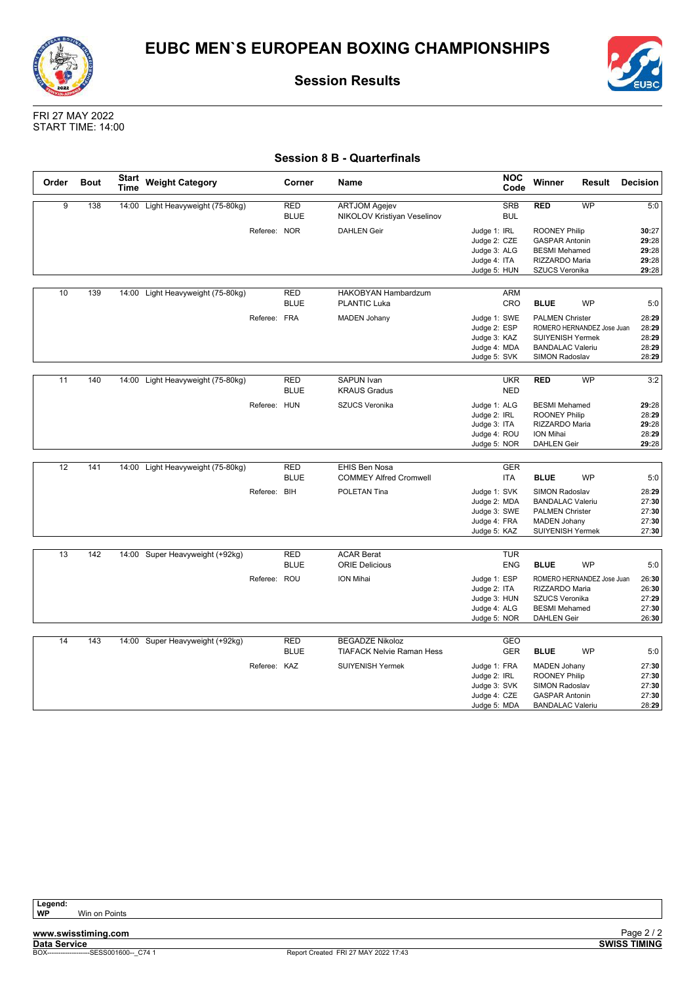![](_page_27_Picture_0.jpeg)

![](_page_27_Picture_1.jpeg)

![](_page_27_Picture_3.jpeg)

FRI 27 MAY 2022 START TIME: 14:00

### **Session 8 B - Quarterfinals**

| Order | <b>Bout</b> | <b>Start</b><br>Time | <b>Weight Category</b>            |              | Corner                    | Name                                                        | <b>NOC</b><br>Code                                                                         | Winner                                                                                                                           | Result    | Decision                                         |
|-------|-------------|----------------------|-----------------------------------|--------------|---------------------------|-------------------------------------------------------------|--------------------------------------------------------------------------------------------|----------------------------------------------------------------------------------------------------------------------------------|-----------|--------------------------------------------------|
| 9     | 138         |                      | 14:00 Light Heavyweight (75-80kg) |              | <b>RED</b><br><b>BLUE</b> | <b>ARTJOM Agejev</b><br>NIKOLOV Kristiyan Veselinov         | <b>SRB</b><br><b>BUL</b>                                                                   | <b>RED</b>                                                                                                                       | WP        | 5:0                                              |
|       |             |                      |                                   | Referee: NOR |                           | <b>DAHLEN Geir</b>                                          | Judge 1: IRL<br>Judge 2: CZE<br>Judge 3: ALG<br>Judge 4: ITA<br>Judge 5: HUN               | <b>ROONEY Philip</b><br><b>GASPAR Antonin</b><br><b>BESMI</b> Mehamed<br>RIZZARDO Maria<br>SZUCS Veronika                        |           | 30:27<br>29:28<br>29:28<br>29:28<br>29:28        |
| 10    | 139         |                      | 14:00 Light Heavyweight (75-80kg) |              | RED<br><b>BLUE</b>        | HAKOBYAN Hambardzum<br><b>PLANTIC Luka</b>                  | ARM<br>CRO                                                                                 | <b>BLUE</b>                                                                                                                      | <b>WP</b> | 5:0                                              |
|       |             |                      |                                   | Referee: FRA |                           | <b>MADEN Johany</b>                                         | Judge 1: SWE<br>Judge 2: ESP<br>Judge 3: KAZ<br>Judge 4: MDA<br>Judge 5: SVK               | <b>PALMEN Christer</b><br>ROMERO HERNANDEZ Jose Juan<br>SUIYENISH Yermek<br><b>BANDALAC Valeriu</b><br>SIMON Radoslav            |           | 28:29<br>28:29<br>28:29<br>28:29<br>28:29        |
| 11    | 140         |                      | 14:00 Light Heavyweight (75-80kg) |              | <b>RED</b><br><b>BLUE</b> | <b>SAPUN Ivan</b><br><b>KRAUS Gradus</b>                    | <b>UKR</b><br><b>NED</b>                                                                   | <b>RED</b>                                                                                                                       | <b>WP</b> | 3:2                                              |
|       |             |                      |                                   | Referee: HUN |                           | SZUCS Veronika                                              | Judge 1: ALG<br>Judge 2: IRL<br>Judge 3: ITA<br>Judge 4: ROU<br>Judge 5: NOR               | <b>BESMI</b> Mehamed<br><b>ROONEY Philip</b><br>RIZZARDO Maria<br><b>ION Mihai</b><br><b>DAHLEN Geir</b>                         |           | 29:28<br>28:29<br>29:28<br>28:29<br>29:28        |
| 12    | 141         |                      | 14:00 Light Heavyweight (75-80kg) |              | <b>RED</b>                | EHIS Ben Nosa                                               | <b>GER</b>                                                                                 |                                                                                                                                  |           |                                                  |
|       |             |                      |                                   | Referee: BIH | <b>BLUE</b>               | <b>COMMEY Alfred Cromwell</b><br>POLETAN Tina               | ITA<br>Judge 1: SVK<br>Judge 2: MDA<br>Judge 3: SWE<br>Judge 4: FRA<br>Judge 5: KAZ        | <b>BLUE</b><br>SIMON Radoslav<br><b>BANDALAC Valeriu</b><br><b>PALMEN Christer</b><br><b>MADEN Johany</b><br>SUIYENISH Yermek    | <b>WP</b> | 5:0<br>28:29<br>27:30<br>27:30<br>27:30<br>27:30 |
| 13    | 142         |                      | 14:00 Super Heavyweight (+92kg)   |              | <b>RED</b>                | <b>ACAR Berat</b>                                           | <b>TUR</b>                                                                                 |                                                                                                                                  |           |                                                  |
|       |             |                      |                                   | Referee: ROU | <b>BLUE</b>               | <b>ORIE Delicious</b><br><b>ION Mihai</b>                   | <b>ENG</b><br>Judge 1: ESP<br>Judge 2: ITA<br>Judge 3: HUN<br>Judge 4: ALG<br>Judge 5: NOR | <b>BLUE</b><br>ROMERO HERNANDEZ Jose Juan<br>RIZZARDO Maria<br>SZUCS Veronika<br><b>BESMI</b> Mehamed<br><b>DAHLEN Geir</b>      | <b>WP</b> | 5:0<br>26:30<br>26:30<br>27:29<br>27:30<br>26:30 |
| 14    | 143         |                      | 14:00 Super Heavyweight (+92kg)   |              | <b>RED</b>                | <b>BEGADZE Nikoloz</b>                                      | GEO                                                                                        |                                                                                                                                  |           |                                                  |
|       |             |                      |                                   | Referee: KAZ | <b>BLUE</b>               | <b>TIAFACK Nelvie Raman Hess</b><br><b>SUIYENISH Yermek</b> | <b>GER</b><br>Judge 1: FRA<br>Judge 2: IRL<br>Judge 3: SVK<br>Judge 4: CZE<br>Judge 5: MDA | <b>BLUE</b><br><b>MADEN Johany</b><br><b>ROONEY Philip</b><br>SIMON Radoslav<br><b>GASPAR Antonin</b><br><b>BANDALAC Valeriu</b> | <b>WP</b> | 5:0<br>27:30<br>27:30<br>27:30<br>27:30<br>28:29 |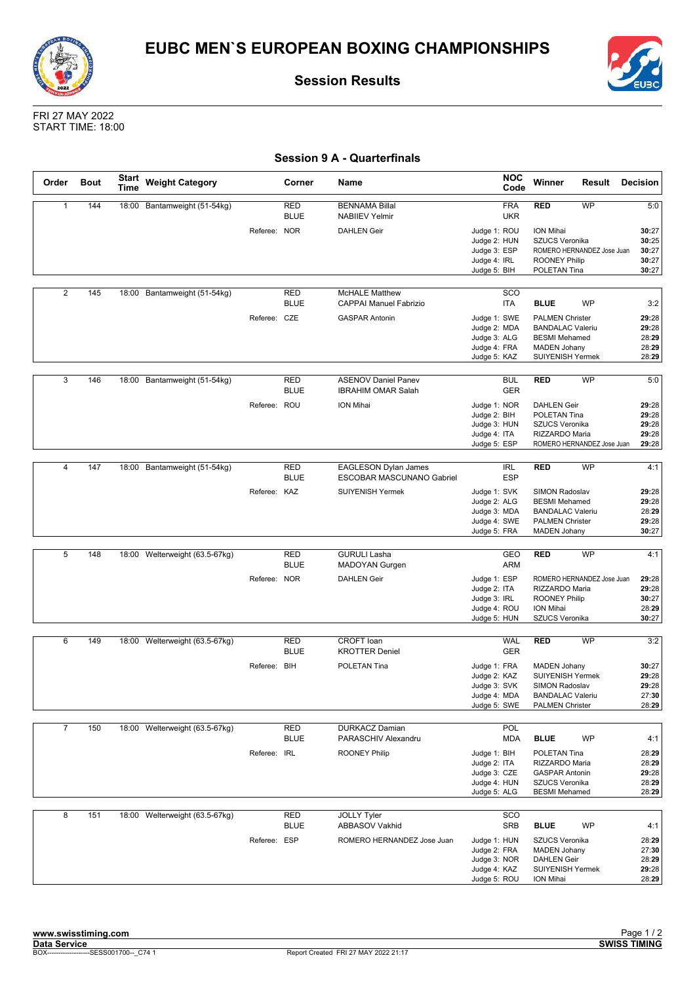![](_page_28_Picture_0.jpeg)

![](_page_28_Picture_1.jpeg)

![](_page_28_Picture_3.jpeg)

FRI 27 MAY 2022 START TIME: 18:00

### **Session 9 A - Quarterfinals**

| Order          | <b>Bout</b> | <b>Start</b><br><b>Time</b> | <b>Weight Category</b>         |              | Corner                    | Name                                                     | <b>NOC</b><br>Code                                                           | Winner<br>Result                                                                                                             | <b>Decision</b>                           |
|----------------|-------------|-----------------------------|--------------------------------|--------------|---------------------------|----------------------------------------------------------|------------------------------------------------------------------------------|------------------------------------------------------------------------------------------------------------------------------|-------------------------------------------|
| $\mathbf{1}$   | 144         | 18:00                       | Bantamweight (51-54kg)         |              | <b>RED</b><br><b>BLUE</b> | <b>BENNAMA Billal</b><br><b>NABIIEV Yelmir</b>           | <b>FRA</b><br><b>UKR</b>                                                     | <b>RED</b><br>WP                                                                                                             | 5:0                                       |
|                |             |                             |                                | Referee: NOR |                           | <b>DAHLEN Geir</b>                                       | Judge 1: ROU<br>Judge 2: HUN<br>Judge 3: ESP<br>Judge 4: IRL                 | ION Mihai<br>SZUCS Veronika<br>ROMERO HERNANDEZ Jose Juan<br><b>ROONEY Philip</b>                                            | 30:27<br>30:25<br>30:27<br>30:27<br>30:27 |
|                |             |                             |                                |              |                           |                                                          | Judge 5: BIH                                                                 | POLETAN Tina                                                                                                                 |                                           |
| $\overline{2}$ | 145         |                             | 18:00 Bantamweight (51-54kg)   |              | <b>RED</b><br><b>BLUE</b> | <b>McHALE Matthew</b><br><b>CAPPAI Manuel Fabrizio</b>   | SCO<br>ITA                                                                   | <b>BLUE</b><br><b>WP</b>                                                                                                     | 3:2                                       |
|                |             |                             |                                | Referee: CZE |                           | <b>GASPAR Antonin</b>                                    | Judge 1: SWE<br>Judge 2: MDA<br>Judge 3: ALG<br>Judge 4: FRA<br>Judge 5: KAZ | <b>PALMEN Christer</b><br><b>BANDALAC Valeriu</b><br><b>BESMI</b> Mehamed<br><b>MADEN Johany</b><br><b>SUIYENISH Yermek</b>  | 29:28<br>29:28<br>28:29<br>28:29<br>28:29 |
|                |             |                             |                                |              |                           |                                                          |                                                                              |                                                                                                                              |                                           |
| 3              | 146         |                             | 18:00 Bantamweight (51-54kg)   |              | <b>RED</b><br><b>BLUE</b> | <b>ASENOV Daniel Panev</b><br><b>IBRAHIM OMAR Salah</b>  | <b>BUL</b><br><b>GER</b>                                                     | <b>RED</b><br><b>WP</b>                                                                                                      | 5:0                                       |
|                |             |                             |                                | Referee: ROU |                           | ION Mihai                                                | Judge 1: NOR<br>Judge 2: BIH<br>Judge 3: HUN<br>Judge 4: ITA<br>Judge 5: ESP | <b>DAHLEN Geir</b><br>POLETAN Tina<br>SZUCS Veronika<br>RIZZARDO Maria<br>ROMERO HERNANDEZ Jose Juan                         | 29:28<br>29:28<br>29:28<br>29:28<br>29:28 |
|                |             |                             |                                |              |                           |                                                          |                                                                              |                                                                                                                              |                                           |
| $\overline{4}$ | 147         | 18:00                       | Bantamweight (51-54kg)         |              | <b>RED</b><br><b>BLUE</b> | <b>EAGLESON Dylan James</b><br>ESCOBAR MASCUNANO Gabriel | <b>IRL</b><br><b>ESP</b>                                                     | <b>WP</b><br><b>RED</b>                                                                                                      | 4:1                                       |
|                |             |                             |                                | Referee: KAZ |                           | <b>SUIYENISH Yermek</b>                                  | Judge 1: SVK<br>Judge 2: ALG<br>Judge 3: MDA<br>Judge 4: SWE<br>Judge 5: FRA | SIMON Radoslav<br><b>BESMI</b> Mehamed<br><b>BANDALAC Valeriu</b><br><b>PALMEN Christer</b><br><b>MADEN Johany</b>           | 29:28<br>29:28<br>28:29<br>29:28<br>30:27 |
|                |             |                             |                                |              |                           |                                                          |                                                                              |                                                                                                                              |                                           |
| 5              | 148         |                             | 18:00 Welterweight (63.5-67kg) |              | <b>RED</b><br><b>BLUE</b> | <b>GURULI Lasha</b><br>MADOYAN Gurgen                    | GEO<br>ARM                                                                   | WP<br><b>RED</b>                                                                                                             | 4:1                                       |
|                |             |                             |                                | Referee: NOR |                           | <b>DAHLEN Geir</b>                                       | Judge 1: ESP<br>Judge 2: ITA<br>Judge 3: IRL<br>Judge 4: ROU<br>Judge 5: HUN | ROMERO HERNANDEZ Jose Juan<br>RIZZARDO Maria<br><b>ROONEY Philip</b><br>ION Mihai<br>SZUCS Veronika                          | 29:28<br>29:28<br>30:27<br>28:29<br>30:27 |
|                |             |                             |                                |              |                           |                                                          |                                                                              |                                                                                                                              |                                           |
| 6              | 149         |                             | 18:00 Welterweight (63.5-67kg) |              | <b>RED</b><br><b>BLUE</b> | CROFT loan<br><b>KROTTER Deniel</b>                      | <b>WAL</b><br><b>GER</b>                                                     | <b>RED</b><br>WP                                                                                                             | 3:2                                       |
|                |             |                             |                                | Referee: BIH |                           | POLETAN Tina                                             | Judge 1: FRA<br>Judge 2: KAZ<br>Judge 3: SVK<br>Judge 4: MDA<br>Judge 5: SWE | <b>MADEN Johany</b><br><b>SUIYENISH Yermek</b><br><b>SIMON Radoslav</b><br><b>BANDALAC Valeriu</b><br><b>PALMEN Christer</b> | 30:27<br>29:28<br>29:28<br>27:30<br>28:29 |
| $\overline{7}$ | 150         |                             | 18:00 Welterweight (63.5-67kg) |              | <b>RED</b>                | <b>DURKACZ Damian</b>                                    | POL                                                                          |                                                                                                                              |                                           |
|                |             |                             |                                |              | <b>BLUE</b>               | PARASCHIV Alexandru                                      | <b>MDA</b>                                                                   | <b>BLUE</b><br><b>WP</b>                                                                                                     | 4:1                                       |
|                |             |                             |                                | Referee: IRL |                           | <b>ROONEY Philip</b>                                     | Judge 1: BIH<br>Judge 2: ITA<br>Judge 3: CZE<br>Judge 4: HUN<br>Judge 5: ALG | POLETAN Tina<br>RIZZARDO Maria<br><b>GASPAR Antonin</b><br>SZUCS Veronika<br><b>BESMI</b> Mehamed                            | 28:29<br>28:29<br>29:28<br>28:29<br>28:29 |
| 8              | 151         |                             | 18:00 Welterweight (63.5-67kg) |              | <b>RED</b><br><b>BLUE</b> | <b>JOLLY Tyler</b><br>ABBASOV Vakhid                     | SCO<br><b>SRB</b>                                                            | <b>BLUE</b><br>WP                                                                                                            | 4:1                                       |
|                |             |                             |                                | Referee: ESP |                           | ROMERO HERNANDEZ Jose Juan                               | Judge 1: HUN<br>Judge 2: FRA<br>Judge 3: NOR<br>Judge 4: KAZ<br>Judge 5: ROU | SZUCS Veronika<br><b>MADEN Johany</b><br><b>DAHLEN Geir</b><br>SUIYENISH Yermek<br>ION Mihai                                 | 28:29<br>27:30<br>28:29<br>29:28<br>28:29 |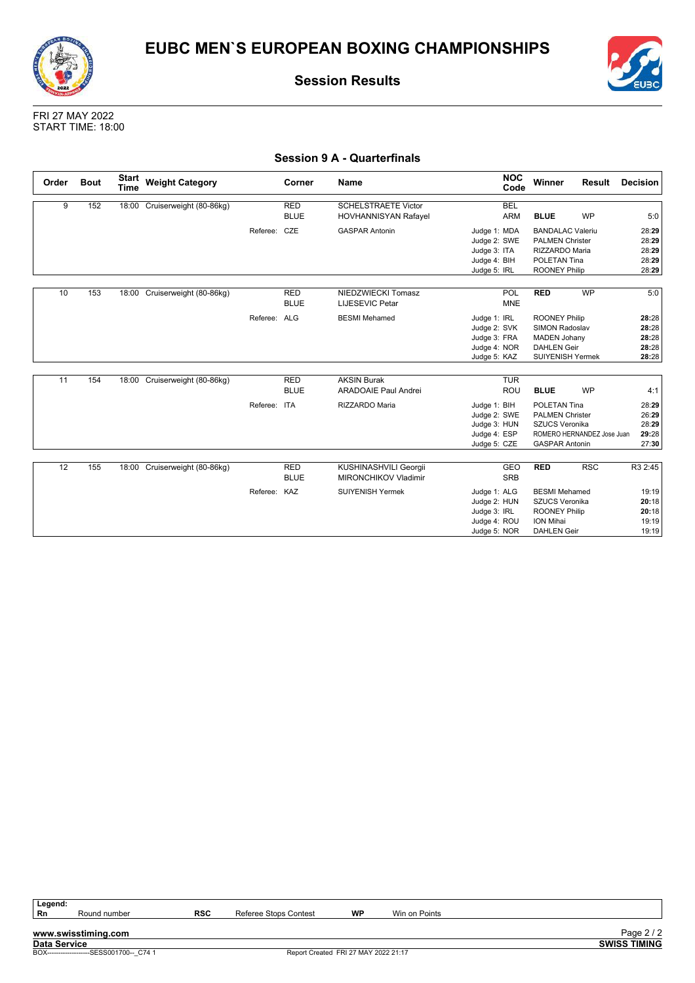![](_page_29_Picture_0.jpeg)

![](_page_29_Picture_2.jpeg)

FRI 27 MAY 2022 START TIME: 18:00

### **Session 9 A - Quarterfinals**

| Order | <b>Bout</b> | <b>Start</b><br><b>Time</b> | <b>Weight Category</b>        |              | Corner      | Name                        | <b>NOC</b><br>Code | Winner                  | Result                     | Decision |
|-------|-------------|-----------------------------|-------------------------------|--------------|-------------|-----------------------------|--------------------|-------------------------|----------------------------|----------|
| 9     | 152         |                             | 18:00 Cruiserweight (80-86kg) |              | <b>RED</b>  | <b>SCHELSTRAETE Victor</b>  | <b>BEL</b>         |                         |                            |          |
|       |             |                             |                               |              | <b>BLUE</b> | <b>HOVHANNISYAN Rafayel</b> | <b>ARM</b>         | <b>BLUE</b>             | <b>WP</b>                  | 5:0      |
|       |             |                             |                               | Referee: CZE |             | <b>GASPAR Antonin</b>       | Judge 1: MDA       | <b>BANDALAC Valeriu</b> |                            | 28:29    |
|       |             |                             |                               |              |             |                             | Judge 2: SWE       | <b>PALMEN Christer</b>  |                            | 28:29    |
|       |             |                             |                               |              |             |                             | Judge 3: ITA       | RIZZARDO Maria          |                            | 28:29    |
|       |             |                             |                               |              |             |                             | Judge 4: BIH       | POLETAN Tina            |                            | 28:29    |
|       |             |                             |                               |              |             |                             | Judge 5: IRL       | <b>ROONEY Philip</b>    |                            | 28:29    |
|       |             |                             |                               |              |             |                             |                    |                         |                            |          |
| 10    | 153         |                             | 18:00 Cruiserweight (80-86kg) |              | <b>RED</b>  | NIEDZWIECKI Tomasz          | POL                | <b>RED</b>              | <b>WP</b>                  | 5:0      |
|       |             |                             |                               |              | <b>BLUE</b> | <b>LIJESEVIC Petar</b>      | <b>MNE</b>         |                         |                            |          |
|       |             |                             |                               | Referee: ALG |             | <b>BESMI</b> Mehamed        | Judge 1: IRL       | <b>ROONEY Philip</b>    |                            | 28:28    |
|       |             |                             |                               |              |             |                             | Judge 2: SVK       | <b>SIMON Radoslav</b>   |                            | 28:28    |
|       |             |                             |                               |              |             |                             | Judge 3: FRA       | <b>MADEN Johany</b>     |                            | 28:28    |
|       |             |                             |                               |              |             |                             | Judge 4: NOR       | <b>DAHLEN Geir</b>      |                            | 28:28    |
|       |             |                             |                               |              |             |                             | Judge 5: KAZ       | <b>SUIYENISH Yermek</b> |                            | 28:28    |
|       |             |                             |                               |              |             |                             |                    |                         |                            |          |
| 11    | 154         |                             | 18:00 Cruiserweight (80-86kg) |              | <b>RED</b>  | <b>AKSIN Burak</b>          | <b>TUR</b>         |                         |                            |          |
|       |             |                             |                               |              | <b>BLUE</b> | <b>ARADOAIE Paul Andrei</b> | ROU                | <b>BLUE</b>             | <b>WP</b>                  | 4:1      |
|       |             |                             |                               | Referee: ITA |             | RIZZARDO Maria              | Judge 1: BIH       | POLETAN Tina            |                            | 28:29    |
|       |             |                             |                               |              |             |                             | Judge 2: SWE       | <b>PALMEN Christer</b>  |                            | 26:29    |
|       |             |                             |                               |              |             |                             | Judge 3: HUN       | <b>SZUCS Veronika</b>   |                            | 28:29    |
|       |             |                             |                               |              |             |                             | Judge 4: ESP       |                         | ROMERO HERNANDEZ Jose Juan | 29:28    |
|       |             |                             |                               |              |             |                             | Judge 5: CZE       | <b>GASPAR Antonin</b>   |                            | 27:30    |
|       |             |                             |                               |              |             |                             |                    |                         |                            |          |
| 12    | 155         |                             | 18:00 Cruiserweight (80-86kg) |              | <b>RED</b>  | KUSHINASHVILI Georgii       | <b>GEO</b>         | <b>RED</b>              | <b>RSC</b>                 | R3 2:45  |
|       |             |                             |                               |              | <b>BLUE</b> | <b>MIRONCHIKOV Vladimir</b> | <b>SRB</b>         |                         |                            |          |
|       |             |                             |                               | Referee: KAZ |             | <b>SUIYENISH Yermek</b>     | Judge 1: ALG       | <b>BESMI Mehamed</b>    |                            | 19:19    |
|       |             |                             |                               |              |             |                             | Judge 2: HUN       | <b>SZUCS Veronika</b>   |                            | 20:18    |
|       |             |                             |                               |              |             |                             | Judge 3: IRL       | <b>ROONEY Philip</b>    |                            | 20:18    |
|       |             |                             |                               |              |             |                             | Judge 4: ROU       | ION Mihai               |                            | 19:19    |
|       |             |                             |                               |              |             |                             | Judge 5: NOR       | <b>DAHLEN Geir</b>      |                            | 19:19    |

| . .<br>۰, |
|-----------|
|           |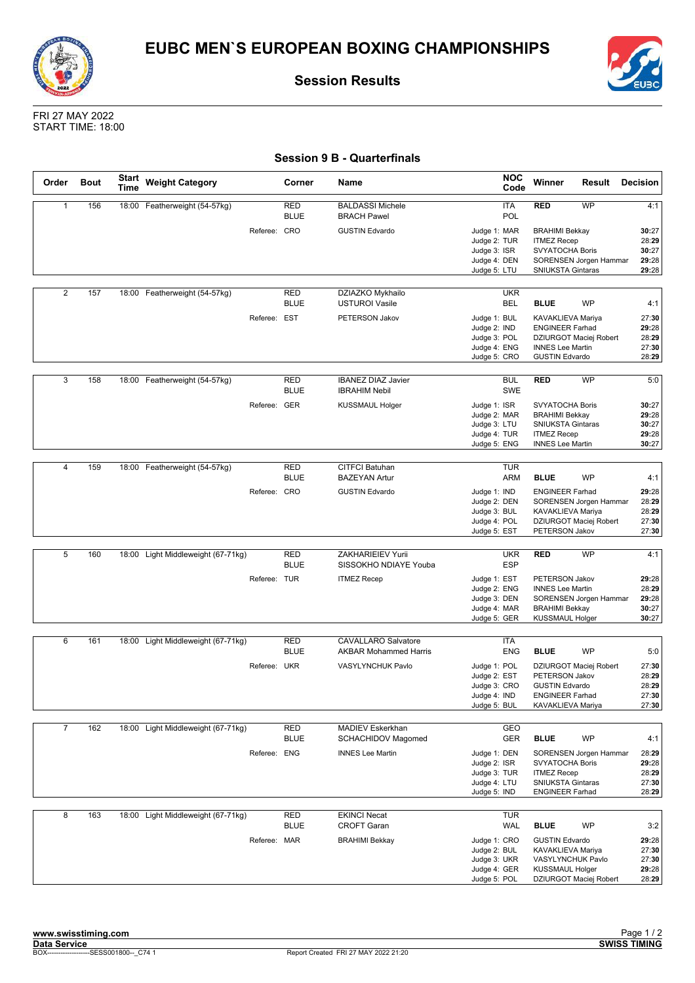![](_page_30_Picture_0.jpeg)

![](_page_30_Picture_1.jpeg)

![](_page_30_Picture_3.jpeg)

FRI 27 MAY 2022 START TIME: 18:00

### **Session 9 B - Quarterfinals**

| Order          | <b>Bout</b> | <b>Start</b><br>Time | <b>Weight Category</b>             |              | Corner                    | Name                                                       | <b>NOC</b><br>Code                                                           | Winner             | Result                                                                                                                    | <b>Decision</b>                           |
|----------------|-------------|----------------------|------------------------------------|--------------|---------------------------|------------------------------------------------------------|------------------------------------------------------------------------------|--------------------|---------------------------------------------------------------------------------------------------------------------------|-------------------------------------------|
| $\mathbf{1}$   | 156         |                      | 18:00 Featherweight (54-57kg)      |              | <b>RED</b><br><b>BLUE</b> | <b>BALDASSI Michele</b><br><b>BRACH Pawel</b>              | <b>ITA</b><br>POL                                                            | <b>RED</b>         | <b>WP</b>                                                                                                                 | 4:1                                       |
|                |             |                      |                                    | Referee: CRO |                           | <b>GUSTIN Edvardo</b>                                      | Judge 1: MAR<br>Judge 2: TUR<br>Judge 3: ISR<br>Judge 4: DEN                 | <b>ITMEZ Recep</b> | <b>BRAHIMI Bekkay</b><br>SVYATOCHA Boris<br>SORENSEN Jorgen Hammar                                                        | 30:27<br>28:29<br>30:27<br>29:28          |
|                |             |                      |                                    |              |                           |                                                            | Judge 5: LTU                                                                 |                    | <b>SNIUKSTA Gintaras</b>                                                                                                  | 29:28                                     |
| 2              | 157         | 18:00                | Featherweight (54-57kg)            |              | <b>RED</b><br><b>BLUE</b> | DZIAZKO Mykhailo<br><b>USTUROI Vasile</b>                  | <b>UKR</b><br>BEL                                                            | <b>BLUE</b>        | <b>WP</b>                                                                                                                 | 4:1                                       |
|                |             |                      |                                    | Referee: EST |                           | PETERSON Jakov                                             | Judge 1: BUL<br>Judge 2: IND<br>Judge 3: POL<br>Judge 4: ENG<br>Judge 5: CRO |                    | KAVAKLIEVA Mariya<br><b>ENGINEER Farhad</b><br>DZIURGOT Maciej Robert<br><b>INNES Lee Martin</b><br><b>GUSTIN Edvardo</b> | 27:30<br>29:28<br>28:29<br>27:30<br>28:29 |
| 3              | 158         |                      | 18:00 Featherweight (54-57kg)      |              | <b>RED</b><br><b>BLUE</b> | <b>IBANEZ DIAZ Javier</b><br><b>IBRAHIM Nebil</b>          | <b>BUL</b><br>SWE                                                            | <b>RED</b>         | WP                                                                                                                        | 5:0                                       |
|                |             |                      |                                    | Referee: GER |                           | <b>KUSSMAUL Holger</b>                                     | Judge 1: ISR<br>Judge 2: MAR<br>Judge 3: LTU<br>Judge 4: TUR<br>Judge 5: ENG | <b>ITMEZ Recep</b> | <b>SVYATOCHA Boris</b><br><b>BRAHIMI Bekkay</b><br><b>SNIUKSTA Gintaras</b><br><b>INNES Lee Martin</b>                    | 30:27<br>29:28<br>30:27<br>29:28<br>30:27 |
|                |             |                      |                                    |              |                           |                                                            |                                                                              |                    |                                                                                                                           |                                           |
| $\overline{4}$ | 159         | 18:00                | Featherweight (54-57kg)            |              | <b>RED</b><br><b>BLUE</b> | <b>CITFCI Batuhan</b><br><b>BAZEYAN Artur</b>              | <b>TUR</b><br><b>ARM</b>                                                     | <b>BLUE</b>        | <b>WP</b>                                                                                                                 | 4:1                                       |
|                |             |                      |                                    | Referee: CRO |                           | <b>GUSTIN Edvardo</b>                                      | Judge 1: IND<br>Judge 2: DEN<br>Judge 3: BUL<br>Judge 4: POL<br>Judge 5: EST |                    | <b>ENGINEER Farhad</b><br>SORENSEN Jorgen Hammar<br>KAVAKLIEVA Mariya<br>DZIURGOT Maciej Robert<br>PETERSON Jakov         | 29:28<br>28:29<br>28:29<br>27:30<br>27:30 |
|                |             |                      |                                    |              |                           |                                                            |                                                                              |                    |                                                                                                                           |                                           |
| 5              | 160         | 18:00                | Light Middleweight (67-71kg)       |              | <b>RED</b><br><b>BLUE</b> | ZAKHARIEIEV Yurii<br>SISSOKHO NDIAYE Youba                 | <b>UKR</b><br><b>ESP</b>                                                     | <b>RED</b>         | <b>WP</b>                                                                                                                 | 4:1                                       |
|                |             |                      |                                    | Referee: TUR |                           | <b>ITMEZ Recep</b>                                         | Judge 1: EST<br>Judge 2: ENG<br>Judge 3: DEN<br>Judge 4: MAR<br>Judge 5: GER |                    | PETERSON Jakov<br><b>INNES Lee Martin</b><br>SORENSEN Jorgen Hammar<br><b>BRAHIMI Bekkay</b><br><b>KUSSMAUL Holger</b>    | 29:28<br>28:29<br>29:28<br>30:27<br>30:27 |
|                |             |                      |                                    |              |                           |                                                            |                                                                              |                    |                                                                                                                           |                                           |
| 6              | 161         |                      | 18:00 Light Middleweight (67-71kg) |              | <b>RED</b><br><b>BLUE</b> | <b>CAVALLARO Salvatore</b><br><b>AKBAR Mohammed Harris</b> | ITA<br><b>ENG</b>                                                            | <b>BLUE</b>        | <b>WP</b>                                                                                                                 | 5:0                                       |
|                |             |                      |                                    | Referee: UKR |                           | VASYLYNCHUK Pavlo                                          | Judge 1: POL<br>Judge 2: EST<br>Judge 3: CRO<br>Judge 4: IND<br>Judge 5: BUL |                    | DZIURGOT Maciej Robert<br><b>PETERSON Jakov</b><br><b>GUSTIN Edvardo</b><br><b>ENGINEER Farhad</b><br>KAVAKLIEVA Mariya   | 27:30<br>28:29<br>28:29<br>27:30<br>27:30 |
| $\overline{7}$ | 162         |                      | 18:00 Light Middleweight (67-71kg) |              | RED<br><b>BLUE</b>        | MADIEV Eskerkhan<br>SCHACHIDOV Magomed                     | GEO<br><b>GER</b>                                                            | <b>BLUE</b>        | <b>WP</b>                                                                                                                 | 4:1                                       |
|                |             |                      |                                    | Referee: ENG |                           | <b>INNES Lee Martin</b>                                    | Judge 1: DEN<br>Judge 2: ISR<br>Judge 3: TUR<br>Judge 4: LTU<br>Judge 5: IND | <b>ITMEZ Recep</b> | SORENSEN Jorgen Hammar<br>SVYATOCHA Boris<br>SNIUKSTA Gintaras<br><b>ENGINEER Farhad</b>                                  | 28:29<br>29:28<br>28:29<br>27:30<br>28:29 |
| 8              | 163         |                      | 18:00 Light Middleweight (67-71kg) |              | RED<br><b>BLUE</b>        | <b>EKINCI Necat</b><br><b>CROFT Garan</b>                  | <b>TUR</b><br><b>WAL</b>                                                     | <b>BLUE</b>        | <b>WP</b>                                                                                                                 | 3:2                                       |
|                |             |                      |                                    | Referee: MAR |                           | <b>BRAHIMI Bekkay</b>                                      | Judge 1: CRO<br>Judge 2: BUL<br>Judge 3: UKR<br>Judge 4: GER<br>Judge 5: POL |                    | <b>GUSTIN Edvardo</b><br>KAVAKLIEVA Mariya<br>VASYLYNCHUK Pavlo<br><b>KUSSMAUL Holger</b><br>DZIURGOT Maciej Robert       | 29:28<br>27:30<br>27:30<br>29:28<br>28:29 |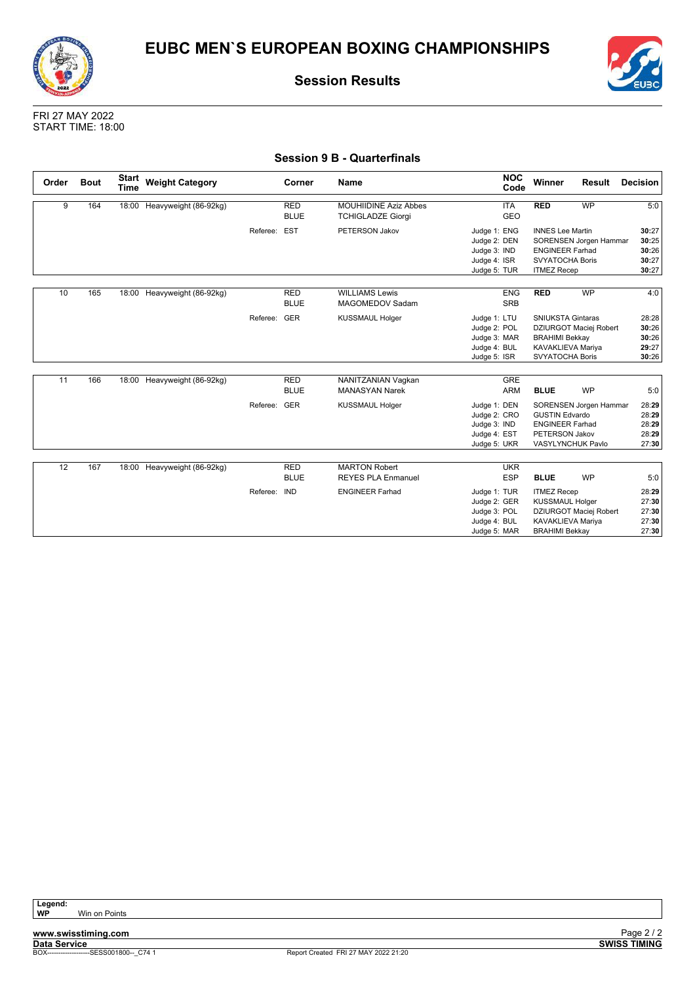![](_page_31_Picture_0.jpeg)

![](_page_31_Picture_2.jpeg)

FRI 27 MAY 2022 START TIME: 18:00

### **Session 9 B - Quarterfinals**

| Order | <b>Bout</b> | <b>Start</b><br><b>Time</b> | <b>Weight Category</b>      |              | Corner                    | <b>Name</b>                                              | <b>NOC</b><br>Code                                                           | Winner                                                                                                  | Result                                      | Decision                                  |
|-------|-------------|-----------------------------|-----------------------------|--------------|---------------------------|----------------------------------------------------------|------------------------------------------------------------------------------|---------------------------------------------------------------------------------------------------------|---------------------------------------------|-------------------------------------------|
| 9     | 164         |                             | 18:00 Heavyweight (86-92kg) |              | <b>RED</b><br><b>BLUE</b> | <b>MOUHIIDINE Aziz Abbes</b><br><b>TCHIGLADZE Giorgi</b> | <b>ITA</b><br>GEO                                                            | <b>RED</b>                                                                                              | <b>WP</b>                                   | 5:0                                       |
|       |             |                             |                             | Referee:     | EST                       | PETERSON Jakov                                           | Judge 1: ENG<br>Judge 2: DEN<br>Judge 3: IND<br>Judge 4: ISR<br>Judge 5: TUR | <b>INNES Lee Martin</b><br><b>ENGINEER Farhad</b><br><b>SVYATOCHA Boris</b><br><b>ITMEZ Recep</b>       | SORENSEN Jorgen Hammar                      | 30:27<br>30:25<br>30:26<br>30:27<br>30:27 |
| 10    | 165         |                             | 18:00 Heavyweight (86-92kg) |              | <b>RED</b><br><b>BLUE</b> | <b>WILLIAMS Lewis</b><br>MAGOMEDOV Sadam                 | <b>ENG</b><br><b>SRB</b>                                                     | <b>RED</b>                                                                                              | <b>WP</b>                                   | 4:0                                       |
|       |             |                             |                             | Referee:     | GER                       | <b>KUSSMAUL Holger</b>                                   | Judge 1: LTU<br>Judge 2: POL<br>Judge 3: MAR<br>Judge 4: BUL<br>Judge 5: ISR | <b>SNIUKSTA Gintaras</b><br><b>BRAHIMI Bekkay</b><br><b>KAVAKLIEVA Mariya</b><br><b>SVYATOCHA Boris</b> | DZIURGOT Maciej Robert                      | 28:28<br>30:26<br>30:26<br>29:27<br>30:26 |
| 11    | 166         |                             | 18:00 Heavyweight (86-92kg) |              | <b>RED</b><br><b>BLUE</b> | NANITZANIAN Vaqkan<br><b>MANASYAN Narek</b>              | GRE<br><b>ARM</b>                                                            | <b>BLUE</b>                                                                                             | <b>WP</b>                                   | 5:0                                       |
|       |             |                             |                             | Referee: GER |                           | <b>KUSSMAUL Holger</b>                                   | Judge 1: DEN<br>Judge 2: CRO<br>Judge 3: IND<br>Judge 4: EST<br>Judge 5: UKR | <b>GUSTIN Edvardo</b><br><b>ENGINEER Farhad</b><br>PETERSON Jakov                                       | SORENSEN Jorgen Hammar<br>VASYLYNCHUK Pavlo | 28:29<br>28:29<br>28:29<br>28:29<br>27:30 |
| 12    | 167         |                             | 18:00 Heavyweight (86-92kg) |              | <b>RED</b><br><b>BLUE</b> | <b>MARTON Robert</b><br><b>REYES PLA Enmanuel</b>        | <b>UKR</b><br><b>ESP</b>                                                     | <b>BLUE</b>                                                                                             | <b>WP</b>                                   | 5:0                                       |
|       |             |                             |                             | Referee: IND |                           | <b>ENGINEER Farhad</b>                                   | Judge 1: TUR<br>Judge 2: GER<br>Judge 3: POL<br>Judge 4: BUL<br>Judge 5: MAR | <b>ITMEZ Recep</b><br><b>KUSSMAUL Holger</b><br>KAVAKLIEVA Mariya<br><b>BRAHIMI Bekkav</b>              | DZIURGOT Maciej Robert                      | 28:29<br>27:30<br>27:30<br>27:30<br>27:30 |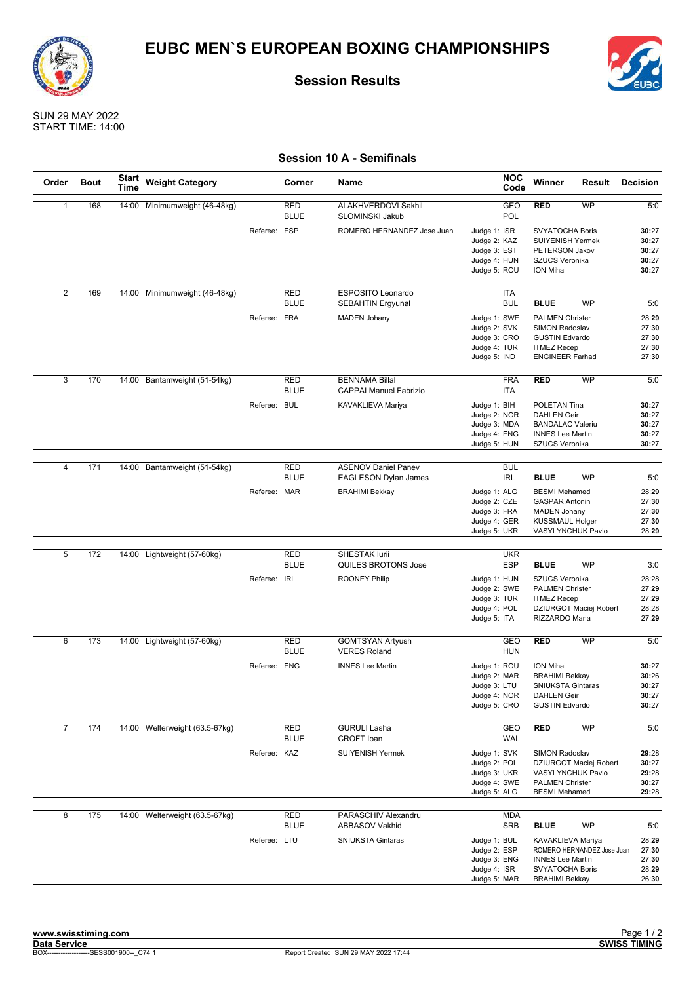![](_page_32_Picture_0.jpeg)

![](_page_32_Picture_2.jpeg)

SUN 29 MAY 2022 START TIME: 14:00

### **Session 10 A - Semifinals**

| Order          | <b>Bout</b>     | <b>Start</b><br>Time | <b>Weight Category</b>         |              | Corner                    | Name                                                   | <b>NOC</b><br>Code                                                                         | Winner                                                                                                                   | Result                     | <b>Decision</b>                           |
|----------------|-----------------|----------------------|--------------------------------|--------------|---------------------------|--------------------------------------------------------|--------------------------------------------------------------------------------------------|--------------------------------------------------------------------------------------------------------------------------|----------------------------|-------------------------------------------|
| $\mathbf{1}$   | 168             |                      | 14:00 Minimumweight (46-48kg)  |              | <b>RED</b><br><b>BLUE</b> | ALAKHVERDOVI Sakhil<br>SLOMINSKI Jakub                 | GEO<br>POL                                                                                 | <b>RED</b>                                                                                                               | <b>WP</b>                  | 5:0                                       |
|                |                 |                      |                                | Referee: ESP |                           | ROMERO HERNANDEZ Jose Juan                             | Judge 1: ISR<br>Judge 2: KAZ<br>Judge 3: EST<br>Judge 4: HUN<br>Judge 5: ROU               | <b>SVYATOCHA Boris</b><br>SUIYENISH Yermek<br>PETERSON Jakov<br><b>SZUCS Veronika</b><br>ION Mihai                       |                            | 30:27<br>30:27<br>30:27<br>30:27<br>30:27 |
| 2              | 169             |                      | 14:00 Minimumweight (46-48kg)  |              | <b>RED</b><br><b>BLUE</b> | ESPOSITO Leonardo<br><b>SEBAHTIN Ergyunal</b>          | ITA<br><b>BUL</b>                                                                          | <b>BLUE</b>                                                                                                              | <b>WP</b>                  | 5:0                                       |
|                |                 |                      |                                | Referee: FRA |                           | <b>MADEN Johany</b>                                    | Judge 1: SWE<br>Judge 2: SVK<br>Judge 3: CRO<br>Judge 4: TUR<br>Judge 5: IND               | <b>PALMEN Christer</b><br><b>SIMON Radoslav</b><br><b>GUSTIN Edvardo</b><br><b>ITMEZ Recep</b><br><b>ENGINEER Farhad</b> |                            | 28:29<br>27:30<br>27:30<br>27:30<br>27:30 |
| 3              | 170             |                      | 14:00 Bantamweight (51-54kg)   |              | RED<br><b>BLUE</b>        | <b>BENNAMA Billal</b><br><b>CAPPAI Manuel Fabrizio</b> | <b>FRA</b><br>ITA                                                                          | RED                                                                                                                      | WP                         | 5:0                                       |
|                |                 |                      |                                | Referee: BUL |                           | KAVAKLIEVA Mariya                                      | Judge 1: BIH<br>Judge 2: NOR<br>Judge 3: MDA<br>Judge 4: ENG<br>Judge 5: HUN               | POLETAN Tina<br><b>DAHLEN Geir</b><br><b>BANDALAC Valeriu</b><br><b>INNES Lee Martin</b><br>SZUCS Veronika               |                            | 30:27<br>30:27<br>30:27<br>30:27<br>30:27 |
|                |                 |                      |                                |              |                           |                                                        |                                                                                            |                                                                                                                          |                            |                                           |
| $\overline{4}$ | 171             | 14:00                | Bantamweight (51-54kg)         |              | <b>RED</b><br><b>BLUE</b> | <b>ASENOV Daniel Panev</b><br>EAGLESON Dylan James     | <b>BUL</b><br>IRL                                                                          | <b>BLUE</b>                                                                                                              | <b>WP</b>                  | 5:0                                       |
|                |                 |                      |                                | Referee: MAR |                           | <b>BRAHIMI Bekkay</b>                                  | Judge 1: ALG<br>Judge 2: CZE<br>Judge 3: FRA<br>Judge 4: GER<br>Judge 5: UKR               | <b>BESMI</b> Mehamed<br><b>GASPAR Antonin</b><br><b>MADEN Johany</b><br><b>KUSSMAUL Holger</b><br>VASYLYNCHUK Pavlo      |                            | 28:29<br>27:30<br>27:30<br>27:30<br>28:29 |
|                |                 |                      |                                |              |                           |                                                        |                                                                                            |                                                                                                                          |                            |                                           |
| 5              | 172             |                      | 14:00 Lightweight (57-60kg)    |              | <b>RED</b><br><b>BLUE</b> | <b>SHESTAK lurii</b><br>QUILES BROTONS Jose            | <b>UKR</b><br><b>ESP</b>                                                                   | <b>BLUE</b>                                                                                                              | <b>WP</b>                  | 3:0                                       |
|                |                 |                      |                                | Referee: IRL |                           | <b>ROONEY Philip</b>                                   | Judge 1: HUN<br>Judge 2: SWE<br>Judge 3: TUR<br>Judge 4: POL<br>Judge 5: ITA               | SZUCS Veronika<br><b>PALMEN Christer</b><br><b>ITMEZ Recep</b><br>RIZZARDO Maria                                         | DZIURGOT Maciej Robert     | 28:28<br>27:29<br>27:29<br>28:28<br>27:29 |
| 6              | 173             |                      | 14:00 Lightweight (57-60kg)    |              | <b>RED</b>                | <b>GOMTSYAN Artyush</b>                                | <b>GEO</b>                                                                                 | <b>RED</b>                                                                                                               | WP                         | 5:0                                       |
|                |                 |                      |                                | Referee: ENG | <b>BLUE</b>               | <b>VERES Roland</b><br><b>INNES Lee Martin</b>         | <b>HUN</b><br>Judge 1: ROU<br>Judge 2: MAR<br>Judge 3: LTU<br>Judge 4: NOR<br>Judge 5: CRO | ION Mihai<br><b>BRAHIMI Bekkay</b><br><b>SNIUKSTA Gintaras</b><br><b>DAHLEN Geir</b><br><b>GUSTIN Edvardo</b>            |                            | 30:27<br>30:26<br>30:27<br>30:27<br>30:27 |
| $\overline{7}$ | $\frac{1}{174}$ |                      | 14:00 Welterweight (63.5-67kg) |              | RED<br><b>BLUE</b>        | <b>GURULI Lasha</b><br>CROFT loan                      | GEO<br><b>WAL</b>                                                                          | <b>RED</b>                                                                                                               | <b>WP</b>                  | 5:0                                       |
|                |                 |                      |                                | Referee: KAZ |                           | SUIYENISH Yermek                                       | Judge 1: SVK<br>Judge 2: POL<br>Judge 3: UKR<br>Judge 4: SWE<br>Judge 5: ALG               | SIMON Radoslav<br>VASYLYNCHUK Pavlo<br><b>PALMEN Christer</b><br><b>BESMI</b> Mehamed                                    | DZIURGOT Maciej Robert     | 29:28<br>30:27<br>29:28<br>30:27<br>29:28 |
| 8              | 175             |                      | 14:00 Welterweight (63.5-67kg) |              | <b>RED</b><br><b>BLUE</b> | PARASCHIV Alexandru<br><b>ABBASOV Vakhid</b>           | <b>MDA</b><br><b>SRB</b>                                                                   | <b>BLUE</b>                                                                                                              | WP                         | 5:0                                       |
|                |                 |                      |                                | Referee: LTU |                           | <b>SNIUKSTA Gintaras</b>                               | Judge 1: BUL<br>Judge 2: ESP<br>Judge 3: ENG<br>Judge 4: ISR<br>Judge 5: MAR               | KAVAKLIEVA Mariya<br><b>INNES Lee Martin</b><br>SVYATOCHA Boris<br><b>BRAHIMI Bekkay</b>                                 | ROMERO HERNANDEZ Jose Juan | 28:29<br>27:30<br>27:30<br>28:29<br>26:30 |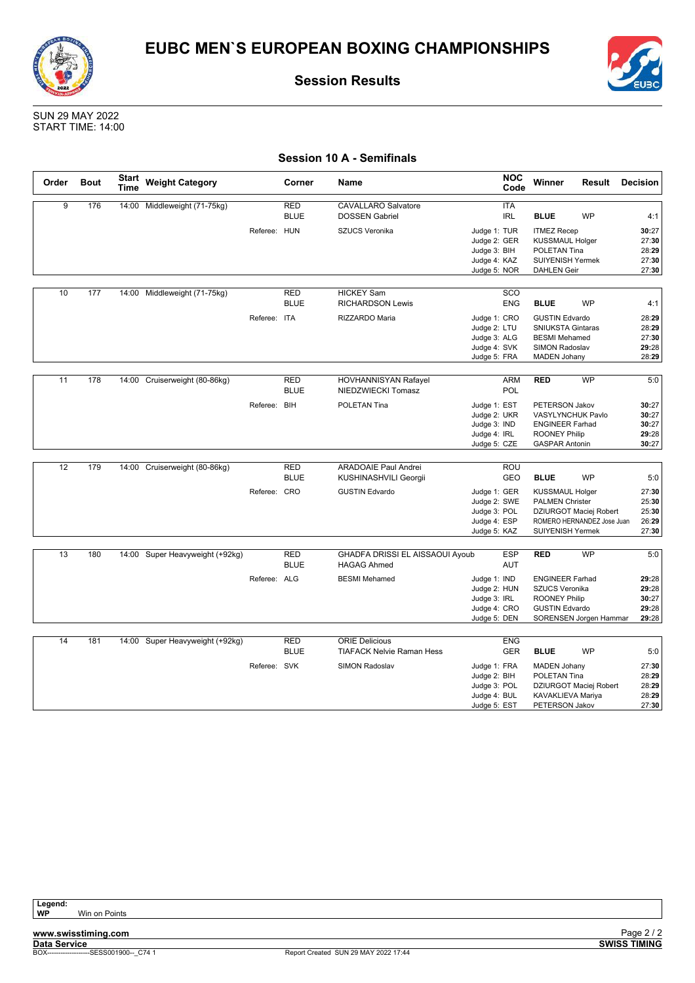![](_page_33_Picture_0.jpeg)

![](_page_33_Picture_2.jpeg)

SUN 29 MAY 2022 START TIME: 14:00

|  |  |  | <b>Session 10 A - Semifinals</b> |
|--|--|--|----------------------------------|
|--|--|--|----------------------------------|

| Order | <b>Bout</b> | Start<br>Time | <b>Weight Category</b>          |              | Corner                    | Name                                                      |                                              | <b>NOC</b><br>Code       | Winner                                                | Result                     | <b>Decision</b>         |
|-------|-------------|---------------|---------------------------------|--------------|---------------------------|-----------------------------------------------------------|----------------------------------------------|--------------------------|-------------------------------------------------------|----------------------------|-------------------------|
| 9     | 176         |               | 14:00 Middleweight (71-75kg)    |              | <b>RED</b><br><b>BLUE</b> | <b>CAVALLARO Salvatore</b><br><b>DOSSEN Gabriel</b>       |                                              | <b>ITA</b><br><b>IRL</b> | <b>BLUE</b>                                           | <b>WP</b>                  | 4:1                     |
|       |             |               |                                 | Referee: HUN |                           | <b>SZUCS Veronika</b>                                     | Judge 1: TUR<br>Judge 2: GER<br>Judge 3: BIH |                          | <b>ITMEZ Recep</b><br>KUSSMAUL Holger<br>POLETAN Tina |                            | 30:27<br>27:30<br>28:29 |
|       |             |               |                                 |              |                           |                                                           | Judge 4: KAZ<br>Judge 5: NOR                 |                          | <b>SUIYENISH Yermek</b><br><b>DAHLEN Geir</b>         |                            | 27:30<br>27:30          |
| 10    | 177         |               | 14:00 Middleweight (71-75kg)    |              | <b>RED</b>                | <b>HICKEY Sam</b>                                         |                                              | SCO                      |                                                       |                            |                         |
|       |             |               |                                 |              | <b>BLUE</b>               | <b>RICHARDSON Lewis</b>                                   |                                              | ENG                      | <b>BLUE</b>                                           | <b>WP</b>                  | 4:1                     |
|       |             |               |                                 | Referee: ITA |                           | RIZZARDO Maria                                            | Judge 1: CRO                                 |                          | <b>GUSTIN Edvardo</b>                                 |                            | 28:29                   |
|       |             |               |                                 |              |                           |                                                           | Judge 2: LTU                                 |                          | SNIUKSTA Gintaras                                     |                            | 28:29                   |
|       |             |               |                                 |              |                           |                                                           | Judge 3: ALG<br>Judge 4: SVK                 |                          | <b>BESMI</b> Mehamed<br>SIMON Radoslav                |                            | 27:30<br>29:28          |
|       |             |               |                                 |              |                           |                                                           | Judge 5: FRA                                 |                          | <b>MADEN Johany</b>                                   |                            | 28:29                   |
|       |             |               |                                 |              |                           |                                                           |                                              |                          |                                                       |                            |                         |
| 11    | 178         |               | 14:00 Cruiserweight (80-86kg)   |              | RED                       | <b>HOVHANNISYAN Rafayel</b>                               |                                              | <b>ARM</b>               | <b>RED</b>                                            | <b>WP</b>                  | 5:0                     |
|       |             |               |                                 |              | <b>BLUE</b>               | NIEDZWIECKI Tomasz                                        |                                              | POL                      |                                                       |                            |                         |
|       |             |               |                                 | Referee: BIH |                           | POLETAN Tina                                              | Judge 1: EST                                 |                          | PETERSON Jakov                                        |                            | 30:27                   |
|       |             |               |                                 |              |                           |                                                           | Judge 2: UKR                                 |                          | VASYLYNCHUK Pavlo                                     |                            | 30:27                   |
|       |             |               |                                 |              |                           |                                                           | Judge 3: IND                                 |                          | <b>ENGINEER Farhad</b>                                |                            | 30:27                   |
|       |             |               |                                 |              |                           |                                                           | Judge 4: IRL                                 |                          | <b>ROONEY Philip</b>                                  |                            | 29:28                   |
|       |             |               |                                 |              |                           |                                                           | Judge 5: CZE                                 |                          | <b>GASPAR Antonin</b>                                 |                            | 30:27                   |
| 12    | 179         |               | 14:00 Cruiserweight (80-86kg)   |              | <b>RED</b>                | <b>ARADOAIE Paul Andrei</b>                               |                                              | ROU                      |                                                       |                            |                         |
|       |             |               |                                 |              | <b>BLUE</b>               | KUSHINASHVILI Georgii                                     |                                              | GEO                      | <b>BLUE</b>                                           | <b>WP</b>                  | 5:0                     |
|       |             |               |                                 |              |                           |                                                           |                                              |                          |                                                       |                            |                         |
|       |             |               |                                 | Referee: CRO |                           | <b>GUSTIN Edvardo</b>                                     | Judge 1: GER<br>Judge 2: SWE                 |                          | <b>KUSSMAUL Holger</b><br><b>PALMEN Christer</b>      |                            | 27:30<br>25:30          |
|       |             |               |                                 |              |                           |                                                           | Judge 3: POL                                 |                          |                                                       | DZIURGOT Maciej Robert     | 25:30                   |
|       |             |               |                                 |              |                           |                                                           | Judge 4: ESP                                 |                          |                                                       | ROMERO HERNANDEZ Jose Juan | 26:29                   |
|       |             |               |                                 |              |                           |                                                           | Judge 5: KAZ                                 |                          | SUIYENISH Yermek                                      |                            | 27:30                   |
|       |             |               |                                 |              |                           |                                                           |                                              |                          |                                                       |                            |                         |
| 13    | 180         |               | 14:00 Super Heavyweight (+92kg) |              | <b>RED</b><br><b>BLUE</b> | GHADFA DRISSI EL AISSAOUI Ayoub<br><b>HAGAG Ahmed</b>     |                                              | <b>ESP</b><br>AUT        | <b>RED</b>                                            | <b>WP</b>                  | 5:0                     |
|       |             |               |                                 | Referee: ALG |                           | <b>BESMI</b> Mehamed                                      | Judge 1: IND                                 |                          | <b>ENGINEER Farhad</b>                                |                            | 29:28                   |
|       |             |               |                                 |              |                           |                                                           | Judge 2: HUN                                 |                          | SZUCS Veronika                                        |                            | 29:28                   |
|       |             |               |                                 |              |                           |                                                           | Judge 3: IRL                                 |                          | <b>ROONEY Philip</b>                                  |                            | 30:27                   |
|       |             |               |                                 |              |                           |                                                           | Judge 4: CRO                                 |                          | <b>GUSTIN Edvardo</b>                                 |                            | 29:28                   |
|       |             |               |                                 |              |                           |                                                           | Judge 5: DEN                                 |                          |                                                       | SORENSEN Jorgen Hammar     | 29:28                   |
|       |             |               |                                 |              |                           |                                                           |                                              |                          |                                                       |                            |                         |
| 14    | 181         |               | 14:00 Super Heavyweight (+92kg) |              | <b>RED</b><br><b>BLUE</b> | <b>ORIE Delicious</b><br><b>TIAFACK Nelvie Raman Hess</b> |                                              | <b>ENG</b><br><b>GER</b> | <b>BLUE</b>                                           | <b>WP</b>                  | 5:0                     |
|       |             |               |                                 |              |                           |                                                           |                                              |                          |                                                       |                            |                         |
|       |             |               |                                 | Referee: SVK |                           | <b>SIMON Radoslav</b>                                     | Judge 1: FRA                                 |                          | <b>MADEN Johany</b><br>POLETAN Tina                   |                            | 27:30                   |
|       |             |               |                                 |              |                           |                                                           | Judge 2: BIH<br>Judge 3: POL                 |                          |                                                       | DZIURGOT Maciej Robert     | 28:29<br>28:29          |
|       |             |               |                                 |              |                           |                                                           | Judge 4: BUL                                 |                          | KAVAKLIEVA Mariya                                     |                            | 28:29                   |
|       |             |               |                                 |              |                           |                                                           | Judge 5: EST                                 |                          | PETERSON Jakov                                        |                            | 27:30                   |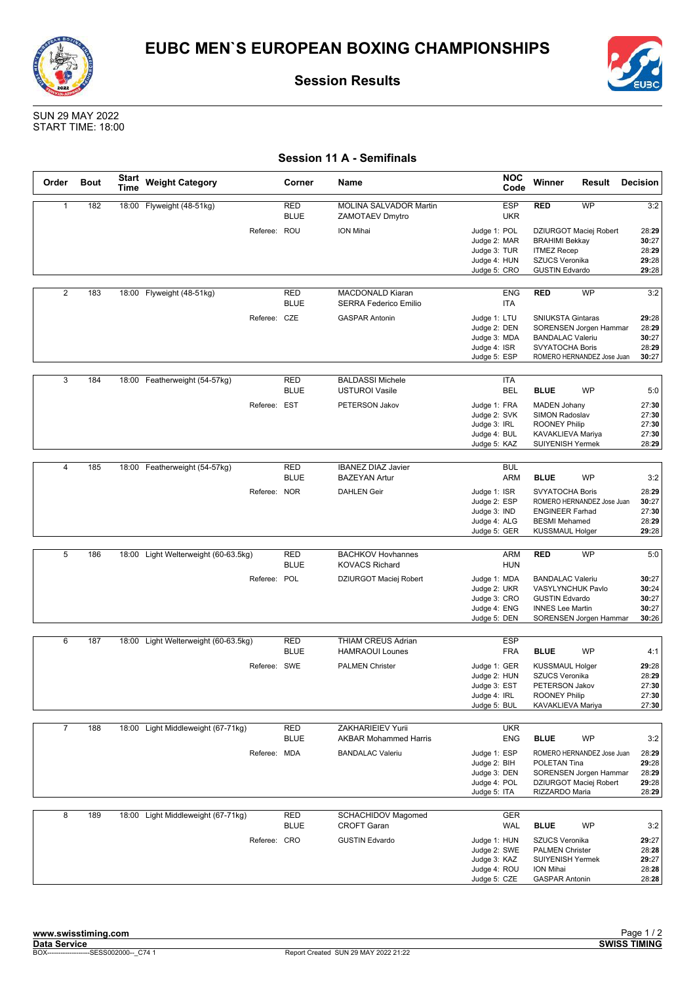![](_page_34_Picture_0.jpeg)

![](_page_34_Picture_2.jpeg)

SUN 29 MAY 2022 START TIME: 18:00

### **Session 11 A - Semifinals**

| Order          | <b>Bout</b> | <b>Start</b><br><b>Time</b> | <b>Weight Category</b>               | Corner                    | Name                                                    | <b>NOC</b><br>Code                                                                         | Winner                                                                                                                                | Result    | <b>Decision</b>                                  |
|----------------|-------------|-----------------------------|--------------------------------------|---------------------------|---------------------------------------------------------|--------------------------------------------------------------------------------------------|---------------------------------------------------------------------------------------------------------------------------------------|-----------|--------------------------------------------------|
| $\mathbf{1}$   | 182         |                             | 18:00 Flyweight (48-51kg)            | <b>RED</b><br><b>BLUE</b> | MOLINA SALVADOR Martin<br><b>ZAMOTAEV Dmytro</b>        | <b>ESP</b><br><b>UKR</b>                                                                   | <b>RED</b>                                                                                                                            | <b>WP</b> | 3:2                                              |
|                |             |                             | Referee: ROU                         |                           | ION Mihai                                               | Judge 1: POL<br>Judge 2: MAR<br>Judge 3: TUR<br>Judge 4: HUN<br>Judge 5: CRO               | DZIURGOT Maciej Robert<br><b>BRAHIMI Bekkay</b><br><b>ITMEZ Recep</b><br>SZUCS Veronika<br><b>GUSTIN Edvardo</b>                      |           | 28:29<br>30:27<br>28:29<br>29:28<br>29:28        |
| $\overline{2}$ | 183         |                             | 18:00 Flyweight (48-51kg)            | <b>RED</b><br><b>BLUE</b> | <b>MACDONALD Kiaran</b><br><b>SERRA Federico Emilio</b> | <b>ENG</b><br>ITA                                                                          | <b>RED</b>                                                                                                                            | <b>WP</b> | 3:2                                              |
|                |             |                             | Referee: CZE                         |                           | <b>GASPAR Antonin</b>                                   | Judge 1: LTU<br>Judge 2: DEN<br>Judge 3: MDA<br>Judge 4: ISR<br>Judge 5: ESP               | <b>SNIUKSTA Gintaras</b><br>SORENSEN Jorgen Hammar<br><b>BANDALAC Valeriu</b><br><b>SVYATOCHA Boris</b><br>ROMERO HERNANDEZ Jose Juan |           | 29:28<br>28:29<br>30:27<br>28:29<br>30:27        |
| 3              | 184         |                             | 18:00 Featherweight (54-57kg)        | RED<br><b>BLUE</b>        | <b>BALDASSI Michele</b><br><b>USTUROI Vasile</b>        | ITA<br><b>BEL</b>                                                                          | <b>BLUE</b>                                                                                                                           | <b>WP</b> | 5:0                                              |
|                |             |                             | Referee: EST                         |                           | PETERSON Jakov                                          | Judge 1: FRA<br>Judge 2: SVK<br>Judge 3: IRL<br>Judge 4: BUL<br>Judge 5: KAZ               | <b>MADEN Johany</b><br>SIMON Radoslav<br><b>ROONEY Philip</b><br>KAVAKLIEVA Mariya<br>SUIYENISH Yermek                                |           | 27:30<br>27:30<br>27:30<br>27:30<br>28:29        |
|                |             |                             |                                      |                           |                                                         |                                                                                            |                                                                                                                                       |           |                                                  |
| $\overline{4}$ | 185         |                             | 18:00 Featherweight (54-57kg)        | <b>RED</b><br><b>BLUE</b> | <b>IBANEZ DIAZ Javier</b><br><b>BAZEYAN Artur</b>       | <b>BUL</b><br><b>ARM</b>                                                                   | <b>BLUE</b>                                                                                                                           | WP        | 3:2                                              |
|                |             |                             | Referee: NOR                         |                           | <b>DAHLEN Geir</b>                                      | Judge 1: ISR<br>Judge 2: ESP<br>Judge 3: IND<br>Judge 4: ALG<br>Judge 5: GER               | <b>SVYATOCHA Boris</b><br>ROMERO HERNANDEZ Jose Juan<br><b>ENGINEER Farhad</b><br><b>BESMI</b> Mehamed<br><b>KUSSMAUL Holger</b>      |           | 28:29<br>30:27<br>27:30<br>28:29<br>29:28        |
|                |             |                             |                                      |                           |                                                         |                                                                                            |                                                                                                                                       |           |                                                  |
| 5              | 186         |                             | 18:00 Light Welterweight (60-63.5kg) | <b>RED</b><br><b>BLUE</b> | <b>BACHKOV Hovhannes</b><br><b>KOVACS Richard</b>       | ARM<br><b>HUN</b>                                                                          | <b>RED</b>                                                                                                                            | <b>WP</b> | 5:0                                              |
|                |             |                             | Referee: POL                         |                           | DZIURGOT Maciej Robert                                  | Judge 1: MDA<br>Judge 2: UKR<br>Judge 3: CRO<br>Judge 4: ENG<br>Judge 5: DEN               | <b>BANDALAC Valeriu</b><br>VASYLYNCHUK Pavlo<br><b>GUSTIN Edvardo</b><br><b>INNES Lee Martin</b><br>SORENSEN Jorgen Hammar            |           | 30:27<br>30:24<br>30:27<br>30:27<br>30:26        |
|                |             |                             |                                      |                           |                                                         |                                                                                            |                                                                                                                                       |           |                                                  |
| 6              | 187         |                             | 18:00 Light Welterweight (60-63.5kg) | <b>RED</b><br><b>BLUE</b> | THIAM CREUS Adrian<br><b>HAMRAOUI Lounes</b>            | <b>ESP</b><br><b>FRA</b>                                                                   | <b>BLUE</b>                                                                                                                           | <b>WP</b> | 4:1                                              |
|                |             |                             | Referee: SWE                         |                           | <b>PALMEN Christer</b>                                  | Judge 1: GER<br>Judge 2: HUN<br>Judge 3: EST<br>Judge 4: IRL<br>Judge 5: BUL               | <b>KUSSMAUL Holger</b><br>SZUCS Veronika<br>PETERSON Jakov<br>ROONEY Philip<br>KAVAKLIEVA Mariya                                      |           | 29:28<br>28:29<br>27:30<br>27:30<br>27:30        |
| $\overline{7}$ | 188         |                             | 18:00 Light Middleweight (67-71kg)   | RED                       | ZAKHARIEIEV Yurii                                       | <b>UKR</b>                                                                                 |                                                                                                                                       |           |                                                  |
|                |             |                             | Referee: MDA                         | <b>BLUE</b>               | <b>AKBAR Mohammed Harris</b><br><b>BANDALAC Valeriu</b> | <b>ENG</b><br>Judge 1: ESP<br>Judge 2: BIH<br>Judge 3: DEN<br>Judge 4: POL<br>Judge 5: ITA | <b>BLUE</b><br>ROMERO HERNANDEZ Jose Juan<br>POLETAN Tina<br>SORENSEN Jorgen Hammar<br>DZIURGOT Maciej Robert<br>RIZZARDO Maria       | <b>WP</b> | 3:2<br>28:29<br>29:28<br>28:29<br>29:28<br>28:29 |
| 8              | 189         |                             | 18:00 Light Middleweight (67-71kg)   | RED<br><b>BLUE</b>        | <b>SCHACHIDOV Magomed</b><br><b>CROFT Garan</b>         | GER<br><b>WAL</b>                                                                          | <b>BLUE</b>                                                                                                                           | WP        | 3:2                                              |
|                |             |                             | Referee: CRO                         |                           | <b>GUSTIN Edvardo</b>                                   | Judge 1: HUN<br>Judge 2: SWE<br>Judge 3: KAZ<br>Judge 4: ROU<br>Judge 5: CZE               | SZUCS Veronika<br><b>PALMEN Christer</b><br>SUIYENISH Yermek<br>ION Mihai<br><b>GASPAR Antonin</b>                                    |           | 29:27<br>28:28<br>29:27<br>28:28<br>28:28        |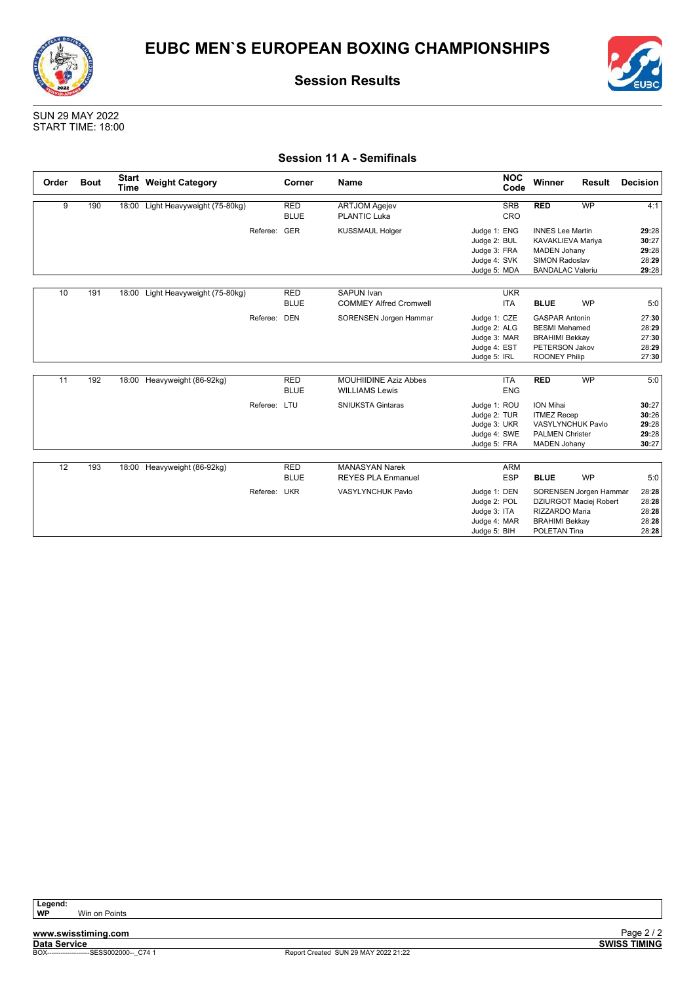![](_page_35_Picture_0.jpeg)

![](_page_35_Picture_2.jpeg)

SUN 29 MAY 2022 START TIME: 18:00

### **Session 11 A - Semifinals**

| Order | <b>Bout</b> | <b>Start</b><br><b>Time</b> | <b>Weight Category</b>            |              | <b>Corner</b>             | <b>Name</b>                                           | <b>NOC</b><br>Code                                                           | Winner                                                                                                                  | <b>Result</b>                                    | <b>Decision</b>                           |
|-------|-------------|-----------------------------|-----------------------------------|--------------|---------------------------|-------------------------------------------------------|------------------------------------------------------------------------------|-------------------------------------------------------------------------------------------------------------------------|--------------------------------------------------|-------------------------------------------|
| 9     | 190         |                             | 18:00 Light Heavyweight (75-80kg) |              | <b>RED</b><br><b>BLUE</b> | <b>ARTJOM Agejev</b><br><b>PLANTIC Luka</b>           | <b>SRB</b><br>CRO                                                            | <b>RED</b>                                                                                                              | <b>WP</b>                                        | 4:1                                       |
|       |             |                             |                                   | Referee:     | GER                       | <b>KUSSMAUL Holger</b>                                | Judge 1: ENG<br>Judge 2: BUL<br>Judge 3: FRA<br>Judge 4: SVK<br>Judge 5: MDA | <b>INNES Lee Martin</b><br>KAVAKLIEVA Mariya<br><b>MADEN Johany</b><br><b>SIMON Radoslav</b><br><b>BANDALAC Valeriu</b> |                                                  | 29:28<br>30:27<br>29:28<br>28:29<br>29:28 |
| 10    | 191         |                             | 18:00 Light Heavyweight (75-80kg) |              | <b>RED</b><br><b>BLUE</b> | <b>SAPUN Ivan</b><br><b>COMMEY Alfred Cromwell</b>    | <b>UKR</b><br><b>ITA</b>                                                     | <b>BLUE</b>                                                                                                             | <b>WP</b>                                        | 5:0                                       |
|       |             |                             |                                   | Referee:     | DEN                       | SORENSEN Jorgen Hammar                                | Judge 1: CZE<br>Judge 2: ALG<br>Judge 3: MAR<br>Judge 4: EST<br>Judge 5: IRL | <b>GASPAR Antonin</b><br><b>BESMI</b> Mehamed<br><b>BRAHIMI Bekkay</b><br>PETERSON Jakov<br><b>ROONEY Philip</b>        |                                                  | 27:30<br>28:29<br>27:30<br>28:29<br>27:30 |
| 11    | 192         |                             | 18:00 Heavyweight (86-92kg)       |              | <b>RED</b><br><b>BLUE</b> | <b>MOUHIIDINE Aziz Abbes</b><br><b>WILLIAMS Lewis</b> | <b>ITA</b><br><b>ENG</b>                                                     | <b>RED</b>                                                                                                              | <b>WP</b>                                        | 5:0                                       |
|       |             |                             |                                   | Referee: LTU |                           | <b>SNIUKSTA Gintaras</b>                              | Judge 1: ROU<br>Judge 2: TUR<br>Judge 3: UKR<br>Judge 4: SWE<br>Judge 5: FRA | <b>ION Mihai</b><br><b>ITMEZ Recep</b><br>VASYLYNCHUK Pavlo<br><b>PALMEN Christer</b><br><b>MADEN Johany</b>            |                                                  | 30:27<br>30:26<br>29:28<br>29:28<br>30:27 |
| 12    | 193         |                             | 18:00 Heavyweight (86-92kg)       |              | <b>RED</b><br><b>BLUE</b> | <b>MANASYAN Narek</b><br><b>REYES PLA Enmanuel</b>    | <b>ARM</b><br><b>ESP</b>                                                     | <b>BLUE</b>                                                                                                             | <b>WP</b>                                        | 5:0                                       |
|       |             |                             |                                   | Referee: UKR |                           | VASYLYNCHUK Pavlo                                     | Judge 1: DEN<br>Judge 2: POL<br>Judge 3: ITA<br>Judge 4: MAR<br>Judge 5: BIH | RIZZARDO Maria<br><b>BRAHIMI Bekkay</b><br>POLETAN Tina                                                                 | SORENSEN Jorgen Hammar<br>DZIURGOT Maciej Robert | 28:28<br>28:28<br>28:28<br>28:28<br>28:28 |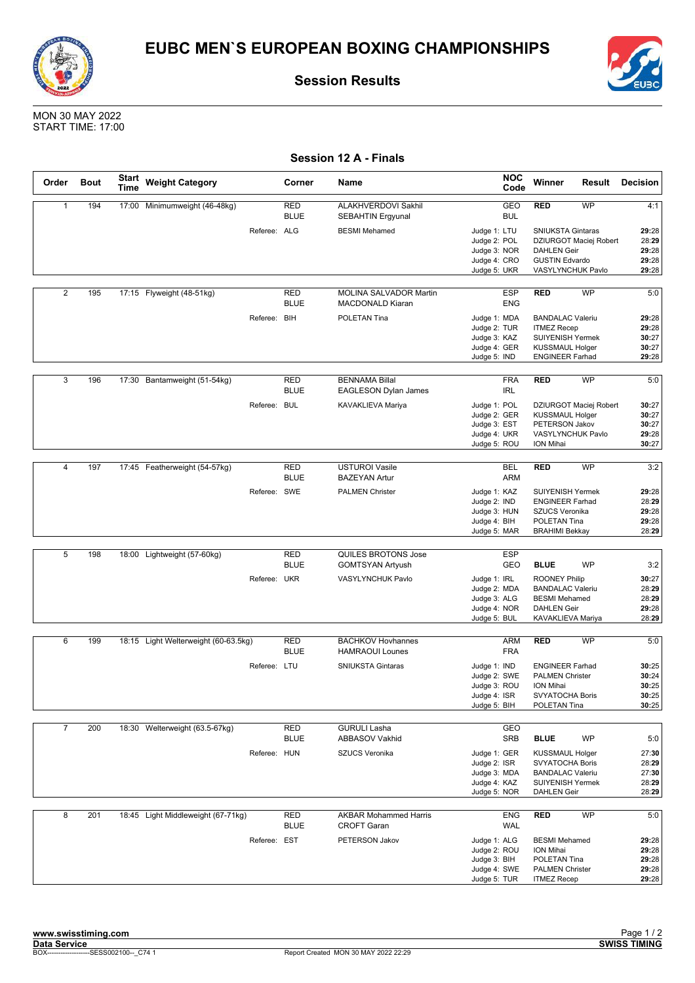![](_page_36_Picture_0.jpeg)

![](_page_36_Picture_1.jpeg)

![](_page_36_Picture_3.jpeg)

MON 30 MAY 2022 START TIME: 17:00

| Order          | <b>Bout</b> | <b>Start</b><br>Time | <b>Weight Category</b>               |              | Corner                    | Name                                                 | <b>NOC</b><br>Code           | Winner                                           | Result                 | <b>Decision</b> |
|----------------|-------------|----------------------|--------------------------------------|--------------|---------------------------|------------------------------------------------------|------------------------------|--------------------------------------------------|------------------------|-----------------|
| $\mathbf{1}$   | 194         |                      | 17:00 Minimumweight (46-48kg)        |              | <b>RED</b><br><b>BLUE</b> | ALAKHVERDOVI Sakhil<br><b>SEBAHTIN Ergyunal</b>      | GEO<br><b>BUL</b>            | <b>RED</b>                                       | WP                     | 4:1             |
|                |             |                      |                                      | Referee: ALG |                           | <b>BESMI</b> Mehamed                                 | Judge 1: LTU                 | <b>SNIUKSTA Gintaras</b>                         |                        | 29:28           |
|                |             |                      |                                      |              |                           |                                                      | Judge 2: POL                 |                                                  | DZIURGOT Maciej Robert | 28:29           |
|                |             |                      |                                      |              |                           |                                                      | Judge 3: NOR                 | <b>DAHLEN Geir</b>                               |                        | 29:28           |
|                |             |                      |                                      |              |                           |                                                      | Judge 4: CRO<br>Judge 5: UKR | <b>GUSTIN Edvardo</b><br>VASYLYNCHUK Pavlo       |                        | 29:28<br>29:28  |
|                |             |                      |                                      |              |                           |                                                      |                              |                                                  |                        |                 |
| $\overline{2}$ | 195         |                      | 17:15 Flyweight (48-51kg)            |              | <b>RED</b><br><b>BLUE</b> | MOLINA SALVADOR Martin<br><b>MACDONALD Kiaran</b>    | <b>ESP</b><br><b>ENG</b>     | <b>RED</b>                                       | <b>WP</b>              | 5:0             |
|                |             |                      |                                      | Referee: BIH |                           | POLETAN Tina                                         | Judge 1: MDA                 | <b>BANDALAC Valeriu</b>                          |                        | 29:28           |
|                |             |                      |                                      |              |                           |                                                      | Judge 2: TUR                 | <b>ITMEZ Recep</b>                               |                        | 29:28           |
|                |             |                      |                                      |              |                           |                                                      | Judge 3: KAZ                 | <b>SUIYENISH Yermek</b>                          |                        | 30:27           |
|                |             |                      |                                      |              |                           |                                                      | Judge 4: GER<br>Judge 5: IND | <b>KUSSMAUL Holger</b><br><b>ENGINEER Farhad</b> |                        | 30:27<br>29:28  |
|                |             |                      |                                      |              |                           |                                                      |                              |                                                  |                        |                 |
| 3              | 196         |                      | 17:30 Bantamweight (51-54kg)         |              | <b>RED</b><br><b>BLUE</b> | <b>BENNAMA Billal</b><br><b>EAGLESON Dylan James</b> | <b>FRA</b><br><b>IRL</b>     | <b>RED</b>                                       | WP                     | 5:0             |
|                |             |                      |                                      | Referee: BUL |                           | KAVAKLIEVA Mariya                                    | Judge 1: POL                 |                                                  | DZIURGOT Maciej Robert | 30:27           |
|                |             |                      |                                      |              |                           |                                                      | Judge 2: GER                 | <b>KUSSMAUL Holger</b>                           |                        | 30:27           |
|                |             |                      |                                      |              |                           |                                                      | Judge 3: EST                 | PETERSON Jakov                                   |                        | 30:27           |
|                |             |                      |                                      |              |                           |                                                      | Judge 4: UKR<br>Judge 5: ROU | VASYLYNCHUK Pavlo<br>ION Mihai                   |                        | 29:28<br>30:27  |
|                |             |                      |                                      |              |                           |                                                      |                              |                                                  |                        |                 |
| $\overline{4}$ | 197         |                      | 17:45 Featherweight (54-57kg)        |              | <b>RED</b>                | <b>USTUROI Vasile</b>                                | <b>BEL</b>                   | <b>RED</b>                                       | <b>WP</b>              | 3:2             |
|                |             |                      |                                      |              | <b>BLUE</b>               | <b>BAZEYAN Artur</b>                                 | <b>ARM</b>                   |                                                  |                        |                 |
|                |             |                      |                                      | Referee: SWE |                           | <b>PALMEN Christer</b>                               | Judge 1: KAZ                 | <b>SUIYENISH Yermek</b>                          |                        | 29:28           |
|                |             |                      |                                      |              |                           |                                                      | Judge 2: IND                 | <b>ENGINEER Farhad</b>                           |                        | 28:29           |
|                |             |                      |                                      |              |                           |                                                      | Judge 3: HUN<br>Judge 4: BIH | <b>SZUCS Veronika</b><br>POLETAN Tina            |                        | 29:28<br>29:28  |
|                |             |                      |                                      |              |                           |                                                      | Judge 5: MAR                 | <b>BRAHIMI Bekkay</b>                            |                        | 28:29           |
|                |             |                      |                                      |              |                           |                                                      |                              |                                                  |                        |                 |
| 5              | 198         |                      | 18:00 Lightweight (57-60kg)          |              | <b>RED</b>                | QUILES BROTONS Jose                                  | <b>ESP</b>                   |                                                  |                        |                 |
|                |             |                      |                                      |              | <b>BLUE</b>               | <b>GOMTSYAN Artyush</b>                              | GEO                          | <b>BLUE</b>                                      | <b>WP</b>              | 3:2             |
|                |             |                      |                                      | Referee: UKR |                           | VASYLYNCHUK Pavlo                                    | Judge 1: IRL                 | <b>ROONEY Philip</b>                             |                        | 30:27           |
|                |             |                      |                                      |              |                           |                                                      | Judge 2: MDA<br>Judge 3: ALG | <b>BANDALAC Valeriu</b><br><b>BESMI</b> Mehamed  |                        | 28:29<br>28:29  |
|                |             |                      |                                      |              |                           |                                                      | Judge 4: NOR                 | <b>DAHLEN Geir</b>                               |                        | 29:28           |
|                |             |                      |                                      |              |                           |                                                      | Judge 5: BUL                 | KAVAKLIEVA Mariya                                |                        | 28:29           |
|                |             |                      |                                      |              |                           |                                                      |                              |                                                  |                        |                 |
| 6              | 199         |                      | 18:15 Light Welterweight (60-63.5kg) |              | <b>RED</b><br><b>BLUE</b> | <b>BACHKOV Hovhannes</b><br><b>HAMRAOUI Lounes</b>   | <b>ARM</b><br><b>FRA</b>     | <b>RED</b>                                       | WP                     | 5:0             |
|                |             |                      |                                      |              |                           |                                                      |                              |                                                  |                        |                 |
|                |             |                      |                                      | Referee: LTU |                           | <b>SNIUKSTA Gintaras</b>                             | Judge 1: IND<br>Judge 2: SWE | <b>ENGINEER Farhad</b><br><b>PALMEN Christer</b> |                        | 30:25<br>30:24  |
|                |             |                      |                                      |              |                           |                                                      | Judge 3: ROU                 | ION Mihai                                        |                        | 30:25           |
|                |             |                      |                                      |              |                           |                                                      | Judge 4: ISR                 | SVYATOCHA Boris                                  |                        | 30:25           |
|                |             |                      |                                      |              |                           |                                                      | Judge 5: BIH                 | POLETAN Tina                                     |                        | 30:25           |
| $\overline{7}$ | 200         |                      | 18:30 Welterweight (63.5-67kg)       |              | RED                       | <b>GURULI Lasha</b>                                  | GEO                          |                                                  |                        |                 |
|                |             |                      |                                      |              | <b>BLUE</b>               | <b>ABBASOV Vakhid</b>                                | <b>SRB</b>                   | <b>BLUE</b>                                      | WP                     | 5:0             |
|                |             |                      |                                      | Referee: HUN |                           | SZUCS Veronika                                       | Judge 1: GER                 | <b>KUSSMAUL Holger</b>                           |                        | 27:30           |
|                |             |                      |                                      |              |                           |                                                      | Judge 2: ISR                 | SVYATOCHA Boris                                  |                        | 28:29           |
|                |             |                      |                                      |              |                           |                                                      | Judge 3: MDA                 | <b>BANDALAC Valeriu</b>                          |                        | 27:30           |
|                |             |                      |                                      |              |                           |                                                      | Judge 4: KAZ                 | <b>SUIYENISH Yermek</b>                          |                        | 28:29           |
|                |             |                      |                                      |              |                           |                                                      | Judge 5: NOR                 | <b>DAHLEN Geir</b>                               |                        | 28:29           |
| 8              | 201         |                      | 18:45 Light Middleweight (67-71kg)   |              | RED<br><b>BLUE</b>        | <b>AKBAR Mohammed Harris</b><br><b>CROFT Garan</b>   | <b>ENG</b><br>WAL            | <b>RED</b>                                       | WP                     | 5:0             |
|                |             |                      |                                      | Referee: EST |                           | PETERSON Jakov                                       | Judge 1: ALG                 | <b>BESMI</b> Mehamed                             |                        | 29:28           |
|                |             |                      |                                      |              |                           |                                                      | Judge 2: ROU                 | <b>ION Mihai</b>                                 |                        | 29:28           |
|                |             |                      |                                      |              |                           |                                                      | Judge 3: BIH                 | POLETAN Tina                                     |                        | 29:28           |
|                |             |                      |                                      |              |                           |                                                      | Judge 4: SWE                 | <b>PALMEN Christer</b>                           |                        | 29:28           |
|                |             |                      |                                      |              |                           |                                                      | Judge 5: TUR                 | <b>ITMEZ Recep</b>                               |                        | 29:28           |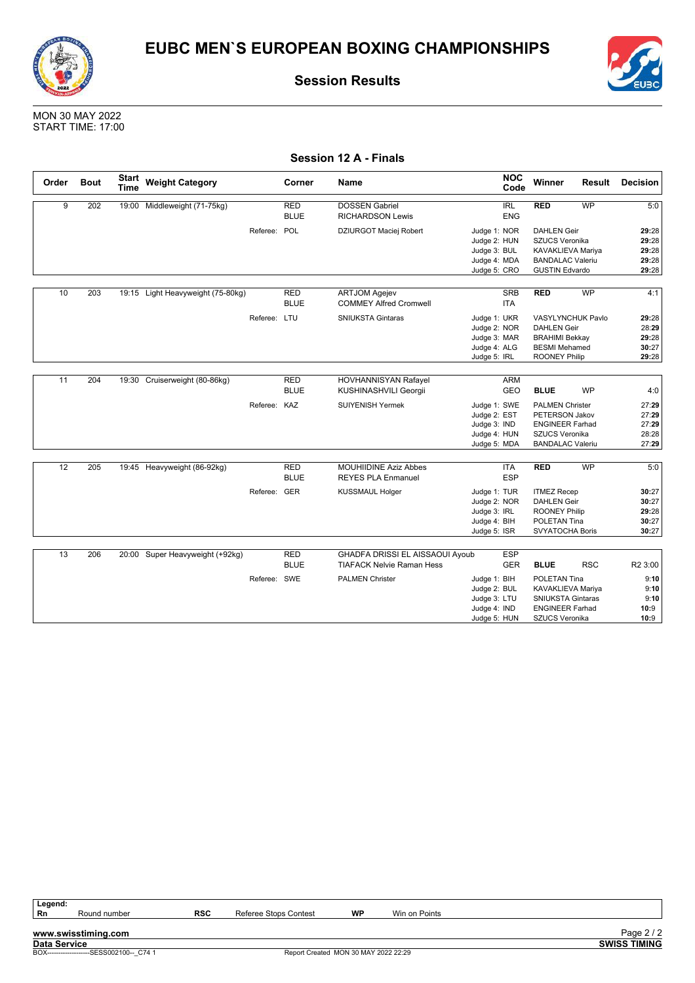![](_page_37_Picture_0.jpeg)

![](_page_37_Picture_1.jpeg)

![](_page_37_Picture_3.jpeg)

MON 30 MAY 2022 START TIME: 17:00

| Session 12 A - Finals |  |  |
|-----------------------|--|--|
|-----------------------|--|--|

| Order | <b>Bout</b> | <b>Start</b><br><b>Time</b> | <b>Weight Category</b>            |              | Corner                    | <b>Name</b>                                                         |                                                                              | <b>NOC</b><br>Code       | Winner                                                                                                                 | <b>Result</b> | Decision                                  |
|-------|-------------|-----------------------------|-----------------------------------|--------------|---------------------------|---------------------------------------------------------------------|------------------------------------------------------------------------------|--------------------------|------------------------------------------------------------------------------------------------------------------------|---------------|-------------------------------------------|
| 9     | 202         | 19:00                       | Middleweight (71-75kg)            |              | <b>RED</b><br><b>BLUE</b> | <b>DOSSEN Gabriel</b><br><b>RICHARDSON Lewis</b>                    |                                                                              | <b>IRL</b><br><b>ENG</b> | <b>RED</b>                                                                                                             | <b>WP</b>     | 5:0                                       |
|       |             |                             |                                   | Referee: POL |                           | DZIURGOT Maciej Robert                                              | Judge 1: NOR<br>Judge 2: HUN<br>Judge 3: BUL<br>Judge 4: MDA<br>Judge 5: CRO |                          | <b>DAHLEN Geir</b><br>SZUCS Veronika<br>KAVAKLIEVA Mariya<br><b>BANDALAC Valeriu</b><br><b>GUSTIN Edvardo</b>          |               | 29:28<br>29:28<br>29:28<br>29:28<br>29:28 |
| 10    | 203         |                             | 19:15 Light Heavyweight (75-80kg) |              | <b>RED</b><br><b>BLUE</b> | <b>ARTJOM Agejev</b><br><b>COMMEY Alfred Cromwell</b>               |                                                                              | <b>SRB</b><br><b>ITA</b> | <b>RED</b>                                                                                                             | WP            | 4:1                                       |
|       |             |                             |                                   | Referee: LTU |                           | <b>SNIUKSTA Gintaras</b>                                            | Judge 1: UKR<br>Judge 2: NOR<br>Judge 3: MAR<br>Judge 4: ALG<br>Judge 5: IRL |                          | <b>VASYLYNCHUK Pavlo</b><br><b>DAHLEN Geir</b><br><b>BRAHIMI Bekkay</b><br><b>BESMI Mehamed</b><br>ROONEY Philip       |               | 29:28<br>28:29<br>29:28<br>30:27<br>29:28 |
| 11    | 204         |                             | 19:30 Cruiserweight (80-86kg)     |              | <b>RED</b><br><b>BLUE</b> | <b>HOVHANNISYAN Rafayel</b><br>KUSHINASHVILI Georgii                |                                                                              | <b>ARM</b><br><b>GEO</b> | <b>BLUE</b>                                                                                                            | <b>WP</b>     | 4:0                                       |
|       |             |                             |                                   | Referee: KAZ |                           | <b>SUIYENISH Yermek</b>                                             | Judge 1: SWE<br>Judge 2: EST<br>Judge 3: IND<br>Judge 4: HUN<br>Judge 5: MDA |                          | <b>PALMEN Christer</b><br><b>PETERSON Jakov</b><br><b>ENGINEER Farhad</b><br>SZUCS Veronika<br><b>BANDALAC Valeriu</b> |               | 27:29<br>27:29<br>27:29<br>28:28<br>27:29 |
| 12    | 205         |                             | 19:45 Heavyweight (86-92kg)       |              | <b>RED</b><br><b>BLUE</b> | <b>MOUHIIDINE Aziz Abbes</b><br><b>REYES PLA Enmanuel</b>           |                                                                              | <b>ITA</b><br>ESP        | <b>RED</b>                                                                                                             | <b>WP</b>     | 5:0                                       |
|       |             |                             |                                   | Referee: GER |                           | <b>KUSSMAUL Holger</b>                                              | Judge 1: TUR<br>Judge 2: NOR<br>Judge 3: IRL<br>Judge 4: BIH<br>Judge 5: ISR |                          | <b>ITMEZ Recep</b><br><b>DAHLEN Geir</b><br><b>ROONEY Philip</b><br><b>POLETAN Tina</b><br><b>SVYATOCHA Boris</b>      |               | 30:27<br>30:27<br>29:28<br>30:27<br>30:27 |
| 13    | 206         |                             | 20:00 Super Heavyweight (+92kg)   |              | <b>RED</b><br><b>BLUE</b> | GHADFA DRISSI EL AISSAOUI Ayoub<br><b>TIAFACK Nelvie Raman Hess</b> |                                                                              | <b>ESP</b><br><b>GER</b> | <b>BLUE</b>                                                                                                            | <b>RSC</b>    | R2 3:00                                   |
|       |             |                             |                                   | Referee: SWE |                           | <b>PALMEN Christer</b>                                              | Judge 1: BIH<br>Judge 2: BUL<br>Judge 3: LTU<br>Judge 4: IND<br>Judge 5: HUN |                          | POLETAN Tina<br><b>KAVAKLIEVA Mariya</b><br><b>SNIUKSTA Gintaras</b><br><b>ENGINEER Farhad</b><br>SZUCS Veronika       |               | 9:10<br>9:10<br>9:10<br>10:9<br>10:9      |

Legend:<br>Rn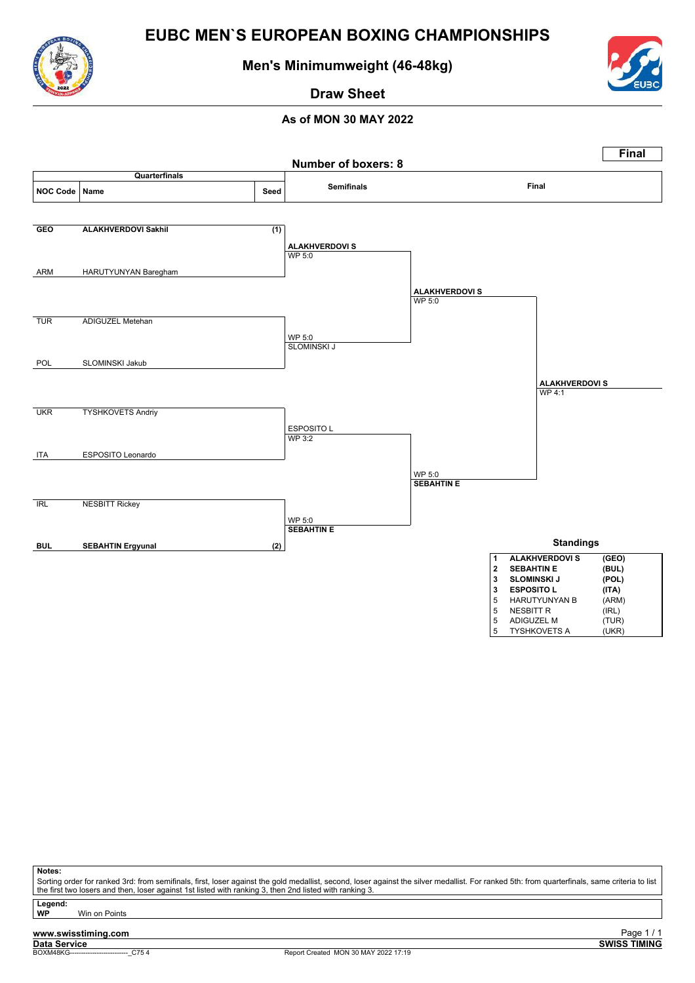![](_page_38_Picture_0.jpeg)

![](_page_38_Picture_1.jpeg)

### **Men's Minimumweight (46-48kg)**

![](_page_38_Picture_3.jpeg)

**Draw Sheet**

### **As of MON 30 MAY 2022**

|                  |                            |      | <b>Number of boxers: 8</b>             |                             | <b>Final</b>                                        |
|------------------|----------------------------|------|----------------------------------------|-----------------------------|-----------------------------------------------------|
|                  | Quarterfinals              |      |                                        |                             |                                                     |
| <b>NOC Code</b>  | Name                       | Seed | <b>Semifinals</b>                      |                             | Final                                               |
|                  |                            |      |                                        |                             |                                                     |
| <b>GEO</b>       | <b>ALAKHVERDOVI Sakhil</b> | (1)  |                                        |                             |                                                     |
|                  |                            |      | <b>ALAKHVERDOVI S</b><br><b>WP 5:0</b> |                             |                                                     |
|                  |                            |      |                                        |                             |                                                     |
| ARM              | HARUTYUNYAN Baregham       |      |                                        |                             |                                                     |
|                  |                            |      |                                        | <b>ALAKHVERDOVI S</b>       |                                                     |
|                  |                            |      |                                        | <b>WP 5:0</b>               |                                                     |
| <b>TUR</b>       | <b>ADIGUZEL Metehan</b>    |      |                                        |                             |                                                     |
|                  |                            |      | WP 5:0                                 |                             |                                                     |
|                  |                            |      | <b>SLOMINSKI J</b>                     |                             |                                                     |
| POL              | SLOMINSKI Jakub            |      |                                        |                             |                                                     |
|                  |                            |      |                                        |                             |                                                     |
|                  |                            |      |                                        |                             | <b>ALAKHVERDOVI S</b><br>WP 4:1                     |
|                  |                            |      |                                        |                             |                                                     |
| <b>UKR</b>       | <b>TYSHKOVETS Andriy</b>   |      |                                        |                             |                                                     |
|                  |                            |      | ESPOSITO L<br>WP 3:2                   |                             |                                                     |
|                  |                            |      |                                        |                             |                                                     |
| <b>ITA</b>       | ESPOSITO Leonardo          |      |                                        |                             |                                                     |
|                  |                            |      |                                        | WP 5:0<br><b>SEBAHTIN E</b> |                                                     |
|                  |                            |      |                                        |                             |                                                     |
| $\overline{IRL}$ | <b>NESBITT Rickey</b>      |      |                                        |                             |                                                     |
|                  |                            |      | WP 5:0                                 |                             |                                                     |
|                  |                            |      | <b>SEBAHTIN E</b>                      |                             |                                                     |
| <b>BUL</b>       | <b>SEBAHTIN Ergyunal</b>   | (2)  |                                        |                             | <b>Standings</b>                                    |
|                  |                            |      |                                        | 1<br>$2^{\circ}$            | <b>ALAKHVERDOVI S</b><br>(GEO)<br><b>SEBAHTIN E</b> |
|                  |                            |      |                                        | $\mathbf{3}$                | (BUL)<br><b>SLOMINSKI J</b><br>(POL)                |
|                  |                            |      |                                        | 3                           | <b>ESPOSITO L</b><br>(ITA)                          |
|                  |                            |      |                                        | 5                           | (ARM)<br>HARUTYUNYAN B<br><b>NESBITT R</b>          |
|                  |                            |      |                                        | 5<br>5                      | (IRL)<br>ADIGUZEL M<br>(TUR)                        |
|                  |                            |      |                                        | 5                           | (UKR)<br><b>TYSHKOVETS A</b>                        |

#### **Notes:**

Sorting order for ranked 3rd: from semifinals, first, loser against the gold medallist, second, loser against the silver medallist. For ranked 5th: from quarterfinals, same criteria to list<br>the first two losers and then, l

**Legend: Win on Points**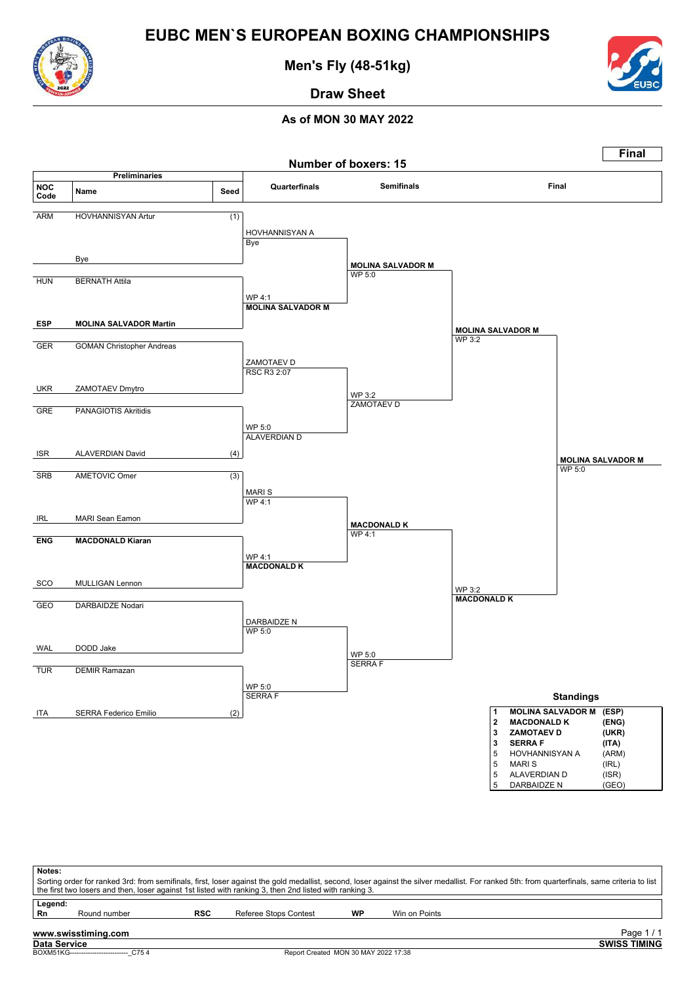![](_page_39_Picture_0.jpeg)

**Men's Fly (48-51kg)**

![](_page_39_Picture_3.jpeg)

**Draw Sheet**

![](_page_39_Figure_7.jpeg)

| Notes:        |                                         |            | the first two losers and then, loser against 1st listed with ranking 3, then 2nd listed with ranking 3. |    |               | Sorting order for ranked 3rd: from semifinals, first, loser against the gold medallist, second, loser against the silver medallist. For ranked 5th: from quarterfinals, same criteria to list |
|---------------|-----------------------------------------|------------|---------------------------------------------------------------------------------------------------------|----|---------------|-----------------------------------------------------------------------------------------------------------------------------------------------------------------------------------------------|
| Legend:<br>Rn | Round number                            | <b>RSC</b> | Referee Stops Contest                                                                                   | WP | Win on Points |                                                                                                                                                                                               |
|               | www.swisstiming.com                     |            |                                                                                                         |    |               | Page $1/1$                                                                                                                                                                                    |
| Data Service  | BOXM51KG-------------------------- C754 |            | Report Created MON 30 MAY 2022 17:38                                                                    |    |               | <b>SWISS TIMING</b>                                                                                                                                                                           |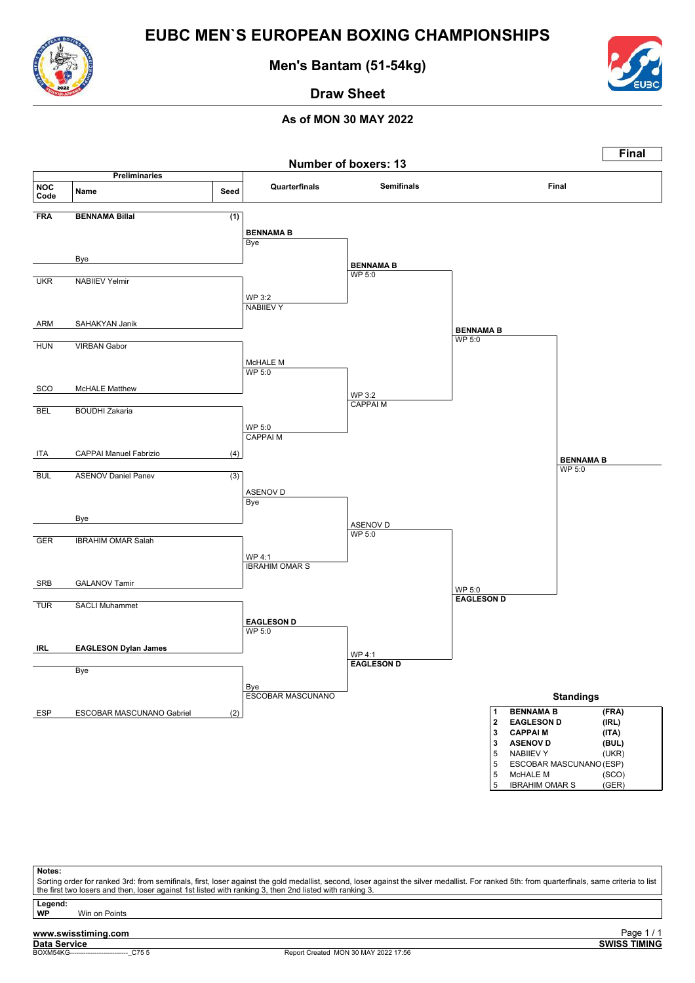![](_page_40_Picture_0.jpeg)

**Men's Bantam (51-54kg)**

![](_page_40_Picture_3.jpeg)

**Draw Sheet**

### **As of MON 30 MAY 2022**

![](_page_40_Figure_6.jpeg)

**Notes:** Sorting order for ranked 3rd: from semifinals, first, loser against the gold medallist, second, loser against the silver medallist. For ranked 5th: from quarterfinals, same criteria to list the first two losers and then, loser against 1st listed with ranking 3, then 2nd listed with ranking 3.

Legend:<br>WP **Win on Points** 

# **www.swisstiming.com**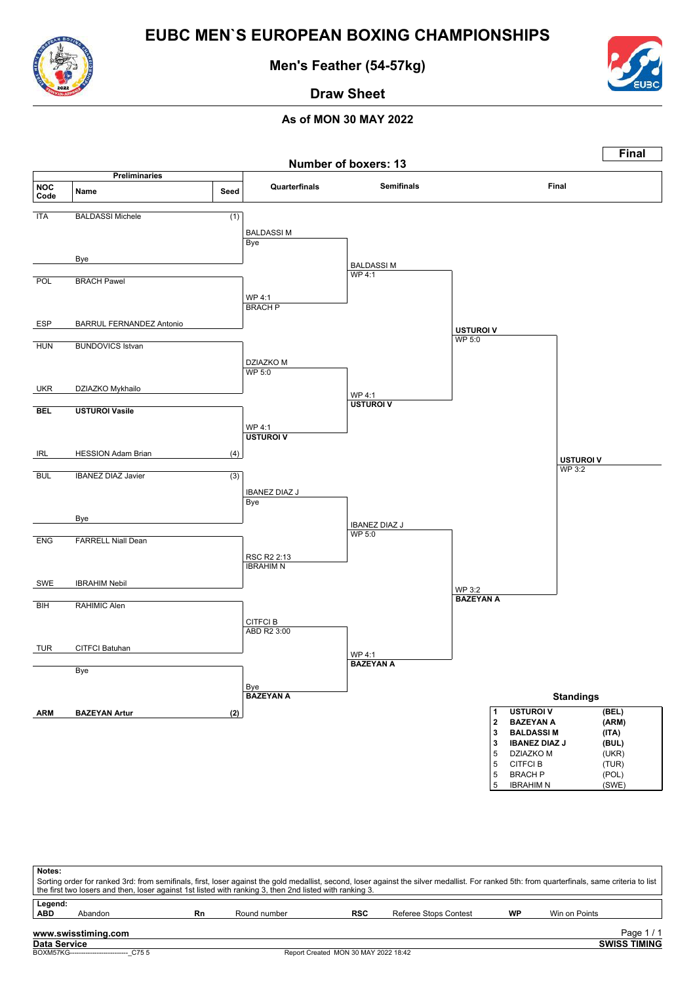![](_page_41_Picture_0.jpeg)

**Men's Feather (54-57kg)**

![](_page_41_Picture_3.jpeg)

**Draw Sheet**

![](_page_41_Figure_6.jpeg)

| Notes:<br>Sorting order for ranked 3rd: from semifinals, first, loser against the gold medallist, second, loser against the silver medallist. For ranked 5th: from quarterfinals, same criteria to list<br>the first two losers and then, loser against 1st listed with ranking 3, then 2nd listed with ranking 3. |                                           |    |              |                                      |                       |           |                     |  |  |  |  |
|--------------------------------------------------------------------------------------------------------------------------------------------------------------------------------------------------------------------------------------------------------------------------------------------------------------------|-------------------------------------------|----|--------------|--------------------------------------|-----------------------|-----------|---------------------|--|--|--|--|
| Legend:<br><b>ABD</b>                                                                                                                                                                                                                                                                                              | Abandon                                   | Rn | Round number | <b>RSC</b>                           | Referee Stops Contest | <b>WP</b> | Win on Points       |  |  |  |  |
| www.swisstiming.com<br>Page $1/1$                                                                                                                                                                                                                                                                                  |                                           |    |              |                                      |                       |           |                     |  |  |  |  |
| Data Service                                                                                                                                                                                                                                                                                                       | BOXM57KG--------------------------- C75 5 |    |              | Report Created MON 30 MAY 2022 18:42 |                       |           | <b>SWISS TIMING</b> |  |  |  |  |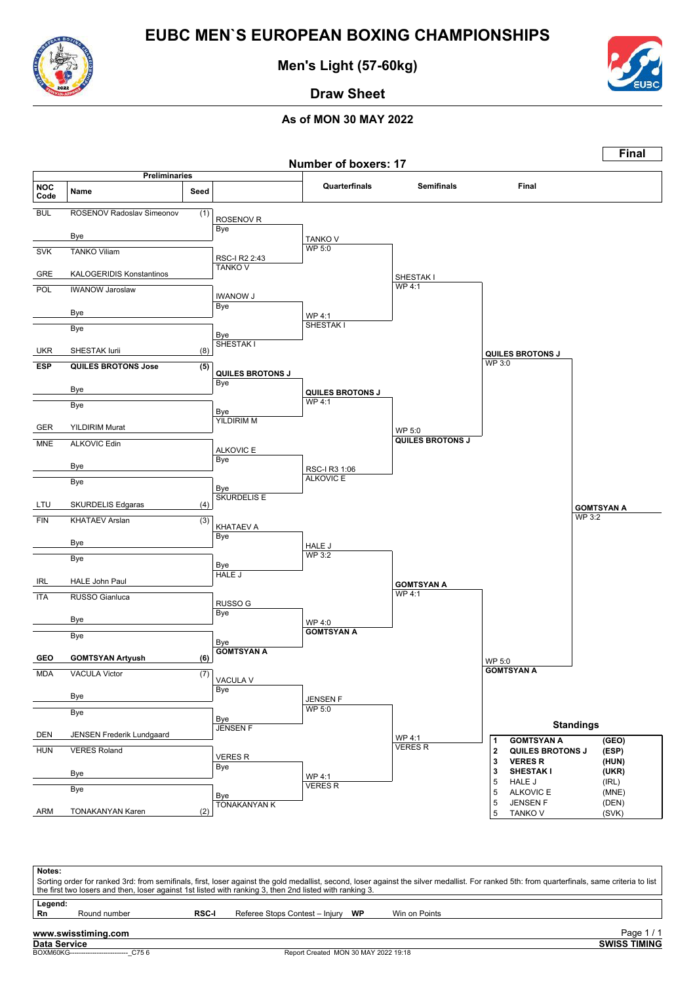![](_page_42_Picture_0.jpeg)

**Men's Light (57-60kg)**

![](_page_42_Picture_3.jpeg)

# **Draw Sheet**

### **As of MON 30 MAY 2022**

![](_page_42_Figure_7.jpeg)

| Notes:                                                                                                  |              |              |                                   |  |                                                                                                                                                                                               |  |  |  |  |  |
|---------------------------------------------------------------------------------------------------------|--------------|--------------|-----------------------------------|--|-----------------------------------------------------------------------------------------------------------------------------------------------------------------------------------------------|--|--|--|--|--|
|                                                                                                         |              |              |                                   |  | Sorting order for ranked 3rd: from semifinals, first, loser against the gold medallist, second, loser against the silver medallist. For ranked 5th: from quarterfinals, same criteria to list |  |  |  |  |  |
| the first two losers and then, loser against 1st listed with ranking 3, then 2nd listed with ranking 3. |              |              |                                   |  |                                                                                                                                                                                               |  |  |  |  |  |
| Legend:                                                                                                 |              |              |                                   |  |                                                                                                                                                                                               |  |  |  |  |  |
|                                                                                                         |              |              |                                   |  |                                                                                                                                                                                               |  |  |  |  |  |
| Rn                                                                                                      | Round number | <b>RSC-I</b> | Referee Stops Contest - Injury WP |  | Win on Points                                                                                                                                                                                 |  |  |  |  |  |

### **www.swisstiming.com**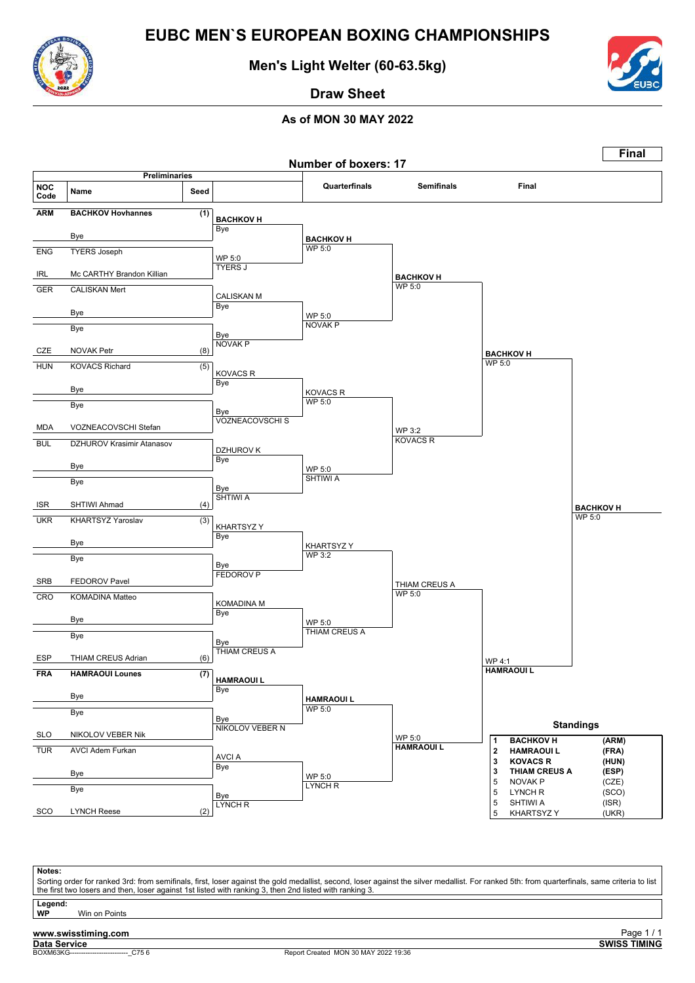![](_page_43_Picture_0.jpeg)

**Men's Light Welter (60-63.5kg)**

![](_page_43_Picture_3.jpeg)

**Draw Sheet**

### **As of MON 30 MAY 2022**

![](_page_43_Figure_6.jpeg)

**Notes:** Sorting order for ranked 3rd: from semifinals, first, loser against the gold medallist, second, loser against the silver medallist. For ranked 5th: from quarterfinals, same criteria to list the first two losers and then, loser against 1st listed with ranking 3, then 2nd listed with ranking 3.

Legend:<br>WP **Win on Points** 

### **www.swisstiming.com**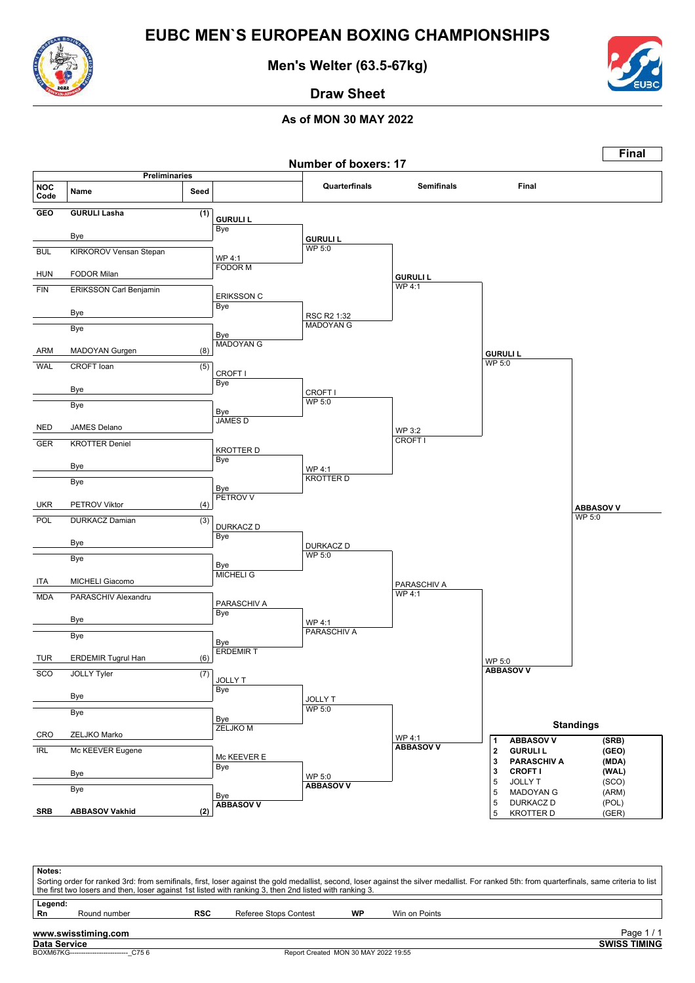![](_page_44_Picture_0.jpeg)

**Men's Welter (63.5-67kg)**

![](_page_44_Picture_3.jpeg)

**Draw Sheet**

![](_page_44_Figure_6.jpeg)

|               | Notes:<br>Sorting order for ranked 3rd: from semifinals, first, loser against the gold medallist, second, loser against the silver medallist. For ranked 5th: from quarterfinals, same criteria to list<br>the first two losers and then, loser against 1st listed with ranking 3, then 2nd listed with ranking 3. |            |                       |    |                                 |  |  |  |  |  |  |  |  |
|---------------|--------------------------------------------------------------------------------------------------------------------------------------------------------------------------------------------------------------------------------------------------------------------------------------------------------------------|------------|-----------------------|----|---------------------------------|--|--|--|--|--|--|--|--|
| Legend:<br>Rn | Round number                                                                                                                                                                                                                                                                                                       | <b>RSC</b> | Referee Stops Contest | WP | Win on Points                   |  |  |  |  |  |  |  |  |
|               | www.swisstiming.com<br>Data Service                                                                                                                                                                                                                                                                                |            |                       |    | Page 1/1<br><b>SWISS TIMING</b> |  |  |  |  |  |  |  |  |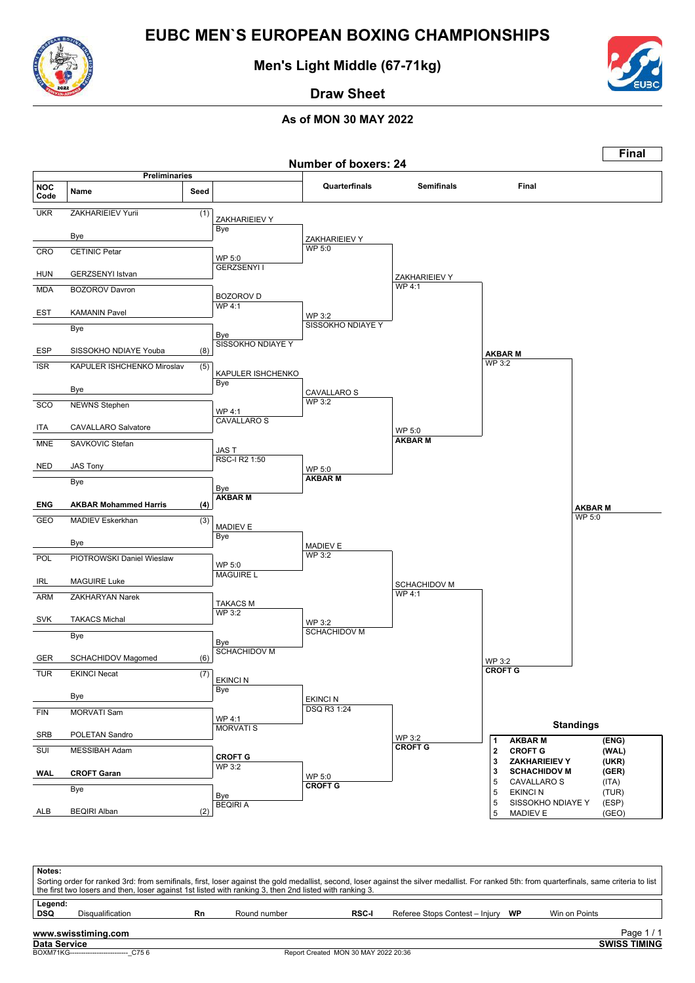![](_page_45_Picture_0.jpeg)

**Men's Light Middle (67-71kg)**

![](_page_45_Picture_3.jpeg)

**Draw Sheet**

![](_page_45_Figure_6.jpeg)

| Notes:                | Sorting order for ranked 3rd: from semifinals, first, loser against the gold medallist, second, loser against the silver medallist. For ranked 5th: from quarterfinals, same criteria to list<br>the first two losers and then, loser against 1st listed with ranking 3, then 2nd listed with ranking 3. |    |              |              |                                   |               |                                   |  |  |  |  |  |
|-----------------------|----------------------------------------------------------------------------------------------------------------------------------------------------------------------------------------------------------------------------------------------------------------------------------------------------------|----|--------------|--------------|-----------------------------------|---------------|-----------------------------------|--|--|--|--|--|
| Legend:<br><b>DSQ</b> | Disqualification                                                                                                                                                                                                                                                                                         | Rn | Round number | <b>RSC-I</b> | Referee Stops Contest - Injury WP | Win on Points |                                   |  |  |  |  |  |
| Data Service          | www.swisstiming.com                                                                                                                                                                                                                                                                                      |    |              |              |                                   |               | Page $1/1$<br><b>SWISS TIMING</b> |  |  |  |  |  |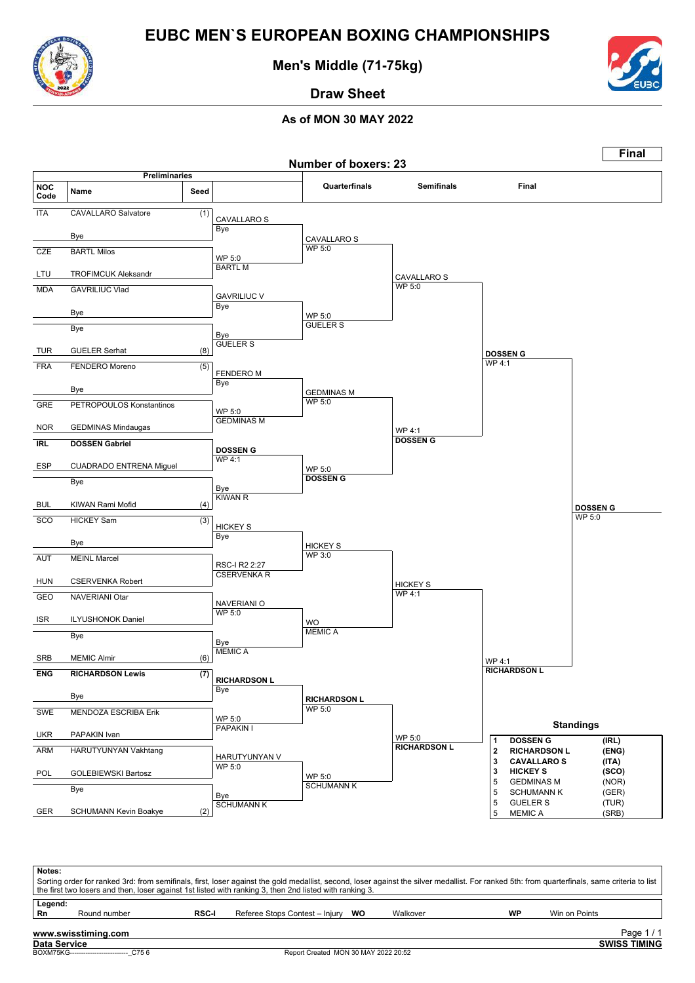![](_page_46_Picture_0.jpeg)

**Men's Middle (71-75kg)**

![](_page_46_Picture_3.jpeg)

**Draw Sheet**

|                    |                                               |      |                                     |                                      |                                  |                                                                        | Final                     |
|--------------------|-----------------------------------------------|------|-------------------------------------|--------------------------------------|----------------------------------|------------------------------------------------------------------------|---------------------------|
|                    | <b>Preliminaries</b>                          |      |                                     | <b>Number of boxers: 23</b>          |                                  |                                                                        |                           |
| <b>NOC</b><br>Code | Name                                          | Seed |                                     | Quarterfinals                        | <b>Semifinals</b>                | Final                                                                  |                           |
| <b>ITA</b>         | <b>CAVALLARO Salvatore</b>                    | (1)  | CAVALLARO S                         |                                      |                                  |                                                                        |                           |
|                    | Bye                                           |      | Bye                                 | <b>CAVALLARO S</b>                   |                                  |                                                                        |                           |
| <b>CZE</b>         | <b>BARTL Milos</b>                            |      | WP 5:0<br><b>BARTLM</b>             | WP 5:0                               |                                  |                                                                        |                           |
| LTU                | <b>TROFIMCUK Aleksandr</b>                    |      |                                     |                                      | CAVALLARO S<br><b>WP 5:0</b>     |                                                                        |                           |
| <b>MDA</b>         | <b>GAVRILIUC Vlad</b>                         |      | <b>GAVRILIUC V</b><br>Bye           |                                      |                                  |                                                                        |                           |
|                    | Bye                                           |      |                                     | WP 5:0<br><b>GUELER S</b>            |                                  |                                                                        |                           |
|                    | Bye                                           |      | Bye<br><b>GUELER S</b>              |                                      |                                  |                                                                        |                           |
| TUR                | <b>GUELER Serhat</b>                          | (8)  |                                     |                                      |                                  | <b>DOSSEN G</b><br>WP 4:1                                              |                           |
| <b>FRA</b>         | FENDERO Moreno                                | (5)  | <b>FENDEROM</b><br>Bye              |                                      |                                  |                                                                        |                           |
|                    | Bye                                           |      |                                     | <b>GEDMINAS M</b><br>WP 5:0          |                                  |                                                                        |                           |
| <b>GRE</b>         | PETROPOULOS Konstantinos                      |      | WP 5:0<br><b>GEDMINAS M</b>         |                                      |                                  |                                                                        |                           |
| <b>NOR</b>         | <b>GEDMINAS Mindaugas</b>                     |      |                                     |                                      | WP 4:1<br><b>DOSSEN G</b>        |                                                                        |                           |
| <b>IRL</b>         | <b>DOSSEN Gabriel</b>                         |      | <b>DOSSEN G</b><br><b>WP4:1</b>     |                                      |                                  |                                                                        |                           |
| ESP                | <b>CUADRADO ENTRENA Miguel</b>                |      |                                     | WP 5:0<br><b>DOSSEN G</b>            |                                  |                                                                        |                           |
|                    | Bye                                           |      | Bye<br><b>KIWAN R</b>               |                                      |                                  |                                                                        |                           |
| <b>BUL</b>         | KIWAN Rami Mofid                              | (4)  |                                     |                                      |                                  |                                                                        | <b>DOSSEN G</b><br>WP 5:0 |
| <b>SCO</b>         | <b>HICKEY Sam</b>                             | (3)  | <b>HICKEY S</b><br>Bye              |                                      |                                  |                                                                        |                           |
|                    | Bye                                           |      |                                     | <b>HICKEY S</b><br><b>WP 3:0</b>     |                                  |                                                                        |                           |
| <b>AUT</b>         | <b>MEINL Marcel</b>                           |      | RSC-I R2 2:27<br><b>CSERVENKA R</b> |                                      |                                  |                                                                        |                           |
| <b>HUN</b>         | <b>CSERVENKA Robert</b>                       |      |                                     |                                      | <b>HICKEY S</b><br><b>WP 4:1</b> |                                                                        |                           |
| GEO                | NAVERIANI Otar                                |      | NAVERIANI O<br><b>WP 5:0</b>        |                                      |                                  |                                                                        |                           |
| ISR                | <b>ILYUSHONOK Daniel</b>                      |      |                                     | WO<br><b>MEMIC A</b>                 |                                  |                                                                        |                           |
|                    | Bye                                           |      | Bye<br><b>MEMICA</b>                |                                      |                                  |                                                                        |                           |
| SRB<br><b>ENG</b>  | <b>MEMIC Almir</b><br><b>RICHARDSON Lewis</b> | (6)  |                                     |                                      |                                  | WP 4:1<br><b>RICHARDSON L</b>                                          |                           |
|                    |                                               | (7)  | <b>RICHARDSON L</b><br><b>Bye</b>   |                                      |                                  |                                                                        |                           |
| <b>SWE</b>         | Bye                                           |      |                                     | <b>RICHARDSON L</b><br><b>WP 5:0</b> |                                  |                                                                        |                           |
|                    | MENDOZA ESCRIBA Erik                          |      | WP 5:0<br>PAPAKIN I                 |                                      |                                  |                                                                        | <b>Standings</b>          |
| <b>UKR</b><br>ARM  | PAPAKIN Ivan<br>HARUTYUNYAN Vakhtang          |      |                                     |                                      | WP 5:0<br><b>RICHARDSON L</b>    | <b>DOSSEN G</b><br>1<br>$\overline{\mathbf{2}}$<br><b>RICHARDSON L</b> | (IRL)<br>(ENG)            |
|                    |                                               |      | HARUTYUNYAN V<br>WP 5:0             |                                      |                                  | 3<br><b>CAVALLAROS</b>                                                 | (ITA)                     |
| POL                | <b>GOLEBIEWSKI Bartosz</b><br>Bye             |      |                                     | WP 5:0<br><b>SCHUMANN K</b>          |                                  | 3<br><b>HICKEY S</b><br>5<br><b>GEDMINAS M</b>                         | (SCO)<br>(NOR)            |
|                    |                                               |      | Bye<br><b>SCHUMANN K</b>            |                                      |                                  | 5<br><b>SCHUMANN K</b><br><b>GUELER S</b><br>5                         | (GER)<br>(TUR)            |
| GER                | SCHUMANN Kevin Boakye                         | (2)  |                                     |                                      |                                  | $\sqrt{5}$<br><b>MEMICA</b>                                            | (SRB)                     |

| Notes:        |                                     |              | Sorting order for ranked 3rd: from semifinals, first, loser against the gold medallist, second, loser against the silver medallist. For ranked 5th: from quarterfinals, same criteria to list  <br>the first two losers and then, loser against 1st listed with ranking 3, then 2nd listed with ranking 3. |          |           |               |                                   |
|---------------|-------------------------------------|--------------|------------------------------------------------------------------------------------------------------------------------------------------------------------------------------------------------------------------------------------------------------------------------------------------------------------|----------|-----------|---------------|-----------------------------------|
| Legend:<br>Rn | Round number                        | <b>RSC-I</b> | Referee Stops Contest - Injury WO                                                                                                                                                                                                                                                                          | Walkover | <b>WP</b> | Win on Points |                                   |
|               | www.swisstiming.com<br>Data Service |              |                                                                                                                                                                                                                                                                                                            |          |           |               | Page $1/1$<br><b>SWISS TIMING</b> |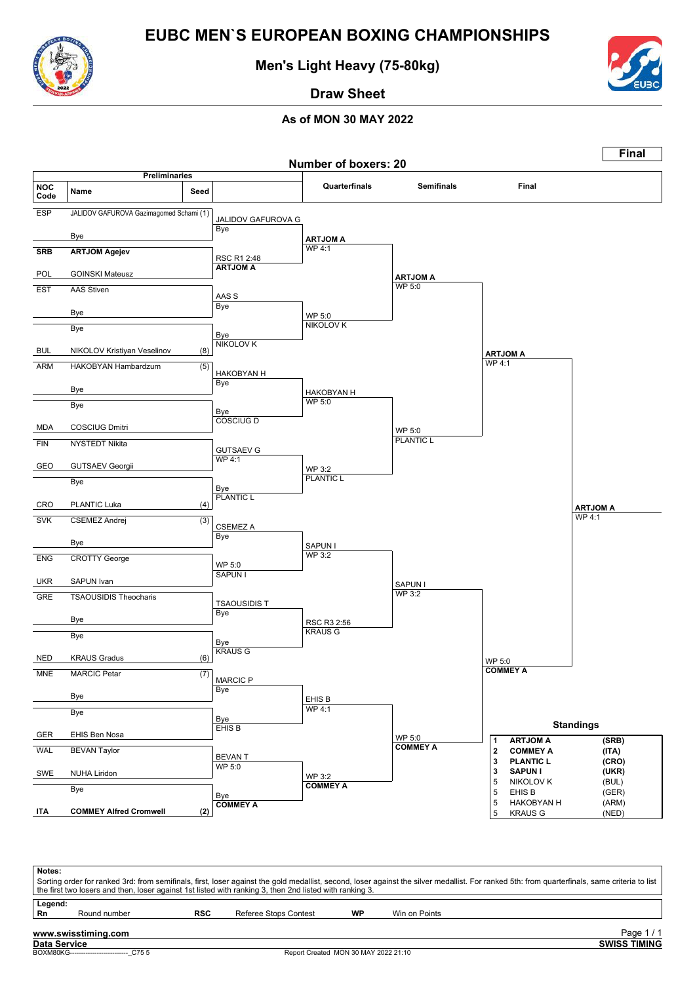![](_page_47_Picture_0.jpeg)

**Men's Light Heavy (75-80kg)**

![](_page_47_Picture_3.jpeg)

**Draw Sheet**

|                    |                                         |                  |                                  | <b>Number of boxers: 20</b> |                                  |                                             | <b>Final</b>     |
|--------------------|-----------------------------------------|------------------|----------------------------------|-----------------------------|----------------------------------|---------------------------------------------|------------------|
|                    | <b>Preliminaries</b>                    |                  |                                  |                             | <b>Semifinals</b>                |                                             |                  |
| <b>NOC</b><br>Code | Name                                    | Seed             |                                  | Quarterfinals               |                                  | Final                                       |                  |
| <b>ESP</b>         | JALIDOV GAFUROVA Gazimagomed Schami (1) |                  | JALIDOV GAFUROVA G               |                             |                                  |                                             |                  |
|                    | Bye                                     |                  | Bye                              |                             |                                  |                                             |                  |
| <b>SRB</b>         | <b>ARTJOM Agejev</b>                    |                  |                                  | <b>ARTJOM A</b><br>WP 4:1   |                                  |                                             |                  |
|                    |                                         |                  | RSC R1 2:48<br><b>ARTJOM A</b>   |                             |                                  |                                             |                  |
| POL                | <b>GOINSKI Mateusz</b>                  |                  |                                  |                             | <b>ARTJOM A</b><br><b>WP 5:0</b> |                                             |                  |
| <b>EST</b>         | <b>AAS Stiven</b>                       |                  | AAS S                            |                             |                                  |                                             |                  |
|                    | Bye                                     |                  | Bye                              | WP 5:0                      |                                  |                                             |                  |
|                    | <b>Bye</b>                              |                  | Bye                              | <b>NIKOLOV K</b>            |                                  |                                             |                  |
| <b>BUL</b>         | NIKOLOV Kristiyan Veselinov             | (8)              | <b>NIKOLOV K</b>                 |                             |                                  |                                             |                  |
| <b>ARM</b>         | HAKOBYAN Hambardzum                     | (5)              |                                  |                             |                                  | <b>ARTJOM A</b><br><b>WP 4:1</b>            |                  |
|                    |                                         |                  | HAKOBYAN H<br>Bye                |                             |                                  |                                             |                  |
|                    | Bye                                     |                  |                                  | <b>HAKOBYAN H</b>           |                                  |                                             |                  |
|                    | Bye                                     |                  | Bye                              | WP 5:0                      |                                  |                                             |                  |
| MDA                | <b>COSCIUG Dmitri</b>                   |                  | <b>COSCIUG D</b>                 |                             | WP 5:0                           |                                             |                  |
| <b>FIN</b>         | NYSTEDT Nikita                          |                  |                                  |                             | <b>PLANTIC L</b>                 |                                             |                  |
|                    |                                         |                  | <b>GUTSAEV G</b><br><b>WP4:1</b> |                             |                                  |                                             |                  |
| GEO                | <b>GUTSAEV Georgii</b>                  |                  |                                  | WP 3:2<br><b>PLANTIC L</b>  |                                  |                                             |                  |
|                    | Bye                                     |                  | Bye<br><b>PLANTIC L</b>          |                             |                                  |                                             |                  |
| CRO                | PLANTIC Luka                            | (4)              |                                  |                             |                                  |                                             | <b>ARTJOM A</b>  |
| <b>SVK</b>         | <b>CSEMEZ Andrej</b>                    | $\overline{(3)}$ | <b>CSEMEZ A</b>                  |                             |                                  |                                             | WP 4:1           |
|                    | Bye                                     |                  | Bye                              | SAPUN I                     |                                  |                                             |                  |
| <b>ENG</b>         | <b>CROTTY George</b>                    |                  |                                  | <b>WP 3:2</b>               |                                  |                                             |                  |
|                    |                                         |                  | WP 5:0<br><b>SAPUN I</b>         |                             |                                  |                                             |                  |
| <b>UKR</b>         | SAPUN Ivan                              |                  |                                  |                             | SAPUN I<br><b>WP 3:2</b>         |                                             |                  |
| GRE                | <b>TSAOUSIDIS Theocharis</b>            |                  | <b>TSAOUSIDIS T</b>              |                             |                                  |                                             |                  |
|                    | Bye                                     |                  | Bye                              | RSC R3 2:56                 |                                  |                                             |                  |
|                    | Bye                                     |                  | Bye                              | <b>KRAUS G</b>              |                                  |                                             |                  |
| <b>NED</b>         | <b>KRAUS Gradus</b>                     | (6)              | <b>KRAUS G</b>                   |                             |                                  |                                             |                  |
| <b>MNE</b>         | <b>MARCIC Petar</b>                     | (7)              |                                  |                             |                                  | WP 5:0<br><b>COMMEY A</b>                   |                  |
|                    |                                         |                  | <b>MARCIC P</b><br>Bye           |                             |                                  |                                             |                  |
|                    | Bye                                     |                  |                                  | EHIS B                      |                                  |                                             |                  |
|                    | Bye                                     |                  | Bye                              | <b>WP 4:1</b>               |                                  |                                             |                  |
| GER                | EHIS Ben Nosa                           |                  | EHIS B                           |                             | WP 5:0                           | <b>ARTJOM A</b>                             | <b>Standings</b> |
| <b>WAL</b>         | <b>BEVAN Taylor</b>                     |                  |                                  |                             | <b>COMMEY A</b>                  | 1<br>$\mathbf{2}$<br><b>COMMEY A</b>        | (SRB)<br>(ITA)   |
|                    |                                         |                  | <b>BEVANT</b><br><b>WP 5:0</b>   |                             |                                  | 3<br><b>PLANTIC L</b><br><b>SAPUNI</b><br>3 | (CRO)<br>(UKR)   |
| SWE                | <b>NUHA Liridon</b>                     |                  |                                  | WP 3:2<br><b>COMMEY A</b>   |                                  | 5<br><b>NIKOLOV K</b>                       | (BUL)            |
|                    | Bye                                     |                  | Bye<br><b>COMMEY A</b>           |                             |                                  | 5<br>EHIS B<br>5<br><b>HAKOBYAN H</b>       | (GER)<br>(ARM)   |
| ITA                | <b>COMMEY Alfred Cromwell</b>           | (2)              |                                  |                             |                                  | 5<br><b>KRAUS G</b>                         | (NED)            |

| Notes:        |                                     |     | the first two losers and then, loser against 1st listed with ranking 3, then 2nd listed with ranking 3. |           | Sorting order for ranked 3rd: from semifinals, first, loser against the gold medallist, second, loser against the silver medallist. For ranked 5th: from quarterfinals, same criteria to list |  |
|---------------|-------------------------------------|-----|---------------------------------------------------------------------------------------------------------|-----------|-----------------------------------------------------------------------------------------------------------------------------------------------------------------------------------------------|--|
| Legend:<br>Rn | Round number                        | RSC | Referee Stops Contest                                                                                   | <b>WP</b> | Win on Points                                                                                                                                                                                 |  |
|               | www.swisstiming.com<br>Data Service |     |                                                                                                         |           | Page $1/1$<br><b>SWISS TIMING</b>                                                                                                                                                             |  |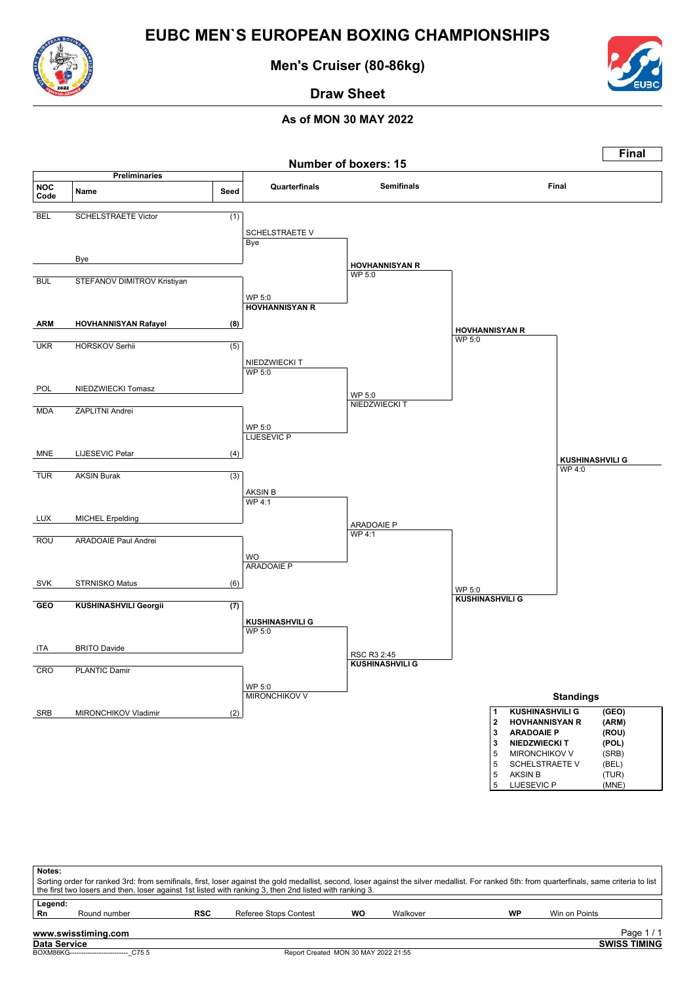![](_page_48_Picture_0.jpeg)

**Men's Cruiser (80-86kg)**

![](_page_48_Picture_3.jpeg)

**Draw Sheet**

![](_page_48_Figure_6.jpeg)

| Notes:       |                                           |     |                                                                                                         |    |          |    |                                                                                                                                                                                               |  |
|--------------|-------------------------------------------|-----|---------------------------------------------------------------------------------------------------------|----|----------|----|-----------------------------------------------------------------------------------------------------------------------------------------------------------------------------------------------|--|
|              |                                           |     |                                                                                                         |    |          |    | Sorting order for ranked 3rd: from semifinals, first, loser against the gold medallist, second, loser against the silver medallist. For ranked 5th: from quarterfinals, same criteria to list |  |
|              |                                           |     | the first two losers and then, loser against 1st listed with ranking 3, then 2nd listed with ranking 3. |    |          |    |                                                                                                                                                                                               |  |
| Legend:      |                                           |     |                                                                                                         |    |          |    |                                                                                                                                                                                               |  |
| Rn           | Round number                              | RSC | Referee Stops Contest                                                                                   | wo | Walkover | WP | Win on Points                                                                                                                                                                                 |  |
|              | www.swisstiming.com                       |     |                                                                                                         |    |          |    | Page $1/1$                                                                                                                                                                                    |  |
| Data Service |                                           |     |                                                                                                         |    |          |    | <b>SWISS TIMING</b>                                                                                                                                                                           |  |
|              | BOXM86KG--------------------------- C75 5 |     | Report Created MON 30 MAY 2022 21:55                                                                    |    |          |    |                                                                                                                                                                                               |  |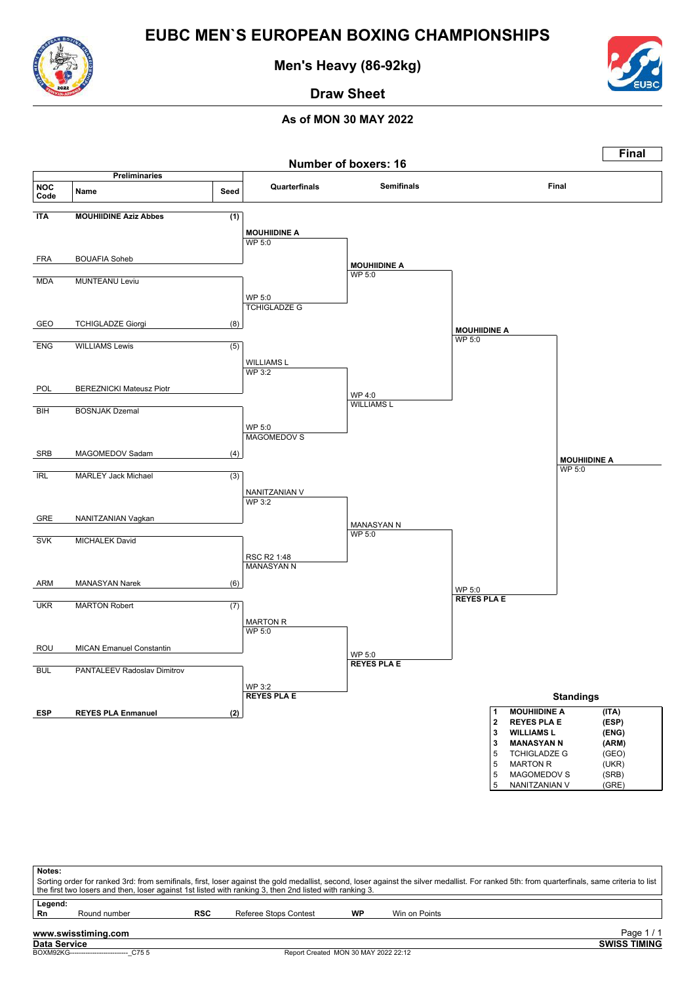![](_page_49_Picture_0.jpeg)

**Men's Heavy (86-92kg)**

![](_page_49_Picture_3.jpeg)

**Draw Sheet**

![](_page_49_Figure_6.jpeg)

| Notes:       |                                          |     | Sorting order for ranked 3rd: from semifinals, first, loser against the gold medallist, second, loser against the silver medallist. For ranked 5th: from quarterfinals, same criteria to list<br>the first two losers and then, loser against 1st listed with ranking 3, then 2nd listed with ranking 3. |    |               |                     |
|--------------|------------------------------------------|-----|----------------------------------------------------------------------------------------------------------------------------------------------------------------------------------------------------------------------------------------------------------------------------------------------------------|----|---------------|---------------------|
| Legend:      |                                          |     |                                                                                                                                                                                                                                                                                                          |    |               |                     |
| Rn           | Round number                             | RSC | Referee Stops Contest                                                                                                                                                                                                                                                                                    | WP | Win on Points |                     |
|              | www.swisstiming.com                      |     |                                                                                                                                                                                                                                                                                                          |    |               | Page $1/1$          |
| Data Service |                                          |     |                                                                                                                                                                                                                                                                                                          |    |               | <b>SWISS TIMING</b> |
|              | BOXM92KG-------------------------- C75 5 |     | Report Created MON 30 MAY 2022 22:12                                                                                                                                                                                                                                                                     |    |               |                     |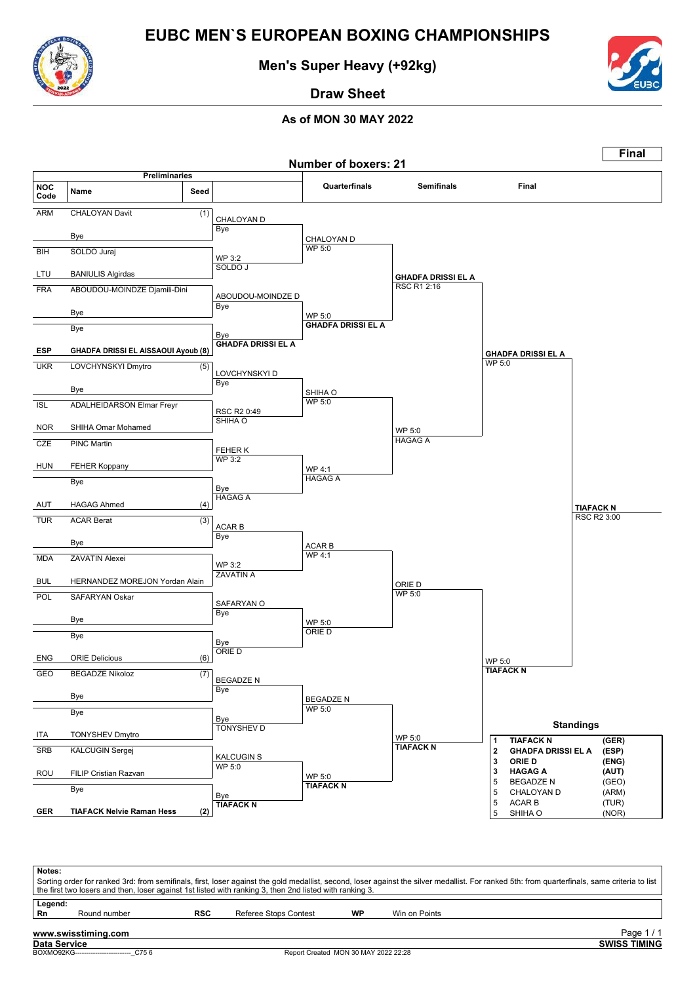![](_page_50_Picture_0.jpeg)

**Men's Super Heavy (+92kg)**

![](_page_50_Picture_3.jpeg)

**Draw Sheet**

![](_page_50_Figure_6.jpeg)

| Notes:       |                     |            |                                                                                                         |    |                                                                                                                                                                                               |
|--------------|---------------------|------------|---------------------------------------------------------------------------------------------------------|----|-----------------------------------------------------------------------------------------------------------------------------------------------------------------------------------------------|
|              |                     |            |                                                                                                         |    | Sorting order for ranked 3rd: from semifinals, first, loser against the gold medallist, second, loser against the silver medallist. For ranked 5th: from quarterfinals, same criteria to list |
|              |                     |            | the first two losers and then, loser against 1st listed with ranking 3, then 2nd listed with ranking 3. |    |                                                                                                                                                                                               |
| Legend:      |                     |            |                                                                                                         |    |                                                                                                                                                                                               |
| Rn           | Round number        | <b>RSC</b> | Referee Stops Contest                                                                                   | WP | Win on Points                                                                                                                                                                                 |
|              |                     |            |                                                                                                         |    |                                                                                                                                                                                               |
|              | www.swisstiming.com |            |                                                                                                         |    | Page 1/1                                                                                                                                                                                      |
| Data Service |                     |            |                                                                                                         |    | <b>SWISS TIMING</b>                                                                                                                                                                           |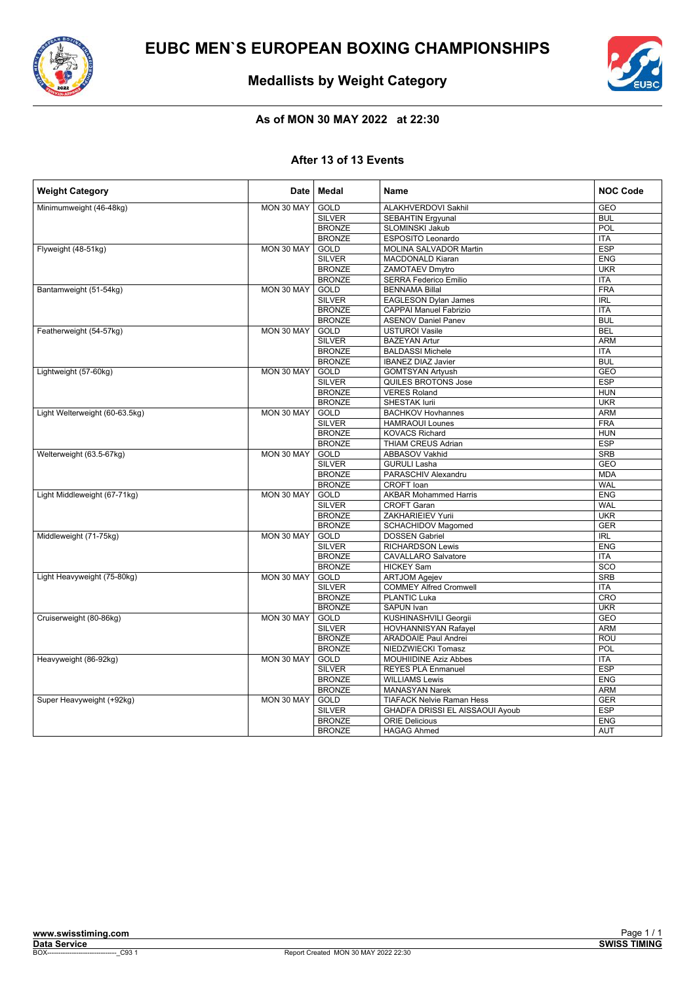![](_page_51_Picture_0.jpeg)

![](_page_51_Picture_2.jpeg)

### **Medallists by Weight Category**

### **As of MON 30 MAY 2022 at 22:30**

#### **After 13 of 13 Events**

| <b>Weight Category</b>         | Date                                   | Medal         | <b>Name</b>                      | <b>NOC Code</b> |
|--------------------------------|----------------------------------------|---------------|----------------------------------|-----------------|
| Minimumweight (46-48kg)        | MON 30 MAY                             | <b>GOLD</b>   | <b>ALAKHVERDOVI Sakhil</b>       | <b>GEO</b>      |
|                                |                                        | <b>SILVER</b> | <b>SEBAHTIN Ergyunal</b>         | <b>BUL</b>      |
|                                |                                        | <b>BRONZE</b> | <b>SLOMINSKI Jakub</b>           | POL             |
|                                |                                        | <b>BRONZE</b> | ESPOSITO Leonardo                | <b>ITA</b>      |
| Flyweight (48-51kg)            | MON 30 MAY                             | <b>GOLD</b>   | MOLINA SALVADOR Martin           | <b>ESP</b>      |
|                                |                                        | <b>SILVER</b> | <b>MACDONALD Kiaran</b>          | <b>ENG</b>      |
|                                |                                        | <b>BRONZE</b> | ZAMOTAEV Dmytro                  | <b>UKR</b>      |
|                                |                                        | <b>BRONZE</b> | <b>SERRA Federico Emilio</b>     | <b>ITA</b>      |
| Bantamweight (51-54kg)         | MON 30 MAY                             | <b>GOLD</b>   | <b>BENNAMA Billal</b>            | <b>FRA</b>      |
|                                |                                        | <b>SILVER</b> | <b>EAGLESON Dylan James</b>      | <b>IRL</b>      |
|                                |                                        | <b>BRONZE</b> | <b>CAPPAI Manuel Fabrizio</b>    | <b>ITA</b>      |
|                                |                                        | <b>BRONZE</b> | <b>ASENOV Daniel Panev</b>       | <b>BUL</b>      |
| Featherweight (54-57kg)        | MON 30 MAY                             | GOLD          | <b>USTUROI Vasile</b>            | <b>BEL</b>      |
|                                |                                        | <b>SILVER</b> | <b>BAZEYAN Artur</b>             | <b>ARM</b>      |
|                                |                                        | <b>BRONZE</b> | <b>BALDASSI Michele</b>          | <b>ITA</b>      |
|                                |                                        | <b>BRONZE</b> | <b>IBANEZ DIAZ Javier</b>        | <b>BUL</b>      |
| Lightweight (57-60kg)          | MON 30 MAY                             | <b>GOLD</b>   | <b>GOMTSYAN Artyush</b>          | <b>GEO</b>      |
|                                |                                        | <b>SILVER</b> | QUILES BROTONS Jose              | <b>ESP</b>      |
|                                |                                        | <b>BRONZE</b> | <b>VERES Roland</b>              | <b>HUN</b>      |
|                                |                                        | <b>BRONZE</b> | <b>SHESTAK lurii</b>             | <b>UKR</b>      |
| Light Welterweight (60-63.5kg) | MON 30 MAY                             | <b>GOLD</b>   | <b>BACHKOV Hovhannes</b>         | <b>ARM</b>      |
|                                |                                        | <b>SILVER</b> | <b>HAMRAOUI Lounes</b>           | <b>FRA</b>      |
|                                |                                        | <b>BRONZE</b> | <b>KOVACS Richard</b>            | <b>HUN</b>      |
|                                |                                        | <b>BRONZE</b> | <b>THIAM CREUS Adrian</b>        | <b>ESP</b>      |
|                                |                                        |               |                                  |                 |
| Welterweight (63.5-67kg)       | MON 30 MAY                             | GOLD          | ABBASOV Vakhid                   | <b>SRB</b>      |
|                                |                                        | <b>SILVER</b> | <b>GURULI Lasha</b>              | <b>GEO</b>      |
|                                |                                        | <b>BRONZE</b> | PARASCHIV Alexandru              | <b>MDA</b>      |
|                                |                                        | <b>BRONZE</b> | <b>CROFT</b> Ioan                | <b>WAL</b>      |
| Light Middleweight (67-71kg)   | MON 30 MAY                             | GOLD          | <b>AKBAR Mohammed Harris</b>     | <b>ENG</b>      |
|                                |                                        | <b>SILVER</b> | <b>CROFT Garan</b>               | <b>WAL</b>      |
|                                |                                        | <b>BRONZE</b> | ZAKHARIEIEV Yurii                | <b>UKR</b>      |
|                                |                                        | <b>BRONZE</b> | SCHACHIDOV Magomed               | GER             |
| Middleweight (71-75kg)         | MON 30 MAY                             | GOLD          | <b>DOSSEN Gabriel</b>            | <b>IRL</b>      |
|                                |                                        | <b>SILVER</b> | <b>RICHARDSON Lewis</b>          | <b>ENG</b>      |
|                                |                                        | <b>BRONZE</b> | <b>CAVALLARO Salvatore</b>       | <b>ITA</b>      |
|                                |                                        | <b>BRONZE</b> | <b>HICKEY Sam</b>                | SCO             |
| Light Heavyweight (75-80kg)    | MON 30 MAY                             | <b>GOLD</b>   | <b>ARTJOM Agejev</b>             | <b>SRB</b>      |
|                                |                                        | <b>SILVER</b> | <b>COMMEY Alfred Cromwell</b>    | <b>ITA</b>      |
|                                |                                        | <b>BRONZE</b> | <b>PLANTIC Luka</b>              | CRO             |
|                                |                                        | <b>BRONZE</b> | <b>SAPUN Ivan</b>                | <b>UKR</b>      |
| Cruiserweight (80-86kg)        | MON 30 MAY                             | GOLD          | KUSHINASHVILI Georgii            | GEO             |
|                                |                                        | <b>SILVER</b> | <b>HOVHANNISYAN Rafayel</b>      | <b>ARM</b>      |
|                                |                                        | <b>BRONZE</b> | <b>ARADOAIE Paul Andrei</b>      | ROU             |
|                                |                                        | <b>BRONZE</b> | NIEDZWIECKI Tomasz               | POL             |
| Heavyweight (86-92kg)          | MON 30 MAY                             | <b>GOLD</b>   | <b>MOUHIIDINE Aziz Abbes</b>     | <b>ITA</b>      |
|                                |                                        | <b>SILVER</b> | <b>REYES PLA Enmanuel</b>        | <b>ESP</b>      |
|                                |                                        | <b>BRONZE</b> | <b>WILLIAMS Lewis</b>            | <b>ENG</b>      |
|                                | <b>BRONZE</b><br><b>MANASYAN Narek</b> | <b>ARM</b>    |                                  |                 |
| Super Heavyweight (+92kg)      | MON 30 MAY                             | <b>GOLD</b>   | <b>TIAFACK Nelvie Raman Hess</b> | <b>GER</b>      |
|                                |                                        | <b>SILVER</b> | GHADFA DRISSI EL AISSAOUI Ayoub  | <b>ESP</b>      |
|                                |                                        | <b>BRONZE</b> | <b>ORIE Delicious</b>            | <b>ENG</b>      |
|                                |                                        | <b>BRONZE</b> | <b>HAGAG Ahmed</b>               | <b>AUT</b>      |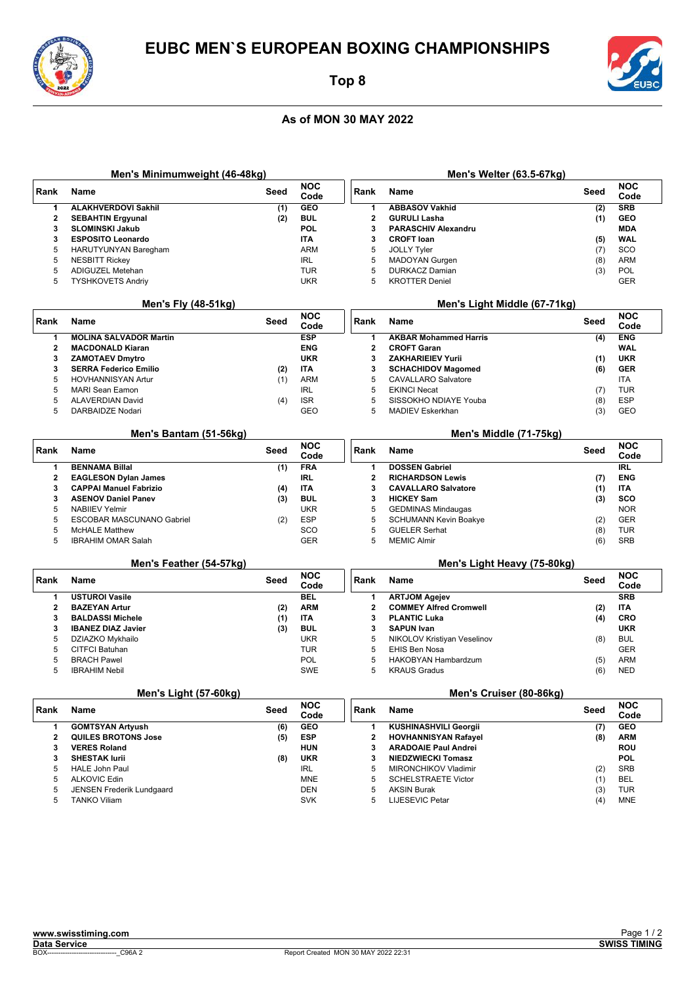![](_page_52_Picture_0.jpeg)

**Men's Minimumweight (46-48kg) Rank Name Seed NOC**

5 ALKOVIC Edin MNE 5 JENSEN Frederik Lundgaard<br>5 TANKO Viliam – SVK

### **Top 8**

#### **As of MON 30 MAY 2022**

![](_page_52_Picture_4.jpeg)

**Men's Welter (63.5-67kg) Rank Name Seed NOC**

5 SCHELSTRAETE Victor (1) BEL<br>5 AKSIN Burak (3) TUR 5 AKSIN Burak (3) TUR<br>5 LIJESEVIC Petar (4) MNE

LIJESEVIC Petar

| <b>GEO</b><br>1<br><b>ALAKHVERDOVI Sakhil</b><br>(1)<br>1<br><b>ABBASOV Vakhid</b><br>(2)<br>$\mathbf{2}$<br><b>BUL</b><br>$\mathbf{2}$<br><b>GURULI Lasha</b><br><b>SEBAHTIN Ergyunal</b><br>(2)<br>(1)<br>POL<br>3<br><b>SLOMINSKI Jakub</b><br>3<br><b>PARASCHIV Alexandru</b><br>3<br><b>ESPOSITO Leonardo</b><br><b>ITA</b><br>3<br><b>CROFT loan</b><br>(5)<br>5<br><b>ARM</b><br>5<br><b>JOLLY Tyler</b><br><b>HARUTYUNYAN Baregham</b><br>(7)<br>5<br><b>IRL</b><br>5<br>MADOYAN Gurgen<br><b>NESBITT Rickey</b><br>(8)<br>5<br><b>TUR</b><br>5<br><b>DURKACZ Damian</b><br>(3)<br>ADIGUZEL Metehan<br>5<br><b>UKR</b><br>5<br><b>TYSHKOVETS Andriy</b><br><b>KROTTER Deniel</b><br>Men's Fly (48-51kg)<br>Men's Light Middle (67-71kg)<br><b>NOC</b><br>Rank<br>Rank<br><b>Name</b><br>Seed<br><b>Name</b><br>Seed<br>Code<br><b>ESP</b><br><b>MOLINA SALVADOR Martin</b><br>1<br><b>AKBAR Mohammed Harris</b><br>1<br>(4)<br>$\overline{2}$<br><b>ENG</b><br>$\mathbf{2}$<br><b>MACDONALD Kiaran</b><br><b>CROFT Garan</b><br>3<br><b>ZAMOTAEV Dmytro</b><br><b>UKR</b><br>3<br><b>ZAKHARIEIEV Yurii</b><br>(1)<br>3<br><b>ITA</b><br>3<br><b>SERRA Federico Emilio</b><br>(2)<br><b>SCHACHIDOV Magomed</b><br>(6)<br>5<br><b>ARM</b><br>5<br><b>HOVHANNISYAN Artur</b><br>(1)<br><b>CAVALLARO Salvatore</b><br>5<br><b>IRL</b><br>5<br><b>MARI Sean Eamon</b><br><b>EKINCI Necat</b><br>(7)<br>5<br><b>ALAVERDIAN David</b><br>(4)<br><b>ISR</b><br>5<br>SISSOKHO NDIAYE Youba<br>(8)<br><b>GEO</b><br>5<br>DARBAIDZE Nodari<br>5<br>MADIEV Eskerkhan<br>(3)<br>Men's Bantam (51-56kg)<br>Men's Middle (71-75kg)<br><b>NOC</b><br>Rank<br><b>Name</b><br>Seed<br>Rank<br><b>Name</b><br>Seed<br>Code<br><b>FRA</b><br>1<br><b>BENNAMA Billal</b><br>(1)<br>$\mathbf{1}$<br><b>DOSSEN Gabriel</b><br>$\overline{\mathbf{2}}$<br><b>EAGLESON Dylan James</b><br><b>IRL</b><br>$\mathbf{2}$<br><b>RICHARDSON Lewis</b><br>(7)<br>3<br>3<br><b>CAPPAI Manuel Fabrizio</b><br>ITA<br><b>CAVALLARO Salvatore</b><br>(4)<br>(1)<br><b>BUL</b><br>(3)<br><b>HICKEY Sam</b><br>3<br><b>ASENOV Daniel Panev</b><br>3<br>(3)<br>5<br><b>UKR</b><br>5<br><b>NABILEV Yelmir</b><br><b>GEDMINAS Mindaugas</b><br>ESP<br>5<br>ESCOBAR MASCUNANO Gabriel<br>5<br><b>SCHUMANN Kevin Boakye</b><br>(2)<br>(2)<br>5<br>SCO<br>5<br>(8)<br><b>McHALE Matthew</b><br><b>GUELER Serhat</b><br>5<br><b>GER</b><br>5<br><b>IBRAHIM OMAR Salah</b><br><b>MEMIC Almir</b><br>(6)<br>Men's Feather (54-57kg)<br>Men's Light Heavy (75-80kg)<br><b>NOC</b><br>Rank<br><b>Name</b><br>Seed<br>Rank<br>Name<br>Seed<br>Code<br>1<br><b>USTUROI Vasile</b><br><b>BEL</b><br>1<br><b>ARTJOM Agejev</b><br>$\overline{2}$<br><b>ARM</b><br>$\mathbf{2}$<br><b>BAZEYAN Artur</b><br><b>COMMEY Alfred Cromwell</b><br>(2)<br>(2)<br>3<br>(1)<br><b>ITA</b><br>3<br><b>PLANTIC Luka</b><br><b>BALDASSI Michele</b><br>(4)<br>3<br><b>BUL</b><br>3<br><b>SAPUN Ivan</b><br><b>IBANEZ DIAZ Javier</b><br>(3)<br>5<br><b>UKR</b><br>5<br>DZIAZKO Mykhailo<br>NIKOLOV Kristiyan Veselinov<br><b>BUL</b><br>(8)<br>5<br><b>TUR</b><br>5<br><b>EHIS Ben Nosa</b><br><b>CITFCI Batuhan</b><br>5<br><b>BRACH Pawel</b><br><b>POL</b><br>5<br>HAKOBYAN Hambardzum<br>(5)<br>5<br>SWE<br>5<br><b>KRAUS Gradus</b><br><b>NED</b><br><b>IBRAHIM Nebil</b><br>(6)<br>Men's Cruiser (80-86kg)<br>Men's Light (57-60kg)<br><b>NOC</b><br>Rank<br>Seed<br>Rank<br>Seed<br><b>Name</b><br>Name<br>Code<br><b>GEO</b><br>1<br><b>GOMTSYAN Artyush</b><br>(6)<br>$\mathbf 1$<br><b>KUSHINASHVILI Georgii</b><br>(7)<br>$\mathbf 2$<br><b>QUILES BROTONS Jose</b><br><b>ESP</b><br>$\overline{\mathbf{2}}$<br><b>HOVHANNISYAN Rafayel</b><br>(5)<br>(8)<br><b>HUN</b><br>3<br><b>VERES Roland</b><br>3<br><b>ARADOAIE Paul Andrei</b><br>3<br><b>UKR</b><br>3<br><b>SHESTAK lurii</b><br>(8)<br><b>NIEDZWIECKI Tomasz</b><br>5<br><b>IRL</b><br>5<br><b>HALE John Paul</b><br><b>MIRONCHIKOV Vladimir</b><br>(2) | ĸanĸ | name | seea | Code | ĸanĸ | name | seea | Code               |
|---------------------------------------------------------------------------------------------------------------------------------------------------------------------------------------------------------------------------------------------------------------------------------------------------------------------------------------------------------------------------------------------------------------------------------------------------------------------------------------------------------------------------------------------------------------------------------------------------------------------------------------------------------------------------------------------------------------------------------------------------------------------------------------------------------------------------------------------------------------------------------------------------------------------------------------------------------------------------------------------------------------------------------------------------------------------------------------------------------------------------------------------------------------------------------------------------------------------------------------------------------------------------------------------------------------------------------------------------------------------------------------------------------------------------------------------------------------------------------------------------------------------------------------------------------------------------------------------------------------------------------------------------------------------------------------------------------------------------------------------------------------------------------------------------------------------------------------------------------------------------------------------------------------------------------------------------------------------------------------------------------------------------------------------------------------------------------------------------------------------------------------------------------------------------------------------------------------------------------------------------------------------------------------------------------------------------------------------------------------------------------------------------------------------------------------------------------------------------------------------------------------------------------------------------------------------------------------------------------------------------------------------------------------------------------------------------------------------------------------------------------------------------------------------------------------------------------------------------------------------------------------------------------------------------------------------------------------------------------------------------------------------------------------------------------------------------------------------------------------------------------------------------------------------------------------------------------------------------------------------------------------------------------------------------------------------------------------------------------------------------------------------------------------------------------------------------------------------------------------------------------------------------------------------------------------------------------------------------------------------------------------------------------------------------------------------------------------------------------------------------------------------------------------------------------------------------------------------------------------------------------------------------------------------------------------------------------------------|------|------|------|------|------|------|------|--------------------|
|                                                                                                                                                                                                                                                                                                                                                                                                                                                                                                                                                                                                                                                                                                                                                                                                                                                                                                                                                                                                                                                                                                                                                                                                                                                                                                                                                                                                                                                                                                                                                                                                                                                                                                                                                                                                                                                                                                                                                                                                                                                                                                                                                                                                                                                                                                                                                                                                                                                                                                                                                                                                                                                                                                                                                                                                                                                                                                                                                                                                                                                                                                                                                                                                                                                                                                                                                                                                                                                                                                                                                                                                                                                                                                                                                                                                                                                                                                                                                                     |      |      |      |      |      |      |      | <b>SRB</b>         |
|                                                                                                                                                                                                                                                                                                                                                                                                                                                                                                                                                                                                                                                                                                                                                                                                                                                                                                                                                                                                                                                                                                                                                                                                                                                                                                                                                                                                                                                                                                                                                                                                                                                                                                                                                                                                                                                                                                                                                                                                                                                                                                                                                                                                                                                                                                                                                                                                                                                                                                                                                                                                                                                                                                                                                                                                                                                                                                                                                                                                                                                                                                                                                                                                                                                                                                                                                                                                                                                                                                                                                                                                                                                                                                                                                                                                                                                                                                                                                                     |      |      |      |      |      |      |      | <b>GEO</b>         |
|                                                                                                                                                                                                                                                                                                                                                                                                                                                                                                                                                                                                                                                                                                                                                                                                                                                                                                                                                                                                                                                                                                                                                                                                                                                                                                                                                                                                                                                                                                                                                                                                                                                                                                                                                                                                                                                                                                                                                                                                                                                                                                                                                                                                                                                                                                                                                                                                                                                                                                                                                                                                                                                                                                                                                                                                                                                                                                                                                                                                                                                                                                                                                                                                                                                                                                                                                                                                                                                                                                                                                                                                                                                                                                                                                                                                                                                                                                                                                                     |      |      |      |      |      |      |      | <b>MDA</b>         |
|                                                                                                                                                                                                                                                                                                                                                                                                                                                                                                                                                                                                                                                                                                                                                                                                                                                                                                                                                                                                                                                                                                                                                                                                                                                                                                                                                                                                                                                                                                                                                                                                                                                                                                                                                                                                                                                                                                                                                                                                                                                                                                                                                                                                                                                                                                                                                                                                                                                                                                                                                                                                                                                                                                                                                                                                                                                                                                                                                                                                                                                                                                                                                                                                                                                                                                                                                                                                                                                                                                                                                                                                                                                                                                                                                                                                                                                                                                                                                                     |      |      |      |      |      |      |      | <b>WAL</b>         |
|                                                                                                                                                                                                                                                                                                                                                                                                                                                                                                                                                                                                                                                                                                                                                                                                                                                                                                                                                                                                                                                                                                                                                                                                                                                                                                                                                                                                                                                                                                                                                                                                                                                                                                                                                                                                                                                                                                                                                                                                                                                                                                                                                                                                                                                                                                                                                                                                                                                                                                                                                                                                                                                                                                                                                                                                                                                                                                                                                                                                                                                                                                                                                                                                                                                                                                                                                                                                                                                                                                                                                                                                                                                                                                                                                                                                                                                                                                                                                                     |      |      |      |      |      |      |      | SCO                |
|                                                                                                                                                                                                                                                                                                                                                                                                                                                                                                                                                                                                                                                                                                                                                                                                                                                                                                                                                                                                                                                                                                                                                                                                                                                                                                                                                                                                                                                                                                                                                                                                                                                                                                                                                                                                                                                                                                                                                                                                                                                                                                                                                                                                                                                                                                                                                                                                                                                                                                                                                                                                                                                                                                                                                                                                                                                                                                                                                                                                                                                                                                                                                                                                                                                                                                                                                                                                                                                                                                                                                                                                                                                                                                                                                                                                                                                                                                                                                                     |      |      |      |      |      |      |      | <b>ARM</b>         |
|                                                                                                                                                                                                                                                                                                                                                                                                                                                                                                                                                                                                                                                                                                                                                                                                                                                                                                                                                                                                                                                                                                                                                                                                                                                                                                                                                                                                                                                                                                                                                                                                                                                                                                                                                                                                                                                                                                                                                                                                                                                                                                                                                                                                                                                                                                                                                                                                                                                                                                                                                                                                                                                                                                                                                                                                                                                                                                                                                                                                                                                                                                                                                                                                                                                                                                                                                                                                                                                                                                                                                                                                                                                                                                                                                                                                                                                                                                                                                                     |      |      |      |      |      |      |      | POL                |
|                                                                                                                                                                                                                                                                                                                                                                                                                                                                                                                                                                                                                                                                                                                                                                                                                                                                                                                                                                                                                                                                                                                                                                                                                                                                                                                                                                                                                                                                                                                                                                                                                                                                                                                                                                                                                                                                                                                                                                                                                                                                                                                                                                                                                                                                                                                                                                                                                                                                                                                                                                                                                                                                                                                                                                                                                                                                                                                                                                                                                                                                                                                                                                                                                                                                                                                                                                                                                                                                                                                                                                                                                                                                                                                                                                                                                                                                                                                                                                     |      |      |      |      |      |      |      | <b>GER</b>         |
|                                                                                                                                                                                                                                                                                                                                                                                                                                                                                                                                                                                                                                                                                                                                                                                                                                                                                                                                                                                                                                                                                                                                                                                                                                                                                                                                                                                                                                                                                                                                                                                                                                                                                                                                                                                                                                                                                                                                                                                                                                                                                                                                                                                                                                                                                                                                                                                                                                                                                                                                                                                                                                                                                                                                                                                                                                                                                                                                                                                                                                                                                                                                                                                                                                                                                                                                                                                                                                                                                                                                                                                                                                                                                                                                                                                                                                                                                                                                                                     |      |      |      |      |      |      |      |                    |
|                                                                                                                                                                                                                                                                                                                                                                                                                                                                                                                                                                                                                                                                                                                                                                                                                                                                                                                                                                                                                                                                                                                                                                                                                                                                                                                                                                                                                                                                                                                                                                                                                                                                                                                                                                                                                                                                                                                                                                                                                                                                                                                                                                                                                                                                                                                                                                                                                                                                                                                                                                                                                                                                                                                                                                                                                                                                                                                                                                                                                                                                                                                                                                                                                                                                                                                                                                                                                                                                                                                                                                                                                                                                                                                                                                                                                                                                                                                                                                     |      |      |      |      |      |      |      |                    |
|                                                                                                                                                                                                                                                                                                                                                                                                                                                                                                                                                                                                                                                                                                                                                                                                                                                                                                                                                                                                                                                                                                                                                                                                                                                                                                                                                                                                                                                                                                                                                                                                                                                                                                                                                                                                                                                                                                                                                                                                                                                                                                                                                                                                                                                                                                                                                                                                                                                                                                                                                                                                                                                                                                                                                                                                                                                                                                                                                                                                                                                                                                                                                                                                                                                                                                                                                                                                                                                                                                                                                                                                                                                                                                                                                                                                                                                                                                                                                                     |      |      |      |      |      |      |      | <b>NOC</b><br>Code |
|                                                                                                                                                                                                                                                                                                                                                                                                                                                                                                                                                                                                                                                                                                                                                                                                                                                                                                                                                                                                                                                                                                                                                                                                                                                                                                                                                                                                                                                                                                                                                                                                                                                                                                                                                                                                                                                                                                                                                                                                                                                                                                                                                                                                                                                                                                                                                                                                                                                                                                                                                                                                                                                                                                                                                                                                                                                                                                                                                                                                                                                                                                                                                                                                                                                                                                                                                                                                                                                                                                                                                                                                                                                                                                                                                                                                                                                                                                                                                                     |      |      |      |      |      |      |      | <b>ENG</b>         |
|                                                                                                                                                                                                                                                                                                                                                                                                                                                                                                                                                                                                                                                                                                                                                                                                                                                                                                                                                                                                                                                                                                                                                                                                                                                                                                                                                                                                                                                                                                                                                                                                                                                                                                                                                                                                                                                                                                                                                                                                                                                                                                                                                                                                                                                                                                                                                                                                                                                                                                                                                                                                                                                                                                                                                                                                                                                                                                                                                                                                                                                                                                                                                                                                                                                                                                                                                                                                                                                                                                                                                                                                                                                                                                                                                                                                                                                                                                                                                                     |      |      |      |      |      |      |      | <b>WAL</b>         |
|                                                                                                                                                                                                                                                                                                                                                                                                                                                                                                                                                                                                                                                                                                                                                                                                                                                                                                                                                                                                                                                                                                                                                                                                                                                                                                                                                                                                                                                                                                                                                                                                                                                                                                                                                                                                                                                                                                                                                                                                                                                                                                                                                                                                                                                                                                                                                                                                                                                                                                                                                                                                                                                                                                                                                                                                                                                                                                                                                                                                                                                                                                                                                                                                                                                                                                                                                                                                                                                                                                                                                                                                                                                                                                                                                                                                                                                                                                                                                                     |      |      |      |      |      |      |      | <b>UKR</b>         |
|                                                                                                                                                                                                                                                                                                                                                                                                                                                                                                                                                                                                                                                                                                                                                                                                                                                                                                                                                                                                                                                                                                                                                                                                                                                                                                                                                                                                                                                                                                                                                                                                                                                                                                                                                                                                                                                                                                                                                                                                                                                                                                                                                                                                                                                                                                                                                                                                                                                                                                                                                                                                                                                                                                                                                                                                                                                                                                                                                                                                                                                                                                                                                                                                                                                                                                                                                                                                                                                                                                                                                                                                                                                                                                                                                                                                                                                                                                                                                                     |      |      |      |      |      |      |      | <b>GER</b>         |
|                                                                                                                                                                                                                                                                                                                                                                                                                                                                                                                                                                                                                                                                                                                                                                                                                                                                                                                                                                                                                                                                                                                                                                                                                                                                                                                                                                                                                                                                                                                                                                                                                                                                                                                                                                                                                                                                                                                                                                                                                                                                                                                                                                                                                                                                                                                                                                                                                                                                                                                                                                                                                                                                                                                                                                                                                                                                                                                                                                                                                                                                                                                                                                                                                                                                                                                                                                                                                                                                                                                                                                                                                                                                                                                                                                                                                                                                                                                                                                     |      |      |      |      |      |      |      | ITA                |
|                                                                                                                                                                                                                                                                                                                                                                                                                                                                                                                                                                                                                                                                                                                                                                                                                                                                                                                                                                                                                                                                                                                                                                                                                                                                                                                                                                                                                                                                                                                                                                                                                                                                                                                                                                                                                                                                                                                                                                                                                                                                                                                                                                                                                                                                                                                                                                                                                                                                                                                                                                                                                                                                                                                                                                                                                                                                                                                                                                                                                                                                                                                                                                                                                                                                                                                                                                                                                                                                                                                                                                                                                                                                                                                                                                                                                                                                                                                                                                     |      |      |      |      |      |      |      | <b>TUR</b>         |
|                                                                                                                                                                                                                                                                                                                                                                                                                                                                                                                                                                                                                                                                                                                                                                                                                                                                                                                                                                                                                                                                                                                                                                                                                                                                                                                                                                                                                                                                                                                                                                                                                                                                                                                                                                                                                                                                                                                                                                                                                                                                                                                                                                                                                                                                                                                                                                                                                                                                                                                                                                                                                                                                                                                                                                                                                                                                                                                                                                                                                                                                                                                                                                                                                                                                                                                                                                                                                                                                                                                                                                                                                                                                                                                                                                                                                                                                                                                                                                     |      |      |      |      |      |      |      | <b>ESP</b>         |
|                                                                                                                                                                                                                                                                                                                                                                                                                                                                                                                                                                                                                                                                                                                                                                                                                                                                                                                                                                                                                                                                                                                                                                                                                                                                                                                                                                                                                                                                                                                                                                                                                                                                                                                                                                                                                                                                                                                                                                                                                                                                                                                                                                                                                                                                                                                                                                                                                                                                                                                                                                                                                                                                                                                                                                                                                                                                                                                                                                                                                                                                                                                                                                                                                                                                                                                                                                                                                                                                                                                                                                                                                                                                                                                                                                                                                                                                                                                                                                     |      |      |      |      |      |      |      | GEO                |
|                                                                                                                                                                                                                                                                                                                                                                                                                                                                                                                                                                                                                                                                                                                                                                                                                                                                                                                                                                                                                                                                                                                                                                                                                                                                                                                                                                                                                                                                                                                                                                                                                                                                                                                                                                                                                                                                                                                                                                                                                                                                                                                                                                                                                                                                                                                                                                                                                                                                                                                                                                                                                                                                                                                                                                                                                                                                                                                                                                                                                                                                                                                                                                                                                                                                                                                                                                                                                                                                                                                                                                                                                                                                                                                                                                                                                                                                                                                                                                     |      |      |      |      |      |      |      |                    |
|                                                                                                                                                                                                                                                                                                                                                                                                                                                                                                                                                                                                                                                                                                                                                                                                                                                                                                                                                                                                                                                                                                                                                                                                                                                                                                                                                                                                                                                                                                                                                                                                                                                                                                                                                                                                                                                                                                                                                                                                                                                                                                                                                                                                                                                                                                                                                                                                                                                                                                                                                                                                                                                                                                                                                                                                                                                                                                                                                                                                                                                                                                                                                                                                                                                                                                                                                                                                                                                                                                                                                                                                                                                                                                                                                                                                                                                                                                                                                                     |      |      |      |      |      |      |      |                    |
|                                                                                                                                                                                                                                                                                                                                                                                                                                                                                                                                                                                                                                                                                                                                                                                                                                                                                                                                                                                                                                                                                                                                                                                                                                                                                                                                                                                                                                                                                                                                                                                                                                                                                                                                                                                                                                                                                                                                                                                                                                                                                                                                                                                                                                                                                                                                                                                                                                                                                                                                                                                                                                                                                                                                                                                                                                                                                                                                                                                                                                                                                                                                                                                                                                                                                                                                                                                                                                                                                                                                                                                                                                                                                                                                                                                                                                                                                                                                                                     |      |      |      |      |      |      |      | <b>NOC</b><br>Code |
|                                                                                                                                                                                                                                                                                                                                                                                                                                                                                                                                                                                                                                                                                                                                                                                                                                                                                                                                                                                                                                                                                                                                                                                                                                                                                                                                                                                                                                                                                                                                                                                                                                                                                                                                                                                                                                                                                                                                                                                                                                                                                                                                                                                                                                                                                                                                                                                                                                                                                                                                                                                                                                                                                                                                                                                                                                                                                                                                                                                                                                                                                                                                                                                                                                                                                                                                                                                                                                                                                                                                                                                                                                                                                                                                                                                                                                                                                                                                                                     |      |      |      |      |      |      |      | $\overline{IRL}$   |
|                                                                                                                                                                                                                                                                                                                                                                                                                                                                                                                                                                                                                                                                                                                                                                                                                                                                                                                                                                                                                                                                                                                                                                                                                                                                                                                                                                                                                                                                                                                                                                                                                                                                                                                                                                                                                                                                                                                                                                                                                                                                                                                                                                                                                                                                                                                                                                                                                                                                                                                                                                                                                                                                                                                                                                                                                                                                                                                                                                                                                                                                                                                                                                                                                                                                                                                                                                                                                                                                                                                                                                                                                                                                                                                                                                                                                                                                                                                                                                     |      |      |      |      |      |      |      | <b>ENG</b>         |
|                                                                                                                                                                                                                                                                                                                                                                                                                                                                                                                                                                                                                                                                                                                                                                                                                                                                                                                                                                                                                                                                                                                                                                                                                                                                                                                                                                                                                                                                                                                                                                                                                                                                                                                                                                                                                                                                                                                                                                                                                                                                                                                                                                                                                                                                                                                                                                                                                                                                                                                                                                                                                                                                                                                                                                                                                                                                                                                                                                                                                                                                                                                                                                                                                                                                                                                                                                                                                                                                                                                                                                                                                                                                                                                                                                                                                                                                                                                                                                     |      |      |      |      |      |      |      | ITA                |
|                                                                                                                                                                                                                                                                                                                                                                                                                                                                                                                                                                                                                                                                                                                                                                                                                                                                                                                                                                                                                                                                                                                                                                                                                                                                                                                                                                                                                                                                                                                                                                                                                                                                                                                                                                                                                                                                                                                                                                                                                                                                                                                                                                                                                                                                                                                                                                                                                                                                                                                                                                                                                                                                                                                                                                                                                                                                                                                                                                                                                                                                                                                                                                                                                                                                                                                                                                                                                                                                                                                                                                                                                                                                                                                                                                                                                                                                                                                                                                     |      |      |      |      |      |      |      | <b>SCO</b>         |
|                                                                                                                                                                                                                                                                                                                                                                                                                                                                                                                                                                                                                                                                                                                                                                                                                                                                                                                                                                                                                                                                                                                                                                                                                                                                                                                                                                                                                                                                                                                                                                                                                                                                                                                                                                                                                                                                                                                                                                                                                                                                                                                                                                                                                                                                                                                                                                                                                                                                                                                                                                                                                                                                                                                                                                                                                                                                                                                                                                                                                                                                                                                                                                                                                                                                                                                                                                                                                                                                                                                                                                                                                                                                                                                                                                                                                                                                                                                                                                     |      |      |      |      |      |      |      | <b>NOR</b>         |
|                                                                                                                                                                                                                                                                                                                                                                                                                                                                                                                                                                                                                                                                                                                                                                                                                                                                                                                                                                                                                                                                                                                                                                                                                                                                                                                                                                                                                                                                                                                                                                                                                                                                                                                                                                                                                                                                                                                                                                                                                                                                                                                                                                                                                                                                                                                                                                                                                                                                                                                                                                                                                                                                                                                                                                                                                                                                                                                                                                                                                                                                                                                                                                                                                                                                                                                                                                                                                                                                                                                                                                                                                                                                                                                                                                                                                                                                                                                                                                     |      |      |      |      |      |      |      | <b>GER</b>         |
|                                                                                                                                                                                                                                                                                                                                                                                                                                                                                                                                                                                                                                                                                                                                                                                                                                                                                                                                                                                                                                                                                                                                                                                                                                                                                                                                                                                                                                                                                                                                                                                                                                                                                                                                                                                                                                                                                                                                                                                                                                                                                                                                                                                                                                                                                                                                                                                                                                                                                                                                                                                                                                                                                                                                                                                                                                                                                                                                                                                                                                                                                                                                                                                                                                                                                                                                                                                                                                                                                                                                                                                                                                                                                                                                                                                                                                                                                                                                                                     |      |      |      |      |      |      |      | <b>TUR</b>         |
|                                                                                                                                                                                                                                                                                                                                                                                                                                                                                                                                                                                                                                                                                                                                                                                                                                                                                                                                                                                                                                                                                                                                                                                                                                                                                                                                                                                                                                                                                                                                                                                                                                                                                                                                                                                                                                                                                                                                                                                                                                                                                                                                                                                                                                                                                                                                                                                                                                                                                                                                                                                                                                                                                                                                                                                                                                                                                                                                                                                                                                                                                                                                                                                                                                                                                                                                                                                                                                                                                                                                                                                                                                                                                                                                                                                                                                                                                                                                                                     |      |      |      |      |      |      |      | <b>SRB</b>         |
|                                                                                                                                                                                                                                                                                                                                                                                                                                                                                                                                                                                                                                                                                                                                                                                                                                                                                                                                                                                                                                                                                                                                                                                                                                                                                                                                                                                                                                                                                                                                                                                                                                                                                                                                                                                                                                                                                                                                                                                                                                                                                                                                                                                                                                                                                                                                                                                                                                                                                                                                                                                                                                                                                                                                                                                                                                                                                                                                                                                                                                                                                                                                                                                                                                                                                                                                                                                                                                                                                                                                                                                                                                                                                                                                                                                                                                                                                                                                                                     |      |      |      |      |      |      |      |                    |
|                                                                                                                                                                                                                                                                                                                                                                                                                                                                                                                                                                                                                                                                                                                                                                                                                                                                                                                                                                                                                                                                                                                                                                                                                                                                                                                                                                                                                                                                                                                                                                                                                                                                                                                                                                                                                                                                                                                                                                                                                                                                                                                                                                                                                                                                                                                                                                                                                                                                                                                                                                                                                                                                                                                                                                                                                                                                                                                                                                                                                                                                                                                                                                                                                                                                                                                                                                                                                                                                                                                                                                                                                                                                                                                                                                                                                                                                                                                                                                     |      |      |      |      |      |      |      | <b>NOC</b><br>Code |
|                                                                                                                                                                                                                                                                                                                                                                                                                                                                                                                                                                                                                                                                                                                                                                                                                                                                                                                                                                                                                                                                                                                                                                                                                                                                                                                                                                                                                                                                                                                                                                                                                                                                                                                                                                                                                                                                                                                                                                                                                                                                                                                                                                                                                                                                                                                                                                                                                                                                                                                                                                                                                                                                                                                                                                                                                                                                                                                                                                                                                                                                                                                                                                                                                                                                                                                                                                                                                                                                                                                                                                                                                                                                                                                                                                                                                                                                                                                                                                     |      |      |      |      |      |      |      | <b>SRB</b>         |
|                                                                                                                                                                                                                                                                                                                                                                                                                                                                                                                                                                                                                                                                                                                                                                                                                                                                                                                                                                                                                                                                                                                                                                                                                                                                                                                                                                                                                                                                                                                                                                                                                                                                                                                                                                                                                                                                                                                                                                                                                                                                                                                                                                                                                                                                                                                                                                                                                                                                                                                                                                                                                                                                                                                                                                                                                                                                                                                                                                                                                                                                                                                                                                                                                                                                                                                                                                                                                                                                                                                                                                                                                                                                                                                                                                                                                                                                                                                                                                     |      |      |      |      |      |      |      | <b>ITA</b>         |
|                                                                                                                                                                                                                                                                                                                                                                                                                                                                                                                                                                                                                                                                                                                                                                                                                                                                                                                                                                                                                                                                                                                                                                                                                                                                                                                                                                                                                                                                                                                                                                                                                                                                                                                                                                                                                                                                                                                                                                                                                                                                                                                                                                                                                                                                                                                                                                                                                                                                                                                                                                                                                                                                                                                                                                                                                                                                                                                                                                                                                                                                                                                                                                                                                                                                                                                                                                                                                                                                                                                                                                                                                                                                                                                                                                                                                                                                                                                                                                     |      |      |      |      |      |      |      | CRO                |
|                                                                                                                                                                                                                                                                                                                                                                                                                                                                                                                                                                                                                                                                                                                                                                                                                                                                                                                                                                                                                                                                                                                                                                                                                                                                                                                                                                                                                                                                                                                                                                                                                                                                                                                                                                                                                                                                                                                                                                                                                                                                                                                                                                                                                                                                                                                                                                                                                                                                                                                                                                                                                                                                                                                                                                                                                                                                                                                                                                                                                                                                                                                                                                                                                                                                                                                                                                                                                                                                                                                                                                                                                                                                                                                                                                                                                                                                                                                                                                     |      |      |      |      |      |      |      | <b>UKR</b>         |
|                                                                                                                                                                                                                                                                                                                                                                                                                                                                                                                                                                                                                                                                                                                                                                                                                                                                                                                                                                                                                                                                                                                                                                                                                                                                                                                                                                                                                                                                                                                                                                                                                                                                                                                                                                                                                                                                                                                                                                                                                                                                                                                                                                                                                                                                                                                                                                                                                                                                                                                                                                                                                                                                                                                                                                                                                                                                                                                                                                                                                                                                                                                                                                                                                                                                                                                                                                                                                                                                                                                                                                                                                                                                                                                                                                                                                                                                                                                                                                     |      |      |      |      |      |      |      |                    |
|                                                                                                                                                                                                                                                                                                                                                                                                                                                                                                                                                                                                                                                                                                                                                                                                                                                                                                                                                                                                                                                                                                                                                                                                                                                                                                                                                                                                                                                                                                                                                                                                                                                                                                                                                                                                                                                                                                                                                                                                                                                                                                                                                                                                                                                                                                                                                                                                                                                                                                                                                                                                                                                                                                                                                                                                                                                                                                                                                                                                                                                                                                                                                                                                                                                                                                                                                                                                                                                                                                                                                                                                                                                                                                                                                                                                                                                                                                                                                                     |      |      |      |      |      |      |      | <b>GER</b>         |
|                                                                                                                                                                                                                                                                                                                                                                                                                                                                                                                                                                                                                                                                                                                                                                                                                                                                                                                                                                                                                                                                                                                                                                                                                                                                                                                                                                                                                                                                                                                                                                                                                                                                                                                                                                                                                                                                                                                                                                                                                                                                                                                                                                                                                                                                                                                                                                                                                                                                                                                                                                                                                                                                                                                                                                                                                                                                                                                                                                                                                                                                                                                                                                                                                                                                                                                                                                                                                                                                                                                                                                                                                                                                                                                                                                                                                                                                                                                                                                     |      |      |      |      |      |      |      |                    |
|                                                                                                                                                                                                                                                                                                                                                                                                                                                                                                                                                                                                                                                                                                                                                                                                                                                                                                                                                                                                                                                                                                                                                                                                                                                                                                                                                                                                                                                                                                                                                                                                                                                                                                                                                                                                                                                                                                                                                                                                                                                                                                                                                                                                                                                                                                                                                                                                                                                                                                                                                                                                                                                                                                                                                                                                                                                                                                                                                                                                                                                                                                                                                                                                                                                                                                                                                                                                                                                                                                                                                                                                                                                                                                                                                                                                                                                                                                                                                                     |      |      |      |      |      |      |      | <b>ARM</b>         |
|                                                                                                                                                                                                                                                                                                                                                                                                                                                                                                                                                                                                                                                                                                                                                                                                                                                                                                                                                                                                                                                                                                                                                                                                                                                                                                                                                                                                                                                                                                                                                                                                                                                                                                                                                                                                                                                                                                                                                                                                                                                                                                                                                                                                                                                                                                                                                                                                                                                                                                                                                                                                                                                                                                                                                                                                                                                                                                                                                                                                                                                                                                                                                                                                                                                                                                                                                                                                                                                                                                                                                                                                                                                                                                                                                                                                                                                                                                                                                                     |      |      |      |      |      |      |      |                    |
|                                                                                                                                                                                                                                                                                                                                                                                                                                                                                                                                                                                                                                                                                                                                                                                                                                                                                                                                                                                                                                                                                                                                                                                                                                                                                                                                                                                                                                                                                                                                                                                                                                                                                                                                                                                                                                                                                                                                                                                                                                                                                                                                                                                                                                                                                                                                                                                                                                                                                                                                                                                                                                                                                                                                                                                                                                                                                                                                                                                                                                                                                                                                                                                                                                                                                                                                                                                                                                                                                                                                                                                                                                                                                                                                                                                                                                                                                                                                                                     |      |      |      |      |      |      |      |                    |
|                                                                                                                                                                                                                                                                                                                                                                                                                                                                                                                                                                                                                                                                                                                                                                                                                                                                                                                                                                                                                                                                                                                                                                                                                                                                                                                                                                                                                                                                                                                                                                                                                                                                                                                                                                                                                                                                                                                                                                                                                                                                                                                                                                                                                                                                                                                                                                                                                                                                                                                                                                                                                                                                                                                                                                                                                                                                                                                                                                                                                                                                                                                                                                                                                                                                                                                                                                                                                                                                                                                                                                                                                                                                                                                                                                                                                                                                                                                                                                     |      |      |      |      |      |      |      | <b>NOC</b><br>Code |
|                                                                                                                                                                                                                                                                                                                                                                                                                                                                                                                                                                                                                                                                                                                                                                                                                                                                                                                                                                                                                                                                                                                                                                                                                                                                                                                                                                                                                                                                                                                                                                                                                                                                                                                                                                                                                                                                                                                                                                                                                                                                                                                                                                                                                                                                                                                                                                                                                                                                                                                                                                                                                                                                                                                                                                                                                                                                                                                                                                                                                                                                                                                                                                                                                                                                                                                                                                                                                                                                                                                                                                                                                                                                                                                                                                                                                                                                                                                                                                     |      |      |      |      |      |      |      | <b>GEO</b>         |
|                                                                                                                                                                                                                                                                                                                                                                                                                                                                                                                                                                                                                                                                                                                                                                                                                                                                                                                                                                                                                                                                                                                                                                                                                                                                                                                                                                                                                                                                                                                                                                                                                                                                                                                                                                                                                                                                                                                                                                                                                                                                                                                                                                                                                                                                                                                                                                                                                                                                                                                                                                                                                                                                                                                                                                                                                                                                                                                                                                                                                                                                                                                                                                                                                                                                                                                                                                                                                                                                                                                                                                                                                                                                                                                                                                                                                                                                                                                                                                     |      |      |      |      |      |      |      | <b>ARM</b>         |
|                                                                                                                                                                                                                                                                                                                                                                                                                                                                                                                                                                                                                                                                                                                                                                                                                                                                                                                                                                                                                                                                                                                                                                                                                                                                                                                                                                                                                                                                                                                                                                                                                                                                                                                                                                                                                                                                                                                                                                                                                                                                                                                                                                                                                                                                                                                                                                                                                                                                                                                                                                                                                                                                                                                                                                                                                                                                                                                                                                                                                                                                                                                                                                                                                                                                                                                                                                                                                                                                                                                                                                                                                                                                                                                                                                                                                                                                                                                                                                     |      |      |      |      |      |      |      | <b>ROU</b>         |
|                                                                                                                                                                                                                                                                                                                                                                                                                                                                                                                                                                                                                                                                                                                                                                                                                                                                                                                                                                                                                                                                                                                                                                                                                                                                                                                                                                                                                                                                                                                                                                                                                                                                                                                                                                                                                                                                                                                                                                                                                                                                                                                                                                                                                                                                                                                                                                                                                                                                                                                                                                                                                                                                                                                                                                                                                                                                                                                                                                                                                                                                                                                                                                                                                                                                                                                                                                                                                                                                                                                                                                                                                                                                                                                                                                                                                                                                                                                                                                     |      |      |      |      |      |      |      | <b>POL</b>         |
|                                                                                                                                                                                                                                                                                                                                                                                                                                                                                                                                                                                                                                                                                                                                                                                                                                                                                                                                                                                                                                                                                                                                                                                                                                                                                                                                                                                                                                                                                                                                                                                                                                                                                                                                                                                                                                                                                                                                                                                                                                                                                                                                                                                                                                                                                                                                                                                                                                                                                                                                                                                                                                                                                                                                                                                                                                                                                                                                                                                                                                                                                                                                                                                                                                                                                                                                                                                                                                                                                                                                                                                                                                                                                                                                                                                                                                                                                                                                                                     |      |      |      |      |      |      |      | <b>SRB</b>         |
| 5<br><b>MNE</b><br>5<br><b>ALKOVIC Edin</b><br><b>SCHELSTRAETE Victor</b><br>(1)                                                                                                                                                                                                                                                                                                                                                                                                                                                                                                                                                                                                                                                                                                                                                                                                                                                                                                                                                                                                                                                                                                                                                                                                                                                                                                                                                                                                                                                                                                                                                                                                                                                                                                                                                                                                                                                                                                                                                                                                                                                                                                                                                                                                                                                                                                                                                                                                                                                                                                                                                                                                                                                                                                                                                                                                                                                                                                                                                                                                                                                                                                                                                                                                                                                                                                                                                                                                                                                                                                                                                                                                                                                                                                                                                                                                                                                                                    |      |      |      |      |      |      |      | <b>BEL</b>         |

TANKO Viliam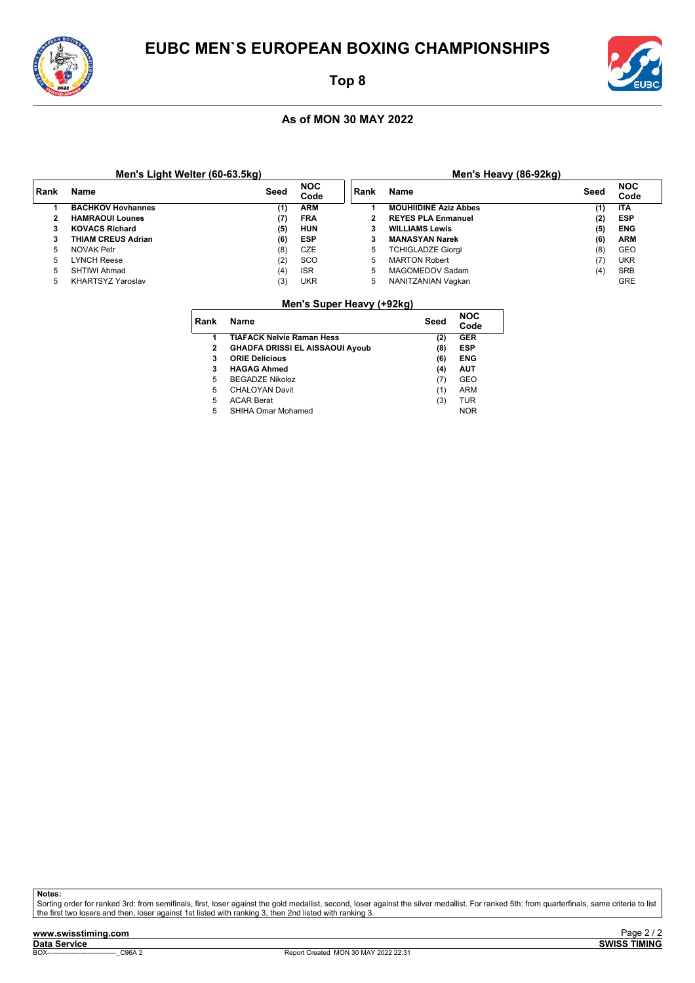![](_page_53_Picture_0.jpeg)

### **Top 8**

### **As of MON 30 MAY 2022**

|      | Men's Light Welter (60-63.5kg) |      |                    |        | Men's Heavy (86-92kg)        |      |                    |
|------|--------------------------------|------|--------------------|--------|------------------------------|------|--------------------|
| Rank | Name                           | Seed | <b>NOC</b><br>Code | ∣ Rank | <b>Name</b>                  | Seed | <b>NOC</b><br>Code |
|      | <b>BACHKOV Hovhannes</b>       | (1)  | <b>ARM</b>         |        | <b>MOUHIIDINE Aziz Abbes</b> | (1)  | <b>ITA</b>         |
|      | <b>HAMRAOUI Lounes</b>         | (7)  | <b>FRA</b>         | 2      | <b>REYES PLA Enmanuel</b>    | (2)  | <b>ESP</b>         |
| 3    | <b>KOVACS Richard</b>          | (5)  | HUN                | 3      | <b>WILLIAMS Lewis</b>        | (5)  | <b>ENG</b>         |
| 3    | THIAM CREUS Adrian             | (6)  | ESP                | 3      | <b>MANASYAN Narek</b>        | (6)  | <b>ARM</b>         |
| 5    | NOVAK Petr                     | (8)  | CZE                | 5      | TCHIGLADZE Giorgi            | (8)  | GEO                |
| 5    | LYNCH Reese                    | (2)  | sco                | 5      | <b>MARTON Robert</b>         | (7   | <b>UKR</b>         |
| 5    | <b>SHTIWI Ahmad</b>            | (4)  | <b>ISR</b>         | 5      | MAGOMEDOV Sadam              | (4)  | <b>SRB</b>         |
| 5    | <b>KHARTSYZ Yaroslav</b>       | (3)  | <b>UKR</b>         | 5      | NANITZANIAN Vaqkan           |      | <b>GRE</b>         |

#### **Men's Super Heavy (+92kg)**

| Rank | Name                                   | Seed | <b>NOC</b><br>Code |  |
|------|----------------------------------------|------|--------------------|--|
| 1    | <b>TIAFACK Nelvie Raman Hess</b>       | (2)  | GER                |  |
| 2    | <b>GHADFA DRISSI EL AISSAOUI Ayoub</b> | (8)  | ESP                |  |
| 3    | <b>ORIE Delicious</b>                  | (6)  | <b>ENG</b>         |  |
| 3    | <b>HAGAG Ahmed</b>                     | (4)  | AUT                |  |
| 5    | <b>BEGADZE Nikoloz</b>                 | (7)  | GEO                |  |
| 5    | <b>CHALOYAN Davit</b>                  | (1)  | ARM                |  |
| 5    | <b>ACAR Berat</b>                      | (3)  | TUR                |  |
| 5    | SHIHA Omar Mohamed                     |      | <b>NOR</b>         |  |
|      |                                        |      |                    |  |

**Notes:**

Sorting order for ranked 3rd: from semifinals, first, loser against the gold medallist, second, loser against the silver medallist. For ranked 5th: from quarterfinals, same criteria to list<br>the first two losers and then, l

![](_page_53_Picture_13.jpeg)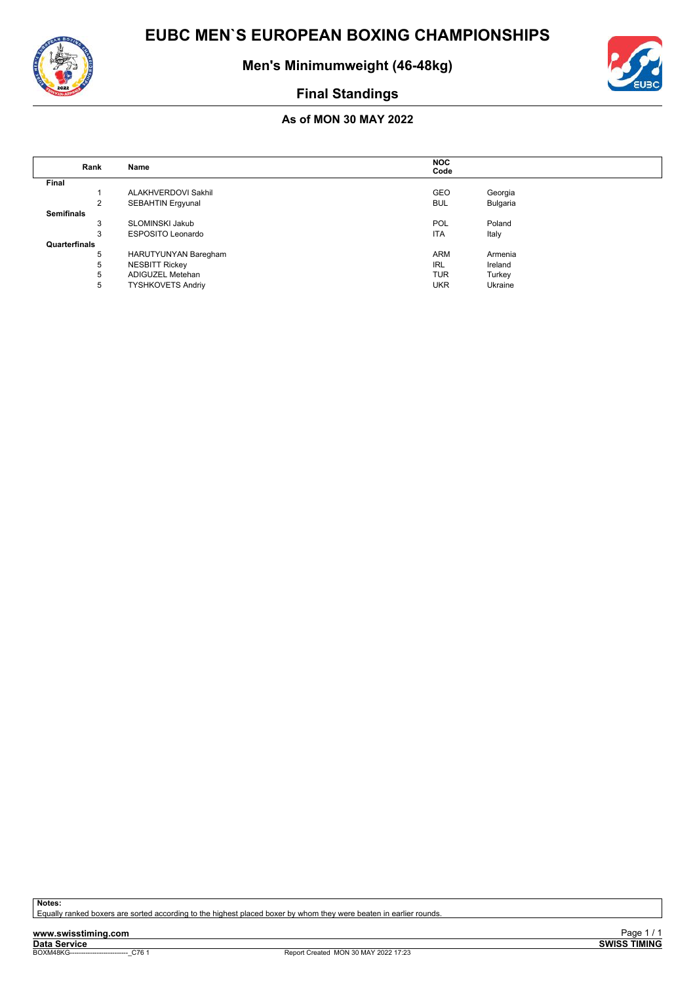![](_page_54_Picture_1.jpeg)

**Men's Minimumweight (46-48kg)**

![](_page_54_Picture_3.jpeg)

### **Final Standings**

### **As of MON 30 MAY 2022**

|                   |                          | <b>NOC</b> |          |  |
|-------------------|--------------------------|------------|----------|--|
| Rank              | Name                     | Code       |          |  |
| Final             |                          |            |          |  |
|                   | ALAKHVERDOVI Sakhil      | <b>GEO</b> | Georgia  |  |
| $\overline{2}$    | <b>SEBAHTIN Ergyunal</b> | <b>BUL</b> | Bulgaria |  |
| <b>Semifinals</b> |                          |            |          |  |
| 3                 | <b>SLOMINSKI Jakub</b>   | <b>POL</b> | Poland   |  |
| 3                 | <b>ESPOSITO Leonardo</b> | <b>ITA</b> | Italy    |  |
| Quarterfinals     |                          |            |          |  |
| 5                 | HARUTYUNYAN Baregham     | <b>ARM</b> | Armenia  |  |
| 5                 | <b>NESBITT Rickey</b>    | IRL        | Ireland  |  |
| 5                 | ADIGUZEL Metehan         | <b>TUR</b> | Turkey   |  |
| 5                 | <b>TYSHKOVETS Andriy</b> | <b>UKR</b> | Ukraine  |  |

**Notes:**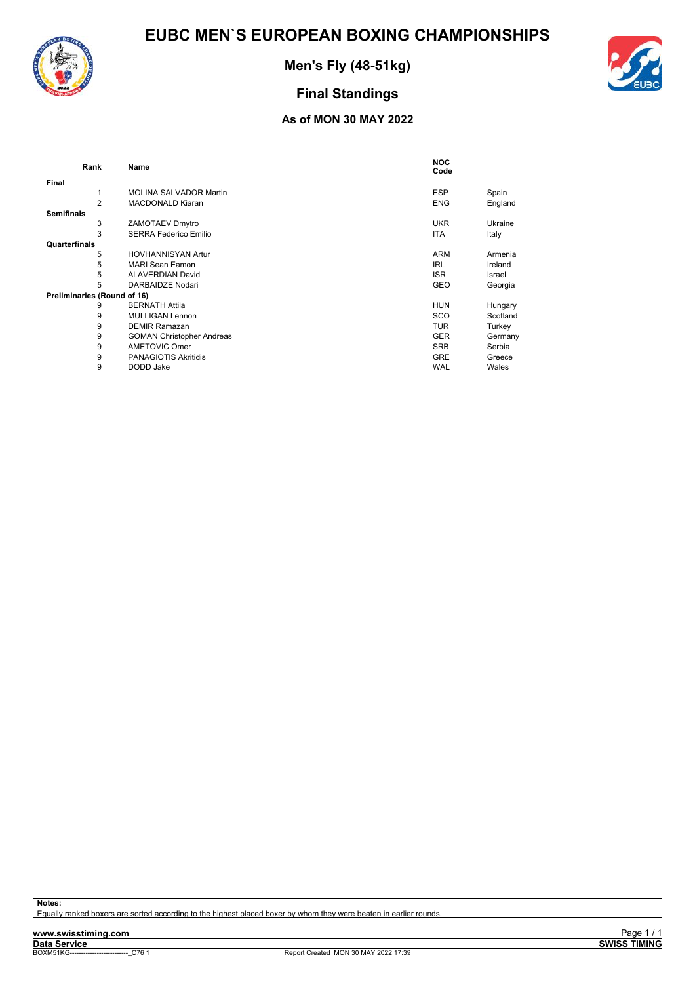![](_page_55_Picture_0.jpeg)

**Men's Fly (48-51kg)**

![](_page_55_Picture_3.jpeg)

### **Final Standings**

### **As of MON 30 MAY 2022**

| Rank                        | Name                             | <b>NOC</b> |          |
|-----------------------------|----------------------------------|------------|----------|
|                             |                                  | Code       |          |
| Final                       |                                  |            |          |
|                             | <b>MOLINA SALVADOR Martin</b>    | <b>ESP</b> | Spain    |
| 2                           | <b>MACDONALD Kiaran</b>          | <b>ENG</b> | England  |
| <b>Semifinals</b>           |                                  |            |          |
| 3                           | ZAMOTAEV Dmytro                  | <b>UKR</b> | Ukraine  |
| 3                           | SERRA Federico Emilio            | <b>ITA</b> | Italy    |
| Quarterfinals               |                                  |            |          |
| 5                           | <b>HOVHANNISYAN Artur</b>        | <b>ARM</b> | Armenia  |
| 5                           | <b>MARI Sean Eamon</b>           | <b>IRL</b> | Ireland  |
| 5                           | <b>ALAVERDIAN David</b>          | <b>ISR</b> | Israel   |
| 5                           | DARBAIDZE Nodari                 | GEO        | Georgia  |
| Preliminaries (Round of 16) |                                  |            |          |
| 9                           | <b>BERNATH Attila</b>            | <b>HUN</b> | Hungary  |
| 9                           | MULLIGAN Lennon                  | <b>SCO</b> | Scotland |
| 9                           | <b>DEMIR Ramazan</b>             | <b>TUR</b> | Turkey   |
| 9                           | <b>GOMAN Christopher Andreas</b> | <b>GER</b> | Germany  |
| 9                           | <b>AMETOVIC Omer</b>             | <b>SRB</b> | Serbia   |
| 9                           | PANAGIOTIS Akritidis             | <b>GRE</b> | Greece   |
| 9                           | DODD Jake                        | <b>WAL</b> | Wales    |
|                             |                                  |            |          |

**Notes:**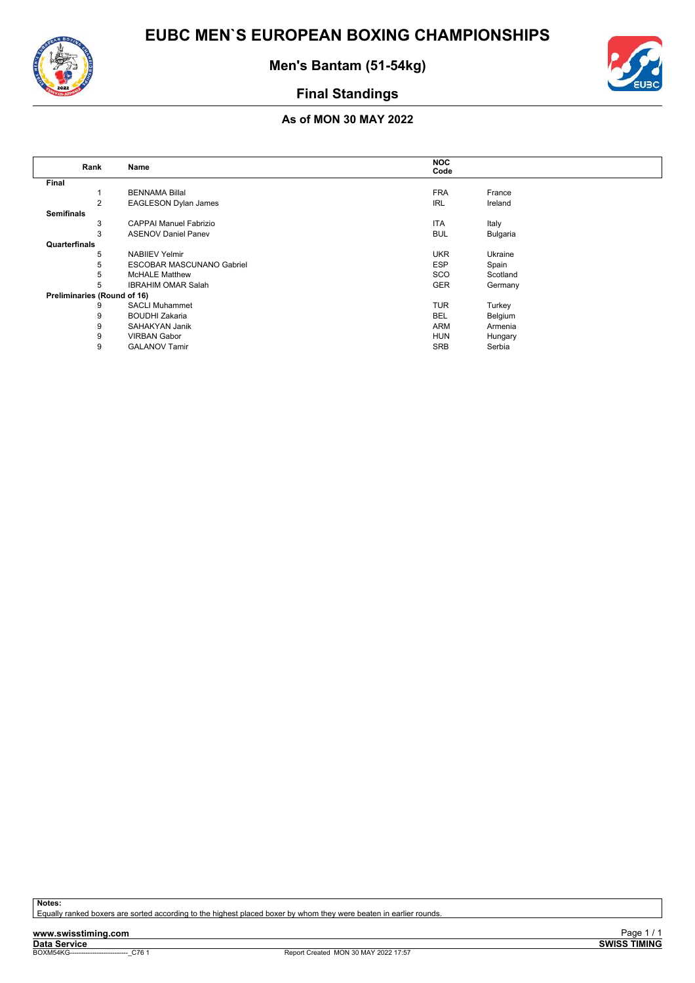![](_page_56_Picture_0.jpeg)

![](_page_56_Picture_2.jpeg)

![](_page_56_Picture_3.jpeg)

### **As of MON 30 MAY 2022**

|                   | Rank                        | Name                             | <b>NOC</b> |          |
|-------------------|-----------------------------|----------------------------------|------------|----------|
|                   |                             |                                  | Code       |          |
| Final             |                             |                                  |            |          |
|                   |                             | <b>BENNAMA Billal</b>            | <b>FRA</b> | France   |
|                   | 2                           | <b>EAGLESON Dylan James</b>      | <b>IRL</b> | Ireland  |
| <b>Semifinals</b> |                             |                                  |            |          |
|                   | 3                           | <b>CAPPAI Manuel Fabrizio</b>    | <b>ITA</b> | Italy    |
|                   | 3                           | <b>ASENOV Daniel Panev</b>       | <b>BUL</b> | Bulgaria |
| Quarterfinals     |                             |                                  |            |          |
|                   | 5                           | <b>NABIIEV Yelmir</b>            | <b>UKR</b> | Ukraine  |
|                   | 5                           | <b>ESCOBAR MASCUNANO Gabriel</b> | <b>ESP</b> | Spain    |
|                   | 5                           | <b>McHALE Matthew</b>            | SCO        | Scotland |
|                   | 5                           | <b>IBRAHIM OMAR Salah</b>        | <b>GER</b> | Germany  |
|                   | Preliminaries (Round of 16) |                                  |            |          |
|                   | 9                           | <b>SACLI Muhammet</b>            | <b>TUR</b> | Turkey   |
|                   | 9                           | <b>BOUDHI Zakaria</b>            | <b>BEL</b> | Belgium  |
|                   | 9                           | SAHAKYAN Janik                   | ARM        | Armenia  |
|                   | 9                           | <b>VIRBAN Gabor</b>              | <b>HUN</b> | Hungary  |
|                   | 9                           | <b>GALANOV Tamir</b>             | <b>SRB</b> | Serbia   |

**Notes:**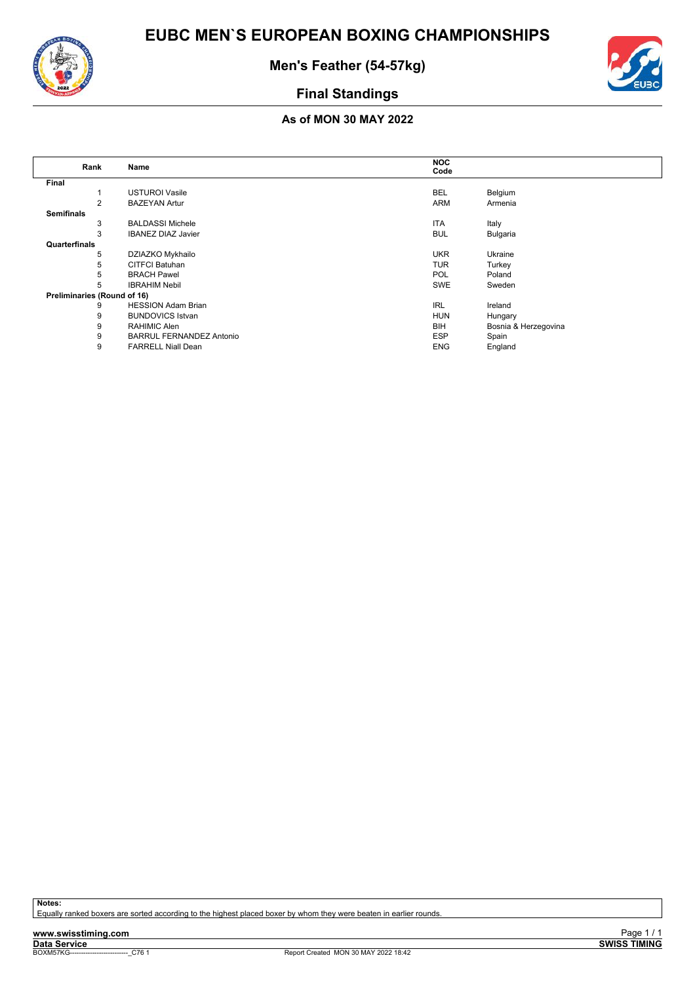![](_page_57_Picture_2.jpeg)

![](_page_57_Picture_3.jpeg)

### **As of MON 30 MAY 2022**

|                             | Rank           | Name                            | <b>NOC</b> |                      |
|-----------------------------|----------------|---------------------------------|------------|----------------------|
|                             |                |                                 | Code       |                      |
| Final                       |                |                                 |            |                      |
|                             |                | <b>USTUROI Vasile</b>           | <b>BEL</b> | Belgium              |
|                             | $\overline{2}$ | <b>BAZEYAN Artur</b>            | <b>ARM</b> | Armenia              |
| <b>Semifinals</b>           |                |                                 |            |                      |
|                             | 3              | <b>BALDASSI Michele</b>         | <b>ITA</b> | Italy                |
|                             | 3              | <b>IBANEZ DIAZ Javier</b>       | <b>BUL</b> | Bulgaria             |
| Quarterfinals               |                |                                 |            |                      |
|                             | 5              | DZIAZKO Mykhailo                | <b>UKR</b> | Ukraine              |
|                             | 5              | <b>CITFCI Batuhan</b>           | <b>TUR</b> | Turkey               |
|                             | 5              | <b>BRACH Pawel</b>              | <b>POL</b> | Poland               |
|                             | 5              | <b>IBRAHIM Nebil</b>            | SWE        | Sweden               |
| Preliminaries (Round of 16) |                |                                 |            |                      |
|                             | 9              | <b>HESSION Adam Brian</b>       | <b>IRL</b> | Ireland              |
|                             | 9              | <b>BUNDOVICS Istvan</b>         | <b>HUN</b> | Hungary              |
|                             | 9              | RAHIMIC Alen                    | <b>BIH</b> | Bosnia & Herzegovina |
|                             | 9              | <b>BARRUL FERNANDEZ Antonio</b> | <b>ESP</b> | Spain                |
|                             | 9              | <b>FARRELL Niall Dean</b>       | <b>ENG</b> | England              |

**Notes:**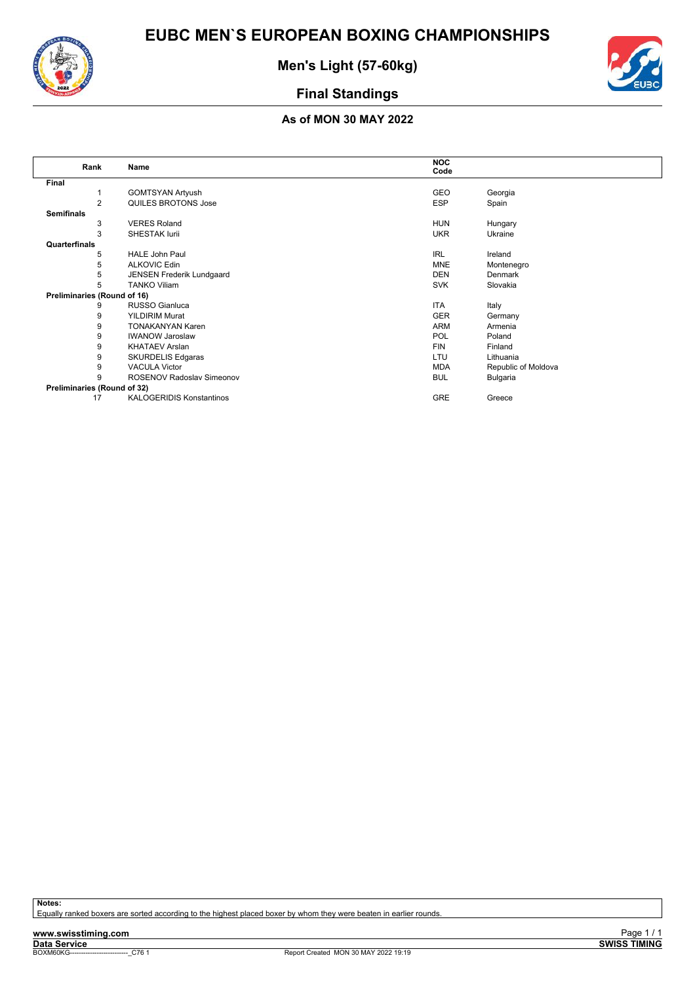![](_page_58_Picture_0.jpeg)

![](_page_58_Picture_2.jpeg)

![](_page_58_Picture_3.jpeg)

### **As of MON 30 MAY 2022**

|                             | Rank           | Name                             | <b>NOC</b> |                     |
|-----------------------------|----------------|----------------------------------|------------|---------------------|
|                             |                |                                  | Code       |                     |
| Final                       |                |                                  |            |                     |
|                             |                | <b>GOMTSYAN Artyush</b>          | GEO        | Georgia             |
|                             | $\overline{2}$ | QUILES BROTONS Jose              | <b>ESP</b> | Spain               |
| <b>Semifinals</b>           |                |                                  |            |                     |
|                             | 3              | <b>VERES Roland</b>              | <b>HUN</b> | Hungary             |
|                             | 3              | <b>SHESTAK lurii</b>             | <b>UKR</b> | Ukraine             |
| Quarterfinals               |                |                                  |            |                     |
|                             | 5              | <b>HALE John Paul</b>            | <b>IRL</b> | Ireland             |
|                             | 5              | <b>ALKOVIC Edin</b>              | <b>MNE</b> | Montenegro          |
|                             | 5              | JENSEN Frederik Lundgaard        | <b>DEN</b> | Denmark             |
|                             | 5              | <b>TANKO Viliam</b>              | <b>SVK</b> | Slovakia            |
| Preliminaries (Round of 16) |                |                                  |            |                     |
|                             | 9              | RUSSO Gianluca                   | <b>ITA</b> | Italy               |
|                             | 9              | <b>YILDIRIM Murat</b>            | <b>GER</b> | Germany             |
|                             | 9              | <b>TONAKANYAN Karen</b>          | <b>ARM</b> | Armenia             |
|                             | 9              | <b>IWANOW Jaroslaw</b>           | POL        | Poland              |
|                             | 9              | <b>KHATAEV Arslan</b>            | <b>FIN</b> | Finland             |
|                             | 9              | <b>SKURDELIS Edgaras</b>         | LTU        | Lithuania           |
|                             | 9              | <b>VACULA Victor</b>             | <b>MDA</b> | Republic of Moldova |
|                             | 9              | <b>ROSENOV Radoslav Simeonov</b> | <b>BUL</b> | Bulgaria            |
| Preliminaries (Round of 32) |                |                                  |            |                     |
|                             | 17             | <b>KALOGERIDIS Konstantinos</b>  | GRE        | Greece              |

**Notes:**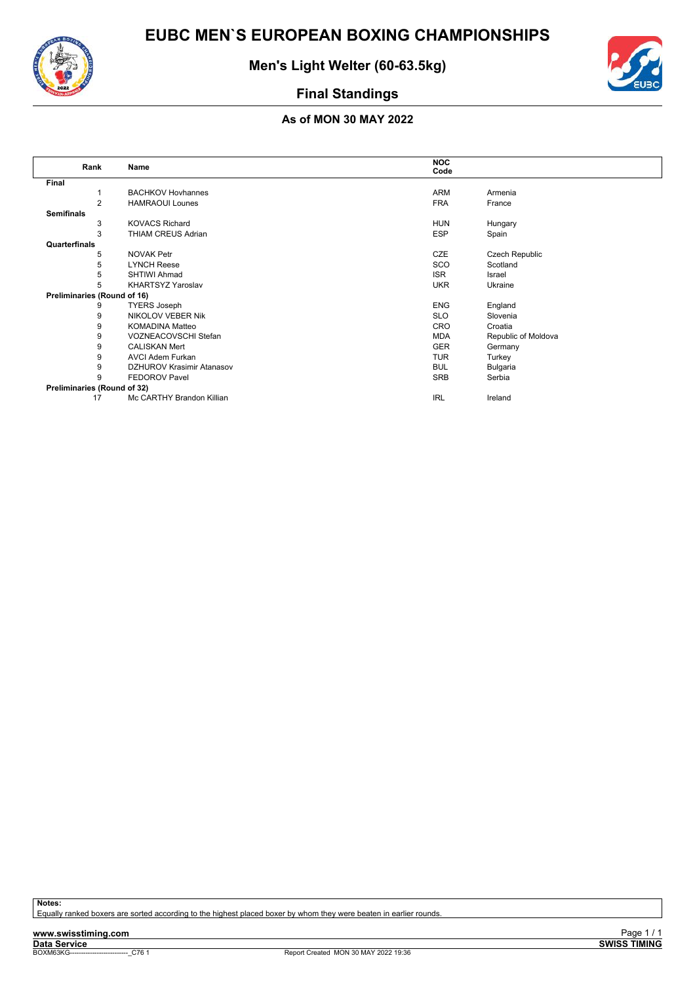![](_page_59_Picture_1.jpeg)

**Men's Light Welter (60-63.5kg)**

![](_page_59_Picture_3.jpeg)

### **Final Standings**

### **As of MON 30 MAY 2022**

| Rank                        | Name                             | <b>NOC</b> |                     |
|-----------------------------|----------------------------------|------------|---------------------|
|                             |                                  | Code       |                     |
| Final                       |                                  |            |                     |
|                             | <b>BACHKOV Hovhannes</b>         | <b>ARM</b> | Armenia             |
| 2                           | <b>HAMRAOUI Lounes</b>           | <b>FRA</b> | France              |
| <b>Semifinals</b>           |                                  |            |                     |
| 3                           | <b>KOVACS Richard</b>            | <b>HUN</b> | Hungary             |
| 3                           | THIAM CREUS Adrian               | <b>ESP</b> | Spain               |
| Quarterfinals               |                                  |            |                     |
| 5                           | <b>NOVAK Petr</b>                | CZE        | Czech Republic      |
| 5                           | <b>LYNCH Reese</b>               | SCO        | Scotland            |
| 5                           | <b>SHTIWI Ahmad</b>              | <b>ISR</b> | Israel              |
| 5                           | <b>KHARTSYZ Yaroslav</b>         | <b>UKR</b> | Ukraine             |
| Preliminaries (Round of 16) |                                  |            |                     |
| 9                           | <b>TYERS Joseph</b>              | <b>ENG</b> | England             |
| 9                           | <b>NIKOLOV VEBER Nik</b>         | <b>SLO</b> | Slovenia            |
| 9                           | <b>KOMADINA Matteo</b>           | CRO        | Croatia             |
| 9                           | VOZNEACOVSCHI Stefan             | <b>MDA</b> | Republic of Moldova |
| 9                           | <b>CALISKAN Mert</b>             | <b>GER</b> | Germany             |
| 9                           | <b>AVCI Adem Furkan</b>          | <b>TUR</b> | Turkey              |
| 9                           | <b>DZHUROV Krasimir Atanasov</b> | <b>BUL</b> | Bulgaria            |
| 9                           | <b>FEDOROV Pavel</b>             | <b>SRB</b> | Serbia              |
| Preliminaries (Round of 32) |                                  |            |                     |
| 17                          | Mc CARTHY Brandon Killian        | <b>IRL</b> | Ireland             |

**Notes:**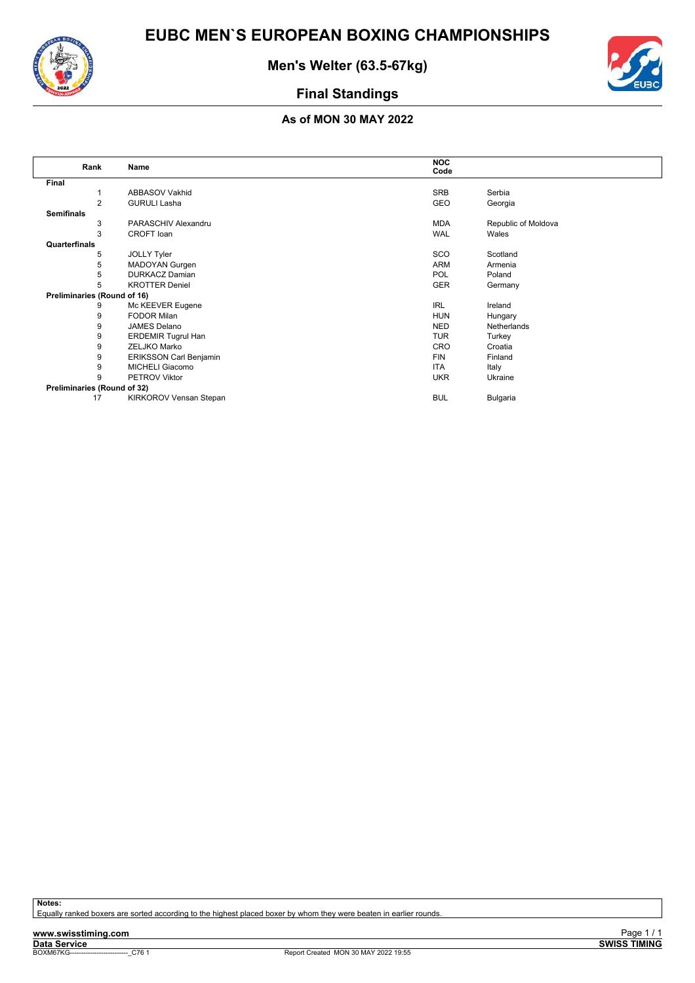![](_page_60_Picture_2.jpeg)

![](_page_60_Picture_3.jpeg)

### **As of MON 30 MAY 2022**

| Rank                        | Name                          | <b>NOC</b> |                     |
|-----------------------------|-------------------------------|------------|---------------------|
|                             |                               | Code       |                     |
| Final                       |                               |            |                     |
|                             | ABBASOV Vakhid                | SRB        | Serbia              |
| 2                           | <b>GURULI Lasha</b>           | GEO        | Georgia             |
| <b>Semifinals</b>           |                               |            |                     |
| 3                           | PARASCHIV Alexandru           | MDA        | Republic of Moldova |
| 3                           | CROFT loan                    | <b>WAL</b> | Wales               |
| Quarterfinals               |                               |            |                     |
| 5                           | JOLLY Tyler                   | SCO        | Scotland            |
| 5                           | <b>MADOYAN Gurgen</b>         | ARM        | Armenia             |
| 5                           | <b>DURKACZ Damian</b>         | <b>POL</b> | Poland              |
| 5                           | <b>KROTTER Deniel</b>         | <b>GER</b> | Germany             |
| Preliminaries (Round of 16) |                               |            |                     |
| 9                           | Mc KEEVER Eugene              | <b>IRL</b> | Ireland             |
| 9                           | <b>FODOR Milan</b>            | <b>HUN</b> | Hungary             |
| 9                           | JAMES Delano                  | <b>NED</b> | Netherlands         |
| 9                           | <b>ERDEMIR Tugrul Han</b>     | <b>TUR</b> | Turkey              |
| 9                           | ZELJKO Marko                  | <b>CRO</b> | Croatia             |
| 9                           | <b>ERIKSSON Carl Benjamin</b> | <b>FIN</b> | Finland             |
| 9                           | <b>MICHELI Giacomo</b>        | <b>ITA</b> | Italy               |
| 9                           | <b>PETROV Viktor</b>          | <b>UKR</b> | Ukraine             |
| Preliminaries (Round of 32) |                               |            |                     |
| 17                          | KIRKOROV Vensan Stepan        | <b>BUL</b> | Bulgaria            |

**Notes:**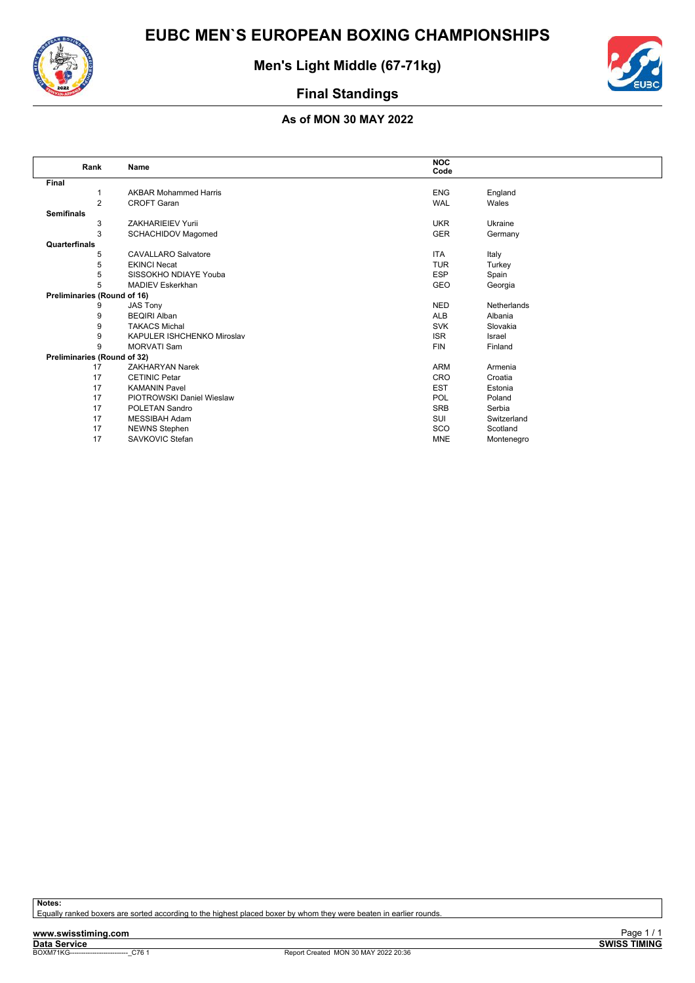![](_page_61_Picture_0.jpeg)

**Men's Light Middle (67-71kg)**

![](_page_61_Picture_3.jpeg)

### **Final Standings**

### **As of MON 30 MAY 2022**

| Rank                        | Name                             | <b>NOC</b><br>Code |             |
|-----------------------------|----------------------------------|--------------------|-------------|
| Final                       |                                  |                    |             |
|                             | <b>AKBAR Mohammed Harris</b>     | <b>ENG</b>         | England     |
| $\overline{2}$              | <b>CROFT Garan</b>               | <b>WAL</b>         | Wales       |
| <b>Semifinals</b>           |                                  |                    |             |
| 3                           | ZAKHARIEIEV Yurii                | <b>UKR</b>         | Ukraine     |
| 3                           | <b>SCHACHIDOV Magomed</b>        | <b>GER</b>         | Germany     |
| Quarterfinals               |                                  |                    |             |
| 5                           | <b>CAVALLARO Salvatore</b>       | <b>ITA</b>         | Italy       |
| 5                           | <b>EKINCI Necat</b>              | <b>TUR</b>         | Turkey      |
| 5                           | SISSOKHO NDIAYE Youba            | <b>ESP</b>         | Spain       |
| 5                           | <b>MADIEV Eskerkhan</b>          | GEO                | Georgia     |
| Preliminaries (Round of 16) |                                  |                    |             |
| 9                           | <b>JAS Tony</b>                  | <b>NED</b>         | Netherlands |
| 9                           | <b>BEQIRI Alban</b>              | <b>ALB</b>         | Albania     |
| 9                           | <b>TAKACS Michal</b>             | <b>SVK</b>         | Slovakia    |
| 9                           | KAPULER ISHCHENKO Miroslav       | <b>ISR</b>         | Israel      |
| 9                           | <b>MORVATI Sam</b>               | <b>FIN</b>         | Finland     |
| Preliminaries (Round of 32) |                                  |                    |             |
| 17                          | <b>ZAKHARYAN Narek</b>           | <b>ARM</b>         | Armenia     |
| 17                          | <b>CETINIC Petar</b>             | CRO                | Croatia     |
| 17                          | <b>KAMANIN Pavel</b>             | <b>EST</b>         | Estonia     |
| 17                          | <b>PIOTROWSKI Daniel Wieslaw</b> | POL                | Poland      |
| 17                          | <b>POLETAN Sandro</b>            | <b>SRB</b>         | Serbia      |
| 17                          | MESSIBAH Adam                    | SUI                | Switzerland |
| 17                          | <b>NEWNS Stephen</b>             | SCO                | Scotland    |
| 17                          | SAVKOVIC Stefan                  | <b>MNE</b>         | Montenegro  |

**Notes:**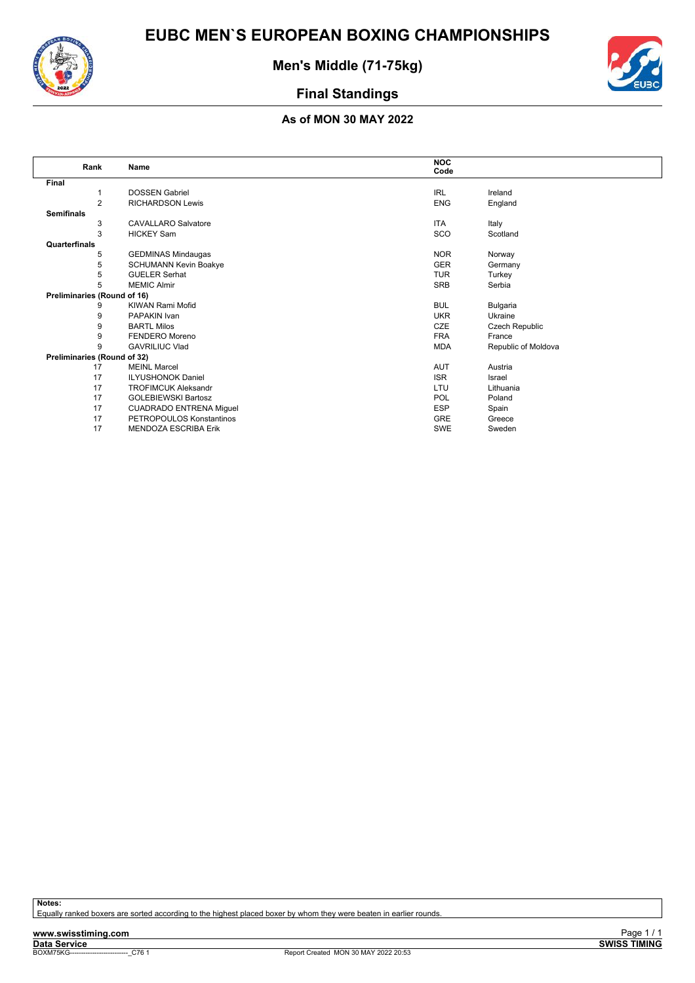![](_page_62_Picture_0.jpeg)

![](_page_62_Picture_2.jpeg)

![](_page_62_Picture_3.jpeg)

### **As of MON 30 MAY 2022**

| Rank                        | Name                           | <b>NOC</b><br>Code |                     |
|-----------------------------|--------------------------------|--------------------|---------------------|
| Final                       |                                |                    |                     |
| 1                           | <b>DOSSEN Gabriel</b>          | <b>IRL</b>         | Ireland             |
| $\overline{2}$              | <b>RICHARDSON Lewis</b>        | <b>ENG</b>         | England             |
| <b>Semifinals</b>           |                                |                    |                     |
| 3                           | <b>CAVALLARO Salvatore</b>     | <b>ITA</b>         | Italy               |
| 3                           | <b>HICKEY Sam</b>              | SCO                | Scotland            |
| Quarterfinals               |                                |                    |                     |
| 5                           | <b>GEDMINAS Mindaugas</b>      | <b>NOR</b>         | Norway              |
| 5                           | <b>SCHUMANN Kevin Boakye</b>   | <b>GER</b>         | Germany             |
| 5                           | <b>GUELER Serhat</b>           | <b>TUR</b>         | Turkey              |
| 5                           | <b>MEMIC Almir</b>             | SRB                | Serbia              |
| Preliminaries (Round of 16) |                                |                    |                     |
| 9                           | <b>KIWAN Rami Mofid</b>        | <b>BUL</b>         | Bulgaria            |
| 9                           | PAPAKIN Ivan                   | <b>UKR</b>         | Ukraine             |
| 9                           | <b>BARTL Milos</b>             | CZE                | Czech Republic      |
| 9                           | FENDERO Moreno                 | <b>FRA</b>         | France              |
| 9                           | <b>GAVRILIUC Vlad</b>          | <b>MDA</b>         | Republic of Moldova |
| Preliminaries (Round of 32) |                                |                    |                     |
| 17                          | <b>MEINL Marcel</b>            | <b>AUT</b>         | Austria             |
| 17                          | <b>ILYUSHONOK Daniel</b>       | <b>ISR</b>         | Israel              |
| 17                          | <b>TROFIMCUK Aleksandr</b>     | LTU                | Lithuania           |
| 17                          | <b>GOLEBIEWSKI Bartosz</b>     | <b>POL</b>         | Poland              |
| 17                          | <b>CUADRADO ENTRENA Miguel</b> | <b>ESP</b>         | Spain               |
| 17                          | PETROPOULOS Konstantinos       | GRE                | Greece              |
| 17                          | MENDOZA ESCRIBA Erik           | <b>SWE</b>         | Sweden              |

**Notes:**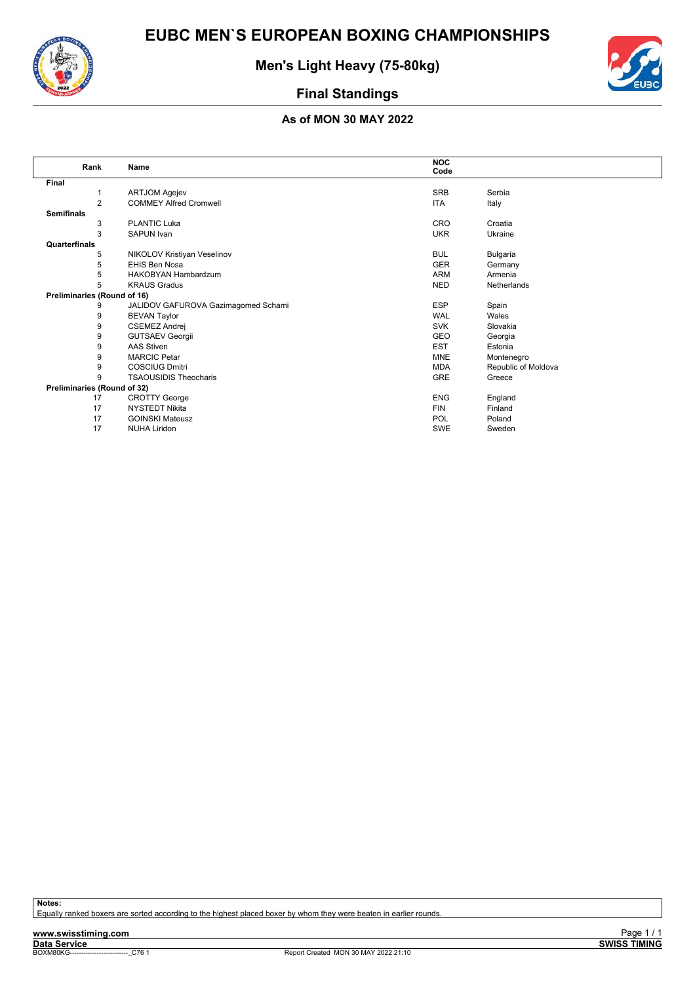![](_page_63_Picture_0.jpeg)

**Men's Light Heavy (75-80kg)**

![](_page_63_Picture_3.jpeg)

### **Final Standings**

### **As of MON 30 MAY 2022**

| Rank                        | <b>Name</b>                         | <b>NOC</b><br>Code |                     |
|-----------------------------|-------------------------------------|--------------------|---------------------|
| Final                       |                                     |                    |                     |
|                             | <b>ARTJOM Agejev</b>                | <b>SRB</b>         | Serbia              |
| $\overline{2}$              | <b>COMMEY Alfred Cromwell</b>       | <b>ITA</b>         | Italy               |
| <b>Semifinals</b>           |                                     |                    |                     |
| 3                           | <b>PLANTIC Luka</b>                 | <b>CRO</b>         | Croatia             |
| 3                           | SAPUN Ivan                          | <b>UKR</b>         | Ukraine             |
| Quarterfinals               |                                     |                    |                     |
| 5                           | NIKOLOV Kristiyan Veselinov         | <b>BUL</b>         | Bulgaria            |
| 5                           | EHIS Ben Nosa                       | <b>GER</b>         | Germany             |
| 5                           | <b>HAKOBYAN Hambardzum</b>          | <b>ARM</b>         | Armenia             |
| 5                           | <b>KRAUS Gradus</b>                 | <b>NED</b>         | Netherlands         |
| Preliminaries (Round of 16) |                                     |                    |                     |
| 9                           | JALIDOV GAFUROVA Gazimagomed Schami | <b>ESP</b>         | Spain               |
| 9                           | <b>BEVAN Taylor</b>                 | <b>WAL</b>         | Wales               |
| 9                           | <b>CSEMEZ Andrej</b>                | <b>SVK</b>         | Slovakia            |
| 9                           | <b>GUTSAEV Georgii</b>              | GEO                | Georgia             |
| 9                           | <b>AAS Stiven</b>                   | <b>EST</b>         | Estonia             |
| 9                           | <b>MARCIC Petar</b>                 | <b>MNE</b>         | Montenegro          |
| 9                           | <b>COSCIUG Dmitri</b>               | <b>MDA</b>         | Republic of Moldova |
| 9                           | <b>TSAOUSIDIS Theocharis</b>        | GRE                | Greece              |
| Preliminaries (Round of 32) |                                     |                    |                     |
| 17                          | <b>CROTTY George</b>                | <b>ENG</b>         | England             |
| 17                          | <b>NYSTEDT Nikita</b>               | <b>FIN</b>         | Finland             |
| 17                          | <b>GOINSKI Mateusz</b>              | <b>POL</b>         | Poland              |
| 17                          | <b>NUHA Liridon</b>                 | <b>SWE</b>         | Sweden              |

**Notes:**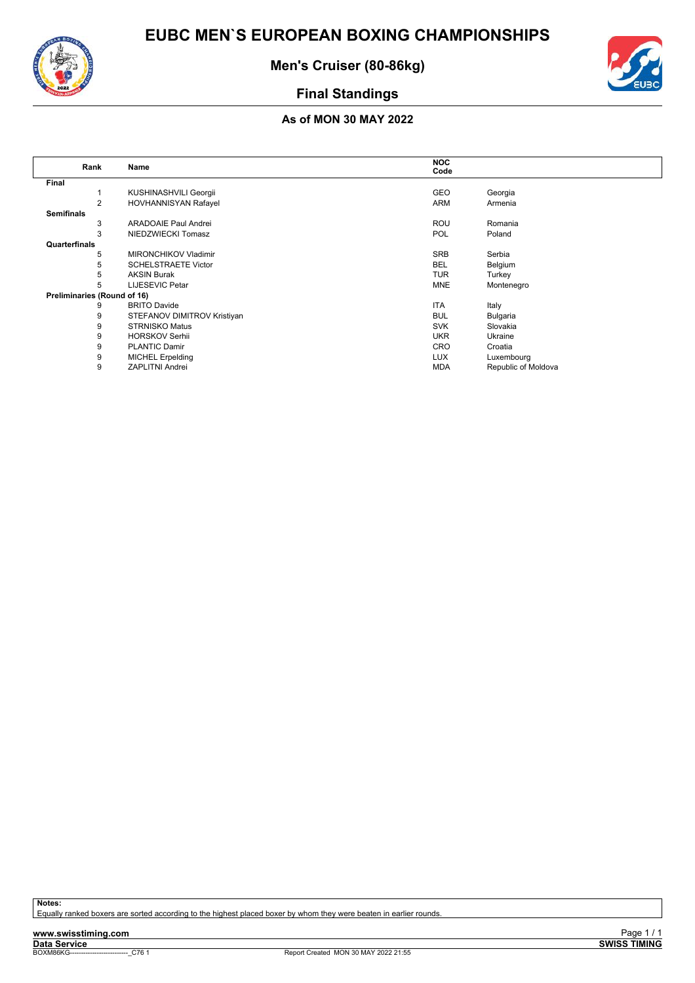![](_page_64_Picture_0.jpeg)

![](_page_64_Picture_2.jpeg)

![](_page_64_Picture_3.jpeg)

### **As of MON 30 MAY 2022**

| Rank                        | Name                        | <b>NOC</b> |                     |
|-----------------------------|-----------------------------|------------|---------------------|
|                             |                             | Code       |                     |
| Final                       |                             |            |                     |
|                             | KUSHINASHVILI Georgii       | <b>GEO</b> | Georgia             |
| 2                           | HOVHANNISYAN Rafayel        | <b>ARM</b> | Armenia             |
| <b>Semifinals</b>           |                             |            |                     |
| 3                           | <b>ARADOAIE Paul Andrei</b> | <b>ROU</b> | Romania             |
| 3                           | NIEDZWIECKI Tomasz          | <b>POL</b> | Poland              |
| Quarterfinals               |                             |            |                     |
| 5                           | <b>MIRONCHIKOV Vladimir</b> | <b>SRB</b> | Serbia              |
| 5                           | <b>SCHELSTRAETE Victor</b>  | <b>BEL</b> | Belgium             |
| 5                           | <b>AKSIN Burak</b>          | <b>TUR</b> | Turkey              |
| 5                           | <b>LIJESEVIC Petar</b>      | <b>MNE</b> | Montenegro          |
| Preliminaries (Round of 16) |                             |            |                     |
| 9                           | <b>BRITO Davide</b>         | <b>ITA</b> | Italy               |
| 9                           | STEFANOV DIMITROV Kristiyan | <b>BUL</b> | Bulgaria            |
| 9                           | <b>STRNISKO Matus</b>       | <b>SVK</b> | Slovakia            |
| 9                           | <b>HORSKOV Serhii</b>       | <b>UKR</b> | Ukraine             |
| 9                           | <b>PLANTIC Damir</b>        | CRO        | Croatia             |
| 9                           | <b>MICHEL Erpelding</b>     | <b>LUX</b> | Luxembourg          |
| 9                           | <b>ZAPLITNI Andrei</b>      | <b>MDA</b> | Republic of Moldova |

**Notes:**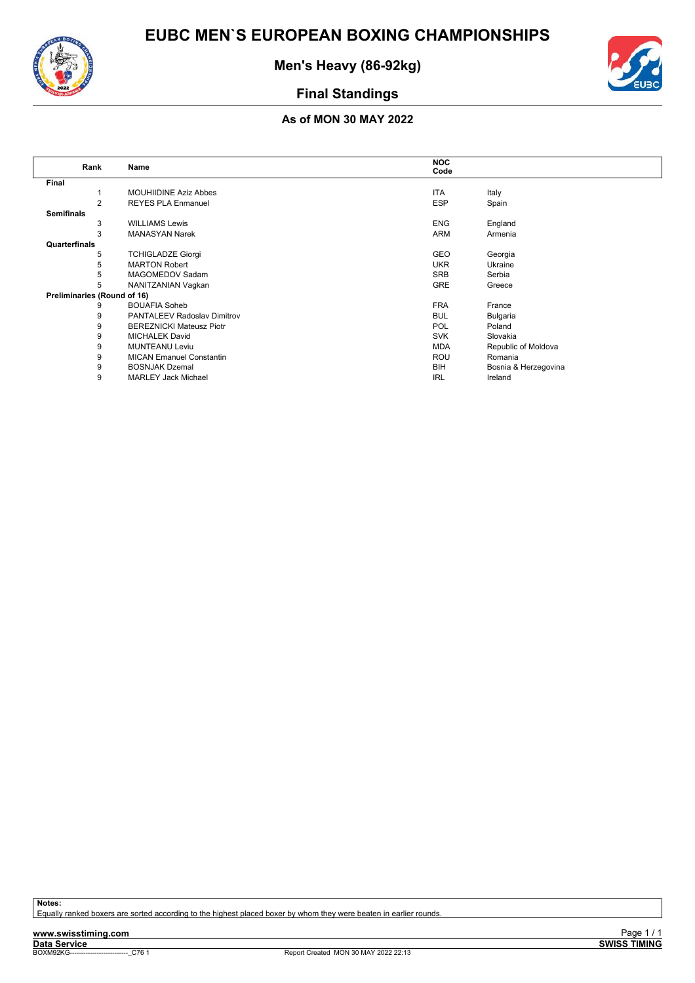![](_page_65_Picture_0.jpeg)

![](_page_65_Picture_2.jpeg)

![](_page_65_Picture_3.jpeg)

### **As of MON 30 MAY 2022**

| Rank                        | Name                               | <b>NOC</b><br>Code |                      |
|-----------------------------|------------------------------------|--------------------|----------------------|
|                             |                                    |                    |                      |
| Final                       |                                    |                    |                      |
|                             | <b>MOUHIIDINE Aziz Abbes</b>       | <b>ITA</b>         | Italy                |
| 2                           | <b>REYES PLA Enmanuel</b>          | <b>ESP</b>         | Spain                |
| <b>Semifinals</b>           |                                    |                    |                      |
| 3                           | <b>WILLIAMS Lewis</b>              | <b>ENG</b>         | England              |
| 3                           | <b>MANASYAN Narek</b>              | ARM                | Armenia              |
| Quarterfinals               |                                    |                    |                      |
| 5                           | <b>TCHIGLADZE Giorgi</b>           | <b>GEO</b>         | Georgia              |
| 5                           | <b>MARTON Robert</b>               | <b>UKR</b>         | Ukraine              |
| 5                           | MAGOMEDOV Sadam                    | <b>SRB</b>         | Serbia               |
| 5                           | NANITZANIAN Vagkan                 | <b>GRE</b>         | Greece               |
| Preliminaries (Round of 16) |                                    |                    |                      |
| 9                           | <b>BOUAFIA Soheb</b>               | <b>FRA</b>         | France               |
| 9                           | <b>PANTALEEV Radoslav Dimitrov</b> | <b>BUL</b>         | Bulgaria             |
| 9                           | <b>BEREZNICKI Mateusz Piotr</b>    | <b>POL</b>         | Poland               |
| 9                           | <b>MICHALEK David</b>              | <b>SVK</b>         | Slovakia             |
| 9                           | <b>MUNTEANU Leviu</b>              | <b>MDA</b>         | Republic of Moldova  |
| 9                           | <b>MICAN Emanuel Constantin</b>    | <b>ROU</b>         | Romania              |
| 9                           | <b>BOSNJAK Dzemal</b>              | BIH                | Bosnia & Herzegovina |
| 9                           | <b>MARLEY Jack Michael</b>         | <b>IRL</b>         | Ireland              |
|                             |                                    |                    |                      |

**Notes:**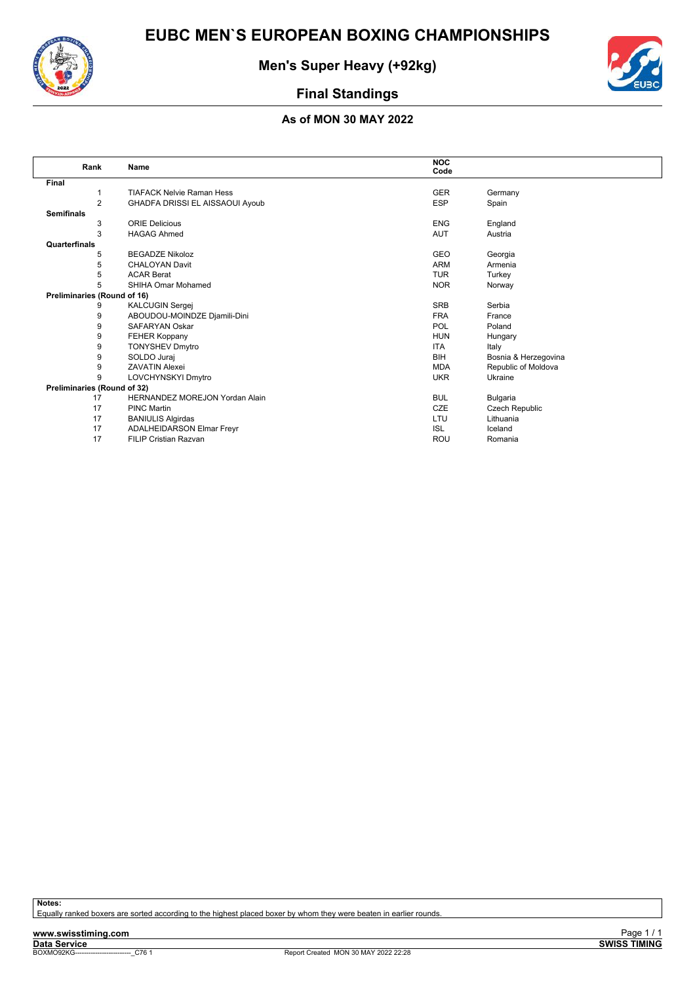![](_page_66_Picture_0.jpeg)

![](_page_66_Picture_2.jpeg)

![](_page_66_Picture_3.jpeg)

### **As of MON 30 MAY 2022**

| Rank                        | Name                                  | <b>NOC</b><br>Code |                      |
|-----------------------------|---------------------------------------|--------------------|----------------------|
| Final                       |                                       |                    |                      |
|                             | <b>TIAFACK Nelvie Raman Hess</b>      | <b>GER</b>         | Germany              |
| 2                           | GHADFA DRISSI EL AISSAOUI Ayoub       | <b>ESP</b>         | Spain                |
| <b>Semifinals</b>           |                                       |                    |                      |
| 3                           | <b>ORIE Delicious</b>                 | <b>ENG</b>         | England              |
| 3                           | <b>HAGAG Ahmed</b>                    | <b>AUT</b>         | Austria              |
| Quarterfinals               |                                       |                    |                      |
| 5                           | <b>BEGADZE Nikoloz</b>                | <b>GEO</b>         | Georgia              |
| 5                           | <b>CHALOYAN Davit</b>                 | <b>ARM</b>         | Armenia              |
| 5                           | <b>ACAR Berat</b>                     | <b>TUR</b>         | Turkey               |
| 5                           | SHIHA Omar Mohamed                    | <b>NOR</b>         | Norway               |
| Preliminaries (Round of 16) |                                       |                    |                      |
| 9                           | <b>KALCUGIN Sergej</b>                | <b>SRB</b>         | Serbia               |
| 9                           | ABOUDOU-MOINDZE Djamili-Dini          | <b>FRA</b>         | France               |
| 9                           | <b>SAFARYAN Oskar</b>                 | <b>POL</b>         | Poland               |
| 9                           | <b>FEHER Koppany</b>                  | <b>HUN</b>         | Hungary              |
| 9                           | <b>TONYSHEV Dmytro</b>                | <b>ITA</b>         | Italy                |
| 9                           | SOLDO Juraj                           | <b>BIH</b>         | Bosnia & Herzegovina |
| 9                           | <b>ZAVATIN Alexei</b>                 | <b>MDA</b>         | Republic of Moldova  |
| 9                           | LOVCHYNSKYI Dmytro                    | <b>UKR</b>         | Ukraine              |
| Preliminaries (Round of 32) |                                       |                    |                      |
| 17                          | <b>HERNANDEZ MOREJON Yordan Alain</b> | <b>BUL</b>         | Bulgaria             |
| 17                          | <b>PINC Martin</b>                    | <b>CZE</b>         | Czech Republic       |
| 17                          | <b>BANIULIS Algirdas</b>              | LTU                | Lithuania            |
| 17                          | <b>ADALHEIDARSON Elmar Freyr</b>      | <b>ISL</b>         | Iceland              |
| 17                          | <b>FILIP Cristian Razvan</b>          | <b>ROU</b>         | Romania              |

**Notes:**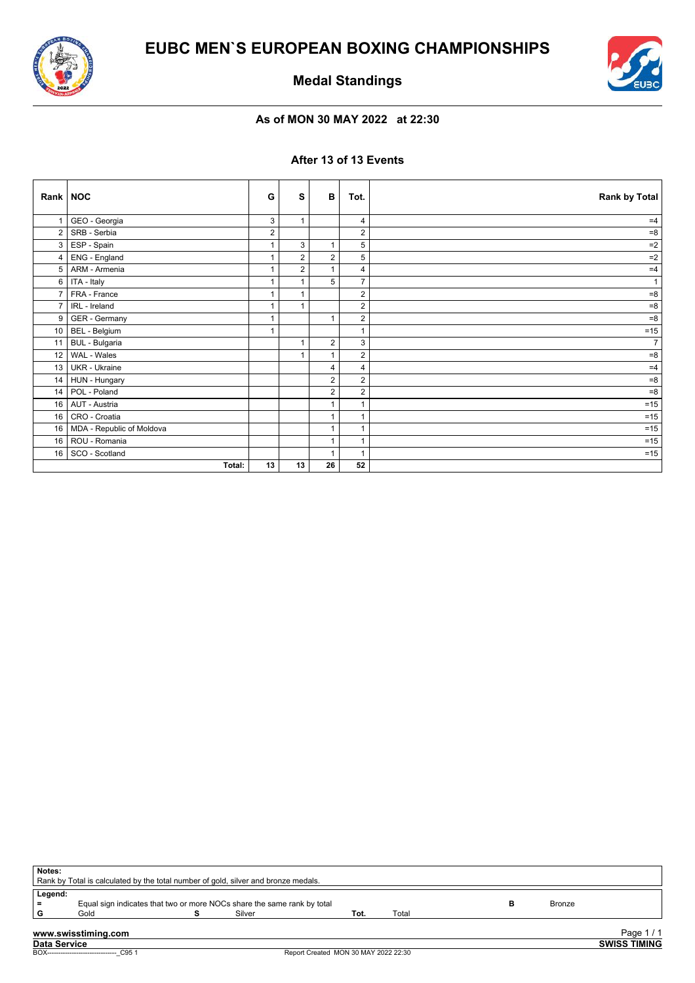![](_page_67_Picture_0.jpeg)

![](_page_67_Picture_2.jpeg)

**Medal Standings**

### **As of MON 30 MAY 2022 at 22:30**

### **After 13 of 13 Events**

| Rank   NOC     |                           | G            | s              | B              | Tot.           | Rank by Total  |
|----------------|---------------------------|--------------|----------------|----------------|----------------|----------------|
|                | GEO - Georgia             | 3            | $\mathbf{1}$   |                | 4              | $=4$           |
| $\overline{2}$ | SRB - Serbia              | 2            |                |                | $\overline{2}$ | $= 8$          |
| 3              | ESP - Spain               | $\mathbf{1}$ | 3              | $\mathbf{1}$   | 5              | $=2$           |
| 4              | ENG - England             | 1            | $\overline{2}$ | $\overline{2}$ | 5              | $=2$           |
| 5              | ARM - Armenia             | $\mathbf{1}$ | $\overline{2}$ | $\mathbf 1$    | 4              | $=4$           |
| 6              | ITA - Italy               | 1            | $\mathbf{1}$   | 5              | $\overline{7}$ | $\mathbf{1}$   |
| $\overline{7}$ | FRA - France              | 1            | $\mathbf{1}$   |                | $\overline{2}$ | $= 8$          |
| $\overline{7}$ | IRL - Ireland             | 1            | $\mathbf{1}$   |                | $\overline{2}$ | $= 8$          |
| 9              | GER - Germany             | 1            |                | $\mathbf{1}$   | $\overline{2}$ | $= 8$          |
| 10             | BEL - Belgium             | 1            |                |                | 1              | $=15$          |
| 11             | <b>BUL</b> - Bulgaria     |              | $\mathbf{1}$   | $\overline{2}$ | 3              | 7 <sup>1</sup> |
| 12             | WAL - Wales               |              |                |                | $\overline{2}$ | $= 8$          |
| 13             | UKR - Ukraine             |              |                | 4              | 4              | $=4$           |
| 14             | HUN - Hungary             |              |                | 2              | $\overline{c}$ | $= 8$          |
| 14             | POL - Poland              |              |                | $\overline{2}$ | $\overline{2}$ | $= 8$          |
| 16             | AUT - Austria             |              |                | 1              | 1              | $=15$          |
| 16             | CRO - Croatia             |              |                | $\mathbf 1$    | 1              | $=15$          |
| 16             | MDA - Republic of Moldova |              |                | $\mathbf 1$    | 1              | $=15$          |
| 16             | ROU - Romania             |              |                | $\overline{1}$ |                | $=15$          |
| 16             | SCO - Scotland            |              |                | $\mathbf 1$    | 1              | $=15$          |
|                | Total:                    | 13           | 13             | 26             | 52             |                |

| Legend:  |                                                                         |  |        |      |       |               |  |
|----------|-------------------------------------------------------------------------|--|--------|------|-------|---------------|--|
| $\equiv$ | Equal sign indicates that two or more NOCs share the same rank by total |  |        |      |       | <b>Bronze</b> |  |
| G        | Gold                                                                    |  | Silver | Tot. | Total |               |  |